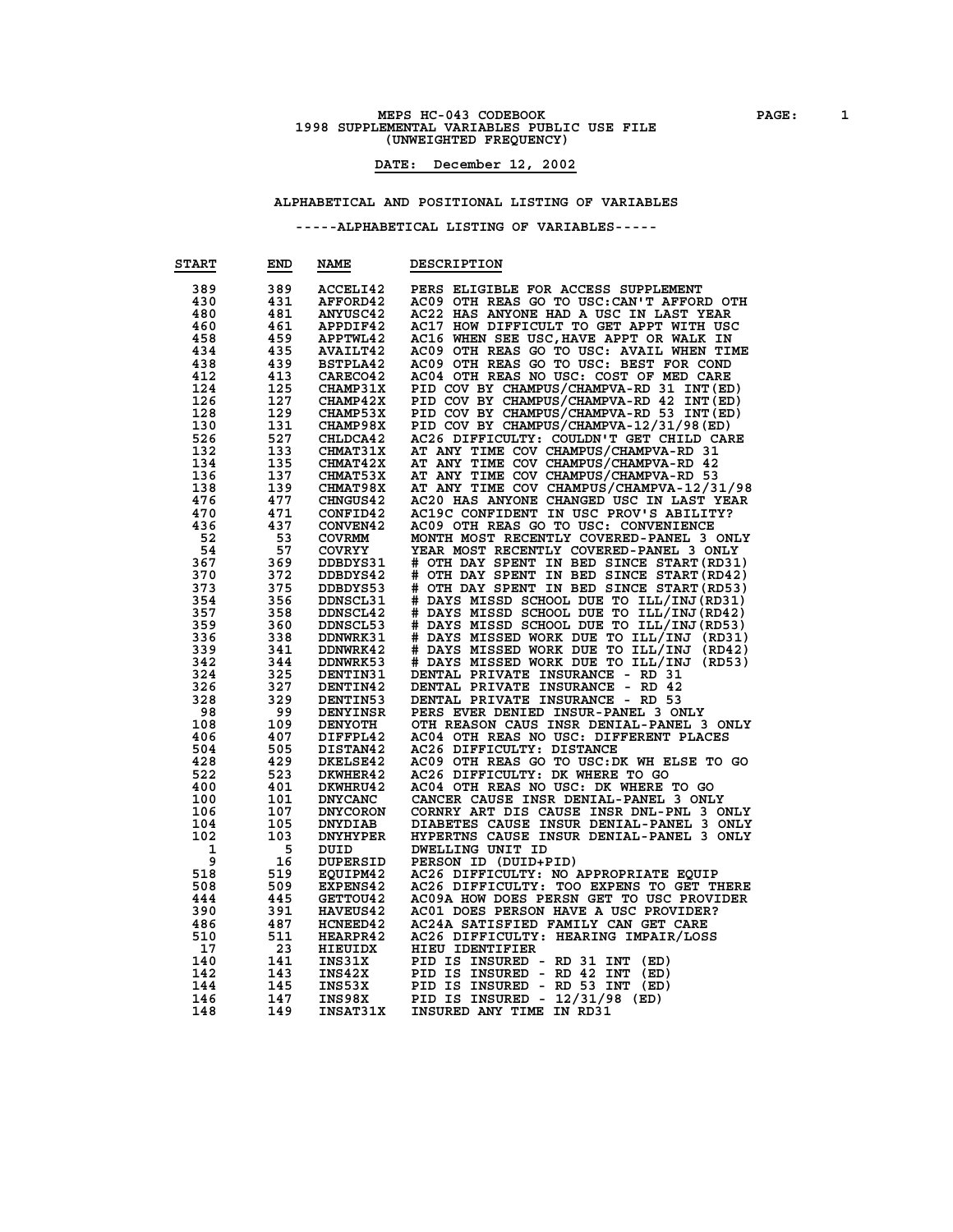### **MEPS HC-043 CODEBOOK PAGE: 1 1998 SUPPLEMENTAL VARIABLES PUBLIC USE FILE (UNWEIGHTED FREQUENCY)**

#### **DATE: December 12, 2002**

#### **ALPHABETICAL AND POSITIONAL LISTING OF VARIABLES**

| 389<br>PERS ELIGIBLE FOR ACCESS SUPPLEMENT<br>389<br>ACCELI42<br>430<br>431<br>AC09 OTH REAS GO TO USC: CAN'T AFFORD OTH<br>AFFORD42<br>481<br>AC22 HAS ANYONE HAD A USC IN LAST YEAR<br>480<br><b>ANYUSC42</b><br>461<br>AC17 HOW DIFFICULT TO GET APPT WITH USC<br>460<br>APPDIF42<br>458<br>459<br>APPTWL42<br>AC16 WHEN SEE USC, HAVE APPT OR WALK IN<br>435<br>AC09 OTH REAS GO TO USC: AVAIL WHEN TIME<br>434<br><b>AVAILT42</b><br>438<br>439<br>AC09 OTH REAS GO TO USC: BEST FOR COND<br><b>BSTPLA42</b><br>412<br>413<br>CARECO42<br>AC04 OTH REAS NO USC: COST OF MED CARE<br>124<br>125<br><b>CHAMP31X</b><br>PID COV BY CHAMPUS/CHAMPVA-RD 31 INT (ED)<br>127<br><b>CHAMP42X</b><br>PID COV BY CHAMPUS/CHAMPVA-RD 42 INT (ED)<br>126<br>128<br>129<br>PID COV BY CHAMPUS/CHAMPVA-RD 53 INT (ED)<br><b>CHAMP53X</b><br>PID COV BY CHAMPUS/CHAMPVA-12/31/98(ED)<br>130<br>131<br><b>CHAMP98X</b><br>526<br>527<br>CHLDCA42<br>AC26 DIFFICULTY: COULDN'T GET CHILD CARE<br>133<br>AT ANY TIME COV CHAMPUS/CHAMPVA-RD 31<br>132<br><b>CHMAT31X</b><br>134<br>135<br><b>CHMAT42X</b><br>AT ANY TIME COV CHAMPUS/CHAMPVA-RD 42<br>AT ANY TIME COV CHAMPUS/CHAMPVA-RD 53<br>136<br>137<br><b>CHMAT53X</b><br>139<br>138<br><b>CHMAT98X</b><br>AT ANY TIME COV CHAMPUS/CHAMPVA-12/31/98<br>AC20 HAS ANYONE CHANGED USC IN LAST YEAR<br>476<br>477<br><b>CHNGUS42</b><br>470<br>471<br>CONFID42<br>AC19C CONFIDENT IN USC PROV'S ABILITY?<br>436<br>437<br>AC09 OTH REAS GO TO USC: CONVENIENCE<br><b>CONVEN42</b><br>53<br>52<br>MONTH MOST RECENTLY COVERED-PANEL 3 ONLY<br><b>COVRMM</b><br>54<br>57<br>YEAR MOST RECENTLY COVERED-PANEL 3 ONLY<br><b>COVRYY</b><br>367<br>369<br># OTH DAY SPENT IN BED SINCE START (RD31)<br>DDBDYS31<br>372<br># OTH DAY SPENT IN BED SINCE START (RD42)<br>370<br>DDBDYS42<br>375<br># OTH DAY SPENT IN BED SINCE START (RD53)<br>373<br>DDBDYS53<br>354<br>356<br># DAYS MISSD SCHOOL DUE TO ILL/INJ(RD31)<br><b>DDNSCL31</b><br># DAYS MISSD SCHOOL DUE TO ILL/INJ(RD42)<br>357<br>358<br><b>DDNSCL42</b><br># DAYS MISSD SCHOOL DUE TO ILL/INJ(RD53)<br>359<br>360<br>DDNSCL53<br># DAYS MISSED WORK DUE TO ILL/INJ (RD31)<br>338<br>336<br><b>DDNWRK31</b><br># DAYS MISSED WORK DUE TO ILL/INJ<br>341<br>339<br><b>DDNWRK42</b><br>(RD42)<br># DAYS MISSED WORK DUE TO ILL/INJ<br>342<br>344<br>DDNWRK53<br>(RD53)<br>324<br>325<br>DENTAL PRIVATE INSURANCE - RD 31<br>DENTIN31<br>326<br>327<br>DENTAL PRIVATE INSURANCE<br><b>DENTIN42</b><br>- RD 42<br>328<br>329<br>DENTAL PRIVATE INSURANCE - RD 53<br><b>DENTIN53</b><br>99<br>98<br>DENYINSR<br>PERS EVER DENIED INSUR-PANEL 3 ONLY<br>108<br>109<br>OTH REASON CAUS INSR DENIAL-PANEL 3 ONLY<br><b>DENYOTH</b><br>407<br>AC04 OTH REAS NO USC: DIFFERENT PLACES<br>406<br>DIFFPL42<br>AC26 DIFFICULTY: DISTANCE<br>504<br>505<br>DISTAN42<br>428<br>429<br><b>DKELSE42</b><br>AC09 OTH REAS GO TO USC: DK WH ELSE TO GO<br>AC26 DIFFICULTY: DK WHERE TO GO<br>523<br>522<br>DKWHER42<br>400<br>401<br>DKWHRU42<br>AC04 OTH REAS NO USC: DK WHERE TO GO<br>CANCER CAUSE INSR DENIAL-PANEL 3 ONLY<br>101<br><b>DNYCANC</b><br>100<br>107<br><b>DNYCORON</b><br>CORNRY ART DIS CAUSE INSR DNL-PNL 3 ONLY<br>106<br>105<br>DIABETES CAUSE INSUR DENIAL-PANEL 3 ONLY<br>104<br><b>DNYDIAB</b><br>102<br>103<br><b>DNYHYPER</b><br>HYPERTNS CAUSE INSUR DENIAL-PANEL 3 ONLY<br>1<br>5<br>DWELLING UNIT ID<br>DUID<br>9<br>16<br>DUPERSID<br>PERSON ID (DUID+PID)<br>518<br>519<br>EQUIPM42<br>AC26 DIFFICULTY: NO APPROPRIATE EQUIP<br>AC26 DIFFICULTY: TOO EXPENS TO GET THERE<br>508<br>509<br><b>EXPENS42</b><br>444<br>445<br><b>GETTOU42</b><br>AC09A HOW DOES PERSN GET TO USC PROVIDER<br>AC01 DOES PERSON HAVE A USC PROVIDER?<br>390<br>391<br><b>HAVEUS42</b><br>487<br>486<br>HCNEED42<br>AC24A SATISFIED FAMILY CAN GET CARE<br>510<br>511<br>AC26 DIFFICULTY: HEARING IMPAIR/LOSS<br><b>HEARPR42</b><br>17<br>23<br>HIEUIDX<br>HIEU IDENTIFIER<br>140<br>141<br>INS31X<br>PID IS INSURED - RD 31 INT<br>(ED)<br>142<br>143<br>INS42X<br>PID IS INSURED - RD 42<br><b>INT</b><br>(ED)<br>145<br>PID IS INSURED - RD 53 INT<br>144<br>INS53X<br>(ED)<br>147<br>PID IS INSURED - 12/31/98 (ED)<br>146<br>INS98X<br>149<br><b>INSAT31X</b><br>INSURED ANY TIME IN RD31<br>148 | <b>START</b> | END | <b>NAME</b> | <b>DESCRIPTION</b> |
|--------------------------------------------------------------------------------------------------------------------------------------------------------------------------------------------------------------------------------------------------------------------------------------------------------------------------------------------------------------------------------------------------------------------------------------------------------------------------------------------------------------------------------------------------------------------------------------------------------------------------------------------------------------------------------------------------------------------------------------------------------------------------------------------------------------------------------------------------------------------------------------------------------------------------------------------------------------------------------------------------------------------------------------------------------------------------------------------------------------------------------------------------------------------------------------------------------------------------------------------------------------------------------------------------------------------------------------------------------------------------------------------------------------------------------------------------------------------------------------------------------------------------------------------------------------------------------------------------------------------------------------------------------------------------------------------------------------------------------------------------------------------------------------------------------------------------------------------------------------------------------------------------------------------------------------------------------------------------------------------------------------------------------------------------------------------------------------------------------------------------------------------------------------------------------------------------------------------------------------------------------------------------------------------------------------------------------------------------------------------------------------------------------------------------------------------------------------------------------------------------------------------------------------------------------------------------------------------------------------------------------------------------------------------------------------------------------------------------------------------------------------------------------------------------------------------------------------------------------------------------------------------------------------------------------------------------------------------------------------------------------------------------------------------------------------------------------------------------------------------------------------------------------------------------------------------------------------------------------------------------------------------------------------------------------------------------------------------------------------------------------------------------------------------------------------------------------------------------------------------------------------------------------------------------------------------------------------------------------------------------------------------------------------------------------------------------------------------------------------------------------------------------------------------------------------------------------------------------------------------------------------------------------------------------------------------------------------------------------------------------------------------------------------------------------------------------------------------------------------------------------------------------------------------------------------------------------------------------------------------------------------------------------------------|--------------|-----|-------------|--------------------|
|                                                                                                                                                                                                                                                                                                                                                                                                                                                                                                                                                                                                                                                                                                                                                                                                                                                                                                                                                                                                                                                                                                                                                                                                                                                                                                                                                                                                                                                                                                                                                                                                                                                                                                                                                                                                                                                                                                                                                                                                                                                                                                                                                                                                                                                                                                                                                                                                                                                                                                                                                                                                                                                                                                                                                                                                                                                                                                                                                                                                                                                                                                                                                                                                                                                                                                                                                                                                                                                                                                                                                                                                                                                                                                                                                                                                                                                                                                                                                                                                                                                                                                                                                                                                                                                                                            |              |     |             |                    |
|                                                                                                                                                                                                                                                                                                                                                                                                                                                                                                                                                                                                                                                                                                                                                                                                                                                                                                                                                                                                                                                                                                                                                                                                                                                                                                                                                                                                                                                                                                                                                                                                                                                                                                                                                                                                                                                                                                                                                                                                                                                                                                                                                                                                                                                                                                                                                                                                                                                                                                                                                                                                                                                                                                                                                                                                                                                                                                                                                                                                                                                                                                                                                                                                                                                                                                                                                                                                                                                                                                                                                                                                                                                                                                                                                                                                                                                                                                                                                                                                                                                                                                                                                                                                                                                                                            |              |     |             |                    |
|                                                                                                                                                                                                                                                                                                                                                                                                                                                                                                                                                                                                                                                                                                                                                                                                                                                                                                                                                                                                                                                                                                                                                                                                                                                                                                                                                                                                                                                                                                                                                                                                                                                                                                                                                                                                                                                                                                                                                                                                                                                                                                                                                                                                                                                                                                                                                                                                                                                                                                                                                                                                                                                                                                                                                                                                                                                                                                                                                                                                                                                                                                                                                                                                                                                                                                                                                                                                                                                                                                                                                                                                                                                                                                                                                                                                                                                                                                                                                                                                                                                                                                                                                                                                                                                                                            |              |     |             |                    |
|                                                                                                                                                                                                                                                                                                                                                                                                                                                                                                                                                                                                                                                                                                                                                                                                                                                                                                                                                                                                                                                                                                                                                                                                                                                                                                                                                                                                                                                                                                                                                                                                                                                                                                                                                                                                                                                                                                                                                                                                                                                                                                                                                                                                                                                                                                                                                                                                                                                                                                                                                                                                                                                                                                                                                                                                                                                                                                                                                                                                                                                                                                                                                                                                                                                                                                                                                                                                                                                                                                                                                                                                                                                                                                                                                                                                                                                                                                                                                                                                                                                                                                                                                                                                                                                                                            |              |     |             |                    |
|                                                                                                                                                                                                                                                                                                                                                                                                                                                                                                                                                                                                                                                                                                                                                                                                                                                                                                                                                                                                                                                                                                                                                                                                                                                                                                                                                                                                                                                                                                                                                                                                                                                                                                                                                                                                                                                                                                                                                                                                                                                                                                                                                                                                                                                                                                                                                                                                                                                                                                                                                                                                                                                                                                                                                                                                                                                                                                                                                                                                                                                                                                                                                                                                                                                                                                                                                                                                                                                                                                                                                                                                                                                                                                                                                                                                                                                                                                                                                                                                                                                                                                                                                                                                                                                                                            |              |     |             |                    |
|                                                                                                                                                                                                                                                                                                                                                                                                                                                                                                                                                                                                                                                                                                                                                                                                                                                                                                                                                                                                                                                                                                                                                                                                                                                                                                                                                                                                                                                                                                                                                                                                                                                                                                                                                                                                                                                                                                                                                                                                                                                                                                                                                                                                                                                                                                                                                                                                                                                                                                                                                                                                                                                                                                                                                                                                                                                                                                                                                                                                                                                                                                                                                                                                                                                                                                                                                                                                                                                                                                                                                                                                                                                                                                                                                                                                                                                                                                                                                                                                                                                                                                                                                                                                                                                                                            |              |     |             |                    |
|                                                                                                                                                                                                                                                                                                                                                                                                                                                                                                                                                                                                                                                                                                                                                                                                                                                                                                                                                                                                                                                                                                                                                                                                                                                                                                                                                                                                                                                                                                                                                                                                                                                                                                                                                                                                                                                                                                                                                                                                                                                                                                                                                                                                                                                                                                                                                                                                                                                                                                                                                                                                                                                                                                                                                                                                                                                                                                                                                                                                                                                                                                                                                                                                                                                                                                                                                                                                                                                                                                                                                                                                                                                                                                                                                                                                                                                                                                                                                                                                                                                                                                                                                                                                                                                                                            |              |     |             |                    |
|                                                                                                                                                                                                                                                                                                                                                                                                                                                                                                                                                                                                                                                                                                                                                                                                                                                                                                                                                                                                                                                                                                                                                                                                                                                                                                                                                                                                                                                                                                                                                                                                                                                                                                                                                                                                                                                                                                                                                                                                                                                                                                                                                                                                                                                                                                                                                                                                                                                                                                                                                                                                                                                                                                                                                                                                                                                                                                                                                                                                                                                                                                                                                                                                                                                                                                                                                                                                                                                                                                                                                                                                                                                                                                                                                                                                                                                                                                                                                                                                                                                                                                                                                                                                                                                                                            |              |     |             |                    |
|                                                                                                                                                                                                                                                                                                                                                                                                                                                                                                                                                                                                                                                                                                                                                                                                                                                                                                                                                                                                                                                                                                                                                                                                                                                                                                                                                                                                                                                                                                                                                                                                                                                                                                                                                                                                                                                                                                                                                                                                                                                                                                                                                                                                                                                                                                                                                                                                                                                                                                                                                                                                                                                                                                                                                                                                                                                                                                                                                                                                                                                                                                                                                                                                                                                                                                                                                                                                                                                                                                                                                                                                                                                                                                                                                                                                                                                                                                                                                                                                                                                                                                                                                                                                                                                                                            |              |     |             |                    |
|                                                                                                                                                                                                                                                                                                                                                                                                                                                                                                                                                                                                                                                                                                                                                                                                                                                                                                                                                                                                                                                                                                                                                                                                                                                                                                                                                                                                                                                                                                                                                                                                                                                                                                                                                                                                                                                                                                                                                                                                                                                                                                                                                                                                                                                                                                                                                                                                                                                                                                                                                                                                                                                                                                                                                                                                                                                                                                                                                                                                                                                                                                                                                                                                                                                                                                                                                                                                                                                                                                                                                                                                                                                                                                                                                                                                                                                                                                                                                                                                                                                                                                                                                                                                                                                                                            |              |     |             |                    |
|                                                                                                                                                                                                                                                                                                                                                                                                                                                                                                                                                                                                                                                                                                                                                                                                                                                                                                                                                                                                                                                                                                                                                                                                                                                                                                                                                                                                                                                                                                                                                                                                                                                                                                                                                                                                                                                                                                                                                                                                                                                                                                                                                                                                                                                                                                                                                                                                                                                                                                                                                                                                                                                                                                                                                                                                                                                                                                                                                                                                                                                                                                                                                                                                                                                                                                                                                                                                                                                                                                                                                                                                                                                                                                                                                                                                                                                                                                                                                                                                                                                                                                                                                                                                                                                                                            |              |     |             |                    |
|                                                                                                                                                                                                                                                                                                                                                                                                                                                                                                                                                                                                                                                                                                                                                                                                                                                                                                                                                                                                                                                                                                                                                                                                                                                                                                                                                                                                                                                                                                                                                                                                                                                                                                                                                                                                                                                                                                                                                                                                                                                                                                                                                                                                                                                                                                                                                                                                                                                                                                                                                                                                                                                                                                                                                                                                                                                                                                                                                                                                                                                                                                                                                                                                                                                                                                                                                                                                                                                                                                                                                                                                                                                                                                                                                                                                                                                                                                                                                                                                                                                                                                                                                                                                                                                                                            |              |     |             |                    |
|                                                                                                                                                                                                                                                                                                                                                                                                                                                                                                                                                                                                                                                                                                                                                                                                                                                                                                                                                                                                                                                                                                                                                                                                                                                                                                                                                                                                                                                                                                                                                                                                                                                                                                                                                                                                                                                                                                                                                                                                                                                                                                                                                                                                                                                                                                                                                                                                                                                                                                                                                                                                                                                                                                                                                                                                                                                                                                                                                                                                                                                                                                                                                                                                                                                                                                                                                                                                                                                                                                                                                                                                                                                                                                                                                                                                                                                                                                                                                                                                                                                                                                                                                                                                                                                                                            |              |     |             |                    |
|                                                                                                                                                                                                                                                                                                                                                                                                                                                                                                                                                                                                                                                                                                                                                                                                                                                                                                                                                                                                                                                                                                                                                                                                                                                                                                                                                                                                                                                                                                                                                                                                                                                                                                                                                                                                                                                                                                                                                                                                                                                                                                                                                                                                                                                                                                                                                                                                                                                                                                                                                                                                                                                                                                                                                                                                                                                                                                                                                                                                                                                                                                                                                                                                                                                                                                                                                                                                                                                                                                                                                                                                                                                                                                                                                                                                                                                                                                                                                                                                                                                                                                                                                                                                                                                                                            |              |     |             |                    |
|                                                                                                                                                                                                                                                                                                                                                                                                                                                                                                                                                                                                                                                                                                                                                                                                                                                                                                                                                                                                                                                                                                                                                                                                                                                                                                                                                                                                                                                                                                                                                                                                                                                                                                                                                                                                                                                                                                                                                                                                                                                                                                                                                                                                                                                                                                                                                                                                                                                                                                                                                                                                                                                                                                                                                                                                                                                                                                                                                                                                                                                                                                                                                                                                                                                                                                                                                                                                                                                                                                                                                                                                                                                                                                                                                                                                                                                                                                                                                                                                                                                                                                                                                                                                                                                                                            |              |     |             |                    |
|                                                                                                                                                                                                                                                                                                                                                                                                                                                                                                                                                                                                                                                                                                                                                                                                                                                                                                                                                                                                                                                                                                                                                                                                                                                                                                                                                                                                                                                                                                                                                                                                                                                                                                                                                                                                                                                                                                                                                                                                                                                                                                                                                                                                                                                                                                                                                                                                                                                                                                                                                                                                                                                                                                                                                                                                                                                                                                                                                                                                                                                                                                                                                                                                                                                                                                                                                                                                                                                                                                                                                                                                                                                                                                                                                                                                                                                                                                                                                                                                                                                                                                                                                                                                                                                                                            |              |     |             |                    |
|                                                                                                                                                                                                                                                                                                                                                                                                                                                                                                                                                                                                                                                                                                                                                                                                                                                                                                                                                                                                                                                                                                                                                                                                                                                                                                                                                                                                                                                                                                                                                                                                                                                                                                                                                                                                                                                                                                                                                                                                                                                                                                                                                                                                                                                                                                                                                                                                                                                                                                                                                                                                                                                                                                                                                                                                                                                                                                                                                                                                                                                                                                                                                                                                                                                                                                                                                                                                                                                                                                                                                                                                                                                                                                                                                                                                                                                                                                                                                                                                                                                                                                                                                                                                                                                                                            |              |     |             |                    |
|                                                                                                                                                                                                                                                                                                                                                                                                                                                                                                                                                                                                                                                                                                                                                                                                                                                                                                                                                                                                                                                                                                                                                                                                                                                                                                                                                                                                                                                                                                                                                                                                                                                                                                                                                                                                                                                                                                                                                                                                                                                                                                                                                                                                                                                                                                                                                                                                                                                                                                                                                                                                                                                                                                                                                                                                                                                                                                                                                                                                                                                                                                                                                                                                                                                                                                                                                                                                                                                                                                                                                                                                                                                                                                                                                                                                                                                                                                                                                                                                                                                                                                                                                                                                                                                                                            |              |     |             |                    |
|                                                                                                                                                                                                                                                                                                                                                                                                                                                                                                                                                                                                                                                                                                                                                                                                                                                                                                                                                                                                                                                                                                                                                                                                                                                                                                                                                                                                                                                                                                                                                                                                                                                                                                                                                                                                                                                                                                                                                                                                                                                                                                                                                                                                                                                                                                                                                                                                                                                                                                                                                                                                                                                                                                                                                                                                                                                                                                                                                                                                                                                                                                                                                                                                                                                                                                                                                                                                                                                                                                                                                                                                                                                                                                                                                                                                                                                                                                                                                                                                                                                                                                                                                                                                                                                                                            |              |     |             |                    |
|                                                                                                                                                                                                                                                                                                                                                                                                                                                                                                                                                                                                                                                                                                                                                                                                                                                                                                                                                                                                                                                                                                                                                                                                                                                                                                                                                                                                                                                                                                                                                                                                                                                                                                                                                                                                                                                                                                                                                                                                                                                                                                                                                                                                                                                                                                                                                                                                                                                                                                                                                                                                                                                                                                                                                                                                                                                                                                                                                                                                                                                                                                                                                                                                                                                                                                                                                                                                                                                                                                                                                                                                                                                                                                                                                                                                                                                                                                                                                                                                                                                                                                                                                                                                                                                                                            |              |     |             |                    |
|                                                                                                                                                                                                                                                                                                                                                                                                                                                                                                                                                                                                                                                                                                                                                                                                                                                                                                                                                                                                                                                                                                                                                                                                                                                                                                                                                                                                                                                                                                                                                                                                                                                                                                                                                                                                                                                                                                                                                                                                                                                                                                                                                                                                                                                                                                                                                                                                                                                                                                                                                                                                                                                                                                                                                                                                                                                                                                                                                                                                                                                                                                                                                                                                                                                                                                                                                                                                                                                                                                                                                                                                                                                                                                                                                                                                                                                                                                                                                                                                                                                                                                                                                                                                                                                                                            |              |     |             |                    |
|                                                                                                                                                                                                                                                                                                                                                                                                                                                                                                                                                                                                                                                                                                                                                                                                                                                                                                                                                                                                                                                                                                                                                                                                                                                                                                                                                                                                                                                                                                                                                                                                                                                                                                                                                                                                                                                                                                                                                                                                                                                                                                                                                                                                                                                                                                                                                                                                                                                                                                                                                                                                                                                                                                                                                                                                                                                                                                                                                                                                                                                                                                                                                                                                                                                                                                                                                                                                                                                                                                                                                                                                                                                                                                                                                                                                                                                                                                                                                                                                                                                                                                                                                                                                                                                                                            |              |     |             |                    |
|                                                                                                                                                                                                                                                                                                                                                                                                                                                                                                                                                                                                                                                                                                                                                                                                                                                                                                                                                                                                                                                                                                                                                                                                                                                                                                                                                                                                                                                                                                                                                                                                                                                                                                                                                                                                                                                                                                                                                                                                                                                                                                                                                                                                                                                                                                                                                                                                                                                                                                                                                                                                                                                                                                                                                                                                                                                                                                                                                                                                                                                                                                                                                                                                                                                                                                                                                                                                                                                                                                                                                                                                                                                                                                                                                                                                                                                                                                                                                                                                                                                                                                                                                                                                                                                                                            |              |     |             |                    |
|                                                                                                                                                                                                                                                                                                                                                                                                                                                                                                                                                                                                                                                                                                                                                                                                                                                                                                                                                                                                                                                                                                                                                                                                                                                                                                                                                                                                                                                                                                                                                                                                                                                                                                                                                                                                                                                                                                                                                                                                                                                                                                                                                                                                                                                                                                                                                                                                                                                                                                                                                                                                                                                                                                                                                                                                                                                                                                                                                                                                                                                                                                                                                                                                                                                                                                                                                                                                                                                                                                                                                                                                                                                                                                                                                                                                                                                                                                                                                                                                                                                                                                                                                                                                                                                                                            |              |     |             |                    |
|                                                                                                                                                                                                                                                                                                                                                                                                                                                                                                                                                                                                                                                                                                                                                                                                                                                                                                                                                                                                                                                                                                                                                                                                                                                                                                                                                                                                                                                                                                                                                                                                                                                                                                                                                                                                                                                                                                                                                                                                                                                                                                                                                                                                                                                                                                                                                                                                                                                                                                                                                                                                                                                                                                                                                                                                                                                                                                                                                                                                                                                                                                                                                                                                                                                                                                                                                                                                                                                                                                                                                                                                                                                                                                                                                                                                                                                                                                                                                                                                                                                                                                                                                                                                                                                                                            |              |     |             |                    |
|                                                                                                                                                                                                                                                                                                                                                                                                                                                                                                                                                                                                                                                                                                                                                                                                                                                                                                                                                                                                                                                                                                                                                                                                                                                                                                                                                                                                                                                                                                                                                                                                                                                                                                                                                                                                                                                                                                                                                                                                                                                                                                                                                                                                                                                                                                                                                                                                                                                                                                                                                                                                                                                                                                                                                                                                                                                                                                                                                                                                                                                                                                                                                                                                                                                                                                                                                                                                                                                                                                                                                                                                                                                                                                                                                                                                                                                                                                                                                                                                                                                                                                                                                                                                                                                                                            |              |     |             |                    |
|                                                                                                                                                                                                                                                                                                                                                                                                                                                                                                                                                                                                                                                                                                                                                                                                                                                                                                                                                                                                                                                                                                                                                                                                                                                                                                                                                                                                                                                                                                                                                                                                                                                                                                                                                                                                                                                                                                                                                                                                                                                                                                                                                                                                                                                                                                                                                                                                                                                                                                                                                                                                                                                                                                                                                                                                                                                                                                                                                                                                                                                                                                                                                                                                                                                                                                                                                                                                                                                                                                                                                                                                                                                                                                                                                                                                                                                                                                                                                                                                                                                                                                                                                                                                                                                                                            |              |     |             |                    |
|                                                                                                                                                                                                                                                                                                                                                                                                                                                                                                                                                                                                                                                                                                                                                                                                                                                                                                                                                                                                                                                                                                                                                                                                                                                                                                                                                                                                                                                                                                                                                                                                                                                                                                                                                                                                                                                                                                                                                                                                                                                                                                                                                                                                                                                                                                                                                                                                                                                                                                                                                                                                                                                                                                                                                                                                                                                                                                                                                                                                                                                                                                                                                                                                                                                                                                                                                                                                                                                                                                                                                                                                                                                                                                                                                                                                                                                                                                                                                                                                                                                                                                                                                                                                                                                                                            |              |     |             |                    |
|                                                                                                                                                                                                                                                                                                                                                                                                                                                                                                                                                                                                                                                                                                                                                                                                                                                                                                                                                                                                                                                                                                                                                                                                                                                                                                                                                                                                                                                                                                                                                                                                                                                                                                                                                                                                                                                                                                                                                                                                                                                                                                                                                                                                                                                                                                                                                                                                                                                                                                                                                                                                                                                                                                                                                                                                                                                                                                                                                                                                                                                                                                                                                                                                                                                                                                                                                                                                                                                                                                                                                                                                                                                                                                                                                                                                                                                                                                                                                                                                                                                                                                                                                                                                                                                                                            |              |     |             |                    |
|                                                                                                                                                                                                                                                                                                                                                                                                                                                                                                                                                                                                                                                                                                                                                                                                                                                                                                                                                                                                                                                                                                                                                                                                                                                                                                                                                                                                                                                                                                                                                                                                                                                                                                                                                                                                                                                                                                                                                                                                                                                                                                                                                                                                                                                                                                                                                                                                                                                                                                                                                                                                                                                                                                                                                                                                                                                                                                                                                                                                                                                                                                                                                                                                                                                                                                                                                                                                                                                                                                                                                                                                                                                                                                                                                                                                                                                                                                                                                                                                                                                                                                                                                                                                                                                                                            |              |     |             |                    |
|                                                                                                                                                                                                                                                                                                                                                                                                                                                                                                                                                                                                                                                                                                                                                                                                                                                                                                                                                                                                                                                                                                                                                                                                                                                                                                                                                                                                                                                                                                                                                                                                                                                                                                                                                                                                                                                                                                                                                                                                                                                                                                                                                                                                                                                                                                                                                                                                                                                                                                                                                                                                                                                                                                                                                                                                                                                                                                                                                                                                                                                                                                                                                                                                                                                                                                                                                                                                                                                                                                                                                                                                                                                                                                                                                                                                                                                                                                                                                                                                                                                                                                                                                                                                                                                                                            |              |     |             |                    |
|                                                                                                                                                                                                                                                                                                                                                                                                                                                                                                                                                                                                                                                                                                                                                                                                                                                                                                                                                                                                                                                                                                                                                                                                                                                                                                                                                                                                                                                                                                                                                                                                                                                                                                                                                                                                                                                                                                                                                                                                                                                                                                                                                                                                                                                                                                                                                                                                                                                                                                                                                                                                                                                                                                                                                                                                                                                                                                                                                                                                                                                                                                                                                                                                                                                                                                                                                                                                                                                                                                                                                                                                                                                                                                                                                                                                                                                                                                                                                                                                                                                                                                                                                                                                                                                                                            |              |     |             |                    |
|                                                                                                                                                                                                                                                                                                                                                                                                                                                                                                                                                                                                                                                                                                                                                                                                                                                                                                                                                                                                                                                                                                                                                                                                                                                                                                                                                                                                                                                                                                                                                                                                                                                                                                                                                                                                                                                                                                                                                                                                                                                                                                                                                                                                                                                                                                                                                                                                                                                                                                                                                                                                                                                                                                                                                                                                                                                                                                                                                                                                                                                                                                                                                                                                                                                                                                                                                                                                                                                                                                                                                                                                                                                                                                                                                                                                                                                                                                                                                                                                                                                                                                                                                                                                                                                                                            |              |     |             |                    |
|                                                                                                                                                                                                                                                                                                                                                                                                                                                                                                                                                                                                                                                                                                                                                                                                                                                                                                                                                                                                                                                                                                                                                                                                                                                                                                                                                                                                                                                                                                                                                                                                                                                                                                                                                                                                                                                                                                                                                                                                                                                                                                                                                                                                                                                                                                                                                                                                                                                                                                                                                                                                                                                                                                                                                                                                                                                                                                                                                                                                                                                                                                                                                                                                                                                                                                                                                                                                                                                                                                                                                                                                                                                                                                                                                                                                                                                                                                                                                                                                                                                                                                                                                                                                                                                                                            |              |     |             |                    |
|                                                                                                                                                                                                                                                                                                                                                                                                                                                                                                                                                                                                                                                                                                                                                                                                                                                                                                                                                                                                                                                                                                                                                                                                                                                                                                                                                                                                                                                                                                                                                                                                                                                                                                                                                                                                                                                                                                                                                                                                                                                                                                                                                                                                                                                                                                                                                                                                                                                                                                                                                                                                                                                                                                                                                                                                                                                                                                                                                                                                                                                                                                                                                                                                                                                                                                                                                                                                                                                                                                                                                                                                                                                                                                                                                                                                                                                                                                                                                                                                                                                                                                                                                                                                                                                                                            |              |     |             |                    |
|                                                                                                                                                                                                                                                                                                                                                                                                                                                                                                                                                                                                                                                                                                                                                                                                                                                                                                                                                                                                                                                                                                                                                                                                                                                                                                                                                                                                                                                                                                                                                                                                                                                                                                                                                                                                                                                                                                                                                                                                                                                                                                                                                                                                                                                                                                                                                                                                                                                                                                                                                                                                                                                                                                                                                                                                                                                                                                                                                                                                                                                                                                                                                                                                                                                                                                                                                                                                                                                                                                                                                                                                                                                                                                                                                                                                                                                                                                                                                                                                                                                                                                                                                                                                                                                                                            |              |     |             |                    |
|                                                                                                                                                                                                                                                                                                                                                                                                                                                                                                                                                                                                                                                                                                                                                                                                                                                                                                                                                                                                                                                                                                                                                                                                                                                                                                                                                                                                                                                                                                                                                                                                                                                                                                                                                                                                                                                                                                                                                                                                                                                                                                                                                                                                                                                                                                                                                                                                                                                                                                                                                                                                                                                                                                                                                                                                                                                                                                                                                                                                                                                                                                                                                                                                                                                                                                                                                                                                                                                                                                                                                                                                                                                                                                                                                                                                                                                                                                                                                                                                                                                                                                                                                                                                                                                                                            |              |     |             |                    |
|                                                                                                                                                                                                                                                                                                                                                                                                                                                                                                                                                                                                                                                                                                                                                                                                                                                                                                                                                                                                                                                                                                                                                                                                                                                                                                                                                                                                                                                                                                                                                                                                                                                                                                                                                                                                                                                                                                                                                                                                                                                                                                                                                                                                                                                                                                                                                                                                                                                                                                                                                                                                                                                                                                                                                                                                                                                                                                                                                                                                                                                                                                                                                                                                                                                                                                                                                                                                                                                                                                                                                                                                                                                                                                                                                                                                                                                                                                                                                                                                                                                                                                                                                                                                                                                                                            |              |     |             |                    |
|                                                                                                                                                                                                                                                                                                                                                                                                                                                                                                                                                                                                                                                                                                                                                                                                                                                                                                                                                                                                                                                                                                                                                                                                                                                                                                                                                                                                                                                                                                                                                                                                                                                                                                                                                                                                                                                                                                                                                                                                                                                                                                                                                                                                                                                                                                                                                                                                                                                                                                                                                                                                                                                                                                                                                                                                                                                                                                                                                                                                                                                                                                                                                                                                                                                                                                                                                                                                                                                                                                                                                                                                                                                                                                                                                                                                                                                                                                                                                                                                                                                                                                                                                                                                                                                                                            |              |     |             |                    |
|                                                                                                                                                                                                                                                                                                                                                                                                                                                                                                                                                                                                                                                                                                                                                                                                                                                                                                                                                                                                                                                                                                                                                                                                                                                                                                                                                                                                                                                                                                                                                                                                                                                                                                                                                                                                                                                                                                                                                                                                                                                                                                                                                                                                                                                                                                                                                                                                                                                                                                                                                                                                                                                                                                                                                                                                                                                                                                                                                                                                                                                                                                                                                                                                                                                                                                                                                                                                                                                                                                                                                                                                                                                                                                                                                                                                                                                                                                                                                                                                                                                                                                                                                                                                                                                                                            |              |     |             |                    |
|                                                                                                                                                                                                                                                                                                                                                                                                                                                                                                                                                                                                                                                                                                                                                                                                                                                                                                                                                                                                                                                                                                                                                                                                                                                                                                                                                                                                                                                                                                                                                                                                                                                                                                                                                                                                                                                                                                                                                                                                                                                                                                                                                                                                                                                                                                                                                                                                                                                                                                                                                                                                                                                                                                                                                                                                                                                                                                                                                                                                                                                                                                                                                                                                                                                                                                                                                                                                                                                                                                                                                                                                                                                                                                                                                                                                                                                                                                                                                                                                                                                                                                                                                                                                                                                                                            |              |     |             |                    |
|                                                                                                                                                                                                                                                                                                                                                                                                                                                                                                                                                                                                                                                                                                                                                                                                                                                                                                                                                                                                                                                                                                                                                                                                                                                                                                                                                                                                                                                                                                                                                                                                                                                                                                                                                                                                                                                                                                                                                                                                                                                                                                                                                                                                                                                                                                                                                                                                                                                                                                                                                                                                                                                                                                                                                                                                                                                                                                                                                                                                                                                                                                                                                                                                                                                                                                                                                                                                                                                                                                                                                                                                                                                                                                                                                                                                                                                                                                                                                                                                                                                                                                                                                                                                                                                                                            |              |     |             |                    |
|                                                                                                                                                                                                                                                                                                                                                                                                                                                                                                                                                                                                                                                                                                                                                                                                                                                                                                                                                                                                                                                                                                                                                                                                                                                                                                                                                                                                                                                                                                                                                                                                                                                                                                                                                                                                                                                                                                                                                                                                                                                                                                                                                                                                                                                                                                                                                                                                                                                                                                                                                                                                                                                                                                                                                                                                                                                                                                                                                                                                                                                                                                                                                                                                                                                                                                                                                                                                                                                                                                                                                                                                                                                                                                                                                                                                                                                                                                                                                                                                                                                                                                                                                                                                                                                                                            |              |     |             |                    |
|                                                                                                                                                                                                                                                                                                                                                                                                                                                                                                                                                                                                                                                                                                                                                                                                                                                                                                                                                                                                                                                                                                                                                                                                                                                                                                                                                                                                                                                                                                                                                                                                                                                                                                                                                                                                                                                                                                                                                                                                                                                                                                                                                                                                                                                                                                                                                                                                                                                                                                                                                                                                                                                                                                                                                                                                                                                                                                                                                                                                                                                                                                                                                                                                                                                                                                                                                                                                                                                                                                                                                                                                                                                                                                                                                                                                                                                                                                                                                                                                                                                                                                                                                                                                                                                                                            |              |     |             |                    |
|                                                                                                                                                                                                                                                                                                                                                                                                                                                                                                                                                                                                                                                                                                                                                                                                                                                                                                                                                                                                                                                                                                                                                                                                                                                                                                                                                                                                                                                                                                                                                                                                                                                                                                                                                                                                                                                                                                                                                                                                                                                                                                                                                                                                                                                                                                                                                                                                                                                                                                                                                                                                                                                                                                                                                                                                                                                                                                                                                                                                                                                                                                                                                                                                                                                                                                                                                                                                                                                                                                                                                                                                                                                                                                                                                                                                                                                                                                                                                                                                                                                                                                                                                                                                                                                                                            |              |     |             |                    |
|                                                                                                                                                                                                                                                                                                                                                                                                                                                                                                                                                                                                                                                                                                                                                                                                                                                                                                                                                                                                                                                                                                                                                                                                                                                                                                                                                                                                                                                                                                                                                                                                                                                                                                                                                                                                                                                                                                                                                                                                                                                                                                                                                                                                                                                                                                                                                                                                                                                                                                                                                                                                                                                                                                                                                                                                                                                                                                                                                                                                                                                                                                                                                                                                                                                                                                                                                                                                                                                                                                                                                                                                                                                                                                                                                                                                                                                                                                                                                                                                                                                                                                                                                                                                                                                                                            |              |     |             |                    |
|                                                                                                                                                                                                                                                                                                                                                                                                                                                                                                                                                                                                                                                                                                                                                                                                                                                                                                                                                                                                                                                                                                                                                                                                                                                                                                                                                                                                                                                                                                                                                                                                                                                                                                                                                                                                                                                                                                                                                                                                                                                                                                                                                                                                                                                                                                                                                                                                                                                                                                                                                                                                                                                                                                                                                                                                                                                                                                                                                                                                                                                                                                                                                                                                                                                                                                                                                                                                                                                                                                                                                                                                                                                                                                                                                                                                                                                                                                                                                                                                                                                                                                                                                                                                                                                                                            |              |     |             |                    |
|                                                                                                                                                                                                                                                                                                                                                                                                                                                                                                                                                                                                                                                                                                                                                                                                                                                                                                                                                                                                                                                                                                                                                                                                                                                                                                                                                                                                                                                                                                                                                                                                                                                                                                                                                                                                                                                                                                                                                                                                                                                                                                                                                                                                                                                                                                                                                                                                                                                                                                                                                                                                                                                                                                                                                                                                                                                                                                                                                                                                                                                                                                                                                                                                                                                                                                                                                                                                                                                                                                                                                                                                                                                                                                                                                                                                                                                                                                                                                                                                                                                                                                                                                                                                                                                                                            |              |     |             |                    |
|                                                                                                                                                                                                                                                                                                                                                                                                                                                                                                                                                                                                                                                                                                                                                                                                                                                                                                                                                                                                                                                                                                                                                                                                                                                                                                                                                                                                                                                                                                                                                                                                                                                                                                                                                                                                                                                                                                                                                                                                                                                                                                                                                                                                                                                                                                                                                                                                                                                                                                                                                                                                                                                                                                                                                                                                                                                                                                                                                                                                                                                                                                                                                                                                                                                                                                                                                                                                                                                                                                                                                                                                                                                                                                                                                                                                                                                                                                                                                                                                                                                                                                                                                                                                                                                                                            |              |     |             |                    |
|                                                                                                                                                                                                                                                                                                                                                                                                                                                                                                                                                                                                                                                                                                                                                                                                                                                                                                                                                                                                                                                                                                                                                                                                                                                                                                                                                                                                                                                                                                                                                                                                                                                                                                                                                                                                                                                                                                                                                                                                                                                                                                                                                                                                                                                                                                                                                                                                                                                                                                                                                                                                                                                                                                                                                                                                                                                                                                                                                                                                                                                                                                                                                                                                                                                                                                                                                                                                                                                                                                                                                                                                                                                                                                                                                                                                                                                                                                                                                                                                                                                                                                                                                                                                                                                                                            |              |     |             |                    |
|                                                                                                                                                                                                                                                                                                                                                                                                                                                                                                                                                                                                                                                                                                                                                                                                                                                                                                                                                                                                                                                                                                                                                                                                                                                                                                                                                                                                                                                                                                                                                                                                                                                                                                                                                                                                                                                                                                                                                                                                                                                                                                                                                                                                                                                                                                                                                                                                                                                                                                                                                                                                                                                                                                                                                                                                                                                                                                                                                                                                                                                                                                                                                                                                                                                                                                                                                                                                                                                                                                                                                                                                                                                                                                                                                                                                                                                                                                                                                                                                                                                                                                                                                                                                                                                                                            |              |     |             |                    |
|                                                                                                                                                                                                                                                                                                                                                                                                                                                                                                                                                                                                                                                                                                                                                                                                                                                                                                                                                                                                                                                                                                                                                                                                                                                                                                                                                                                                                                                                                                                                                                                                                                                                                                                                                                                                                                                                                                                                                                                                                                                                                                                                                                                                                                                                                                                                                                                                                                                                                                                                                                                                                                                                                                                                                                                                                                                                                                                                                                                                                                                                                                                                                                                                                                                                                                                                                                                                                                                                                                                                                                                                                                                                                                                                                                                                                                                                                                                                                                                                                                                                                                                                                                                                                                                                                            |              |     |             |                    |
|                                                                                                                                                                                                                                                                                                                                                                                                                                                                                                                                                                                                                                                                                                                                                                                                                                                                                                                                                                                                                                                                                                                                                                                                                                                                                                                                                                                                                                                                                                                                                                                                                                                                                                                                                                                                                                                                                                                                                                                                                                                                                                                                                                                                                                                                                                                                                                                                                                                                                                                                                                                                                                                                                                                                                                                                                                                                                                                                                                                                                                                                                                                                                                                                                                                                                                                                                                                                                                                                                                                                                                                                                                                                                                                                                                                                                                                                                                                                                                                                                                                                                                                                                                                                                                                                                            |              |     |             |                    |
|                                                                                                                                                                                                                                                                                                                                                                                                                                                                                                                                                                                                                                                                                                                                                                                                                                                                                                                                                                                                                                                                                                                                                                                                                                                                                                                                                                                                                                                                                                                                                                                                                                                                                                                                                                                                                                                                                                                                                                                                                                                                                                                                                                                                                                                                                                                                                                                                                                                                                                                                                                                                                                                                                                                                                                                                                                                                                                                                                                                                                                                                                                                                                                                                                                                                                                                                                                                                                                                                                                                                                                                                                                                                                                                                                                                                                                                                                                                                                                                                                                                                                                                                                                                                                                                                                            |              |     |             |                    |
|                                                                                                                                                                                                                                                                                                                                                                                                                                                                                                                                                                                                                                                                                                                                                                                                                                                                                                                                                                                                                                                                                                                                                                                                                                                                                                                                                                                                                                                                                                                                                                                                                                                                                                                                                                                                                                                                                                                                                                                                                                                                                                                                                                                                                                                                                                                                                                                                                                                                                                                                                                                                                                                                                                                                                                                                                                                                                                                                                                                                                                                                                                                                                                                                                                                                                                                                                                                                                                                                                                                                                                                                                                                                                                                                                                                                                                                                                                                                                                                                                                                                                                                                                                                                                                                                                            |              |     |             |                    |
|                                                                                                                                                                                                                                                                                                                                                                                                                                                                                                                                                                                                                                                                                                                                                                                                                                                                                                                                                                                                                                                                                                                                                                                                                                                                                                                                                                                                                                                                                                                                                                                                                                                                                                                                                                                                                                                                                                                                                                                                                                                                                                                                                                                                                                                                                                                                                                                                                                                                                                                                                                                                                                                                                                                                                                                                                                                                                                                                                                                                                                                                                                                                                                                                                                                                                                                                                                                                                                                                                                                                                                                                                                                                                                                                                                                                                                                                                                                                                                                                                                                                                                                                                                                                                                                                                            |              |     |             |                    |
|                                                                                                                                                                                                                                                                                                                                                                                                                                                                                                                                                                                                                                                                                                                                                                                                                                                                                                                                                                                                                                                                                                                                                                                                                                                                                                                                                                                                                                                                                                                                                                                                                                                                                                                                                                                                                                                                                                                                                                                                                                                                                                                                                                                                                                                                                                                                                                                                                                                                                                                                                                                                                                                                                                                                                                                                                                                                                                                                                                                                                                                                                                                                                                                                                                                                                                                                                                                                                                                                                                                                                                                                                                                                                                                                                                                                                                                                                                                                                                                                                                                                                                                                                                                                                                                                                            |              |     |             |                    |
|                                                                                                                                                                                                                                                                                                                                                                                                                                                                                                                                                                                                                                                                                                                                                                                                                                                                                                                                                                                                                                                                                                                                                                                                                                                                                                                                                                                                                                                                                                                                                                                                                                                                                                                                                                                                                                                                                                                                                                                                                                                                                                                                                                                                                                                                                                                                                                                                                                                                                                                                                                                                                                                                                                                                                                                                                                                                                                                                                                                                                                                                                                                                                                                                                                                                                                                                                                                                                                                                                                                                                                                                                                                                                                                                                                                                                                                                                                                                                                                                                                                                                                                                                                                                                                                                                            |              |     |             |                    |
|                                                                                                                                                                                                                                                                                                                                                                                                                                                                                                                                                                                                                                                                                                                                                                                                                                                                                                                                                                                                                                                                                                                                                                                                                                                                                                                                                                                                                                                                                                                                                                                                                                                                                                                                                                                                                                                                                                                                                                                                                                                                                                                                                                                                                                                                                                                                                                                                                                                                                                                                                                                                                                                                                                                                                                                                                                                                                                                                                                                                                                                                                                                                                                                                                                                                                                                                                                                                                                                                                                                                                                                                                                                                                                                                                                                                                                                                                                                                                                                                                                                                                                                                                                                                                                                                                            |              |     |             |                    |
|                                                                                                                                                                                                                                                                                                                                                                                                                                                                                                                                                                                                                                                                                                                                                                                                                                                                                                                                                                                                                                                                                                                                                                                                                                                                                                                                                                                                                                                                                                                                                                                                                                                                                                                                                                                                                                                                                                                                                                                                                                                                                                                                                                                                                                                                                                                                                                                                                                                                                                                                                                                                                                                                                                                                                                                                                                                                                                                                                                                                                                                                                                                                                                                                                                                                                                                                                                                                                                                                                                                                                                                                                                                                                                                                                                                                                                                                                                                                                                                                                                                                                                                                                                                                                                                                                            |              |     |             |                    |
|                                                                                                                                                                                                                                                                                                                                                                                                                                                                                                                                                                                                                                                                                                                                                                                                                                                                                                                                                                                                                                                                                                                                                                                                                                                                                                                                                                                                                                                                                                                                                                                                                                                                                                                                                                                                                                                                                                                                                                                                                                                                                                                                                                                                                                                                                                                                                                                                                                                                                                                                                                                                                                                                                                                                                                                                                                                                                                                                                                                                                                                                                                                                                                                                                                                                                                                                                                                                                                                                                                                                                                                                                                                                                                                                                                                                                                                                                                                                                                                                                                                                                                                                                                                                                                                                                            |              |     |             |                    |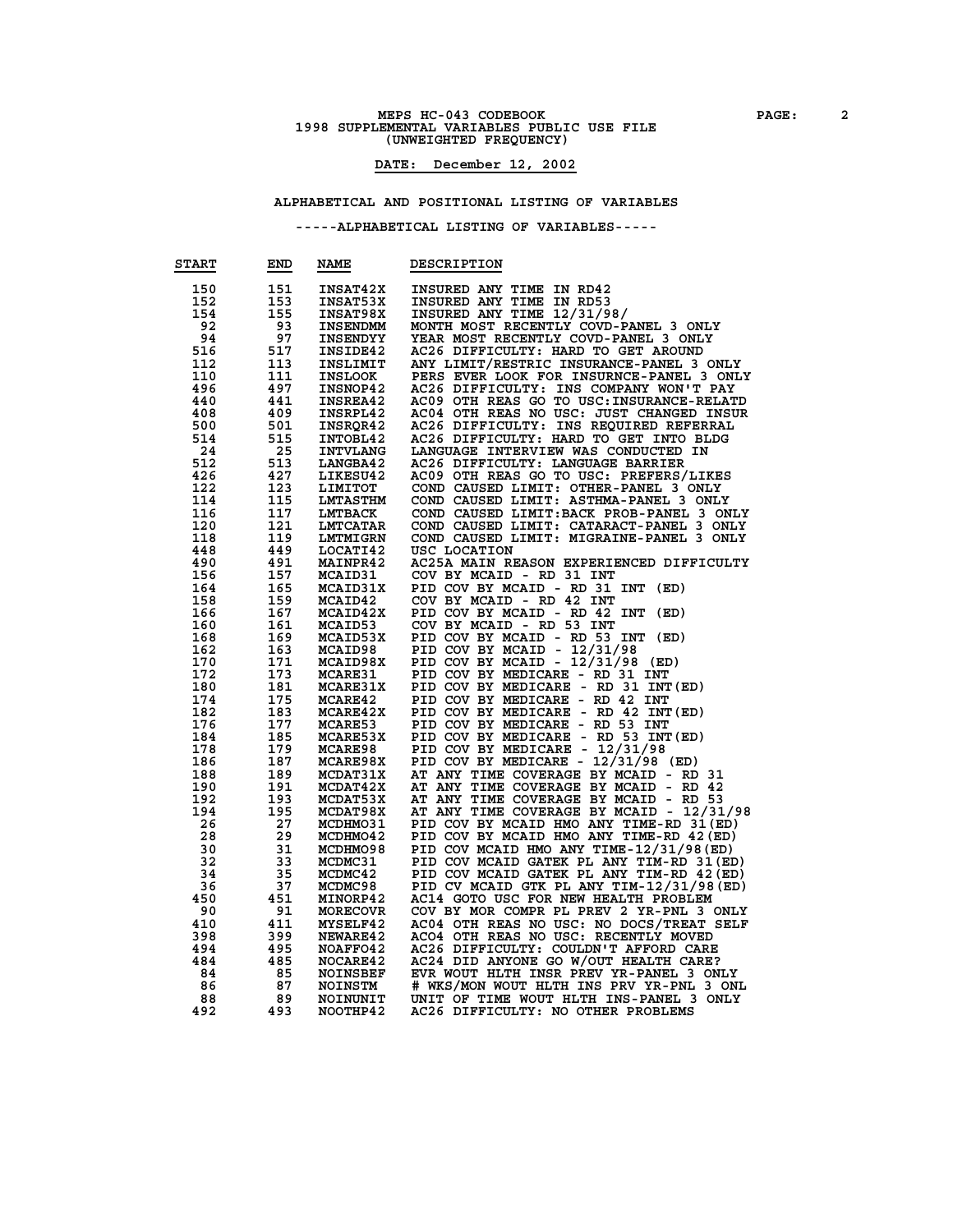### **MEPS HC-043 CODEBOOK PAGE:** 2<br> **1998 SUPPLEMENTAL VARIABLES PUBLIC USE FILE (UNWEIGHTED FREQUENCY)**

### **DATE: December 12, 2002**

#### **ALPHABETICAL AND POSITIONAL LISTING OF VARIABLES**

| <b>START</b> | END        | <b>NAME</b>                       | DESCRIPTION                                                        |
|--------------|------------|-----------------------------------|--------------------------------------------------------------------|
| 150          | 151        | <b>INSAT42X</b>                   | INSURED ANY TIME IN RD42                                           |
| 152          | 153        | INSAT53X                          | INSURED ANY TIME IN RD53                                           |
| 154          | 155        | <b>INSAT98X</b>                   | INSURED ANY TIME 12/31/98/                                         |
| 92           | 93         | <b>INSENDMM</b>                   | MONTH MOST RECENTLY COVD-PANEL 3 ONLY                              |
| 94           | 97         | <b>INSENDYY</b>                   | YEAR MOST RECENTLY COVD-PANEL 3 ONLY                               |
| 516          | 517        | INSIDE42                          | AC26 DIFFICULTY: HARD TO GET AROUND                                |
| 112          | 113        | INSLIMIT                          | ANY LIMIT/RESTRIC INSURANCE-PANEL 3 ONLY                           |
| 110          | 111        | <b>INSLOOK</b>                    | PERS EVER LOOK FOR INSURNCE-PANEL 3 ONLY                           |
| 496          | 497        | <b>INSNOP42</b>                   | AC26 DIFFICULTY: INS COMPANY WON'T PAY                             |
| 440          | 441        | <b>INSREA42</b>                   | AC09 OTH REAS GO TO USC: INSURANCE-RELATD                          |
| 408          | 409        | INSRPL42                          | AC04 OTH REAS NO USC: JUST CHANGED INSUR                           |
| 500          | 501        | INSROR42                          | AC26 DIFFICULTY: INS REQUIRED REFERRAL                             |
| 514          | 515        | <b>INTOBL42</b>                   | AC26 DIFFICULTY: HARD TO GET INTO BLDG                             |
| 24           | 25         | <b>INTVLANG</b>                   | LANGUAGE INTERVIEW WAS CONDUCTED IN                                |
| 512          | 513        | <b>LANGBA42</b>                   | AC26 DIFFICULTY: LANGUAGE BARRIER                                  |
| 426          | 427        | LIKESU42                          | AC09 OTH REAS GO TO USC: PREFERS/LIKES                             |
| 122          | 123        | <b>LIMITOT</b>                    | COND CAUSED LIMIT: OTHER-PANEL 3 ONLY                              |
| 114          | 115        | <b>LMTASTHM</b>                   | COND CAUSED LIMIT: ASTHMA-PANEL 3 ONLY                             |
| 116          | 117        | <b>LMTBACK</b>                    | COND CAUSED LIMIT: BACK PROB-PANEL 3 ONLY                          |
| 120          | 121        | <b>LMTCATAR</b>                   | COND CAUSED LIMIT: CATARACT-PANEL 3 ONLY                           |
| 118          | 119        | <b>LMTMIGRN</b>                   | COND CAUSED LIMIT: MIGRAINE-PANEL 3 ONLY                           |
| 448          | 449        | LOCATI42                          | USC LOCATION                                                       |
| 490          | 491        |                                   | AC25A MAIN REASON EXPERIENCED DIFFICULTY                           |
| 156          | 157        | <b>MAINPR42</b><br><b>MCAID31</b> |                                                                    |
| 164          | 165        | MCAID31X                          | COV BY MCAID - RD 31 INT                                           |
| 158          | 159        |                                   | PID COV BY MCAID - RD 31 INT (ED)<br>COV BY MCAID - RD 42 INT      |
|              |            | <b>MCAID42</b>                    | PID COV BY MCAID - RD 42 INT                                       |
| 166          | 167        | MCAID42X                          | (ED)<br>COV BY MCAID - RD 53 INT                                   |
| 160          | 161        | MCAID53                           |                                                                    |
| 168<br>162   | 169<br>163 | MCAID53X                          | PID COV BY MCAID - RD 53 INT (ED)<br>PID COV BY MCAID - $12/31/98$ |
| 170          | 171        | <b>MCAID98</b><br>MCAID98X        | PID COV BY MCAID - 12/31/98                                        |
| 172          | 173        | <b>MCARE31</b>                    | (ED)<br>PID COV BY MEDICARE - RD 31 INT                            |
| 180          | 181        | <b>MCARE31X</b>                   | PID COV BY MEDICARE - RD 31 INT (ED)                               |
| 174          | 175        | <b>MCARE42</b>                    | PID COV BY MEDICARE - RD 42 INT                                    |
| 182          | 183        | MCARE42X                          | PID COV BY MEDICARE - RD 42 INT (ED)                               |
| 176          | 177        | <b>MCARE53</b>                    | PID COV BY MEDICARE - RD 53 INT                                    |
| 184          | 185        | MCARE53X                          | PID COV BY MEDICARE - RD 53 INT (ED)                               |
| 178          | 179        | <b>MCARE98</b>                    | PID COV BY MEDICARE - 12/31/98                                     |
| 186          | 187        | <b>MCARE98X</b>                   | PID COV BY MEDICARE - 12/31/98 (ED)                                |
| 188          | 189        | MCDAT31X                          | AT ANY TIME COVERAGE BY MCAID - RD 31                              |
| 190          | 191        | MCDAT42X                          | AT ANY TIME COVERAGE BY MCAID - RD 42                              |
| 192          | 193        | MCDAT53X                          | AT ANY TIME COVERAGE BY MCAID - RD 53                              |
| 194          | 195        | MCDAT98X                          | AT ANY TIME COVERAGE BY MCAID - 12/31/98                           |
| 26           | 27         | MCDHM031                          | PID COV BY MCAID HMO ANY TIME-RD 31 (ED)                           |
| 28           | 29         | MCDHM042                          | PID COV BY MCAID HMO ANY TIME-RD 42 (ED)                           |
| 30           | 31         | MCDHMO98                          | PID COV MCAID HMO ANY TIME-12/31/98 (ED)                           |
| 32           | 33         | MCDMC31                           | PID COV MCAID GATEK PL ANY TIM-RD 31 (ED)                          |
| 34           | 35         | MCDMC42                           | PID COV MCAID GATEK PL ANY TIM-RD 42 (ED)                          |
| 36           | 37         | MCDMC98                           | PID CV MCAID GTK PL ANY TIM-12/31/98 (ED)                          |
| 450          | 451        | MINORP42                          | AC14 GOTO USC FOR NEW HEALTH PROBLEM                               |
| 90           | 91         | <b>MORECOVR</b>                   | COV BY MOR COMPR PL PREV 2 YR-PNL 3 ONLY                           |
| 410          | 411        | <b>MYSELF42</b>                   | AC04 OTH REAS NO USC: NO DOCS/TREAT SELF                           |
| 398          | 399        | <b>NEWARE42</b>                   | ACO4 OTH REAS NO USC: RECENTLY MOVED                               |
| 494          | 495        | NOAFFO42                          | AC26 DIFFICULTY: COULDN'T AFFORD CARE                              |
| 484          | 485        | NOCARE42                          | AC24 DID ANYONE GO W/OUT HEALTH CARE?                              |
| 84           | 85         | <b>NOINSBEF</b>                   | EVR WOUT HLTH INSR PREV YR-PANEL 3 ONLY                            |
| 86           | 87         | <b>NOINSTM</b>                    | # WKS/MON WOUT HLTH INS PRV YR-PNL 3 ONL                           |
| 88           | 89         | NOINUNIT                          | UNIT OF TIME WOUT HLTH INS-PANEL 3 ONLY                            |
| 492          | 493        | NOOTHP42                          | AC26 DIFFICULTY: NO OTHER PROBLEMS                                 |
|              |            |                                   |                                                                    |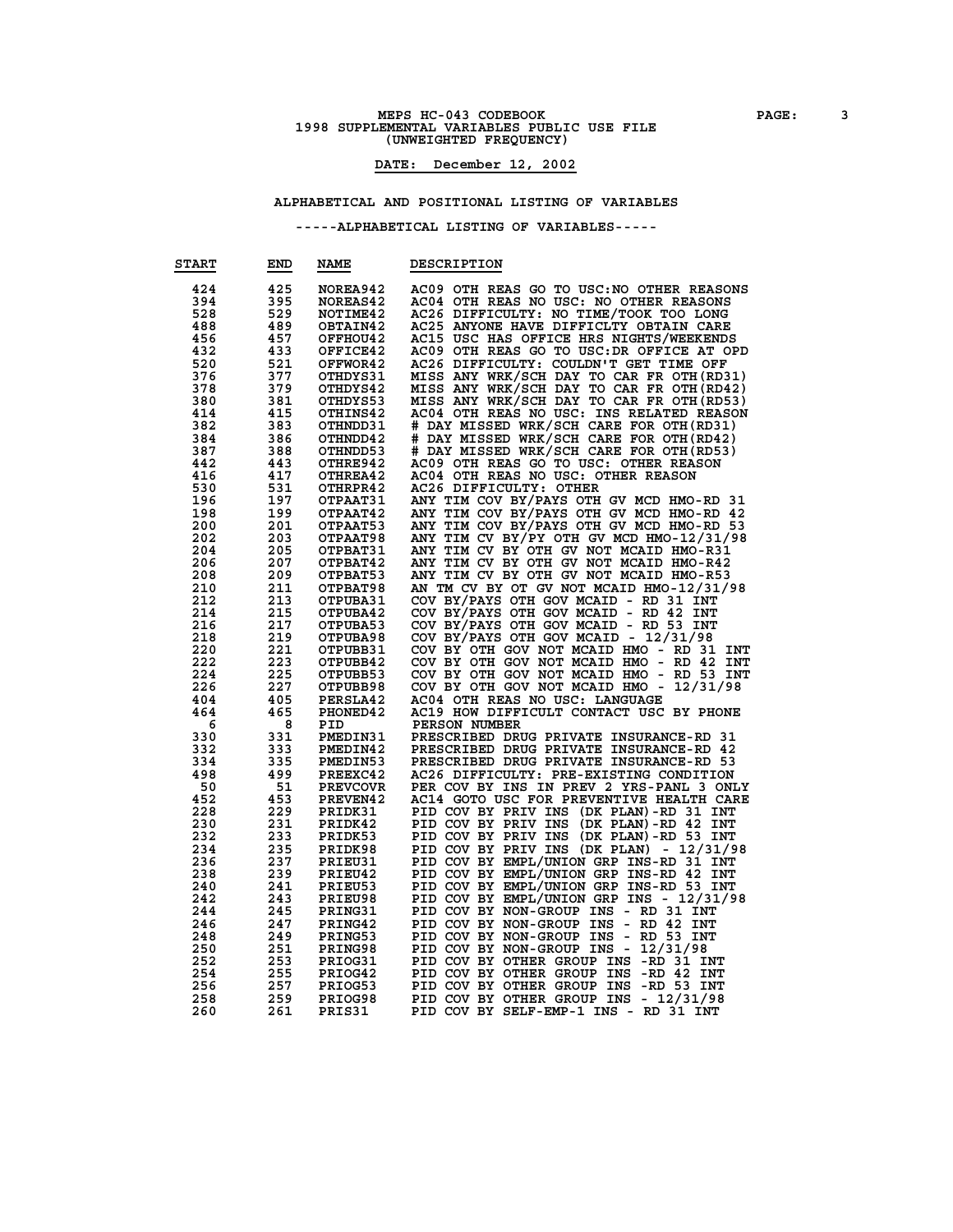### **MEPS HC-043 CODEBOOK PAGE:** 3<br> **1998 SUPPLEMENTAL VARIABLES PUBLIC USE FILE (UNWEIGHTED FREQUENCY)**

### **DATE: December 12, 2002**

#### **ALPHABETICAL AND POSITIONAL LISTING OF VARIABLES**

| <b>START</b> | END | <b>NAME</b>     | <b>DESCRIPTION</b>                                         |
|--------------|-----|-----------------|------------------------------------------------------------|
| 424          | 425 | NOREA942        | AC09 OTH REAS GO TO USC: NO OTHER REASONS                  |
| 394          | 395 |                 | AC04 OTH REAS NO USC: NO OTHER REASONS                     |
|              |     | NOREAS42        |                                                            |
| 528          | 529 | <b>NOTIME42</b> | AC26 DIFFICULTY: NO TIME/TOOK TOO LONG                     |
| 488          | 489 | OBTAIN42        | AC25 ANYONE HAVE DIFFICLTY OBTAIN CARE                     |
| 456          | 457 | OFFHOU42        | AC15 USC HAS OFFICE HRS NIGHTS/WEEKENDS                    |
| 432          | 433 | <b>OFFICE42</b> | AC09 OTH REAS GO TO USC:DR OFFICE AT OPD                   |
| 520          | 521 | OFFWOR42        | AC26 DIFFICULTY: COULDN'T GET TIME OFF                     |
| 376          | 377 | OTHDYS31        | MISS ANY WRK/SCH DAY TO CAR FR OTH (RD31)                  |
| 378          | 379 | OTHDYS42        | MISS ANY WRK/SCH DAY TO CAR FR OTH (RD42)                  |
| 380          | 381 | OTHDYS53        | MISS ANY WRK/SCH DAY TO CAR FR OTH (RD53)                  |
| 414          | 415 | OTHINS42        | AC04 OTH REAS NO USC: INS RELATED REASON                   |
| 382          | 383 | OTHNDD31        | # DAY MISSED WRK/SCH CARE FOR OTH(RD31)                    |
| 384          | 386 | OTHNDD42        | # DAY MISSED WRK/SCH CARE FOR OTH (RD42)                   |
| 387          | 388 | OTHNDD53        | # DAY MISSED WRK/SCH CARE FOR OTH (RD53)                   |
| 442          | 443 | OTHRE942        | AC09 OTH REAS GO TO USC: OTHER REASON                      |
|              |     |                 |                                                            |
| 416          | 417 | OTHREA42        | AC04 OTH REAS NO USC: OTHER REASON                         |
| 530          | 531 | OTHRPR42        | AC26 DIFFICULTY: OTHER                                     |
| 196          | 197 | <b>OTPAAT31</b> | ANY TIM COV BY/PAYS OTH GV MCD HMO-RD 31                   |
| 198          | 199 | OTPAAT42        | ANY TIM COV BY/PAYS OTH GV MCD HMO-RD 42                   |
| 200          | 201 | OTPAAT53        | ANY TIM COV BY/PAYS OTH GV MCD HMO-RD 53                   |
| 202          | 203 | OTPAAT98        | ANY TIM CV BY/PY OTH GV MCD HMO-12/31/98                   |
| 204          | 205 | OTPBAT31        | ANY TIM CV BY OTH GV NOT MCAID HMO-R31                     |
| 206          | 207 | <b>OTPBAT42</b> | ANY TIM CV BY OTH GV NOT MCAID HMO-R42                     |
| 208          | 209 | OTPBAT53        | ANY TIM CV BY OTH GV NOT MCAID HMO-R53                     |
| 210          | 211 | OTPBAT98        | AN TM CV BY OT GV NOT MCAID HMO-12/31/98                   |
| 212          | 213 | <b>OTPUBA31</b> | COV BY/PAYS OTH GOV MCAID - RD 31 INT                      |
| 214          | 215 | <b>OTPUBA42</b> | COV BY/PAYS OTH GOV MCAID - RD 42 INT                      |
| 216          | 217 | OTPUBA53        | COV BY/PAYS OTH GOV MCAID - RD 53 INT                      |
| 218          | 219 | OTPUBA98        | COV BY/PAYS OTH GOV MCAID - 12/31/98                       |
| 220          | 221 | <b>OTPUBB31</b> | COV BY OTH GOV NOT MCAID HMO - RD 31<br>INT                |
| 222          | 223 |                 | COV BY OTH GOV NOT MCAID HMO - RD 42<br>INT                |
|              |     | OTPUBB42        |                                                            |
| 224          | 225 | OTPUBB53        | COV BY OTH GOV NOT MCAID HMO - RD 53 INT                   |
| 226          | 227 | OTPUBB98        | COV BY OTH GOV NOT MCAID HMO -<br>12/31/98                 |
| 404          | 405 | PERSLA42        | AC04 OTH REAS NO USC: LANGUAGE                             |
| 464          | 465 | <b>PHONED42</b> | AC19 HOW DIFFICULT CONTACT USC BY PHONE                    |
| 6            | 8   | PID             | PERSON NUMBER                                              |
| 330          | 331 | <b>PMEDIN31</b> | PRESCRIBED DRUG PRIVATE INSURANCE-RD 31                    |
| 332          | 333 | PMEDIN42        | PRESCRIBED DRUG PRIVATE INSURANCE-RD 42                    |
| 334          | 335 | <b>PMEDIN53</b> | PRESCRIBED DRUG PRIVATE INSURANCE-RD 53                    |
| 498          | 499 | PREEXC42        | AC26 DIFFICULTY: PRE-EXISTING CONDITION                    |
| 50           | 51  | <b>PREVCOVR</b> | PER COV BY INS IN PREV 2 YRS-PANL 3 ONLY                   |
| 452          | 453 | PREVEN42        | AC14 GOTO USC FOR PREVENTIVE HEALTH CARE                   |
| 228          | 229 | PRIDK31         | PID COV BY PRIV INS<br>(DK PLAN)-RD 31 INT                 |
| 230          | 231 | PRIDK42         | PID COV BY PRIV INS<br>$(DK$ PLAN $)$ -RD 42<br><b>INT</b> |
| 232          | 233 | PRIDK53         | PID COV BY PRIV INS<br>(DK PLAN)-RD 53 INT                 |
| 234          | 235 | PRIDK98         | PID COV BY PRIV INS (DK PLAN)<br>- 12/31/98                |
| 236          | 237 | PRIEU31         | PID COV BY EMPL/UNION GRP INS-RD 31 INT                    |
| 238          | 239 | PRIEU42         | PID COV BY EMPL/UNION GRP<br>INS-RD 42 INT                 |
| 240          | 241 | PRIEU53         | PID COV BY EMPL/UNION GRP<br>INS-RD 53 INT                 |
| 242          | 243 | PRIEU98         | PID COV BY EMPL/UNION GRP INS - 12/31/98                   |
| 244          | 245 | PRING31         | PID COV BY NON-GROUP INS<br>- RD 31 INT                    |
|              | 247 |                 | - RD 42                                                    |
| 246          |     | PRING42         | PID COV BY NON-GROUP<br>INS<br>INT                         |
| 248          | 249 | PRING53         | PID COV BY NON-GROUP<br>INS<br>RD 53 INT<br>$\sim$         |
| 250          | 251 | <b>PRING98</b>  | PID COV BY NON-GROUP INS -<br>12/31/98                     |
| 252          | 253 | PRIOG31         | PID COV BY OTHER GROUP<br>-RD 31 INT<br><b>INS</b>         |
| 254          | 255 | PRIOG42         | PID COV BY OTHER GROUP<br>$-RD$ 42<br>INS<br>INT           |
| 256          | 257 | PRIOG53         | PID COV BY OTHER GROUP INS<br>-RD 53 INT                   |
| 258          | 259 | PRIOG98         | PID COV BY OTHER GROUP INS - 12/31/98                      |
| 260          | 261 | PRIS31          | PID COV BY SELF-EMP-1 INS - RD 31 INT                      |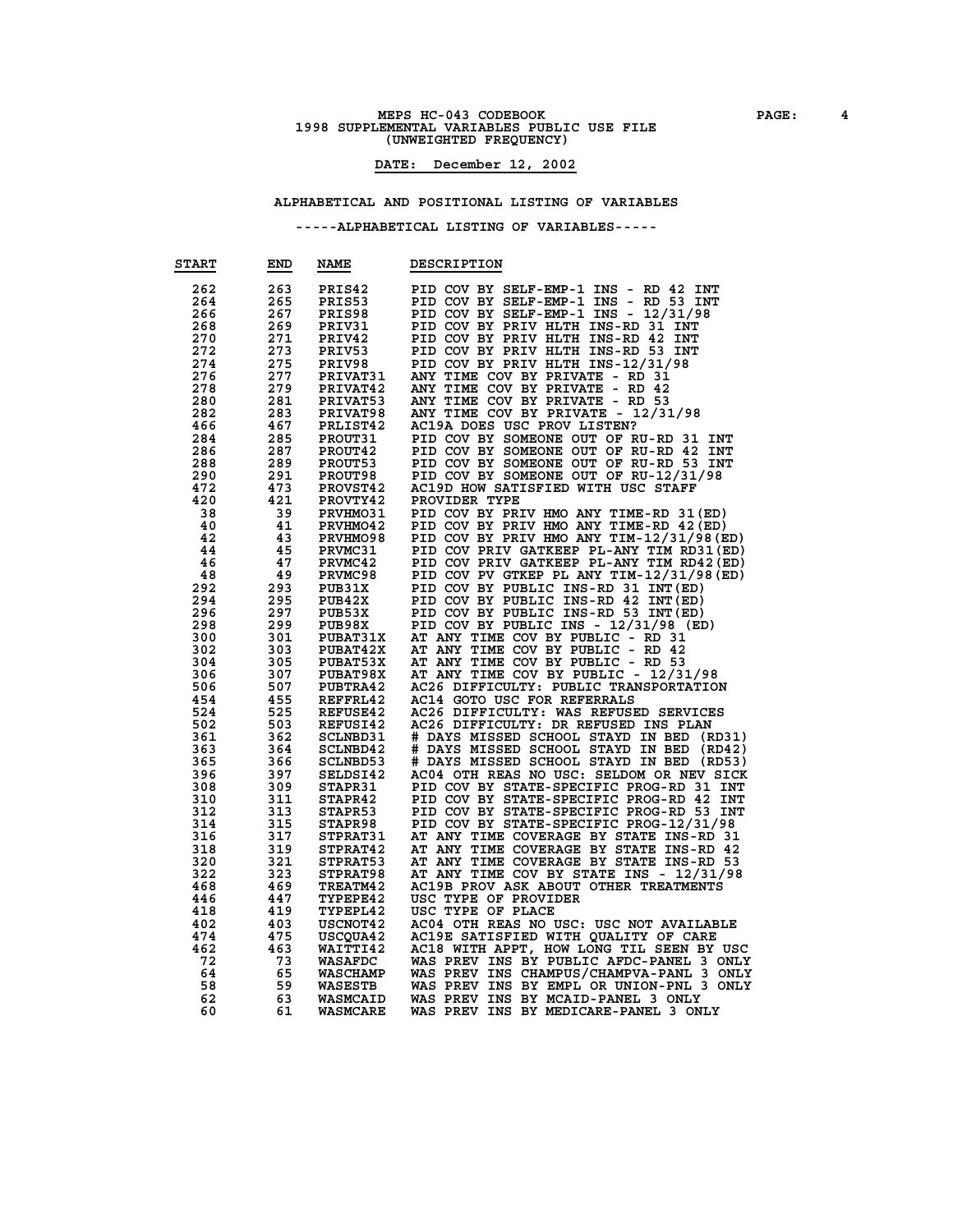### **MEPS HC-043 CODEBOOK PAGE: 4 1998 SUPPLEMENTAL VARIABLES PUBLIC USE FILE (UNWEIGHTED FREQUENCY)**

#### **DATE: December 12, 2002**

#### **ALPHABETICAL AND POSITIONAL LISTING OF VARIABLES**

| <b>START</b> | END | <b>NAME</b>     | <b>DESCRIPTION</b>                                                                 |
|--------------|-----|-----------------|------------------------------------------------------------------------------------|
| 262          | 263 | PRIS42          | PID COV BY SELF-EMP-1 INS - RD 42<br><b>INT</b>                                    |
| 264          | 265 | PRIS53          | PID COV BY SELF-EMP-1 INS -<br>RD 53<br><b>INT</b>                                 |
| 266          | 267 | PRIS98          | PID COV BY SELF-EMP-1 INS -<br>12/31/98                                            |
| 268          | 269 | PRIV31          | PID COV BY PRIV HLTH INS-RD 31 INT                                                 |
| 270          | 271 | PRIV42          | PID COV BY PRIV HLTH INS-RD 42<br>INT                                              |
| 272          | 273 | PRIV53          | PID COV BY PRIV HLTH INS-RD 53 INT                                                 |
| 274          | 275 | PRIV98          | PID COV BY PRIV HLTH INS-12/31/98                                                  |
| 276          | 277 | PRIVAT31        | ANY TIME COV BY PRIVATE - RD 31                                                    |
| 278          | 279 | <b>PRIVAT42</b> | ANY TIME COV BY PRIVATE - RD 42                                                    |
| 280          | 281 | PRIVAT53        | ANY TIME COV BY PRIVATE - RD 53                                                    |
| 282          | 283 | PRIVAT98        | ANY TIME COV BY PRIVATE - 12/31/98                                                 |
| 466          | 467 | PRLIST42        | AC19A DOES USC PROV LISTEN?                                                        |
| 284          | 285 | PROUT31         | PID COV BY SOMEONE OUT OF RU-RD 31 INT                                             |
| 286          | 287 | PROUT42         | PID COV BY SOMEONE OUT OF RU-RD 42<br>INT                                          |
| 288          | 289 | PROUT53         | PID COV BY SOMEONE OUT OF RU-RD 53<br>INT                                          |
| 290          | 291 | PROUT98         | PID COV BY SOMEONE OUT OF RU-12/31/98                                              |
| 472          | 473 | <b>PROVST42</b> | AC19D HOW SATISFIED WITH USC STAFF                                                 |
| 420          | 421 | PROVTY42        | PROVIDER TYPE                                                                      |
|              | 39  | PRVHM031        |                                                                                    |
| 38           | 41  |                 | PID COV BY PRIV HMO ANY TIME-RD 31 (ED)<br>PID COV BY PRIV HMO ANY TIME-RD 42 (ED) |
| 40           |     | PRVHMO42        |                                                                                    |
| 42           | 43  | PRVHMO98        | PID COV BY PRIV HMO ANY TIM-12/31/98(ED)                                           |
| 44           | 45  | PRVMC31         | PID COV PRIV GATKEEP PL-ANY TIM RD31(ED)                                           |
| 46           | 47  | PRVMC42         | PID COV PRIV GATKEEP PL-ANY TIM RD42 (ED)                                          |
| 48           | 49  | PRVMC98         | PID COV PV GTKEP PL ANY TIM-12/31/98 (ED)                                          |
| 292          | 293 | PUB31X          | PID COV BY PUBLIC INS-RD 31 INT (ED)                                               |
| 294          | 295 | PUB42X          | PID COV BY PUBLIC INS-RD 42 INT (ED)                                               |
| 296          | 297 | PUB53X          | PID COV BY PUBLIC INS-RD 53 INT (ED)                                               |
| 298          | 299 | PUB98X          | PID COV BY PUBLIC INS - 12/31/98 (ED)                                              |
| 300          | 301 | <b>PUBAT31X</b> | AT ANY TIME COV BY PUBLIC - RD 31                                                  |
| 302          | 303 | <b>PUBAT42X</b> | AT ANY TIME COV BY PUBLIC - RD 42                                                  |
| 304          | 305 | <b>PUBAT53X</b> | AT ANY TIME COV BY PUBLIC - RD 53                                                  |
| 306          | 307 | PUBAT98X        | AT ANY TIME COV BY PUBLIC - 12/31/98                                               |
| 506          | 507 | <b>PUBTRA42</b> | AC26 DIFFICULTY: PUBLIC TRANSPORTATION                                             |
| 454          | 455 | REFFRL42        | AC14 GOTO USC FOR REFERRALS                                                        |
| 524          | 525 | REFUSE42        | AC26 DIFFICULTY: WAS REFUSED SERVICES                                              |
| 502          | 503 | <b>REFUSI42</b> | AC26 DIFFICULTY: DR REFUSED INS PLAN                                               |
| 361          | 362 | <b>SCLNBD31</b> | # DAYS MISSED SCHOOL STAYD IN BED<br>(RD31)                                        |
| 363          | 364 | SCLNBD42        | # DAYS MISSED SCHOOL STAYD IN BED<br>(RD42)                                        |
| 365          | 366 | <b>SCLNBD53</b> | # DAYS MISSED SCHOOL STAYD IN BED<br>(RD53)                                        |
| 396          | 397 | SELDSI42        | AC04 OTH REAS NO USC: SELDOM OR NEV SICK                                           |
| 308          | 309 | STAPR31         | PID COV BY STATE-SPECIFIC PROG-RD 31 INT                                           |
| 310          | 311 | STAPR42         | PID COV BY STATE-SPECIFIC PROG-RD 42<br>INT                                        |
| 312          | 313 | STAPR53         | PID COV BY STATE-SPECIFIC PROG-RD 53<br>INT                                        |
| 314          | 315 | STAPR98         | PID COV BY STATE-SPECIFIC PROG-12/31/98                                            |
| 316          | 317 | STPRAT31        | AT ANY TIME COVERAGE BY STATE INS-RD 31                                            |
| 318          | 319 | STPRAT42        | AT ANY TIME COVERAGE BY STATE INS-RD 42                                            |
| 320          | 321 | STPRAT53        | ANY TIME COVERAGE BY STATE INS-RD 53<br>AТ                                         |
| 322          | 323 | STPRAT98        | AT ANY TIME COV BY STATE INS - 12/31/98                                            |
| 468          | 469 | TREATM42        | AC19B PROV ASK ABOUT OTHER TREATMENTS                                              |
| 446          | 447 | <b>TYPEPE42</b> | USC TYPE OF PROVIDER                                                               |
| 418          | 419 | <b>TYPEPL42</b> | USC TYPE OF PLACE                                                                  |
| 402          | 403 | <b>USCNOT42</b> | AC04 OTH REAS NO USC: USC NOT AVAILABLE                                            |
| 474          | 475 | <b>USCQUA42</b> | AC19E SATISFIED WITH QUALITY OF CARE                                               |
| 462          | 463 | <b>WAITTI42</b> | AC18 WITH APPT, HOW LONG TIL SEEN BY USC                                           |
| 72           | 73  | <b>WASAFDC</b>  | WAS PREV INS BY PUBLIC AFDC-PANEL 3 ONLY                                           |
| 64           | 65  | <b>WASCHAMP</b> | WAS PREV INS CHAMPUS/CHAMPVA-PANL 3<br><b>ONLY</b>                                 |
| 58           | 59  | <b>WASESTB</b>  | WAS PREV INS BY EMPL OR UNION-PNL 3 ONLY                                           |
| 62           | 63  | <b>WASMCAID</b> | WAS PREV INS BY MCAID-PANEL 3 ONLY                                                 |
| 60           | 61  | <b>WASMCARE</b> | WAS PREV INS BY MEDICARE-PANEL 3 ONLY                                              |
|              |     |                 |                                                                                    |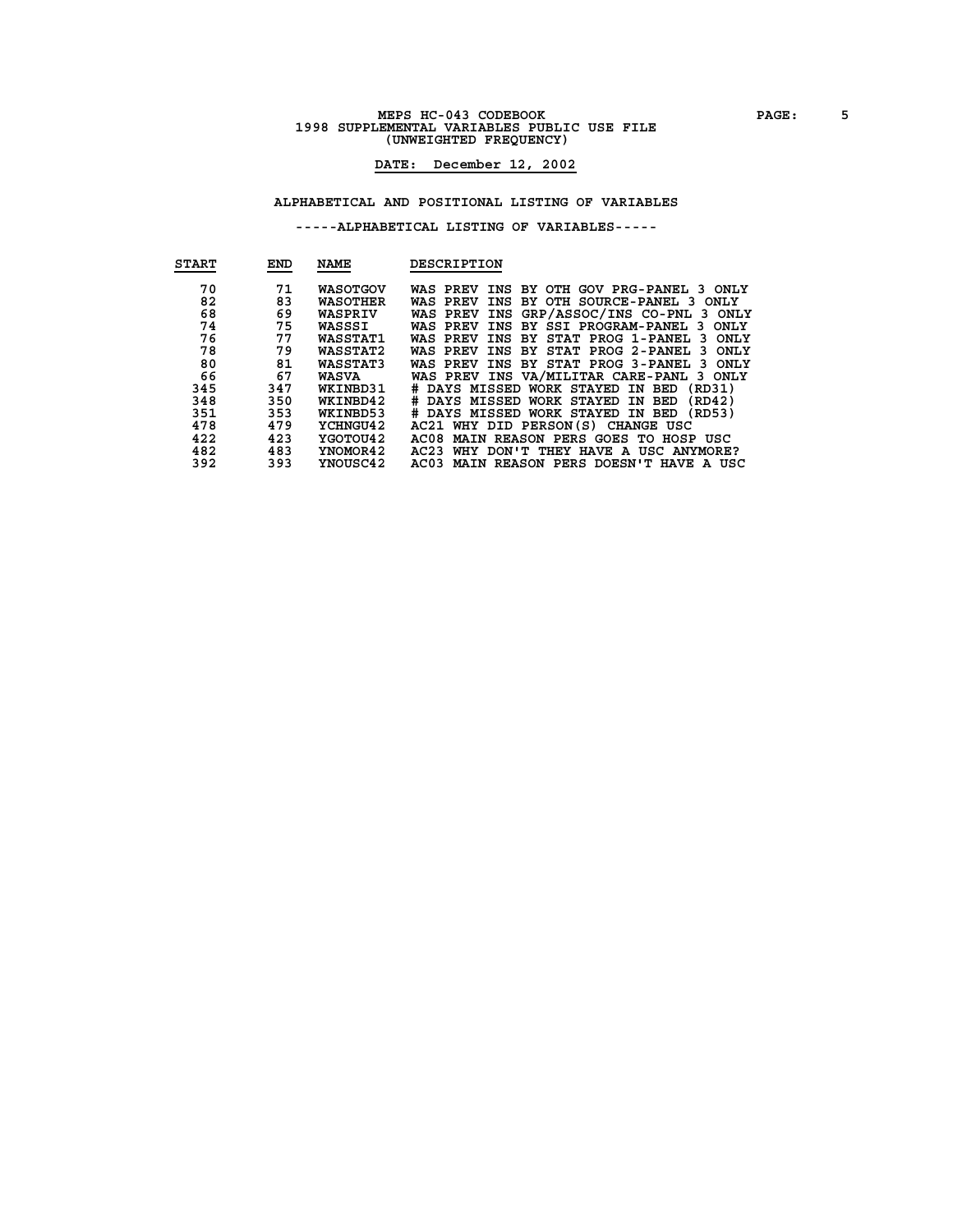### **MEPS HC-043 CODEBOOK 6** PAGE: 5<br> **1998 SUPPLEMENTAL VARIABLES PUBLIC USE FILE (UNWEIGHTED FREQUENCY)**

### **DATE: December 12, 2002**

#### **ALPHABETICAL AND POSITIONAL LISTING OF VARIABLES**

| <b>START</b> | <b>END</b> | <b>NAME</b>     | DESCRIPTION                                                    |
|--------------|------------|-----------------|----------------------------------------------------------------|
|              |            |                 |                                                                |
| 70           | 71         | <b>WASOTGOV</b> | INS BY OTH GOV PRG-PANEL 3 ONLY<br>WAS PREV                    |
| 82           | 83         | WASOTHER        | BY OTH SOURCE-PANEL 3 ONLY<br>INS<br>WAS PREV                  |
| 68           | 69         | WASPRIV         | INS GRP/ASSOC/INS CO-PNL 3 ONLY<br>WAS PREV                    |
| 74           | 75         | WASSSI          | INS BY SSI PROGRAM-PANEL 3 ONLY<br>WAS PREV                    |
| 76           | 77         | <b>WASSTAT1</b> | STAT PROG 1-PANEL<br><b>ONLY</b><br>WAS PREV<br>INS BY<br>3.   |
| 78           | 79         | <b>WASSTAT2</b> | STAT PROG 2-PANEL<br><b>ONLY</b><br>WAS PREV<br>INS<br>BY<br>3 |
| 80           | 81         | WASSTAT3        | <b>ONLY</b><br>INS BY STAT PROG 3-PANEL<br>WAS PREV<br>-3      |
| 66           | 67         | <b>WASVA</b>    | WAS PREV INS VA/MILITAR CARE-PANL 3 ONLY                       |
| 345          | 347        | WKINBD31        | # DAYS MISSED WORK STAYED<br>(RD31)<br>IN BED                  |
| 348          | 350        | WKINBD42        | DAYS MISSED WORK STAYED IN BED<br>(RD42)<br>#                  |
| 351          | 353        | WKINBD53        | DAYS MISSED WORK STAYED IN BED (RD53)<br>#                     |
| 478          | 479        | YCHNGU42        | AC21 WHY DID PERSON(S) CHANGE USC                              |
| 422          | 423        | YGOTOU42        | AC08<br>MAIN REASON PERS GOES TO HOSP USC                      |
| 482          | 483        | YNOMOR42        | AC23<br>WHY DON'T THEY HAVE A USC ANYMORE?                     |
| 392          | 393        | YNOUSC42        | MAIN REASON PERS DOESN'T HAVE A USC<br>AC03                    |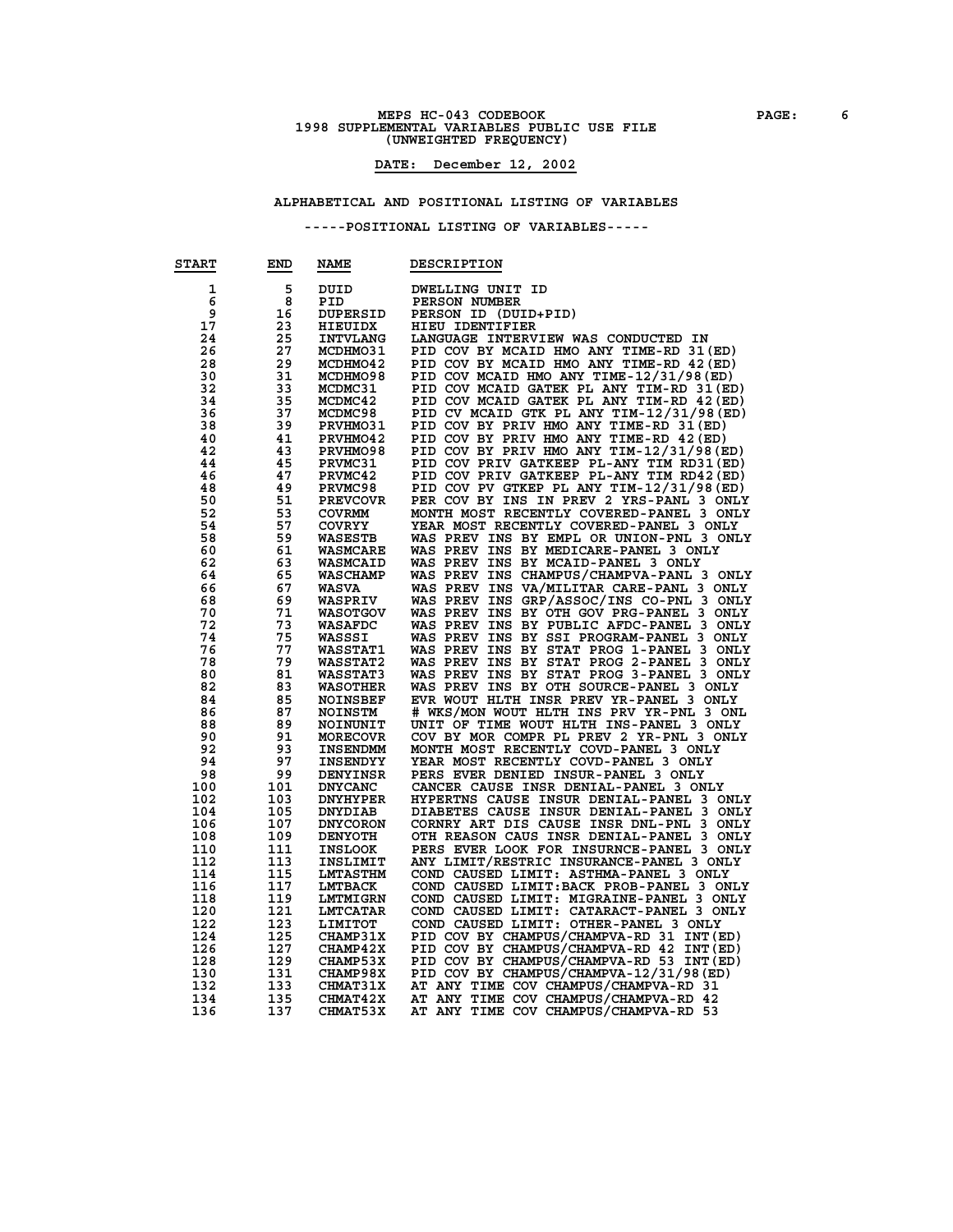### **MEPS HC-043 CODEBOOK 6**<br>1998 SUPPLEMENTAL VARIABLES PUBLIC USE FILE **(UNWEIGHTED FREQUENCY)**

### **DATE: December 12, 2002**

#### **ALPHABETICAL AND POSITIONAL LISTING OF VARIABLES**

| <b>START</b> | END | <b>NAME</b>     | DESCRIPTION                                        |
|--------------|-----|-----------------|----------------------------------------------------|
| 1            | 5   | DUID            | DWELLING UNIT ID                                   |
| 6            | 8   | PID             | PERSON NUMBER                                      |
| 9            | 16  | <b>DUPERSID</b> | PERSON ID (DUID+PID)                               |
| 17           | 23  | <b>HIEUIDX</b>  | HIEU IDENTIFIER                                    |
| 24           | 25  | <b>INTVLANG</b> | LANGUAGE INTERVIEW WAS CONDUCTED IN                |
| 26           | 27  | <b>MCDHMO31</b> | PID COV BY MCAID HMO ANY TIME-RD 31 (ED)           |
| 28           | 29  | <b>MCDHMO42</b> | PID COV BY MCAID HMO ANY TIME-RD 42 (ED)           |
| 30           | 31  | <b>MCDHMO98</b> | PID COV MCAID HMO ANY TIME-12/31/98(ED)            |
| 32           | 33  | MCDMC31         | PID COV MCAID GATEK PL ANY TIM-RD 31(ED)           |
| 34           | 35  | MCDMC42         | PID COV MCAID GATEK PL ANY TIM-RD 42 (ED)          |
| 36           | 37  | MCDMC98         | PID CV MCAID GTK PL ANY TIM-12/31/98 (ED)          |
| 38           | 39  | <b>PRVHMO31</b> | PID COV BY PRIV HMO ANY TIME-RD 31 (ED)            |
| 40           | 41  | PRVHMO42        | PID COV BY PRIV HMO ANY TIME-RD 42 (ED)            |
| 42           | 43  | PRVHMO98        | PID COV BY PRIV HMO ANY TIM-12/31/98 (ED)          |
| 44           | 45  |                 | PID COV PRIV GATKEEP PL-ANY TIM RD31 (ED)          |
|              |     | <b>PRVMC31</b>  |                                                    |
| 46           | 47  | PRVMC42         | PID COV PRIV GATKEEP PL-ANY TIM RD42 (ED)          |
| 48           | 49  | <b>PRVMC98</b>  | PID COV PV GTKEP PL ANY TIM-12/31/98(ED)           |
| 50           | 51  | <b>PREVCOVR</b> | PER COV BY INS IN PREV 2 YRS-PANL 3 ONLY           |
| 52           | 53  | <b>COVRMM</b>   | MONTH MOST RECENTLY COVERED-PANEL 3 ONLY           |
| 54           | 57  | <b>COVRYY</b>   | YEAR MOST RECENTLY COVERED-PANEL 3 ONLY            |
| 58           | 59  | <b>WASESTB</b>  | WAS PREV INS BY EMPL OR UNION-PNL 3 ONLY           |
| 60           | 61  | <b>WASMCARE</b> | WAS PREV INS BY MEDICARE-PANEL 3 ONLY              |
| 62           | 63  | <b>WASMCAID</b> | WAS PREV INS BY MCAID-PANEL 3 ONLY                 |
| 64           | 65  | <b>WASCHAMP</b> | WAS PREV INS CHAMPUS/CHAMPVA-PANL 3 ONLY           |
| 66           | 67  | <b>WASVA</b>    | WAS PREV INS VA/MILITAR CARE-PANL 3 ONLY           |
| 68           | 69  | <b>WASPRIV</b>  | WAS PREV INS GRP/ASSOC/INS CO-PNL 3 ONLY           |
| 70           | 71  | <b>WASOTGOV</b> | WAS PREV INS BY OTH GOV PRG-PANEL 3 ONLY           |
| 72           | 73  | WASAFDC         | WAS PREV INS BY PUBLIC AFDC-PANEL 3 ONLY           |
| 74           | 75  | WASSSI          | WAS PREV INS BY SSI PROGRAM-PANEL 3 ONLY           |
| 76           | 77  | <b>WASSTAT1</b> | WAS PREV INS BY STAT PROG 1-PANEL 3 ONLY           |
| 78           | 79  | <b>WASSTAT2</b> | WAS PREV INS BY STAT PROG 2-PANEL 3 ONLY           |
| 80           | 81  | <b>WASSTAT3</b> | WAS PREV INS BY STAT PROG 3-PANEL 3 ONLY           |
| 82           | 83  | <b>WASOTHER</b> | WAS PREV INS BY OTH SOURCE-PANEL 3 ONLY            |
| 84           | 85  | NOINSBEF        | EVR WOUT HLTH INSR PREV YR-PANEL 3 ONLY            |
| 86           | 87  | <b>NOINSTM</b>  | # WKS/MON WOUT HLTH INS PRV YR-PNL 3 ONL           |
| 88           | 89  | <b>NOINUNIT</b> | UNIT OF TIME WOUT HLTH INS-PANEL 3 ONLY            |
| 90           | 91  | <b>MORECOVR</b> | COV BY MOR COMPR PL PREV 2 YR-PNL 3 ONLY           |
| 92           | 93  | <b>INSENDMM</b> | MONTH MOST RECENTLY COVD-PANEL 3 ONLY              |
| 94           | 97  | <b>INSENDYY</b> | YEAR MOST RECENTLY COVD-PANEL 3 ONLY               |
| 98           | 99  | <b>DENYINSR</b> | PERS EVER DENIED INSUR-PANEL 3 ONLY                |
| 100          | 101 | <b>DNYCANC</b>  | CANCER CAUSE INSR DENIAL-PANEL 3 ONLY              |
| 102          | 103 | <b>DNYHYPER</b> | HYPERTNS CAUSE INSUR DENIAL-PANEL 3 ONLY           |
| 104          | 105 | <b>DNYDIAB</b>  | DIABETES CAUSE INSUR DENIAL-PANEL 3 ONLY           |
| 106          | 107 | <b>DNYCORON</b> | CORNRY ART DIS CAUSE INSR DNL-PNL 3<br><b>ONLY</b> |
| 108          | 109 | <b>DENYOTH</b>  | OTH REASON CAUS INSR DENIAL-PANEL 3 ONLY           |
| 110          | 111 | <b>INSLOOK</b>  | PERS EVER LOOK FOR INSURNCE-PANEL 3 ONLY           |
| 112          | 113 | INSLIMIT        | ANY LIMIT/RESTRIC INSURANCE-PANEL 3 ONLY           |
| 114          | 115 | <b>LMTASTHM</b> | COND CAUSED LIMIT: ASTHMA-PANEL 3 ONLY             |
| 116          | 117 | <b>LMTBACK</b>  | COND CAUSED LIMIT: BACK PROB-PANEL 3 ONLY          |
| 118          | 119 | <b>LMTMIGRN</b> | COND CAUSED LIMIT: MIGRAINE-PANEL 3 ONLY           |
| 120          | 121 | <b>LMTCATAR</b> | COND CAUSED LIMIT: CATARACT-PANEL 3 ONLY           |
| 122          | 123 | LIMITOT         | COND CAUSED LIMIT: OTHER-PANEL 3 ONLY              |
| 124          | 125 | <b>CHAMP31X</b> | PID COV BY CHAMPUS/CHAMPVA-RD 31 INT (ED)          |
| 126          | 127 | <b>CHAMP42X</b> | PID COV BY CHAMPUS/CHAMPVA-RD 42 INT (ED)          |
| 128          | 129 | CHAMP53X        | PID COV BY CHAMPUS/CHAMPVA-RD 53 INT (ED)          |
| 130          | 131 | <b>CHAMP98X</b> | PID COV BY CHAMPUS/CHAMPVA-12/31/98(ED)            |
| 132          | 133 | <b>CHMAT31X</b> | AT ANY TIME COV CHAMPUS/CHAMPVA-RD 31              |
| 134          | 135 | <b>CHMAT42X</b> | AT ANY TIME COV CHAMPUS/CHAMPVA-RD 42              |
| 136          | 137 | CHMAT53X        | AT ANY TIME COV CHAMPUS/CHAMPVA-RD 53              |
|              |     |                 |                                                    |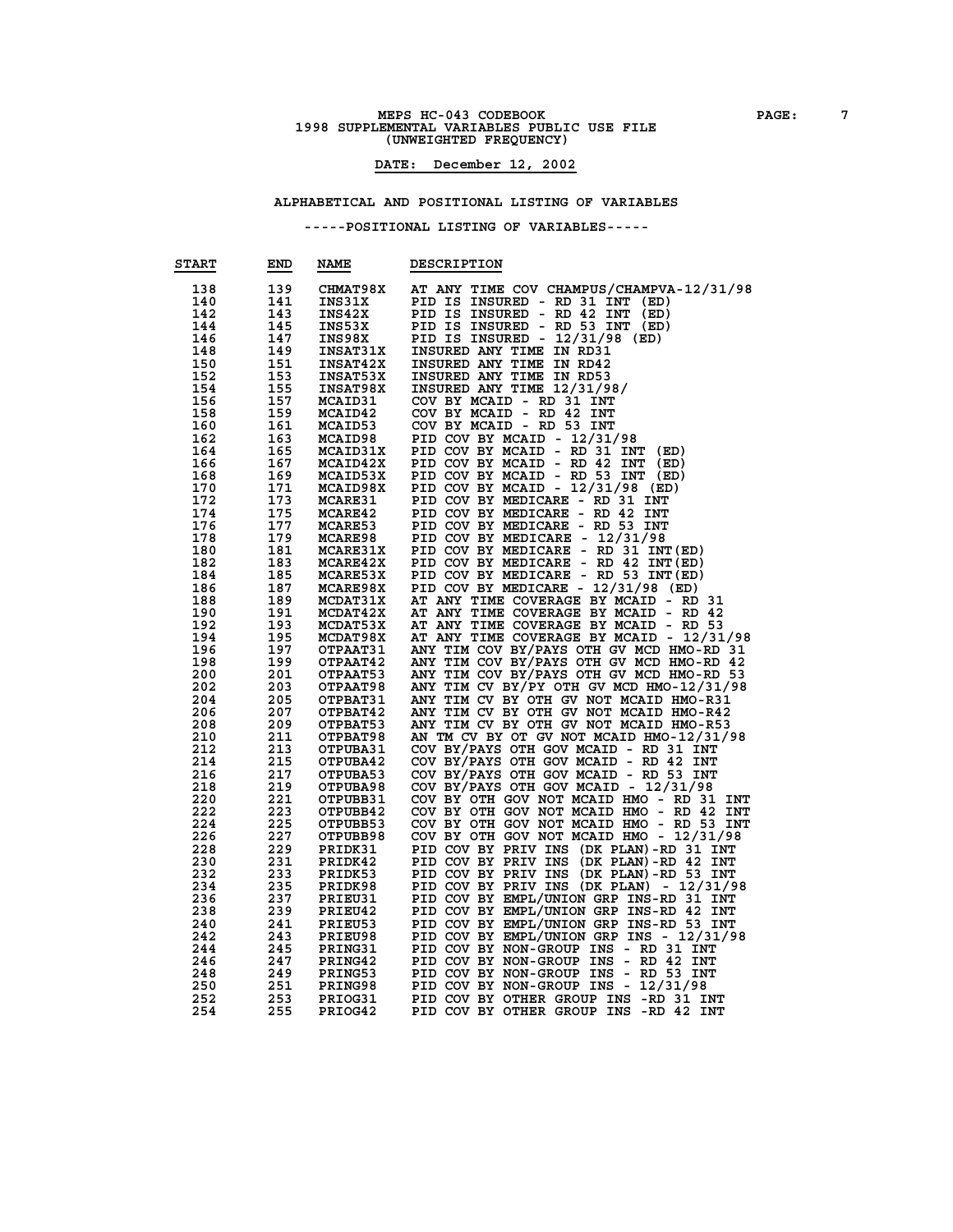### **MEPS HC-043 CODEBOOK PAGE:** 7<br> **1998 SUPPLEMENTAL VARIABLES PUBLIC USE FILE (UNWEIGHTED FREQUENCY)**

#### **DATE: December 12, 2002**

#### **ALPHABETICAL AND POSITIONAL LISTING OF VARIABLES**

| <b>START</b> | END | <b>NAME</b>     | <b>DESCRIPTION</b>                          |
|--------------|-----|-----------------|---------------------------------------------|
| 138          | 139 | <b>CHMAT98X</b> | AT ANY TIME COV CHAMPUS/CHAMPVA-12/31/98    |
| 140          | 141 | INS31X          | PID IS<br>INSURED - RD 31 INT<br>(ED)       |
| 142          | 143 | INS42X          | PID IS<br>INSURED - RD 42 INT<br>(ED)       |
| 144          | 145 | INS53X          | PID IS INSURED - RD 53 INT (ED)             |
| 146          | 147 | INS98X          | PID IS INSURED - $12/31/98$ (ED)            |
| 148          | 149 | <b>INSAT31X</b> | INSURED ANY TIME IN RD31                    |
| 150          | 151 | <b>INSAT42X</b> | INSURED ANY TIME IN RD42                    |
| 152          | 153 | <b>INSAT53X</b> | INSURED ANY TIME IN RD53                    |
| 154          | 155 | <b>INSAT98X</b> | INSURED ANY TIME 12/31/98/                  |
| 156          | 157 | MCAID31         | COV BY MCAID - RD 31 INT                    |
| 158          | 159 | MCAID42         | COV BY MCAID - RD 42 INT                    |
| 160          | 161 | MCAID53         | COV BY MCAID - RD 53 INT                    |
| 162          | 163 | <b>MCAID98</b>  |                                             |
|              | 165 | MCAID31X        | PID COV BY MCAID - $12/31/98$               |
| 164          |     |                 | PID COV BY MCAID - RD 31 INT<br>(ED)        |
| 166          | 167 | MCAID42X        | PID COV BY MCAID - RD 42 INT<br>(ED)        |
| 168          | 169 | MCAID53X        | PID COV BY MCAID - RD 53 INT (ED)           |
| 170          | 171 | MCAID98X        | PID COV BY MCAID - $12/31/98$ (ED)          |
| 172          | 173 | <b>MCARE31</b>  | PID COV BY MEDICARE - RD 31 INT             |
| 174          | 175 | MCARE42         | PID COV BY MEDICARE - RD 42<br>INT          |
| 176          | 177 | <b>MCARE53</b>  | PID COV BY MEDICARE - RD 53 INT             |
| 178          | 179 | <b>MCARE98</b>  | PID COV BY MEDICARE - 12/31/98              |
| 180          | 181 | MCARE31X        | PID COV BY MEDICARE - RD 31 INT (ED)        |
| 182          | 183 | <b>MCARE42X</b> | PID COV BY MEDICARE - RD 42 INT (ED)        |
| 184          | 185 | <b>MCARE53X</b> | PID COV BY MEDICARE - RD 53 INT (ED)        |
| 186          | 187 | MCARE98X        | PID COV BY MEDICARE - 12/31/98 (ED)         |
| 188          | 189 | MCDAT31X        | AT ANY TIME COVERAGE BY MCAID - RD 31       |
| 190          | 191 | MCDAT42X        | AT ANY TIME COVERAGE BY MCAID - RD 42       |
| 192          | 193 | <b>MCDAT53X</b> | AT ANY TIME COVERAGE BY MCAID - RD 53       |
| 194          | 195 | MCDAT98X        | AT ANY TIME COVERAGE BY MCAID - 12/31/98    |
| 196          | 197 | OTPAAT31        | ANY TIM COV BY/PAYS OTH GV MCD HMO-RD 31    |
| 198          | 199 | OTPAAT42        | ANY TIM COV BY/PAYS OTH GV MCD HMO-RD 42    |
| 200          | 201 | OTPAAT53        | ANY TIM COV BY/PAYS OTH GV MCD HMO-RD 53    |
| 202          | 203 | OTPAAT98        | ANY TIM CV BY/PY OTH GV MCD HMO-12/31/98    |
| 204          | 205 | OTPBAT31        | ANY TIM CV BY OTH GV NOT MCAID HMO-R31      |
| 206          | 207 | OTPBAT42        | ANY TIM CV BY OTH GV NOT MCAID HMO-R42      |
| 208          | 209 | OTPBAT53        | ANY TIM CV BY OTH GV NOT MCAID HMO-R53      |
| 210          | 211 | OTPBAT98        | AN TM CV BY OT GV NOT MCAID HMO-12/31/98    |
| 212          | 213 | OTPUBA31        | COV BY/PAYS OTH GOV MCAID - RD 31 INT       |
| 214          | 215 | OTPUBA42        | COV BY/PAYS OTH GOV MCAID - RD 42 INT       |
| 216          | 217 | OTPUBA53        | COV BY/PAYS OTH GOV MCAID - RD 53 INT       |
| 218          | 219 | OTPUBA98        | COV BY/PAYS OTH GOV MCAID - 12/31/98        |
| 220          | 221 | OTPUBB31        | COV BY OTH GOV NOT MCAID HMO - RD 31 INT    |
| 222          | 223 | OTPUBB42        | COV BY OTH GOV NOT MCAID HMO - RD 42<br>INT |
| 224          | 225 | OTPUBB53        | COV BY OTH GOV NOT MCAID HMO - RD 53 INT    |
| 226          | 227 | OTPUBB98        | COV BY OTH GOV NOT MCAID HMO - 12/31/98     |
| 228          | 229 | PRIDK31         | PID COV BY PRIV INS (DK PLAN)-RD 31 INT     |
| 230          | 231 | PRIDK42         | PID COV BY PRIV INS (DK PLAN)-RD 42 INT     |
| 232          | 233 | PRIDK53         | PID COV BY PRIV INS (DK PLAN)-RD 53 INT     |
| 234          | 235 | PRIDK98         | PID COV BY PRIV INS (DK PLAN) - 12/31/98    |
| 236          | 237 | PRIEU31         | PID COV BY EMPL/UNION GRP INS-RD 31 INT     |
| 238          | 239 | PRIEU42         | PID COV BY EMPL/UNION GRP INS-RD 42 INT     |
| 240          | 241 | PRIEU53         | PID COV BY EMPL/UNION GRP INS-RD 53 INT     |
| 242          | 243 | PRIEU98         | PID COV BY EMPL/UNION GRP INS - 12/31/98    |
| 244          | 245 | PRING31         | PID COV BY NON-GROUP INS - RD 31 INT        |
| 246          | 247 | PRING42         | PID COV BY NON-GROUP INS - RD 42 INT        |
| 248          | 249 | PRING53         | PID COV BY NON-GROUP INS -<br>RD 53 INT     |
| 250          | 251 | <b>PRING98</b>  | PID COV BY NON-GROUP INS -<br>12/31/98      |
| 252          | 253 | PRIOG31         | PID COV BY OTHER GROUP INS -RD 31 INT       |
| 254          | 255 | PRIOG42         | PID COV BY OTHER GROUP INS -RD 42 INT       |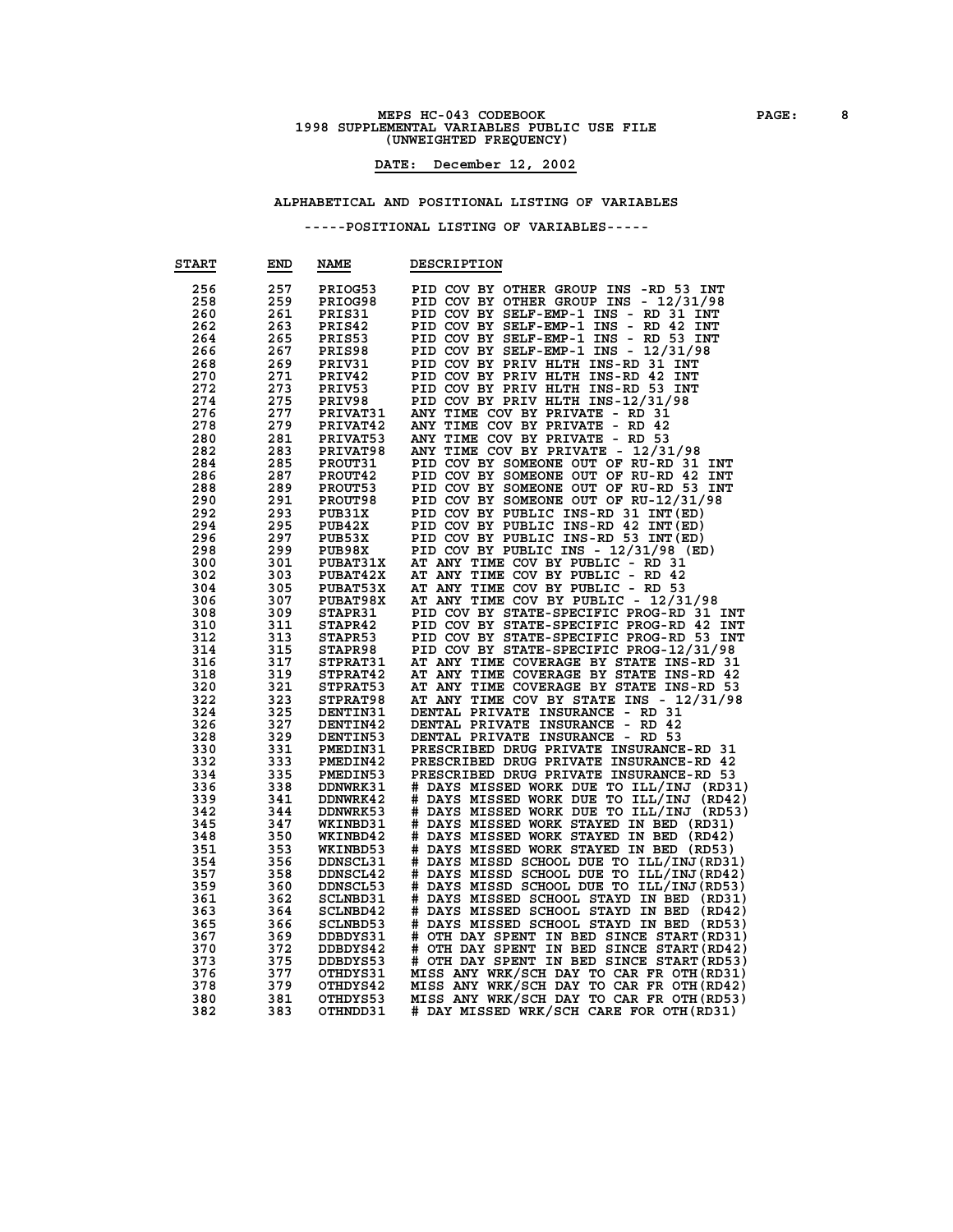### **MEPS HC-043 CODEBOOK PAGE: 8 1998 SUPPLEMENTAL VARIABLES PUBLIC USE FILE (UNWEIGHTED FREQUENCY)**

### **DATE: December 12, 2002**

#### **ALPHABETICAL AND POSITIONAL LISTING OF VARIABLES**

| <b>START</b> | END | <b>NAME</b>     | <b>DESCRIPTION</b>                              |
|--------------|-----|-----------------|-------------------------------------------------|
| 256          | 257 | PRIOG53         | PID COV BY OTHER GROUP INS -RD 53 INT           |
| 258          | 259 | PRIOG98         | PID COV BY OTHER GROUP INS - 12/31/98           |
| 260          | 261 | PRIS31          | PID COV BY SELF-EMP-1 INS - RD 31 INT           |
| 262          | 263 | PRIS42          | PID COV BY SELF-EMP-1 INS - RD 42<br><b>INT</b> |
| 264          | 265 | PRIS53          | PID COV BY SELF-EMP-1 INS -<br>RD 53 INT        |
|              |     |                 |                                                 |
| 266          | 267 | PRIS98          | PID COV BY SELF-EMP-1 INS -<br>12/31/98         |
| 268          | 269 | PRIV31          | PID COV BY PRIV HLTH INS-RD 31 INT              |
| 270          | 271 | PRIV42          | PID COV BY PRIV HLTH INS-RD 42 INT              |
| 272          | 273 | PRIV53          | PID COV BY PRIV HLTH INS-RD 53 INT              |
| 274          | 275 | PRIV98          | PID COV BY PRIV HLTH INS-12/31/98               |
| 276          | 277 | PRIVAT31        | ANY TIME COV BY PRIVATE - RD 31                 |
| 278          | 279 | PRIVAT42        | ANY TIME COV BY PRIVATE - RD 42                 |
| 280          | 281 | PRIVAT53        | ANY TIME COV BY PRIVATE - RD 53                 |
| 282          | 283 | PRIVAT98        | ANY TIME COV BY PRIVATE - 12/31/98              |
| 284          | 285 | PROUT31         | PID COV BY SOMEONE OUT OF RU-RD 31<br>INT       |
| 286          | 287 | PROUT42         | PID COV BY SOMEONE OUT OF RU-RD 42<br>INT       |
|              |     |                 |                                                 |
| 288          | 289 | PROUT53         | PID COV BY SOMEONE OUT OF RU-RD 53<br>INT       |
| 290          | 291 | PROUT98         | PID COV BY SOMEONE OUT OF RU-12/31/98           |
| 292          | 293 | PUB31X          | PID COV BY PUBLIC INS-RD 31 INT (ED)            |
| 294          | 295 | PUB42X          | PID COV BY PUBLIC INS-RD 42 INT (ED)            |
| 296          | 297 | PUB53X          | PID COV BY PUBLIC INS-RD 53 INT (ED)            |
| 298          | 299 | PUB98X          | PID COV BY PUBLIC INS - 12/31/98 (ED)           |
| 300          | 301 | <b>PUBAT31X</b> | AT ANY TIME COV BY PUBLIC - RD 31               |
| 302          | 303 | <b>PUBAT42X</b> | AT ANY TIME COV BY PUBLIC<br>- RD 42            |
| 304          | 305 | PUBAT53X        | ANY TIME COV BY PUBLIC - RD 53<br>AТ            |
| 306          | 307 | PUBAT98X        | AT ANY TIME COV BY PUBLIC - 12/31/98            |
| 308          | 309 | STAPR31         | PID COV BY STATE-SPECIFIC PROG-RD 31 INT        |
| 310          | 311 | STAPR42         | PID COV BY STATE-SPECIFIC PROG-RD 42 INT        |
| 312          | 313 | STAPR53         | PID COV BY STATE-SPECIFIC PROG-RD 53 INT        |
|              |     |                 |                                                 |
| 314          | 315 | STAPR98         | PID COV BY STATE-SPECIFIC PROG-12/31/98         |
| 316          | 317 | STPRAT31        | AT ANY TIME COVERAGE BY STATE INS-RD 31         |
| 318          | 319 | STPRAT42        | AT ANY TIME COVERAGE BY STATE INS-RD 42         |
| 320          | 321 | STPRAT53        | AT ANY TIME COVERAGE BY STATE INS-RD 53         |
| 322          | 323 | STPRAT98        | AT ANY TIME COV BY STATE INS - 12/31/98         |
| 324          | 325 | DENTIN31        | - RD 31<br>DENTAL PRIVATE INSURANCE             |
| 326          | 327 | DENTIN42        | DENTAL PRIVATE INSURANCE<br>RD 42<br>$\sim$     |
| 328          | 329 | DENTIN53        | DENTAL PRIVATE INSURANCE - RD 53                |
| 330          | 331 | PMEDIN31        | PRESCRIBED DRUG PRIVATE INSURANCE-RD 31         |
| 332          | 333 | <b>PMEDIN42</b> | PRESCRIBED DRUG PRIVATE INSURANCE-RD 42         |
| 334          | 335 | <b>PMEDIN53</b> | PRESCRIBED DRUG PRIVATE INSURANCE-RD 53         |
| 336          | 338 | DDNWRK31        | # DAYS MISSED WORK DUE TO ILL/INJ (RD31)        |
| 339          | 341 | DDNWRK42        | # DAYS MISSED WORK DUE TO ILL/INJ (RD42)        |
| 342          | 344 | DDNWRK53        | # DAYS MISSED WORK DUE TO ILL/INJ (RD53)        |
| 345          | 347 | WKINBD31        | # DAYS MISSED WORK STAYED IN BED (RD31)         |
| 348          | 350 |                 | # DAYS MISSED WORK STAYED IN BED (RD42)         |
|              |     | WKINBD42        |                                                 |
| 351          | 353 | WKINBD53        | # DAYS MISSED WORK STAYED IN BED (RD53)         |
| 354          | 356 | <b>DDNSCL31</b> | # DAYS MISSD SCHOOL DUE TO ILL/INJ (RD31)       |
| 357          | 358 | <b>DDNSCL42</b> | # DAYS MISSD SCHOOL DUE TO ILL/INJ(RD42)        |
| 359          | 360 | <b>DDNSCL53</b> | # DAYS MISSD SCHOOL DUE TO ILL/INJ(RD53)        |
| 361          | 362 | SCLNBD31        | # DAYS MISSED SCHOOL STAYD IN BED (RD31)        |
| 363          | 364 | SCLNBD42        | # DAYS MISSED SCHOOL STAYD IN BED<br>(RD42)     |
| 365          | 366 | SCLNBD53        | # DAYS MISSED SCHOOL STAYD IN BED<br>(RD53)     |
| 367          | 369 | DDBDYS31        | # OTH DAY SPENT IN BED SINCE START (RD31)       |
| 370          | 372 | DDBDYS42        | # OTH DAY SPENT IN BED SINCE START (RD42)       |
| 373          | 375 | DDBDYS53        | # OTH DAY SPENT IN BED SINCE START (RD53)       |
| 376          | 377 | OTHDYS31        | MISS ANY WRK/SCH DAY TO CAR FR OTH (RD31)       |
| 378          | 379 | <b>OTHDYS42</b> | MISS ANY WRK/SCH DAY TO CAR FR OTH (RD42)       |
| 380          | 381 | OTHDYS53        | MISS ANY WRK/SCH DAY TO CAR FR OTH (RD53)       |
|              |     |                 |                                                 |
| 382          | 383 | OTHNDD31        | # DAY MISSED WRK/SCH CARE FOR OTH (RD31)        |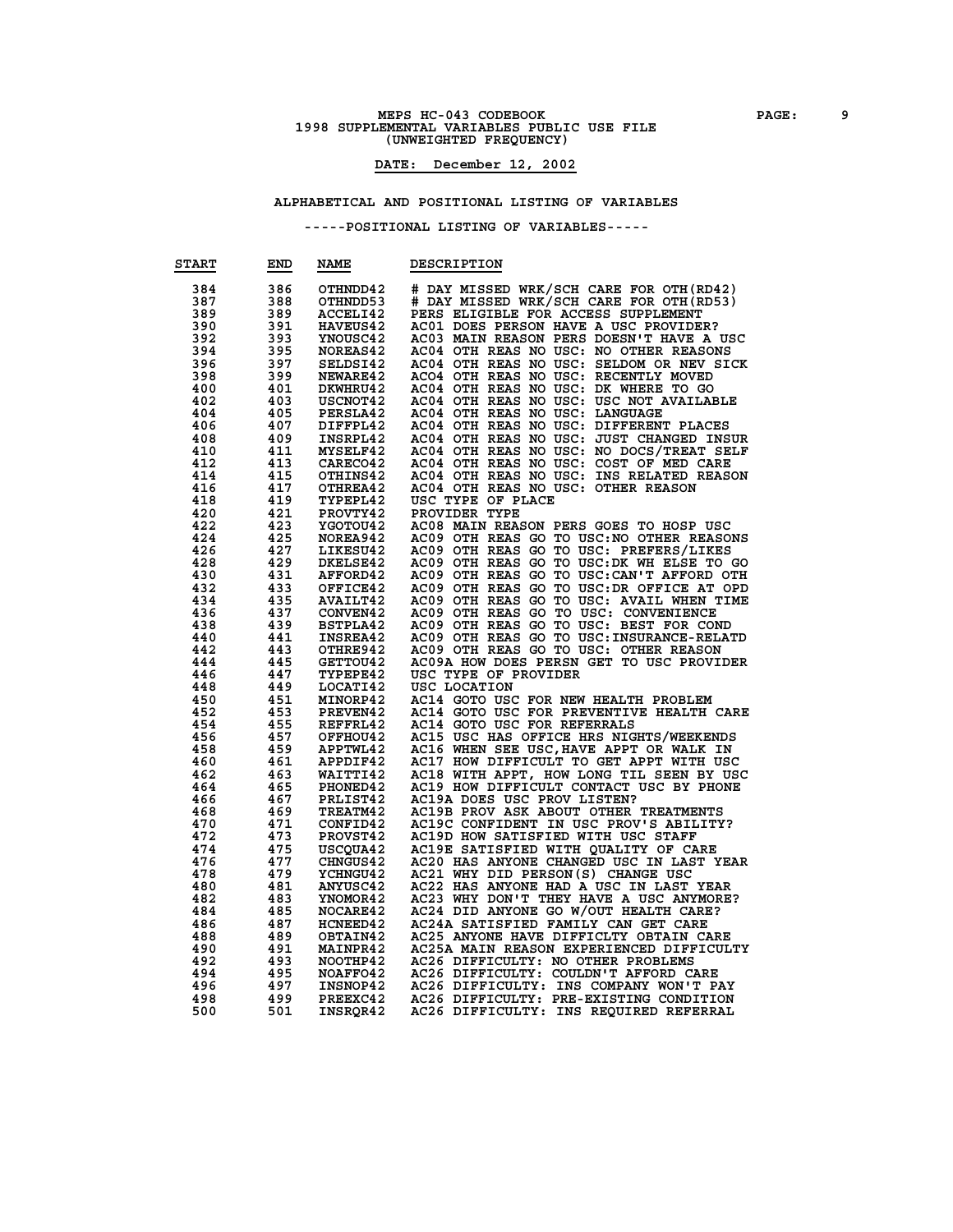### **MEPS HC-043 CODEBOOK PAGE:** 9<br> **1998 SUPPLEMENTAL VARIABLES PUBLIC USE FILE (UNWEIGHTED FREQUENCY)**

#### **DATE: December 12, 2002**

#### **ALPHABETICAL AND POSITIONAL LISTING OF VARIABLES**

| <b>START</b> | END | <b>NAME</b>     | <b>DESCRIPTION</b>                        |
|--------------|-----|-----------------|-------------------------------------------|
| 384          | 386 | OTHNDD42        | # DAY MISSED WRK/SCH CARE FOR OTH (RD42)  |
| 387          | 388 | OTHNDD53        | # DAY MISSED WRK/SCH CARE FOR OTH(RD53)   |
| 389          | 389 | ACCELI42        | PERS ELIGIBLE FOR ACCESS SUPPLEMENT       |
| 390          | 391 | <b>HAVEUS42</b> | AC01 DOES PERSON HAVE A USC PROVIDER?     |
| 392          | 393 | YNOUSC42        | AC03 MAIN REASON PERS DOESN'T HAVE A USC  |
| 394          | 395 | NOREAS42        | AC04 OTH REAS NO USC: NO OTHER REASONS    |
| 396          | 397 | SELDSI42        | AC04 OTH REAS NO USC: SELDOM OR NEV SICK  |
| 398          | 399 | NEWARE42        | ACO4 OTH REAS NO USC: RECENTLY MOVED      |
| 400          | 401 | DKWHRU42        | AC04 OTH REAS NO USC: DK WHERE TO GO      |
| 402          | 403 | USCNOT42        | AC04 OTH REAS NO USC: USC NOT AVAILABLE   |
| 404          | 405 | PERSLA42        | AC04 OTH REAS NO USC: LANGUAGE            |
| 406          | 407 | DIFFPL42        | AC04 OTH REAS NO USC: DIFFERENT PLACES    |
| 408          | 409 | INSRPL42        | AC04 OTH REAS NO USC: JUST CHANGED INSUR  |
| 410          | 411 | MYSELF42        | AC04 OTH REAS NO USC: NO DOCS/TREAT SELF  |
| 412          | 413 | CARECO42        | AC04 OTH REAS NO USC: COST OF MED CARE    |
| 414          | 415 | OTHINS42        | AC04 OTH REAS NO USC: INS RELATED REASON  |
| 416          | 417 | OTHREA42        | AC04 OTH REAS NO USC: OTHER REASON        |
| 418          | 419 | TYPEPL42        | USC TYPE OF PLACE                         |
| 420          | 421 | PROVTY42        | PROVIDER TYPE                             |
| 422          | 423 | <b>YGOTOU42</b> | AC08 MAIN REASON PERS GOES TO HOSP USC    |
| 424          | 425 | NOREA942        | AC09 OTH REAS GO TO USC: NO OTHER REASONS |
| 426          | 427 | LIKESU42        | AC09 OTH REAS GO TO USC: PREFERS/LIKES    |
| 428          | 429 | <b>DKELSE42</b> | AC09 OTH REAS GO TO USC: DK WH ELSE TO GO |
| 430          | 431 | <b>AFFORD42</b> | AC09 OTH REAS GO TO USC: CAN'T AFFORD OTH |
| 432          | 433 | OFFICE42        | AC09 OTH REAS GO TO USC: DR OFFICE AT OPD |
| 434          | 435 | <b>AVAILT42</b> | AC09 OTH REAS GO TO USC: AVAIL WHEN TIME  |
| 436          | 437 | <b>CONVEN42</b> | AC09 OTH REAS GO TO USC: CONVENIENCE      |
| 438          | 439 | BSTPLA42        | AC09 OTH REAS GO TO USC: BEST FOR COND    |
| 440          | 441 | <b>INSREA42</b> | AC09 OTH REAS GO TO USC: INSURANCE-RELATD |
| 442          | 443 | OTHRE942        | AC09 OTH REAS GO TO USC: OTHER REASON     |
| 444          | 445 | GETTOU42        | AC09A HOW DOES PERSN GET TO USC PROVIDER  |
| 446          | 447 | <b>TYPEPE42</b> | USC TYPE OF PROVIDER                      |
| 448          | 449 | LOCATI42        | USC LOCATION                              |
| 450          | 451 | MINORP42        | AC14 GOTO USC FOR NEW HEALTH PROBLEM      |
| 452          | 453 | PREVEN42        | AC14 GOTO USC FOR PREVENTIVE HEALTH CARE  |
| 454          | 455 | REFFRL42        | AC14 GOTO USC FOR REFERRALS               |
| 456          | 457 | OFFHOU42        | AC15 USC HAS OFFICE HRS NIGHTS/WEEKENDS   |
| 458          | 459 | APPTWL42        | AC16 WHEN SEE USC, HAVE APPT OR WALK IN   |
| 460          | 461 | APPDIF42        | AC17 HOW DIFFICULT TO GET APPT WITH USC   |
| 462          | 463 | <b>WAITTI42</b> | AC18 WITH APPT, HOW LONG TIL SEEN BY USC  |
| 464          | 465 | PHONED42        | AC19 HOW DIFFICULT CONTACT USC BY PHONE   |
| 466          | 467 | PRLIST42        | AC19A DOES USC PROV LISTEN?               |
| 468          | 469 | TREATM42        | AC19B PROV ASK ABOUT OTHER TREATMENTS     |
| 470          | 471 | CONFID42        | AC19C CONFIDENT IN USC PROV'S ABILITY?    |
| 472          | 473 | PROVST42        | AC19D HOW SATISFIED WITH USC STAFF        |
| 474          | 475 | USCQUA42        | AC19E SATISFIED WITH QUALITY OF CARE      |
| 476          | 477 | <b>CHNGUS42</b> | AC20 HAS ANYONE CHANGED USC IN LAST YEAR  |
| 478          | 479 | <b>YCHNGU42</b> | AC21 WHY DID PERSON(S) CHANGE USC         |
| 480          | 481 | <b>ANYUSC42</b> | AC22 HAS ANYONE HAD A USC IN LAST YEAR    |
| 482          | 483 | YNOMOR42        | AC23 WHY DON'T THEY HAVE A USC ANYMORE?   |
| 484          | 485 | <b>NOCARE42</b> | AC24 DID ANYONE GO W/OUT HEALTH CARE?     |
| 486          | 487 | <b>HCNEED42</b> | AC24A SATISFIED FAMILY CAN GET CARE       |
| 488          | 489 | OBTAIN42        | AC25 ANYONE HAVE DIFFICLTY OBTAIN CARE    |
| 490          | 491 | <b>MAINPR42</b> | AC25A MAIN REASON EXPERIENCED DIFFICULTY  |
| 492          | 493 | NOOTHP42        | AC26 DIFFICULTY: NO OTHER PROBLEMS        |
| 494          | 495 | NOAFFO42        | AC26 DIFFICULTY: COULDN'T AFFORD CARE     |
| 496          | 497 | INSNOP42        | AC26 DIFFICULTY: INS COMPANY WON'T PAY    |
| 498          | 499 | PREEXC42        | AC26 DIFFICULTY: PRE-EXISTING CONDITION   |
| 500          | 501 | INSROR42        | AC26 DIFFICULTY: INS REQUIRED REFERRAL    |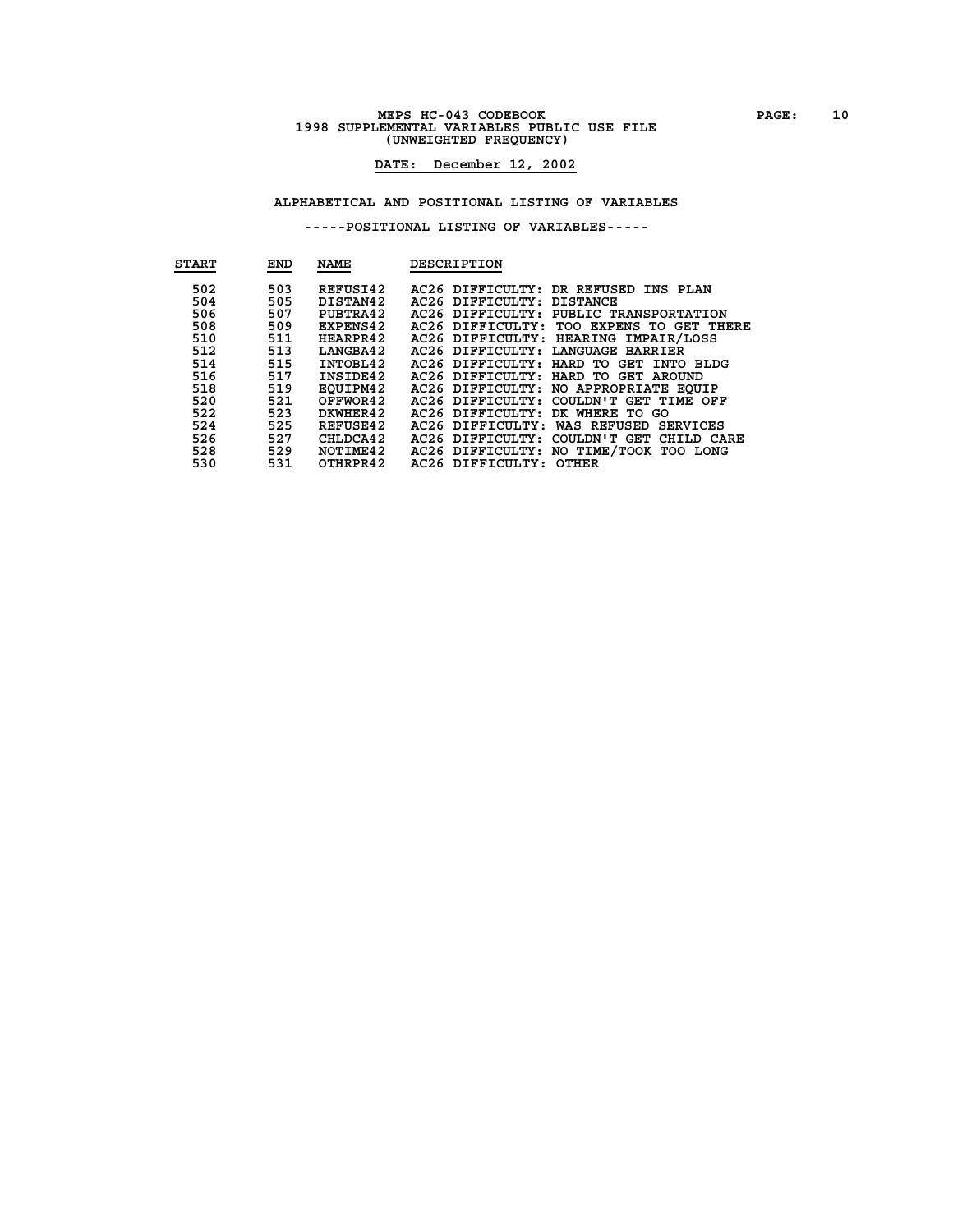### **MEPS HC-043 CODEBOOK PAGE: 10 1998 SUPPLEMENTAL VARIABLES PUBLIC USE FILE (UNWEIGHTED FREQUENCY)**

### **DATE: December 12, 2002**

#### **ALPHABETICAL AND POSITIONAL LISTING OF VARIABLES**

| <b>START</b>                                                                                   | END                                                                                            | <b>NAME</b>                                                                                                                                                                        | <b>DESCRIPTION</b>                                                                                                                                                                                                                                                                                                                                                                                                                                                                                                                                                                  |
|------------------------------------------------------------------------------------------------|------------------------------------------------------------------------------------------------|------------------------------------------------------------------------------------------------------------------------------------------------------------------------------------|-------------------------------------------------------------------------------------------------------------------------------------------------------------------------------------------------------------------------------------------------------------------------------------------------------------------------------------------------------------------------------------------------------------------------------------------------------------------------------------------------------------------------------------------------------------------------------------|
| 502<br>504<br>506<br>508<br>510<br>512<br>514<br>516<br>518<br>520<br>522<br>524<br>526<br>528 | 503<br>505<br>507<br>509<br>511<br>513<br>515<br>517<br>519<br>521<br>523<br>525<br>527<br>529 | REFUSI42<br>DISTAN42<br>PUBTRA42<br><b>EXPENS42</b><br>HEARPR42<br>LANGBA42<br>INTOBL42<br>INSIDE42<br>EOUIPM42<br>OFFWOR42<br>DKWHER42<br><b>REFUSE42</b><br>CHLDCA42<br>NOTIME42 | AC26 DIFFICULTY: DR REFUSED INS PLAN<br>AC26 DIFFICULTY: DISTANCE<br>AC26 DIFFICULTY: PUBLIC TRANSPORTATION<br>AC26 DIFFICULTY: TOO EXPENS TO GET THERE<br>AC26 DIFFICULTY: HEARING IMPAIR/LOSS<br>AC26 DIFFICULTY: LANGUAGE BARRIER<br>AC26 DIFFICULTY: HARD TO GET INTO BLDG<br>AC26 DIFFICULTY: HARD TO GET AROUND<br>AC26 DIFFICULTY: NO APPROPRIATE EOUIP<br>AC26 DIFFICULTY: COULDN'T GET TIME OFF<br>AC26 DIFFICULTY: DK WHERE TO GO<br>AC26 DIFFICULTY:<br>WAS REFUSED SERVICES<br>AC26 DIFFICULTY:<br>COULDN'T GET<br>CHILD CARE<br>AC26 DIFFICULTY: NO TIME/TOOK TOO LONG |
| 530                                                                                            | 531                                                                                            | OTHRPR42                                                                                                                                                                           | AC26 DIFFICULTY: OTHER                                                                                                                                                                                                                                                                                                                                                                                                                                                                                                                                                              |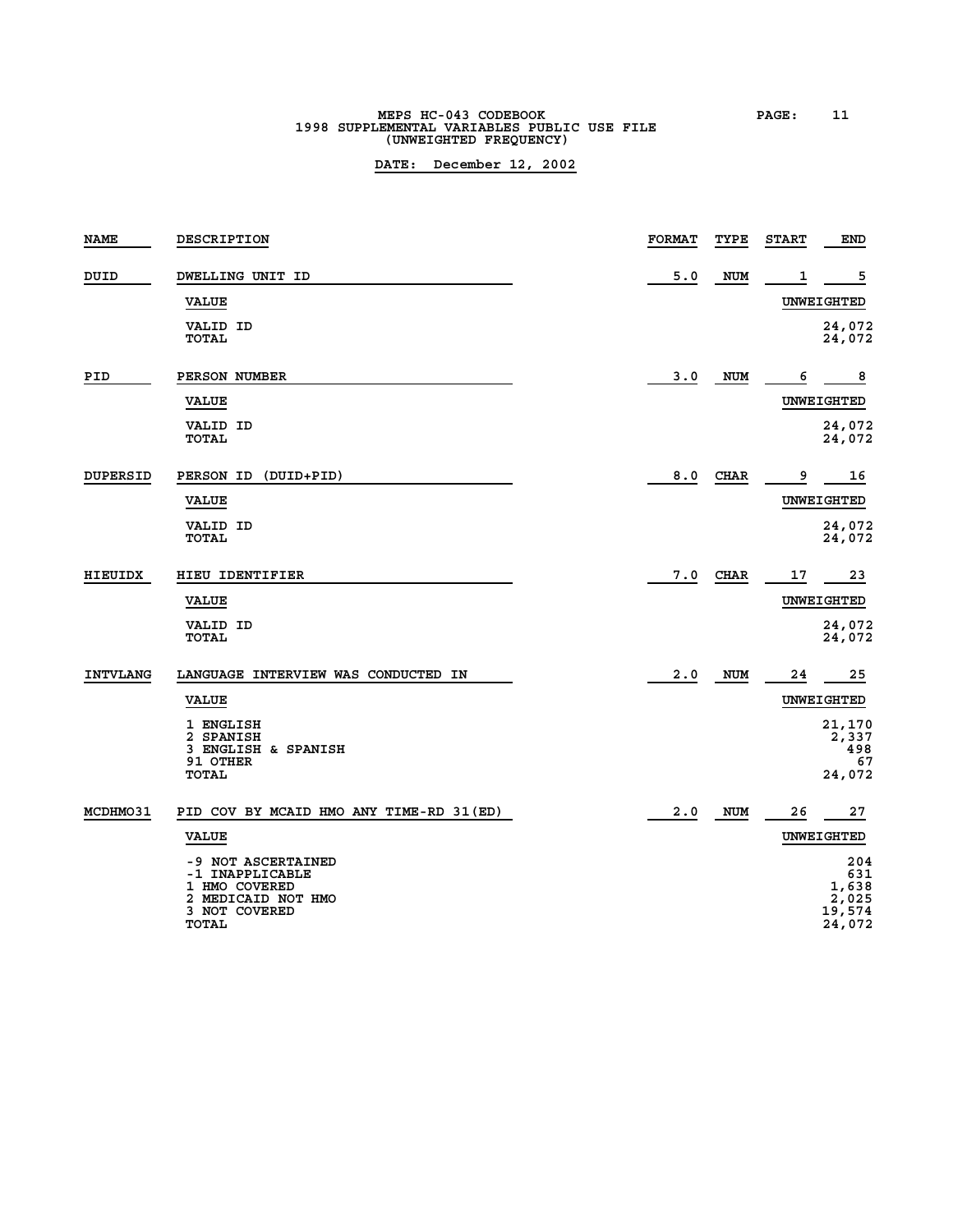# **MEPS HC-043 CODEBOOK PAGE: 11 1998 SUPPLEMENTAL VARIABLES PUBLIC USE FILE (UNWEIGHTED FREQUENCY)**

| <b>NAME</b>     | DESCRIPTION                                                                                   | <b>FORMAT</b> | TYPE        | <b>START</b> | END                                              |
|-----------------|-----------------------------------------------------------------------------------------------|---------------|-------------|--------------|--------------------------------------------------|
| DUID            | DWELLING UNIT ID                                                                              | 5.0           | NUM         | 1            | 5                                                |
|                 | <b>VALUE</b>                                                                                  |               |             |              | <b>UNWEIGHTED</b>                                |
|                 | VALID ID<br><b>TOTAL</b>                                                                      |               |             |              | 24,072<br>24,072                                 |
| PID             | PERSON NUMBER                                                                                 | 3.0           | NUM         | 6            | 8                                                |
|                 | <b>VALUE</b>                                                                                  |               |             |              | UNWEIGHTED                                       |
|                 | VALID ID<br><b>TOTAL</b>                                                                      |               |             |              | 24,072<br>24,072                                 |
| <b>DUPERSID</b> | PERSON ID<br>(DUID+PID)                                                                       | 8.0           | <b>CHAR</b> | 9            | 16                                               |
|                 | <b>VALUE</b>                                                                                  |               |             |              | <b>UNWEIGHTED</b>                                |
|                 | VALID ID<br><b>TOTAL</b>                                                                      |               |             |              | 24,072<br>24,072                                 |
| <b>HIEUIDX</b>  | HIEU IDENTIFIER                                                                               | 7.0           | <b>CHAR</b> | 17           | 23                                               |
|                 | <b>VALUE</b>                                                                                  |               |             |              | UNWEIGHTED                                       |
|                 | <b>VALID ID</b><br><b>TOTAL</b>                                                               |               |             |              | 24,072<br>24,072                                 |
| <b>INTVLANG</b> | LANGUAGE INTERVIEW WAS CONDUCTED IN                                                           | 2.0           | <b>NUM</b>  | 24           | 25                                               |
|                 | <b>VALUE</b>                                                                                  |               |             |              | <b>UNWEIGHTED</b>                                |
|                 | 1 ENGLISH<br>2 SPANISH<br>3 ENGLISH & SPANISH<br>91 OTHER                                     |               |             |              | 21,170<br>2,337<br>498<br>67                     |
|                 | <b>TOTAL</b>                                                                                  |               |             |              | 24,072                                           |
| MCDHM031        | PID COV BY MCAID HMO ANY TIME-RD 31 (ED)                                                      | 2.0           | <b>NUM</b>  | 26           | 27                                               |
|                 | <b>VALUE</b>                                                                                  |               |             |              | <b>UNWEIGHTED</b>                                |
|                 | -9 NOT ASCERTAINED<br>-1 INAPPLICABLE<br>1 HMO COVERED<br>2 MEDICAID NOT HMO<br>3 NOT COVERED |               |             |              | 204<br>631<br>1,638<br>2,025<br>19,574<br>24,072 |
|                 | <b>TOTAL</b>                                                                                  |               |             |              |                                                  |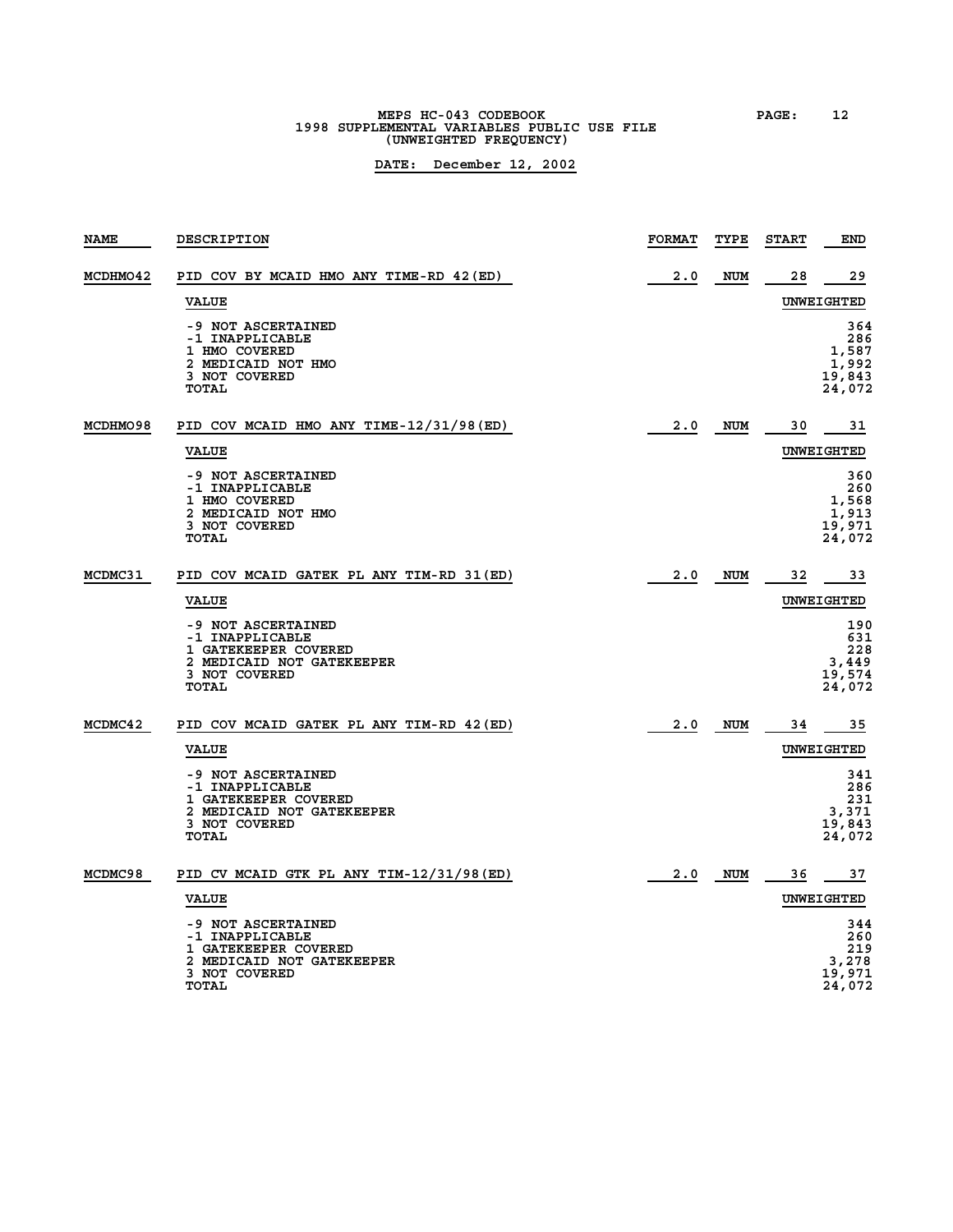### **MEPS HC-043 CODEBOOK PAGE: 12**<br>1998 SUPPLEMENTAL VARIABLES PUBLIC USE FILE **(UNWEIGHTED FREQUENCY)**

| <b>NAME</b> | <b>DESCRIPTION</b>                                                                                                          | <b>FORMAT</b> | TYPE       | <b>START</b> | <b>END</b>                                       |
|-------------|-----------------------------------------------------------------------------------------------------------------------------|---------------|------------|--------------|--------------------------------------------------|
| MCDHM042    | PID COV BY MCAID HMO ANY TIME-RD 42 (ED)                                                                                    | 2.0           | <b>NUM</b> | 28           | 29                                               |
|             | <b>VALUE</b>                                                                                                                |               |            |              | UNWEIGHTED                                       |
|             | -9 NOT ASCERTAINED<br>-1 INAPPLICABLE<br>1 HMO COVERED<br>2 MEDICAID NOT HMO<br>3 NOT COVERED<br><b>TOTAL</b>               |               |            |              | 364<br>286<br>1,587<br>1,992<br>19,843<br>24,072 |
| MCDHM098    | PID COV MCAID HMO ANY TIME-12/31/98(ED)                                                                                     | 2.0           | NUM        | 30           | 31                                               |
|             | <b>VALUE</b>                                                                                                                |               |            |              | UNWEIGHTED                                       |
|             | -9 NOT ASCERTAINED<br>-1 INAPPLICABLE<br>1 HMO COVERED<br>2 MEDICAID NOT HMO<br>3 NOT COVERED<br>TOTAL                      |               |            |              | 360<br>260<br>1,568<br>1,913<br>19,971<br>24,072 |
| MCDMC31     | PID COV MCAID GATEK PL ANY TIM-RD 31(ED)                                                                                    | 2.0           | <b>NUM</b> | 32           | 33                                               |
|             | <b>VALUE</b>                                                                                                                |               |            |              | UNWEIGHTED                                       |
|             | -9 NOT ASCERTAINED<br>-1 INAPPLICABLE<br>1 GATEKEEPER COVERED<br>2 MEDICAID NOT GATEKEEPER<br>3 NOT COVERED<br>TOTAL        |               |            |              | 190<br>631<br>228<br>3,449<br>19,574<br>24,072   |
| MCDMC42     | PID COV MCAID GATEK PL ANY TIM-RD 42 (ED)                                                                                   | 2.0           | <b>NUM</b> | 34           | 35                                               |
|             | <b>VALUE</b>                                                                                                                |               |            |              | UNWEIGHTED                                       |
|             | -9 NOT ASCERTAINED<br>-1 INAPPLICABLE<br>1 GATEKEEPER COVERED<br>2 MEDICAID NOT GATEKEEPER<br>3 NOT COVERED<br><b>TOTAL</b> |               |            |              | 341<br>286<br>231<br>3,371<br>19,843<br>24,072   |
| MCDMC98     | PID CV MCAID GTK PL ANY TIM-12/31/98 (ED)                                                                                   | 2.0           | <b>NUM</b> | 36           | 37                                               |
|             | <b>VALUE</b>                                                                                                                |               |            |              | UNWEIGHTED                                       |
|             | -9 NOT ASCERTAINED<br>-1 INAPPLICABLE<br>1 GATEKEEPER COVERED<br>2 MEDICAID NOT GATEKEEPER<br>3 NOT COVERED<br><b>TOTAL</b> |               |            |              | 344<br>260<br>219<br>3,278<br>19,971<br>24,072   |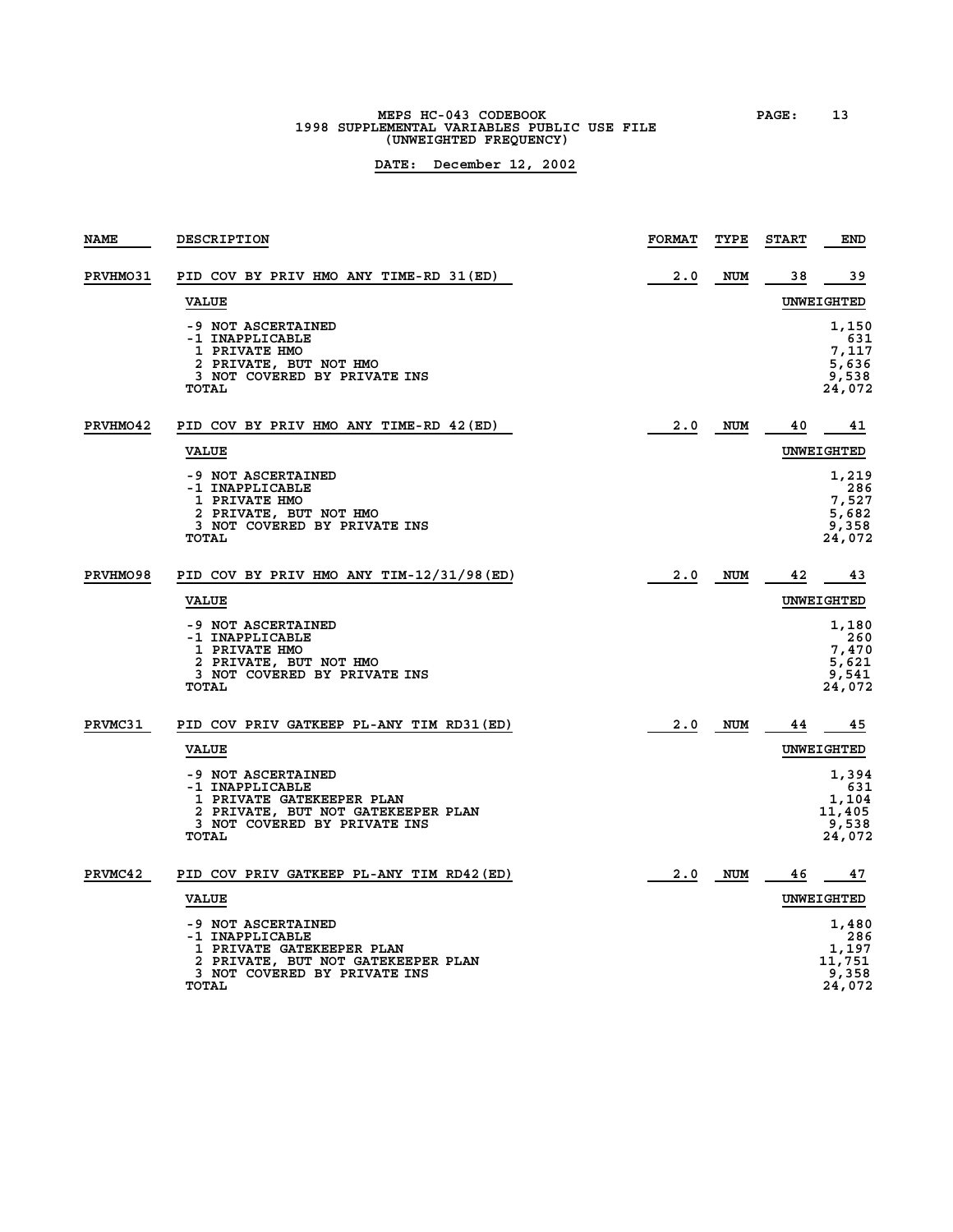**MEPS HC-043 CODEBOOK PAGE: 13 1998 SUPPLEMENTAL VARIABLES PUBLIC USE FILE (UNWEIGHTED FREQUENCY)**

| <b>NAME</b>     | DESCRIPTION                                                                                                                                              | <b>FORMAT</b> | TYPE       | <b>START</b> | <b>END</b>                                         |
|-----------------|----------------------------------------------------------------------------------------------------------------------------------------------------------|---------------|------------|--------------|----------------------------------------------------|
| <b>PRVHMO31</b> | PID COV BY PRIV HMO ANY TIME-RD 31(ED)                                                                                                                   | 2.0           | <b>NUM</b> | 38           | 39                                                 |
|                 | <b>VALUE</b>                                                                                                                                             |               |            |              | <b>UNWEIGHTED</b>                                  |
|                 | -9 NOT ASCERTAINED<br>-1 INAPPLICABLE<br>1 PRIVATE HMO<br>2 PRIVATE, BUT NOT HMO<br>3 NOT COVERED BY PRIVATE INS<br>TOTAL                                |               |            |              | 1,150<br>631<br>7,117<br>5,636<br>9,538<br>24,072  |
| PRVHMO42        | PID COV BY PRIV HMO ANY TIME-RD 42 (ED)                                                                                                                  | 2.0           | <b>NUM</b> | 40           | 41                                                 |
|                 | <b>VALUE</b>                                                                                                                                             |               |            |              | UNWEIGHTED                                         |
|                 | -9 NOT ASCERTAINED<br>-1 INAPPLICABLE<br><b>1 PRIVATE HMO</b><br>2 PRIVATE, BUT NOT HMO<br>3 NOT COVERED BY PRIVATE INS<br>TOTAL                         |               |            |              | 1,219<br>286<br>7,527<br>5,682<br>9,358<br>24,072  |
| <b>PRVHMO98</b> | PID COV BY PRIV HMO ANY TIM-12/31/98(ED)                                                                                                                 | 2.0           | NUM        | 42           | 43                                                 |
|                 | <b>VALUE</b>                                                                                                                                             |               |            |              | UNWEIGHTED                                         |
|                 | -9 NOT ASCERTAINED<br>-1 INAPPLICABLE<br>1 PRIVATE HMO<br>2 PRIVATE, BUT NOT HMO<br>3 NOT COVERED BY PRIVATE INS<br>TOTAL                                |               |            |              | 1,180<br>260<br>7,470<br>5,621<br>9,541<br>24,072  |
| PRVMC31         | PID COV PRIV GATKEEP PL-ANY TIM RD31(ED)                                                                                                                 | 2.0           | <b>NUM</b> | 44           | 45                                                 |
|                 | <b>VALUE</b>                                                                                                                                             |               |            |              | <b>UNWEIGHTED</b>                                  |
|                 | -9 NOT ASCERTAINED<br>-1 INAPPLICABLE<br>1 PRIVATE GATEKEEPER PLAN<br>2 PRIVATE, BUT NOT GATEKEEPER PLAN<br>3 NOT COVERED BY PRIVATE INS<br>TOTAL        |               |            |              | 1,394<br>631<br>1,104<br>11,405<br>9,538<br>24,072 |
| PRVMC42         | PID COV PRIV GATKEEP PL-ANY TIM RD42(ED)                                                                                                                 | 2.0           | <b>NUM</b> | 46           | 47                                                 |
|                 | <b>VALUE</b>                                                                                                                                             |               |            |              | <b>UNWEIGHTED</b>                                  |
|                 | -9 NOT ASCERTAINED<br>-1 INAPPLICABLE<br>1 PRIVATE GATEKEEPER PLAN<br>2 PRIVATE, BUT NOT GATEKEEPER PLAN<br>3 NOT COVERED BY PRIVATE INS<br><b>TOTAL</b> |               |            |              | 1,480<br>286<br>1,197<br>11,751<br>9,358<br>24,072 |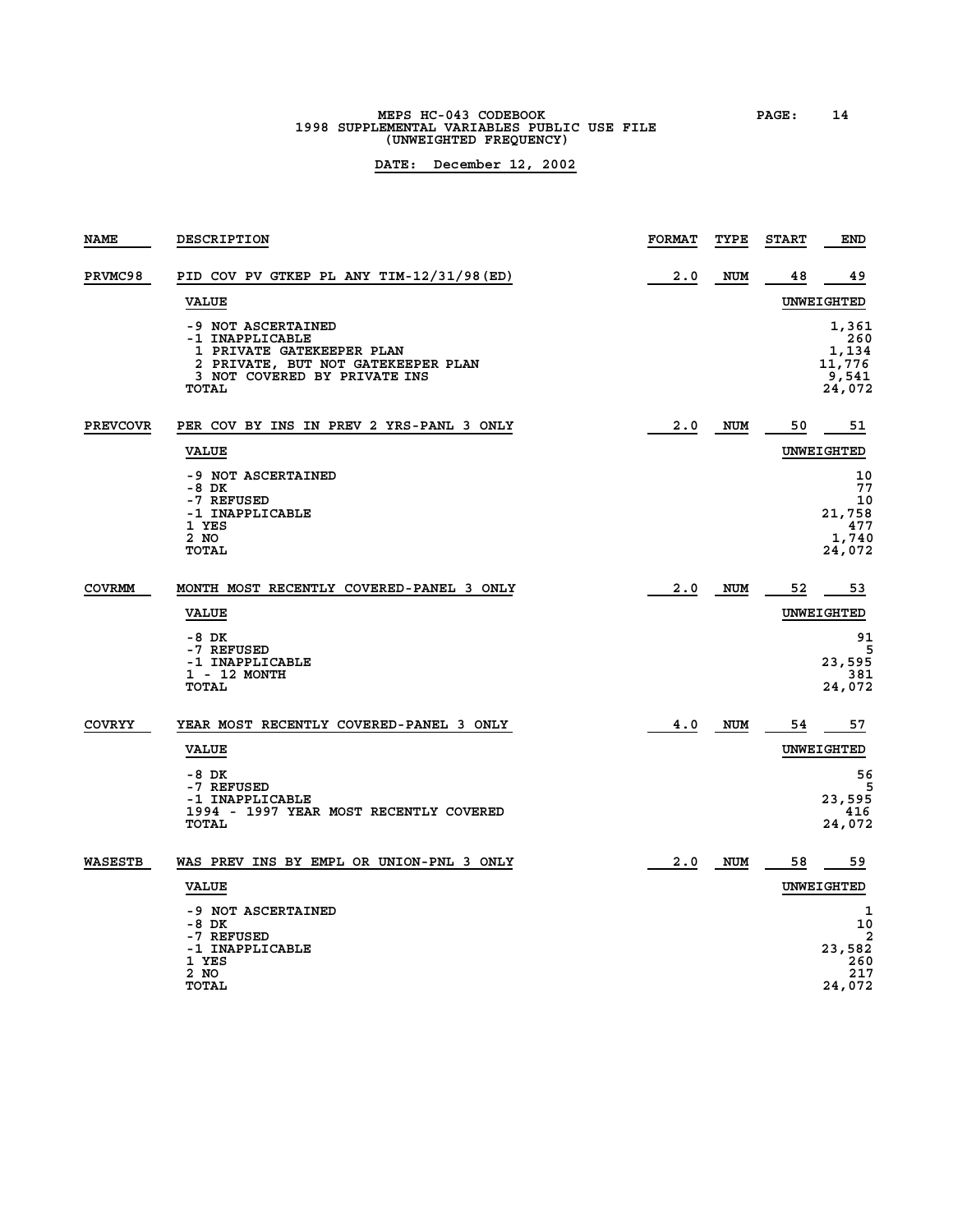**MEPS HC-043 CODEBOOK PAGE: 14 1998 SUPPLEMENTAL VARIABLES PUBLIC USE FILE (UNWEIGHTED FREQUENCY)**

| <b>NAME</b>     | DESCRIPTION                                                                                                                                       | <b>FORMAT</b> | TYPE       | <b>START</b> | END                                                |
|-----------------|---------------------------------------------------------------------------------------------------------------------------------------------------|---------------|------------|--------------|----------------------------------------------------|
| <b>PRVMC98</b>  | PID COV PV GTKEP PL ANY TIM-12/31/98(ED)                                                                                                          | 2.0           | <b>NUM</b> | 48           | 49                                                 |
|                 | <b>VALUE</b>                                                                                                                                      |               |            |              | UNWEIGHTED                                         |
|                 | -9 NOT ASCERTAINED<br>-1 INAPPLICABLE<br>1 PRIVATE GATEKEEPER PLAN<br>2 PRIVATE, BUT NOT GATEKEEPER PLAN<br>3 NOT COVERED BY PRIVATE INS<br>TOTAL |               |            |              | 1,361<br>260<br>1,134<br>11,776<br>9,541<br>24,072 |
| <b>PREVCOVR</b> | PER COV BY INS IN PREV 2 YRS-PANL 3 ONLY                                                                                                          | 2.0           | NUM        | 50           | 51                                                 |
|                 | <b>VALUE</b>                                                                                                                                      |               |            |              | UNWEIGHTED                                         |
|                 | -9 NOT ASCERTAINED<br>$-8$ DK<br>-7 REFUSED<br>-1 INAPPLICABLE<br>1 YES<br>2 NO<br>TOTAL                                                          |               |            |              | 10<br>77<br>10<br>21,758<br>477<br>1,740<br>24,072 |
| COVRMM          | MONTH MOST RECENTLY COVERED-PANEL 3 ONLY                                                                                                          | 2.0           | NUM        | 52           | 53                                                 |
|                 | <b>VALUE</b>                                                                                                                                      |               |            |              | <b>UNWEIGHTED</b>                                  |
|                 | -8 DK<br>-7 REFUSED<br>-1 INAPPLICABLE<br>1 - 12 MONTH<br><b>TOTAL</b>                                                                            |               |            |              | 91<br>5<br>23,595<br>381<br>24,072                 |
| COVRYY          | YEAR MOST RECENTLY COVERED-PANEL 3 ONLY                                                                                                           | 4.0           | <b>NUM</b> | 54           | 57                                                 |
|                 | <b>VALUE</b>                                                                                                                                      |               |            |              | <b>UNWEIGHTED</b>                                  |
|                 | -8 DK<br>-7 REFUSED<br>-1 INAPPLICABLE<br>1994 - 1997 YEAR MOST RECENTLY COVERED<br>TOTAL                                                         |               |            |              | 56<br>23,595<br>416<br>24,072                      |
| WASESTB         | WAS PREV INS BY EMPL OR UNION-PNL 3 ONLY                                                                                                          | 2.0           | <b>NUM</b> | 58           | 59                                                 |
|                 | <b>VALUE</b>                                                                                                                                      |               |            |              | <b>UNWEIGHTED</b>                                  |
|                 | -9 NOT ASCERTAINED<br>$-8$ DK<br>-7 REFUSED<br>-1 INAPPLICABLE<br>1 YES<br>2 NO                                                                   |               |            |              | 1<br>10<br>2<br>23,582<br>260<br>217               |
|                 | <b>TOTAL</b>                                                                                                                                      |               |            |              | 24,072                                             |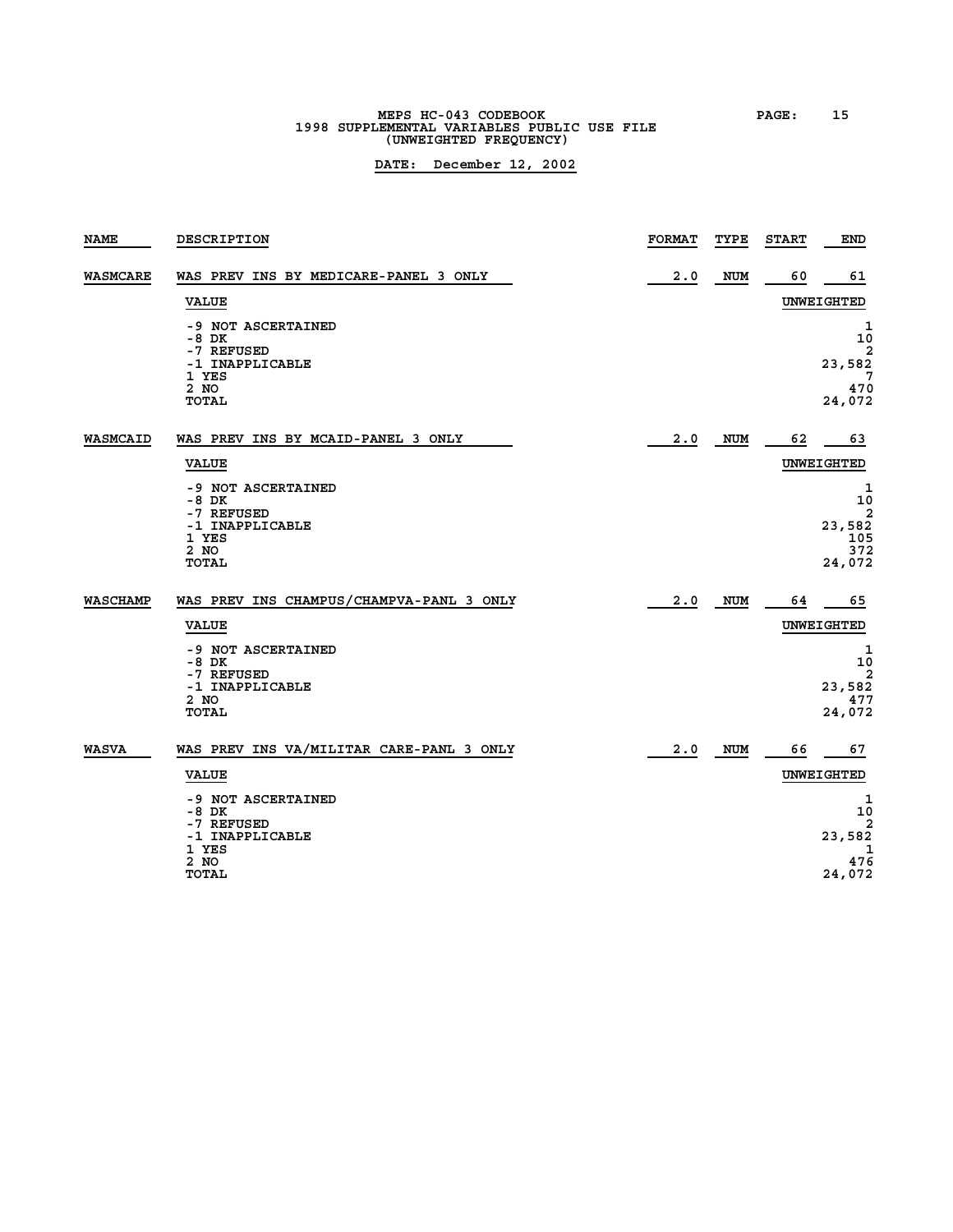## **MEPS HC-043 CODEBOOK PAGE: 15 1998 SUPPLEMENTAL VARIABLES PUBLIC USE FILE (UNWEIGHTED FREQUENCY)**

| 2.0<br>60<br><b>WASMCARE</b><br>WAS PREV INS BY MEDICARE-PANEL 3 ONLY<br><b>NUM</b><br>UNWEIGHTED<br><b>VALUE</b><br>-9 NOT ASCERTAINED<br>-8 DK<br>-7 REFUSED<br>-1 INAPPLICABLE<br>1 YES<br>2 NO<br><b>TOTAL</b><br><b>WASMCAID</b><br>WAS PREV INS BY MCAID-PANEL 3 ONLY<br>2.0<br>NUM<br>62<br>UNWEIGHTED<br><b>VALUE</b><br>-9 NOT ASCERTAINED<br>$-8$ DK<br>-7 REFUSED<br>23,582<br>-1 INAPPLICABLE<br>1 YES<br>2 NO<br><b>TOTAL</b><br>WAS PREV INS CHAMPUS/CHAMPVA-PANL 3 ONLY<br>WASCHAMP<br>2.0<br><b>NUM</b><br>64<br><b>VALUE</b><br>UNWEIGHTED<br>-9 NOT ASCERTAINED<br>-8 DK<br>-7 REFUSED<br>-1 INAPPLICABLE<br>2 NO<br>TOTAL<br><b>WASVA</b><br>WAS PREV INS VA/MILITAR CARE-PANL 3 ONLY<br>2.0<br><b>NUM</b><br>66<br>UNWEIGHTED<br><b>VALUE</b><br>-9 NOT ASCERTAINED<br>-8 DK<br>-7 REFUSED<br>-1 INAPPLICABLE<br>1 YES<br>2 NO<br><b>TOTAL</b> | <b>NAME</b> | <b>DESCRIPTION</b> | <b>FORMAT</b> | TYPE | <b>START</b> | END                     |
|--------------------------------------------------------------------------------------------------------------------------------------------------------------------------------------------------------------------------------------------------------------------------------------------------------------------------------------------------------------------------------------------------------------------------------------------------------------------------------------------------------------------------------------------------------------------------------------------------------------------------------------------------------------------------------------------------------------------------------------------------------------------------------------------------------------------------------------------------------------------|-------------|--------------------|---------------|------|--------------|-------------------------|
|                                                                                                                                                                                                                                                                                                                                                                                                                                                                                                                                                                                                                                                                                                                                                                                                                                                                    |             |                    |               |      |              | 61                      |
|                                                                                                                                                                                                                                                                                                                                                                                                                                                                                                                                                                                                                                                                                                                                                                                                                                                                    |             |                    |               |      |              |                         |
|                                                                                                                                                                                                                                                                                                                                                                                                                                                                                                                                                                                                                                                                                                                                                                                                                                                                    |             |                    |               |      |              | 1<br>10<br>2            |
|                                                                                                                                                                                                                                                                                                                                                                                                                                                                                                                                                                                                                                                                                                                                                                                                                                                                    |             |                    |               |      |              | 23,582                  |
|                                                                                                                                                                                                                                                                                                                                                                                                                                                                                                                                                                                                                                                                                                                                                                                                                                                                    |             |                    |               |      |              | 7<br>470<br>24,072      |
|                                                                                                                                                                                                                                                                                                                                                                                                                                                                                                                                                                                                                                                                                                                                                                                                                                                                    |             |                    |               |      |              | 63                      |
|                                                                                                                                                                                                                                                                                                                                                                                                                                                                                                                                                                                                                                                                                                                                                                                                                                                                    |             |                    |               |      |              |                         |
|                                                                                                                                                                                                                                                                                                                                                                                                                                                                                                                                                                                                                                                                                                                                                                                                                                                                    |             |                    |               |      |              | 1<br>10                 |
|                                                                                                                                                                                                                                                                                                                                                                                                                                                                                                                                                                                                                                                                                                                                                                                                                                                                    |             |                    |               |      |              | $\overline{\mathbf{2}}$ |
|                                                                                                                                                                                                                                                                                                                                                                                                                                                                                                                                                                                                                                                                                                                                                                                                                                                                    |             |                    |               |      |              | 105<br>372              |
|                                                                                                                                                                                                                                                                                                                                                                                                                                                                                                                                                                                                                                                                                                                                                                                                                                                                    |             |                    |               |      |              | 24,072                  |
|                                                                                                                                                                                                                                                                                                                                                                                                                                                                                                                                                                                                                                                                                                                                                                                                                                                                    |             |                    |               |      |              | 65                      |
|                                                                                                                                                                                                                                                                                                                                                                                                                                                                                                                                                                                                                                                                                                                                                                                                                                                                    |             |                    |               |      |              |                         |
|                                                                                                                                                                                                                                                                                                                                                                                                                                                                                                                                                                                                                                                                                                                                                                                                                                                                    |             |                    |               |      |              | 1<br>10<br>2            |
|                                                                                                                                                                                                                                                                                                                                                                                                                                                                                                                                                                                                                                                                                                                                                                                                                                                                    |             |                    |               |      |              | 23,582<br>477           |
|                                                                                                                                                                                                                                                                                                                                                                                                                                                                                                                                                                                                                                                                                                                                                                                                                                                                    |             |                    |               |      |              | 24,072                  |
|                                                                                                                                                                                                                                                                                                                                                                                                                                                                                                                                                                                                                                                                                                                                                                                                                                                                    |             |                    |               |      |              | 67                      |
|                                                                                                                                                                                                                                                                                                                                                                                                                                                                                                                                                                                                                                                                                                                                                                                                                                                                    |             |                    |               |      |              |                         |
|                                                                                                                                                                                                                                                                                                                                                                                                                                                                                                                                                                                                                                                                                                                                                                                                                                                                    |             |                    |               |      |              | 1<br>10                 |
|                                                                                                                                                                                                                                                                                                                                                                                                                                                                                                                                                                                                                                                                                                                                                                                                                                                                    |             |                    |               |      |              | 23,582                  |
|                                                                                                                                                                                                                                                                                                                                                                                                                                                                                                                                                                                                                                                                                                                                                                                                                                                                    |             |                    |               |      |              | 1<br>476                |
|                                                                                                                                                                                                                                                                                                                                                                                                                                                                                                                                                                                                                                                                                                                                                                                                                                                                    |             |                    |               |      |              | 24,072                  |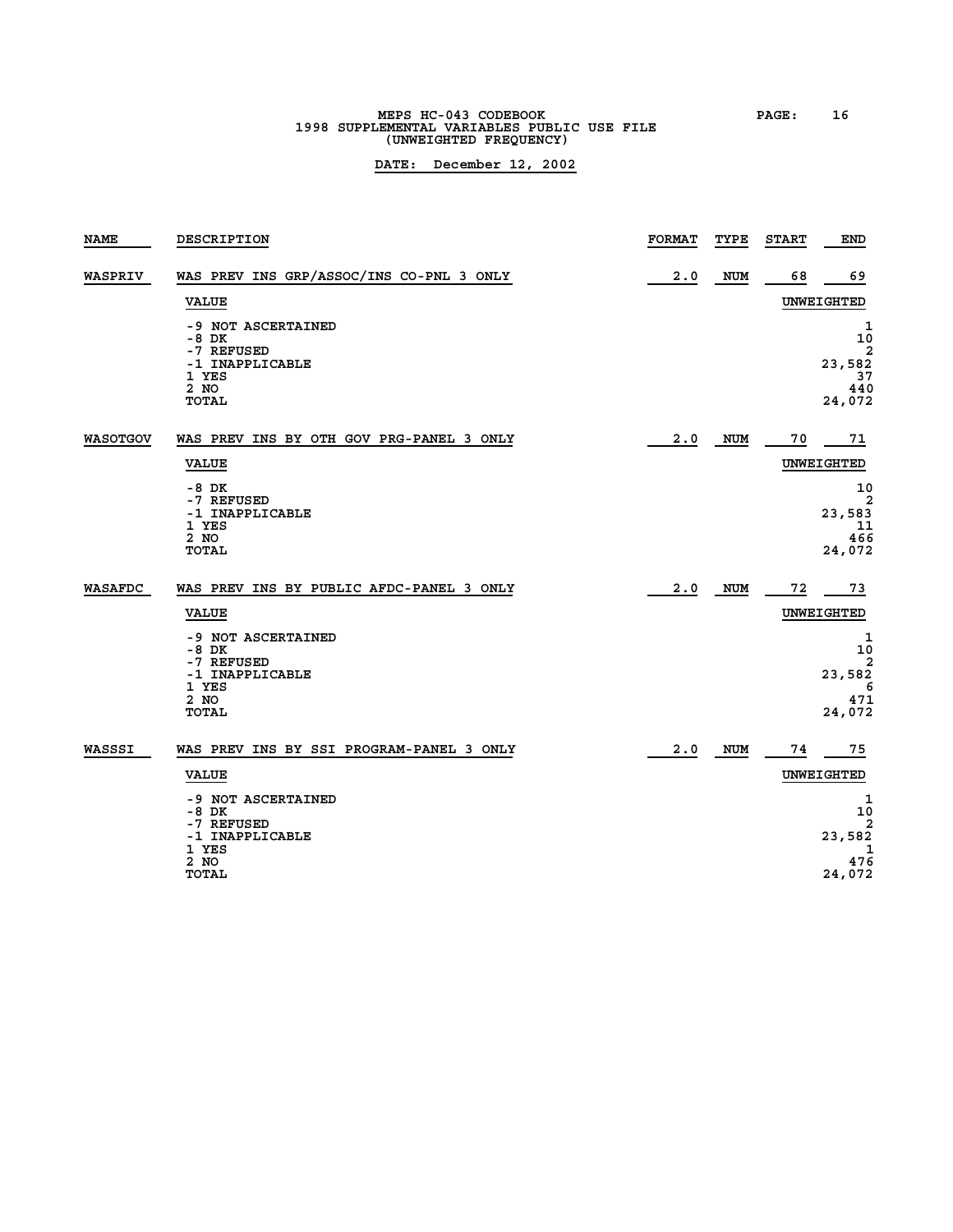## **MEPS HC-043 CODEBOOK PAGE: 16 1998 SUPPLEMENTAL VARIABLES PUBLIC USE FILE (UNWEIGHTED FREQUENCY)**

| <b>NAME</b>     | DESCRIPTION                                                                            | <b>FORMAT</b> | TYPE       | <b>START</b> | END                                          |
|-----------------|----------------------------------------------------------------------------------------|---------------|------------|--------------|----------------------------------------------|
| WASPRIV         | WAS PREV INS GRP/ASSOC/INS CO-PNL 3 ONLY                                               | 2.0           | <b>NUM</b> | 68           | 69                                           |
|                 | <b>VALUE</b>                                                                           |               |            |              | UNWEIGHTED                                   |
|                 | -9 NOT ASCERTAINED<br>$-8$ DK<br>-7 REFUSED                                            |               |            |              | 1<br>10<br>2                                 |
|                 | -1 INAPPLICABLE<br>1 YES                                                               |               |            |              | 23,582<br>37                                 |
|                 | 2 NO<br><b>TOTAL</b>                                                                   |               |            |              | 440<br>24,072                                |
| <b>WASOTGOV</b> | WAS PREV INS BY OTH GOV PRG-PANEL 3 ONLY                                               | 2.0           | <b>NUM</b> | 70           | 71                                           |
|                 | <b>VALUE</b>                                                                           |               |            |              | <b>UNWEIGHTED</b>                            |
|                 | -8 DK<br>-7 REFUSED<br>-1 INAPPLICABLE<br>1 YES<br>2 NO<br>TOTAL                       |               |            |              | 10<br>2<br>23,583<br>11<br>466<br>24,072     |
| WASAFDC         | WAS PREV INS BY PUBLIC AFDC-PANEL 3 ONLY                                               | 2.0           | NUM        | 72           | 73                                           |
|                 | <b>VALUE</b>                                                                           |               |            |              | <b>UNWEIGHTED</b>                            |
|                 | -9 NOT ASCERTAINED<br>-8 DK<br>-7 REFUSED<br>-1 INAPPLICABLE<br>1 YES<br>2 NO<br>TOTAL |               |            |              | 1<br>10<br>2<br>23,582<br>6<br>471<br>24,072 |
|                 |                                                                                        |               |            |              |                                              |
| WASSSI          | WAS PREV INS BY SSI PROGRAM-PANEL 3 ONLY                                               | 2.0           | <b>NUM</b> | 74           | 75                                           |
|                 | <b>VALUE</b>                                                                           |               |            |              | UNWEIGHTED                                   |
|                 | -9 NOT ASCERTAINED<br>$-8$ DK                                                          |               |            |              | 1<br>10                                      |
|                 | -7 REFUSED<br>-1 INAPPLICABLE                                                          |               |            |              | 23,582                                       |
|                 | 1 YES<br>2 NO<br><b>TOTAL</b>                                                          |               |            |              | 1<br>476<br>24,072                           |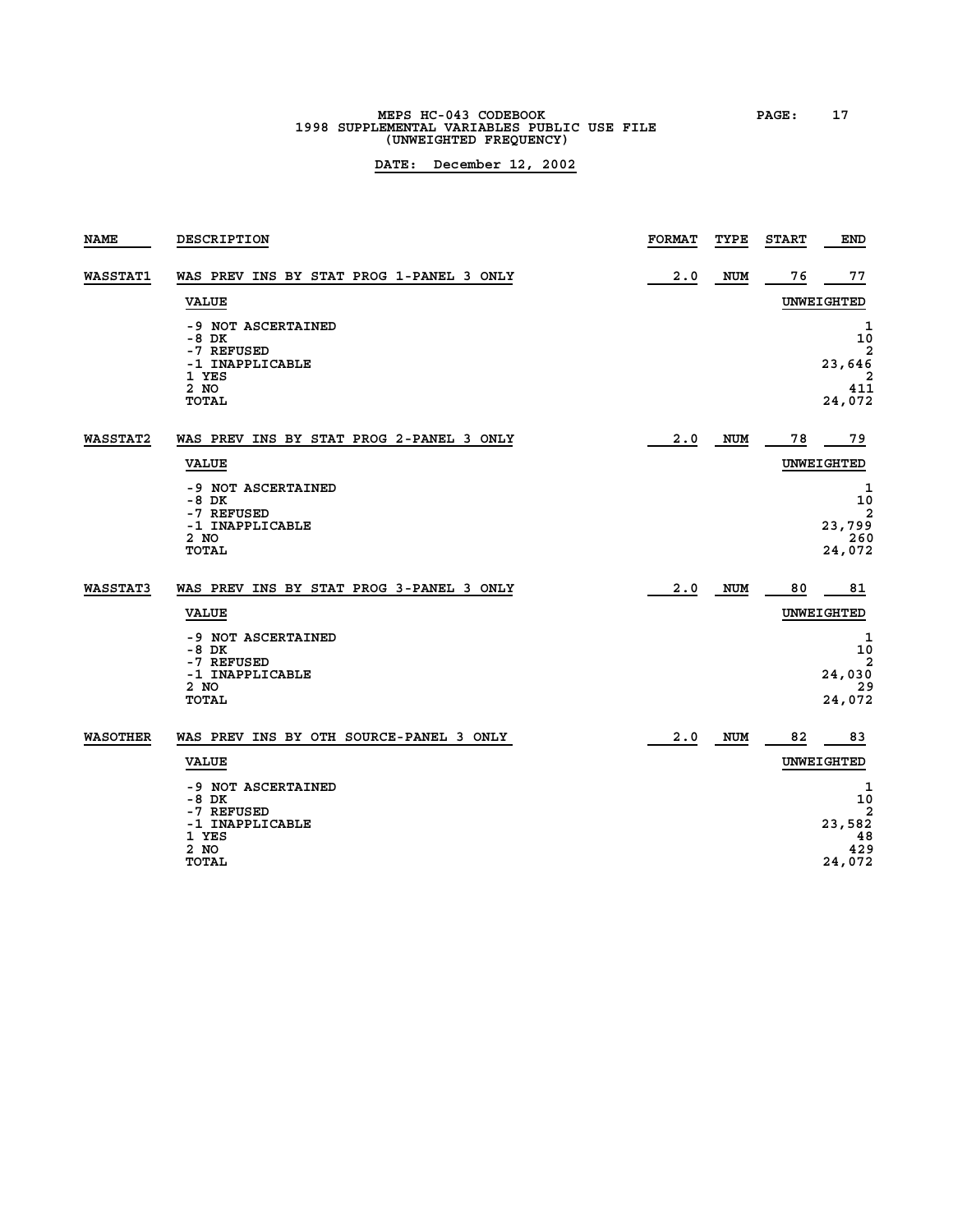**MEPS HC-043 CODEBOOK PAGE: 17 1998 SUPPLEMENTAL VARIABLES PUBLIC USE FILE (UNWEIGHTED FREQUENCY)**

| <b>NAME</b>     | DESCRIPTION                                 | <b>FORMAT</b> | TYPE       | <b>START</b> | <b>END</b>                        |
|-----------------|---------------------------------------------|---------------|------------|--------------|-----------------------------------|
| <b>WASSTAT1</b> | WAS PREV INS BY STAT PROG 1-PANEL 3 ONLY    | 2.0           | <b>NUM</b> | 76           | 77                                |
|                 | <b>VALUE</b>                                |               |            |              | UNWEIGHTED                        |
|                 | -9 NOT ASCERTAINED<br>$-8$ DK<br>-7 REFUSED |               |            |              | 1<br>10<br>2                      |
|                 | -1 INAPPLICABLE                             |               |            |              | 23,646                            |
|                 | 1 YES<br>2 NO<br><b>TOTAL</b>               |               |            |              | 411<br>24,072                     |
| <b>WASSTAT2</b> | WAS PREV INS BY STAT PROG 2-PANEL 3 ONLY    | 2.0           | NUM        | 78           | 79                                |
|                 | <b>VALUE</b>                                |               |            |              | UNWEIGHTED                        |
|                 | -9 NOT ASCERTAINED<br>-8 DK                 |               |            |              | 1<br>10                           |
|                 | -7 REFUSED<br>-1 INAPPLICABLE               |               |            |              | $\overline{\mathbf{2}}$<br>23,799 |
|                 | 2 NO<br><b>TOTAL</b>                        |               |            |              | 260<br>24,072                     |
| <b>WASSTAT3</b> | WAS PREV INS BY STAT PROG 3-PANEL 3 ONLY    | 2.0           | NUM        | 80           | 81                                |
|                 | <b>VALUE</b>                                |               |            |              | UNWEIGHTED                        |
|                 | -9 NOT ASCERTAINED<br>-8 DK<br>-7 REFUSED   |               |            |              | $\mathbf 1$<br>10<br>2            |
|                 | -1 INAPPLICABLE<br>2 NO                     |               |            |              | 24,030<br>29                      |
|                 | <b>TOTAL</b>                                |               |            |              | 24,072                            |
| <b>WASOTHER</b> | WAS PREV INS BY OTH SOURCE-PANEL 3 ONLY     | 2.0           | <b>NUM</b> | 82           | 83                                |
|                 | <b>VALUE</b>                                |               |            |              | UNWEIGHTED                        |
|                 | -9 NOT ASCERTAINED<br>-8 DK                 |               |            |              | 1<br>10<br>2                      |
|                 | -7 REFUSED<br>-1 INAPPLICABLE               |               |            |              | 23,582                            |
|                 | 1 YES<br>2 NO                               |               |            |              | 48<br>429                         |
|                 | TOTAL                                       |               |            |              | 24,072                            |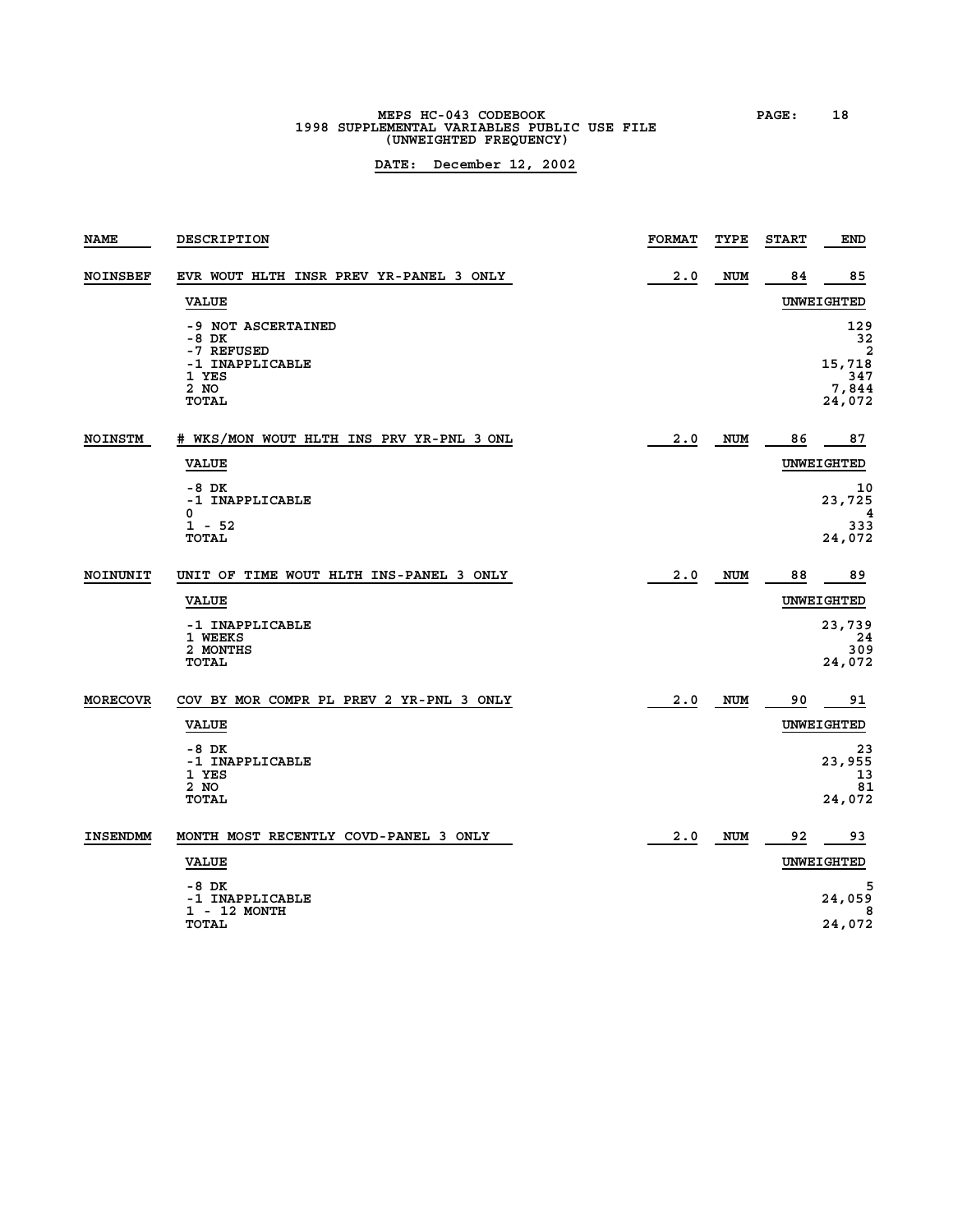**MEPS HC-043 CODEBOOK PAGE: 18 1998 SUPPLEMENTAL VARIABLES PUBLIC USE FILE (UNWEIGHTED FREQUENCY)**

| <b>NAME</b>     | DESCRIPTION                                 | <b>FORMAT</b> | TYPE       | <b>START</b> | END                              |
|-----------------|---------------------------------------------|---------------|------------|--------------|----------------------------------|
| <b>NOINSBEF</b> | EVR WOUT HLTH INSR PREV YR-PANEL 3 ONLY     | 2.0           | <b>NUM</b> | 84           | 85                               |
|                 | <b>VALUE</b>                                |               |            |              | UNWEIGHTED                       |
|                 | -9 NOT ASCERTAINED<br>$-8$ DK<br>-7 REFUSED |               |            |              | 129<br>32<br>2                   |
|                 | -1 INAPPLICABLE<br>1 YES<br>2 NO<br>TOTAL   |               |            |              | 15,718<br>347<br>7,844<br>24,072 |
|                 |                                             |               |            |              |                                  |
| NOINSTM         | # WKS/MON WOUT HLTH INS PRV YR-PNL 3 ONL    | 2.0           | NUM        | 86           | 87                               |
|                 | <b>VALUE</b>                                |               |            |              | UNWEIGHTED                       |
|                 | $-8$ DK<br>-1 INAPPLICABLE<br>0             |               |            |              | 10<br>23,725<br>4                |
|                 | $1 - 52$<br>TOTAL                           |               |            |              | 333<br>24,072                    |
| NOINUNIT        | UNIT OF TIME WOUT HLTH INS-PANEL 3 ONLY     | 2.0           | NUM        | 88           | 89                               |
|                 | <b>VALUE</b>                                |               |            |              | UNWEIGHTED                       |
|                 | -1 INAPPLICABLE<br>1 WEEKS                  |               |            |              | 23,739<br>-24                    |
|                 | 2 MONTHS<br>TOTAL                           |               |            |              | 309<br>24,072                    |
| <b>MORECOVR</b> | COV BY MOR COMPR PL PREV 2 YR-PNL 3 ONLY    | 2.0           | <b>NUM</b> | 90           | 91                               |
|                 | <b>VALUE</b>                                |               |            |              | <b>UNWEIGHTED</b>                |
|                 | $-8$ DK<br>-1 INAPPLICABLE<br>1 YES         |               |            |              | 23<br>23,955<br>13               |
|                 | 2 NO<br><b>TOTAL</b>                        |               |            |              | 81<br>24,072                     |
| <b>INSENDMM</b> | MONTH MOST RECENTLY COVD-PANEL 3 ONLY       | 2.0           | NUM        | 92           | 93                               |
|                 | <b>VALUE</b>                                |               |            |              | UNWEIGHTED                       |
|                 | $-8$ DK<br>-1 INAPPLICABLE<br>1 - 12 MONTH  |               |            |              | 24,059<br>8                      |
|                 | <b>TOTAL</b>                                |               |            |              | 24,072                           |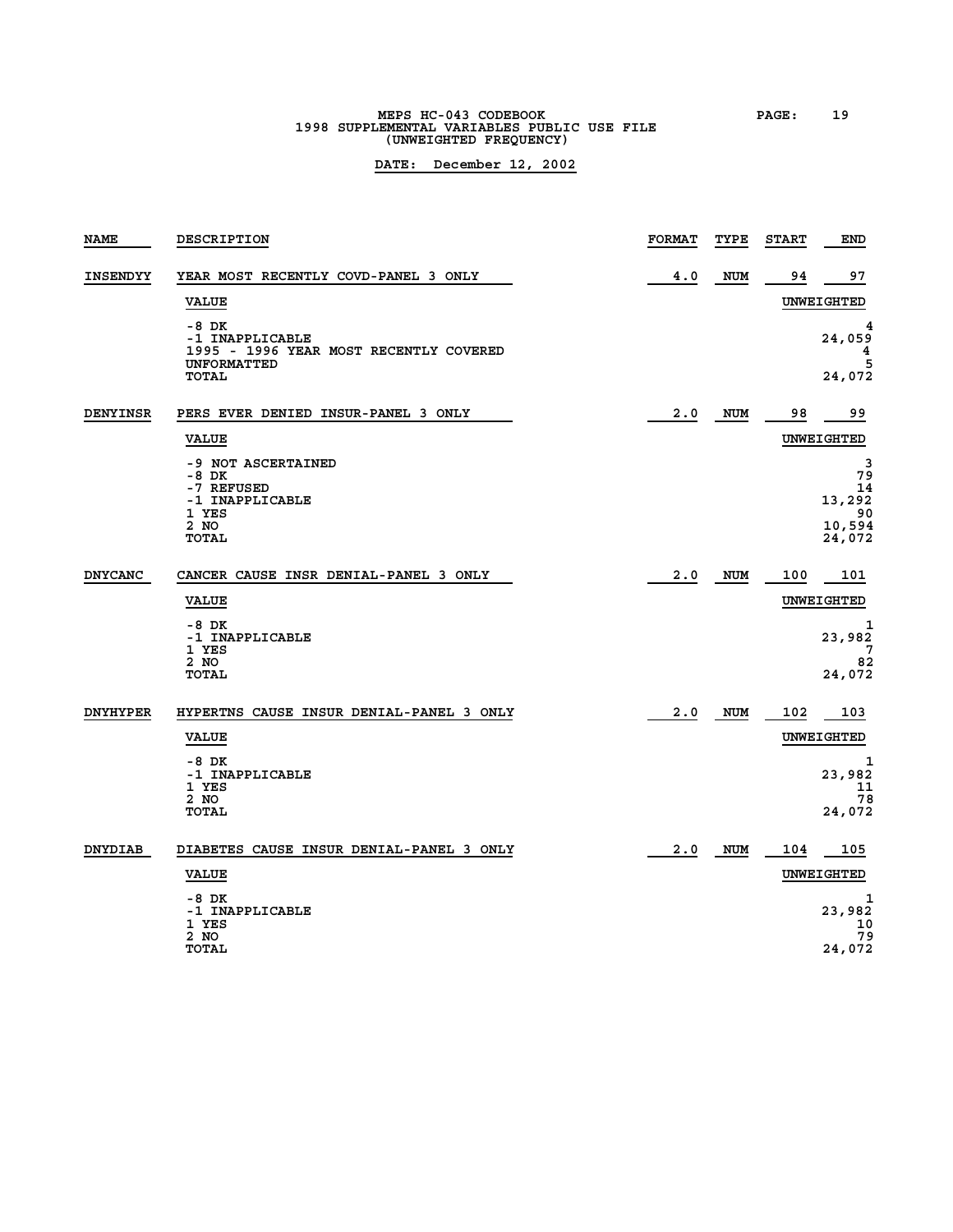# **MEPS HC-043 CODEBOOK PAGE: 19 1998 SUPPLEMENTAL VARIABLES PUBLIC USE FILE (UNWEIGHTED FREQUENCY)**

| <b>NAME</b>     | DESCRIPTION                                                                                       | <b>FORMAT</b> | TYPE       | <b>START</b> | END                                               |
|-----------------|---------------------------------------------------------------------------------------------------|---------------|------------|--------------|---------------------------------------------------|
| <b>INSENDYY</b> | YEAR MOST RECENTLY COVD-PANEL 3 ONLY                                                              | 4.0           | <b>NUM</b> | 94           | 97                                                |
|                 | <b>VALUE</b>                                                                                      |               |            |              | <b>UNWEIGHTED</b>                                 |
|                 | -8 DK<br>-1 INAPPLICABLE<br>1995 - 1996 YEAR MOST RECENTLY COVERED<br><b>UNFORMATTED</b><br>TOTAL |               |            |              | 24,059<br>4<br>5<br>24,072                        |
| <b>DENYINSR</b> | PERS EVER DENIED INSUR-PANEL 3 ONLY                                                               | 2.0           | <b>NUM</b> | 98           | 99                                                |
|                 | <b>VALUE</b>                                                                                      |               |            |              | <b>UNWEIGHTED</b>                                 |
|                 | -9 NOT ASCERTAINED<br>$-8$ DK<br>-7 REFUSED<br>-1 INAPPLICABLE<br>1 YES<br>2 NO<br><b>TOTAL</b>   |               |            |              | 3<br>79<br>14<br>13,292<br>90<br>10,594<br>24,072 |
| <b>DNYCANC</b>  | CANCER CAUSE INSR DENIAL-PANEL 3 ONLY                                                             | 2.0           | <b>NUM</b> | 100          | 101                                               |
|                 | <b>VALUE</b>                                                                                      |               |            |              | UNWEIGHTED                                        |
|                 | -8 DK<br>-1 INAPPLICABLE<br>1 YES<br>2 NO<br><b>TOTAL</b>                                         |               |            |              | 1<br>23,982<br>82<br>24,072                       |
| <b>DNYHYPER</b> | HYPERTNS CAUSE INSUR DENIAL-PANEL 3 ONLY<br><b>VALUE</b>                                          | 2.0           | <b>NUM</b> | 102          | 103<br>UNWEIGHTED                                 |
|                 | $-8$ DK<br>-1 INAPPLICABLE<br>1 YES<br>2 NO<br><b>TOTAL</b>                                       |               |            |              | 1<br>23,982<br>11<br>78<br>24,072                 |
| <b>DNYDIAB</b>  | DIABETES CAUSE INSUR DENIAL-PANEL 3 ONLY                                                          | 2.0           | <b>NUM</b> | 104          | 105                                               |
|                 | <b>VALUE</b>                                                                                      |               |            |              | UNWEIGHTED                                        |
|                 | -8 DK<br>-1 INAPPLICABLE<br>1 YES<br>2 NO                                                         |               |            |              | 1<br>23,982<br>10<br>79                           |
|                 | TOTAL                                                                                             |               |            |              | 24,072                                            |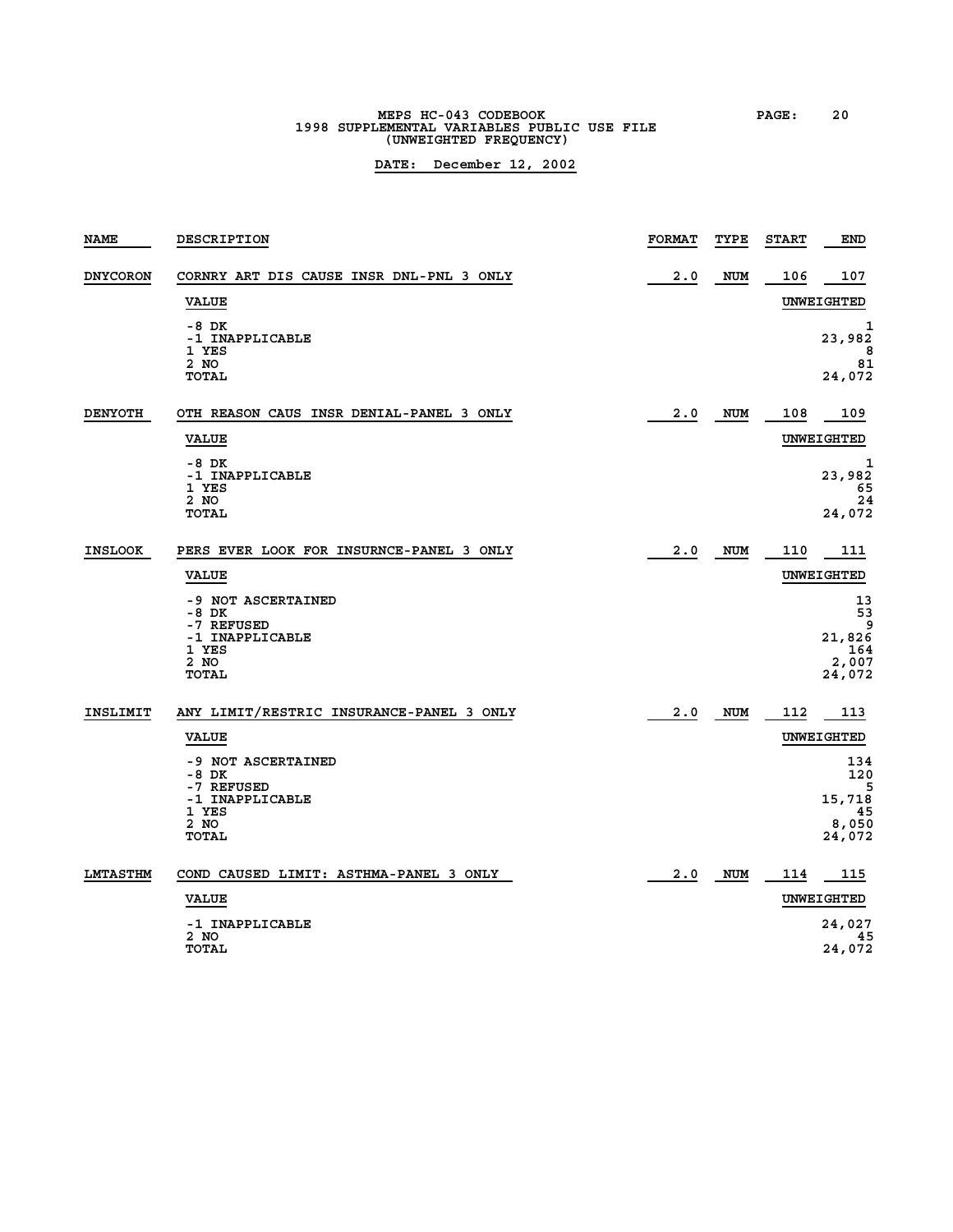# **MEPS HC-043 CODEBOOK PAGE: 20 1998 SUPPLEMENTAL VARIABLES PUBLIC USE FILE (UNWEIGHTED FREQUENCY)**

| <b>NAME</b>     | DESCRIPTION                                                                                                                                          | <b>FORMAT</b> | TYPE       | <b>START</b> | END                                                                     |
|-----------------|------------------------------------------------------------------------------------------------------------------------------------------------------|---------------|------------|--------------|-------------------------------------------------------------------------|
| <b>DNYCORON</b> | CORNRY ART DIS CAUSE INSR DNL-PNL 3 ONLY<br><b>VALUE</b>                                                                                             | 2.0           | <b>NUM</b> | 106          | 107<br>UNWEIGHTED                                                       |
|                 | $-8$ DK<br>-1 INAPPLICABLE<br>1 YES<br>2 NO<br>TOTAL                                                                                                 |               |            |              | 1<br>23,982<br>8<br>81<br>24,072                                        |
| <b>DENYOTH</b>  | OTH REASON CAUS INSR DENIAL-PANEL 3 ONLY<br><b>VALUE</b>                                                                                             | 2.0           | <b>NUM</b> | 108          | 109<br>UNWEIGHTED                                                       |
|                 | -8 DK<br>-1 INAPPLICABLE<br>1 YES<br>2 NO<br><b>TOTAL</b>                                                                                            |               |            |              | 1<br>23,982<br>65<br>24<br>24,072                                       |
| <b>INSLOOK</b>  | PERS EVER LOOK FOR INSURNCE-PANEL 3 ONLY<br><b>VALUE</b><br>-9 NOT ASCERTAINED<br>$-8$ DK<br>-7 REFUSED<br>-1 INAPPLICABLE<br>1 YES<br>2 NO<br>TOTAL | 2.0           | <b>NUM</b> | 110          | 111<br>UNWEIGHTED<br>13<br>53<br>9<br>21,826<br>164<br>2,007<br>24,072  |
| INSLIMIT        | ANY LIMIT/RESTRIC INSURANCE-PANEL 3 ONLY<br><b>VALUE</b><br>-9 NOT ASCERTAINED<br>-8 DK<br>-7 REFUSED<br>-1 INAPPLICABLE<br>1 YES<br>2 NO<br>TOTAL   | 2.0           | NUM        | 112          | 113<br>UNWEIGHTED<br>134<br>120<br>5<br>15,718<br>45<br>8,050<br>24,072 |
| <b>LMTASTHM</b> | COND CAUSED LIMIT: ASTHMA-PANEL 3 ONLY<br><b>VALUE</b><br>-1 INAPPLICABLE<br>2 NO<br>TOTAL                                                           | 2.0           | NUM        | 114          | 115<br>UNWEIGHTED<br>24,027<br>45<br>24,072                             |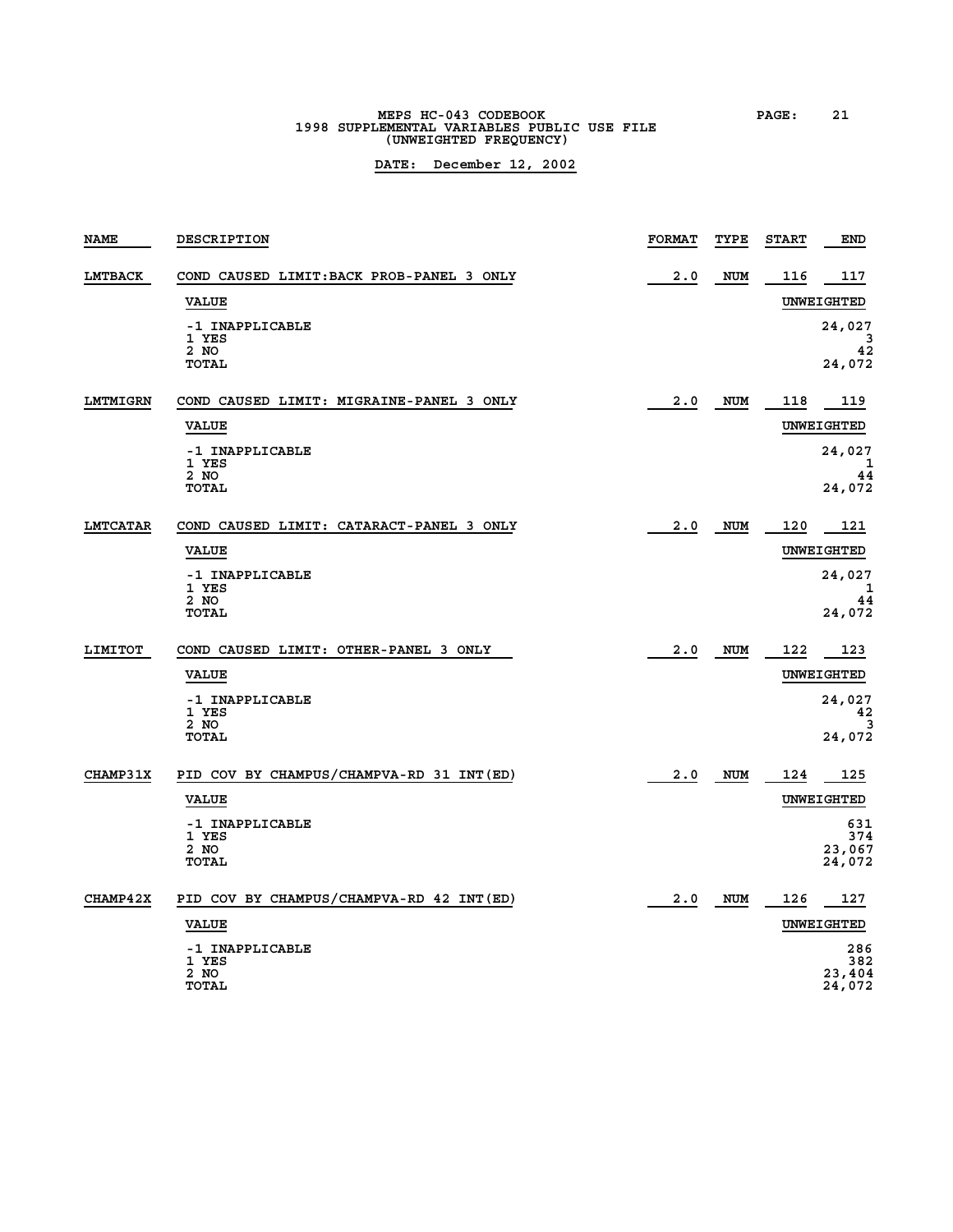# **MEPS HC-043 CODEBOOK PAGE: 21 1998 SUPPLEMENTAL VARIABLES PUBLIC USE FILE (UNWEIGHTED FREQUENCY)**

| <b>NAME</b>     | DESCRIPTION                               | <b>FORMAT</b> | TYPE       | <b>START</b> | END              |
|-----------------|-------------------------------------------|---------------|------------|--------------|------------------|
| LMTBACK         | COND CAUSED LIMIT: BACK PROB-PANEL 3 ONLY | 2.0           | <b>NUM</b> | 116          | 117              |
|                 | <b>VALUE</b>                              |               |            |              | UNWEIGHTED       |
|                 | -1 INAPPLICABLE<br>1 YES                  |               |            |              | 24,027<br>3      |
|                 | 2 NO<br>TOTAL                             |               |            |              | 42<br>24,072     |
|                 |                                           |               |            |              |                  |
| LMTMIGRN        | COND CAUSED LIMIT: MIGRAINE-PANEL 3 ONLY  | 2.0           | NUM        | 118          | 119              |
|                 | <b>VALUE</b>                              |               |            |              | UNWEIGHTED       |
|                 | -1 INAPPLICABLE<br>1 YES                  |               |            |              | 24,027<br>1      |
|                 | 2 NO<br><b>TOTAL</b>                      |               |            |              | 44<br>24,072     |
|                 |                                           |               |            |              |                  |
| <b>LMTCATAR</b> | COND CAUSED LIMIT: CATARACT-PANEL 3 ONLY  | 2.0           | NUM        | 120          | 121              |
|                 | <b>VALUE</b>                              |               |            |              | UNWEIGHTED       |
|                 | -1 INAPPLICABLE<br>1 YES                  |               |            |              | 24,027<br>1      |
|                 | 2 NO<br><b>TOTAL</b>                      |               |            |              | 44<br>24,072     |
|                 |                                           |               |            |              |                  |
| LIMITOT         | COND CAUSED LIMIT: OTHER-PANEL 3 ONLY     | 2.0           | <b>NUM</b> | 122          | 123              |
|                 | <b>VALUE</b>                              |               |            |              | UNWEIGHTED       |
|                 | -1 INAPPLICABLE<br>1 YES                  |               |            |              | 24,027<br>42     |
|                 | 2 NO<br><b>TOTAL</b>                      |               |            |              | 3<br>24,072      |
|                 |                                           |               |            |              |                  |
| <b>CHAMP31X</b> | PID COV BY CHAMPUS/CHAMPVA-RD 31 INT (ED) | 2.0           | <b>NUM</b> | 124          | 125              |
|                 | <b>VALUE</b>                              |               |            |              | UNWEIGHTED       |
|                 | -1 INAPPLICABLE<br>1 YES                  |               |            |              | 631<br>374       |
|                 | 2 NO<br><b>TOTAL</b>                      |               |            |              | 23,067<br>24,072 |
|                 |                                           |               |            |              |                  |
| <b>CHAMP42X</b> | PID COV BY CHAMPUS/CHAMPVA-RD 42 INT (ED) | 2.0           | <b>NUM</b> | 126          | 127              |
|                 | <b>VALUE</b>                              |               |            |              | UNWEIGHTED       |
|                 | -1 INAPPLICABLE<br>1 YES                  |               |            |              | 286<br>382       |
|                 | 2 NO<br>TOTAL                             |               |            |              | 23,404<br>24,072 |
|                 |                                           |               |            |              |                  |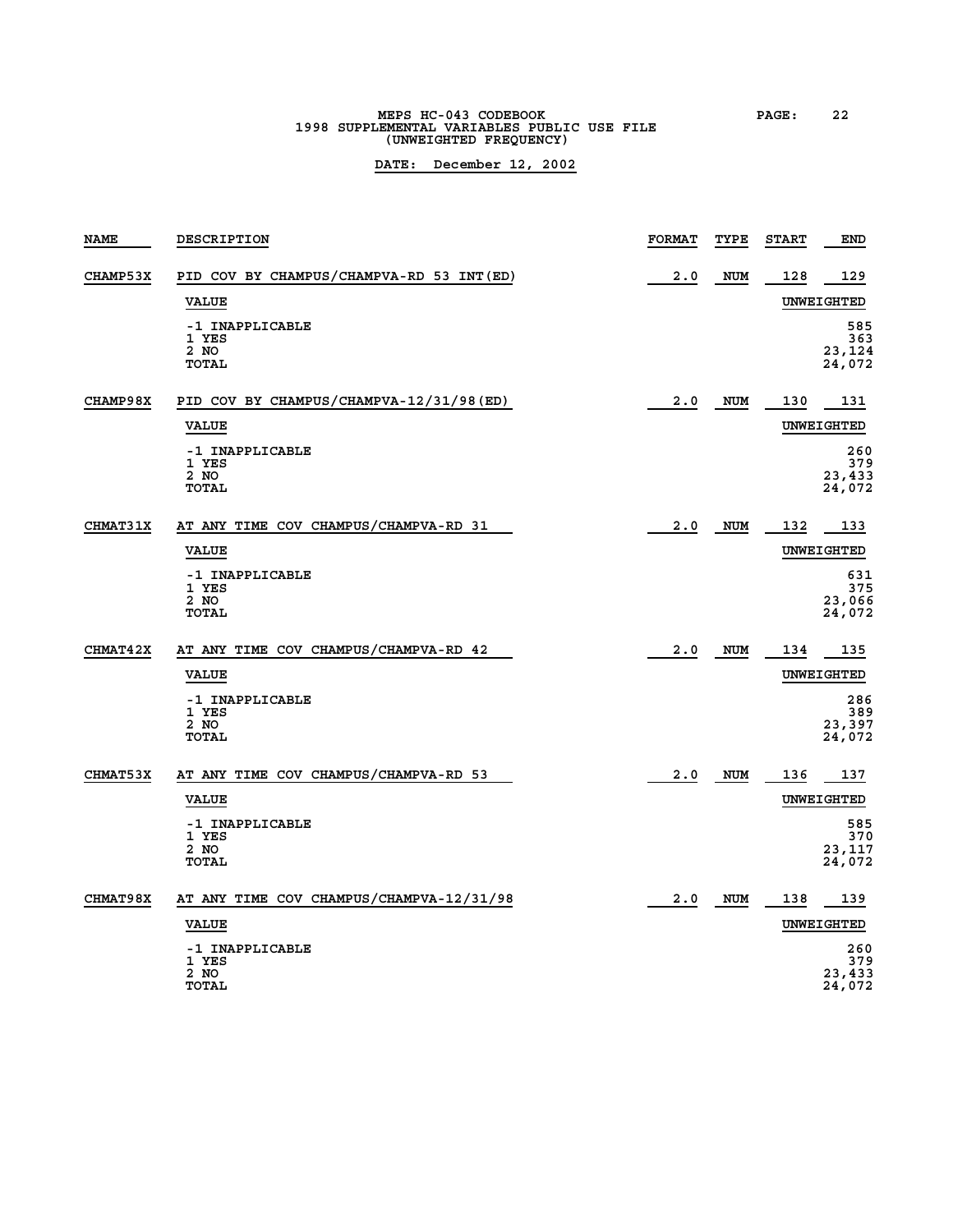# **MEPS HC-043 CODEBOOK PAGE: 22 1998 SUPPLEMENTAL VARIABLES PUBLIC USE FILE (UNWEIGHTED FREQUENCY)**

| <b>NAME</b>     | DESCRIPTION                                      | <b>FORMAT</b> | TYPE       | <b>START</b> | END                            |
|-----------------|--------------------------------------------------|---------------|------------|--------------|--------------------------------|
| CHAMP53X        | PID COV BY CHAMPUS/CHAMPVA-RD 53 INT (ED)        | 2.0           | <b>NUM</b> | 128          | 129                            |
|                 | <b>VALUE</b>                                     |               |            |              | UNWEIGHTED                     |
|                 | -1 INAPPLICABLE<br>1 YES<br>2 NO<br><b>TOTAL</b> |               |            |              | 585<br>363<br>23,124<br>24,072 |
| CHAMP98X        | PID COV BY CHAMPUS/CHAMPVA-12/31/98 (ED)         | 2.0           | NUM        | 130          | 131                            |
|                 | <b>VALUE</b>                                     |               |            |              | UNWEIGHTED                     |
|                 | -1 INAPPLICABLE<br>1 YES<br>2 NO<br><b>TOTAL</b> |               |            |              | 260<br>379<br>23,433<br>24,072 |
| <b>CHMAT31X</b> | AT ANY TIME COV CHAMPUS/CHAMPVA-RD 31            | 2.0           | <b>NUM</b> | 132          | 133                            |
|                 | <b>VALUE</b>                                     |               |            |              | UNWEIGHTED                     |
|                 | -1 INAPPLICABLE<br>1 YES<br>2 NO<br><b>TOTAL</b> |               |            |              | 631<br>375<br>23,066<br>24,072 |
| <b>CHMAT42X</b> | AT ANY TIME COV CHAMPUS/CHAMPVA-RD 42            | 2.0           | NUM        | 134          | 135                            |
|                 | <b>VALUE</b>                                     |               |            |              | UNWEIGHTED                     |
|                 | -1 INAPPLICABLE<br>1 YES<br>2 NO<br><b>TOTAL</b> |               |            |              | 286<br>389<br>23,397<br>24,072 |
| <b>CHMAT53X</b> | AT ANY TIME COV CHAMPUS/CHAMPVA-RD 53            | 2.0           | <b>NUM</b> | 136          | 137                            |
|                 | <b>VALUE</b>                                     |               |            |              | UNWEIGHTED                     |
|                 | -1 INAPPLICABLE<br>1 YES<br>2 NO<br><b>TOTAL</b> |               |            |              | 585<br>370<br>23,117<br>24,072 |
| <b>CHMAT98X</b> | AT ANY TIME COV CHAMPUS/CHAMPVA-12/31/98         | 2.0           | NUM        | 138          | 139                            |
|                 | <b>VALUE</b>                                     |               |            |              | UNWEIGHTED                     |
|                 | -1 INAPPLICABLE<br>1 YES<br>2 NO<br>TOTAL        |               |            |              | 260<br>379<br>23,433<br>24,072 |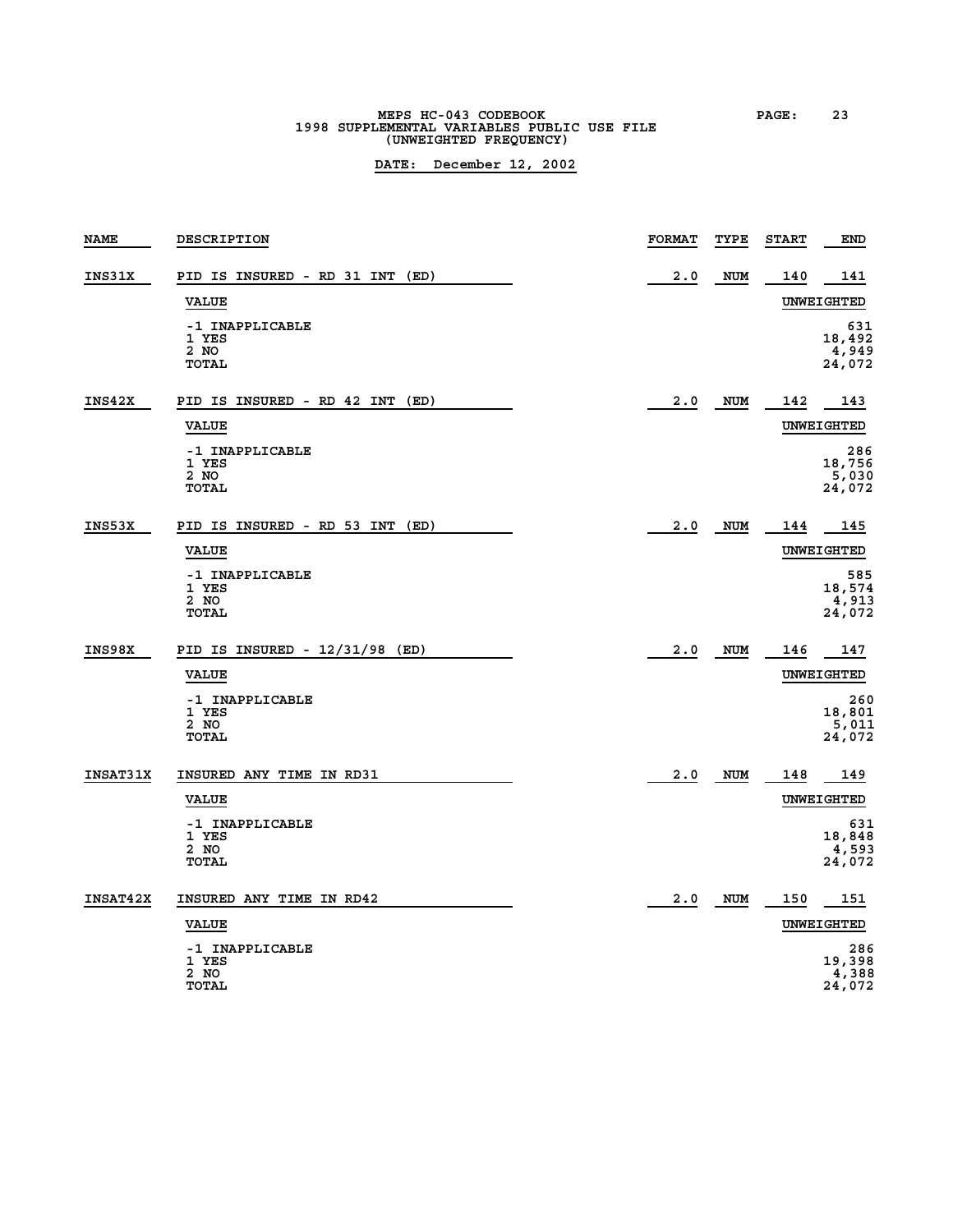# **MEPS HC-043 CODEBOOK PAGE: 23 1998 SUPPLEMENTAL VARIABLES PUBLIC USE FILE (UNWEIGHTED FREQUENCY)**

| <b>NAME</b>     | DESCRIPTION                                      | <b>FORMAT</b> | TYPE       | <b>START</b> | <b>END</b>                       |
|-----------------|--------------------------------------------------|---------------|------------|--------------|----------------------------------|
| INS31X          | PID IS INSURED - RD 31 INT<br>(ED)               | 2.0           | <b>NUM</b> | 140          | 141                              |
|                 | <b>VALUE</b>                                     |               |            |              | UNWEIGHTED                       |
|                 | -1 INAPPLICABLE<br>1 YES<br>2 NO<br>TOTAL        |               |            |              | 631<br>18,492<br>4,949<br>24,072 |
| INS42X          | PID IS INSURED - RD 42 INT<br>(ED)               | 2.0           | <b>NUM</b> | 142          | 143                              |
|                 | <b>VALUE</b>                                     |               |            |              | UNWEIGHTED                       |
|                 | -1 INAPPLICABLE<br>1 YES<br>2 NO<br>TOTAL        |               |            |              | 286<br>18,756<br>5,030<br>24,072 |
| INS53X          | PID IS INSURED - RD 53 INT<br>(ED)               | 2.0           | <b>NUM</b> | 144          | 145                              |
|                 | <b>VALUE</b>                                     |               |            |              | UNWEIGHTED                       |
|                 | -1 INAPPLICABLE<br>1 YES<br>2 NO<br><b>TOTAL</b> |               |            |              | 585<br>18,574<br>4,913<br>24,072 |
| INS98X          | PID IS INSURED - $12/31/98$ (ED)                 | 2.0           | <b>NUM</b> | 146          | 147                              |
|                 | <b>VALUE</b>                                     |               |            |              | UNWEIGHTED                       |
|                 | -1 INAPPLICABLE<br>1 YES<br>2 NO<br><b>TOTAL</b> |               |            |              | 260<br>18,801<br>5,011<br>24,072 |
| <b>INSAT31X</b> | INSURED ANY TIME IN RD31                         | 2.0           | <b>NUM</b> | 148          | 149                              |
|                 | <b>VALUE</b>                                     |               |            |              | UNWEIGHTED                       |
|                 | -1 INAPPLICABLE<br>1 YES<br>2 NO<br><b>TOTAL</b> |               |            |              | 631<br>18,848<br>4,593<br>24,072 |
| <b>INSAT42X</b> | INSURED ANY TIME IN RD42                         | 2.0           | <b>NUM</b> | 150          | 151                              |
|                 | <b>VALUE</b>                                     |               |            |              | UNWEIGHTED                       |
|                 | -1 INAPPLICABLE<br>1 YES<br>2 NO<br><b>TOTAL</b> |               |            |              | 286<br>19,398<br>4,388<br>24,072 |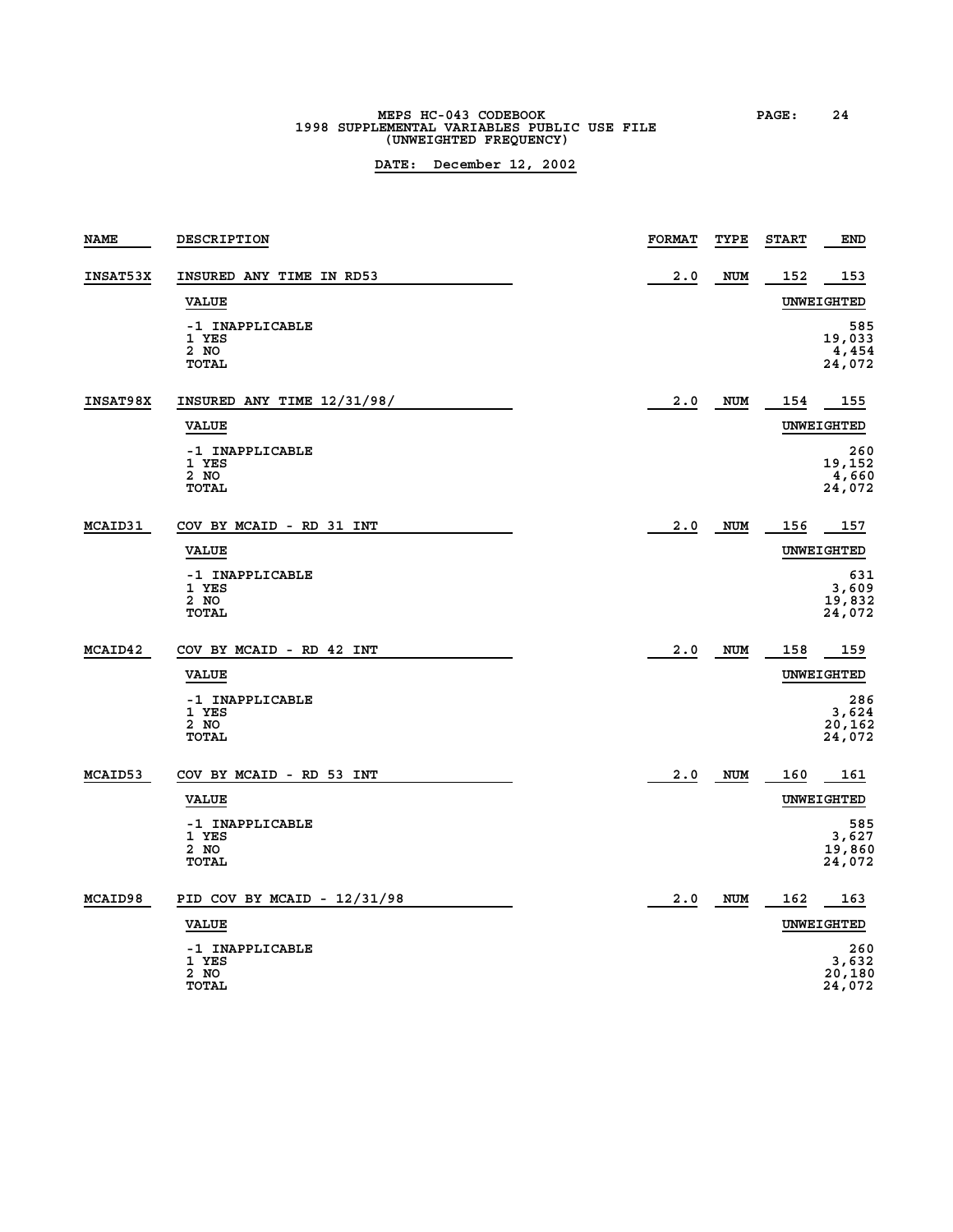# **MEPS HC-043 CODEBOOK PAGE: 24 1998 SUPPLEMENTAL VARIABLES PUBLIC USE FILE (UNWEIGHTED FREQUENCY)**

| <b>NAME</b>     | DESCRIPTION                                      | <b>FORMAT</b> | TYPE       | <b>START</b> | <b>END</b>                       |
|-----------------|--------------------------------------------------|---------------|------------|--------------|----------------------------------|
| <b>INSAT53X</b> | INSURED ANY TIME IN RD53                         | 2.0           | <b>NUM</b> | 152          | 153                              |
|                 | <b>VALUE</b>                                     |               |            |              | UNWEIGHTED                       |
|                 | -1 INAPPLICABLE<br>1 YES<br>2 NO<br><b>TOTAL</b> |               |            |              | 585<br>19,033<br>4,454<br>24,072 |
| INSAT98X        | INSURED ANY TIME 12/31/98/                       | 2.0           | NUM        | 154          | 155                              |
|                 | <b>VALUE</b>                                     |               |            |              | UNWEIGHTED                       |
|                 | -1 INAPPLICABLE<br>1 YES<br>2 NO<br><b>TOTAL</b> |               |            |              | 260<br>19,152<br>4,660<br>24,072 |
| <b>MCAID31</b>  | COV BY MCAID - RD 31 INT                         | 2.0           | <b>NUM</b> | 156          | 157                              |
|                 | <b>VALUE</b>                                     |               |            |              | UNWEIGHTED                       |
|                 | -1 INAPPLICABLE<br>1 YES<br>2 NO<br><b>TOTAL</b> |               |            |              | 631<br>3,609<br>19,832<br>24,072 |
| MCAID42         | COV BY MCAID - RD 42 INT                         | 2.0           | <b>NUM</b> | 158          | 159                              |
|                 | <b>VALUE</b>                                     |               |            |              | UNWEIGHTED                       |
|                 | -1 INAPPLICABLE<br>1 YES<br>2 NO<br><b>TOTAL</b> |               |            |              | 286<br>3,624<br>20,162<br>24,072 |
| <b>MCAID53</b>  | COV BY MCAID - RD 53 INT                         | 2.0           | <b>NUM</b> | 160          | 161                              |
|                 | <b>VALUE</b>                                     |               |            |              | UNWEIGHTED                       |
|                 | -1 INAPPLICABLE<br>1 YES<br>2 NO<br><b>TOTAL</b> |               |            |              | 585<br>3,627<br>19,860<br>24,072 |
| MCAID98         | PID COV BY MCAID - 12/31/98                      | 2.0           | NUM        | 162          | 163                              |
|                 | <b>VALUE</b>                                     |               |            |              | UNWEIGHTED                       |
|                 | -1 INAPPLICABLE<br>1 YES<br>2 NO<br><b>TOTAL</b> |               |            |              | 260<br>3,632<br>20,180<br>24,072 |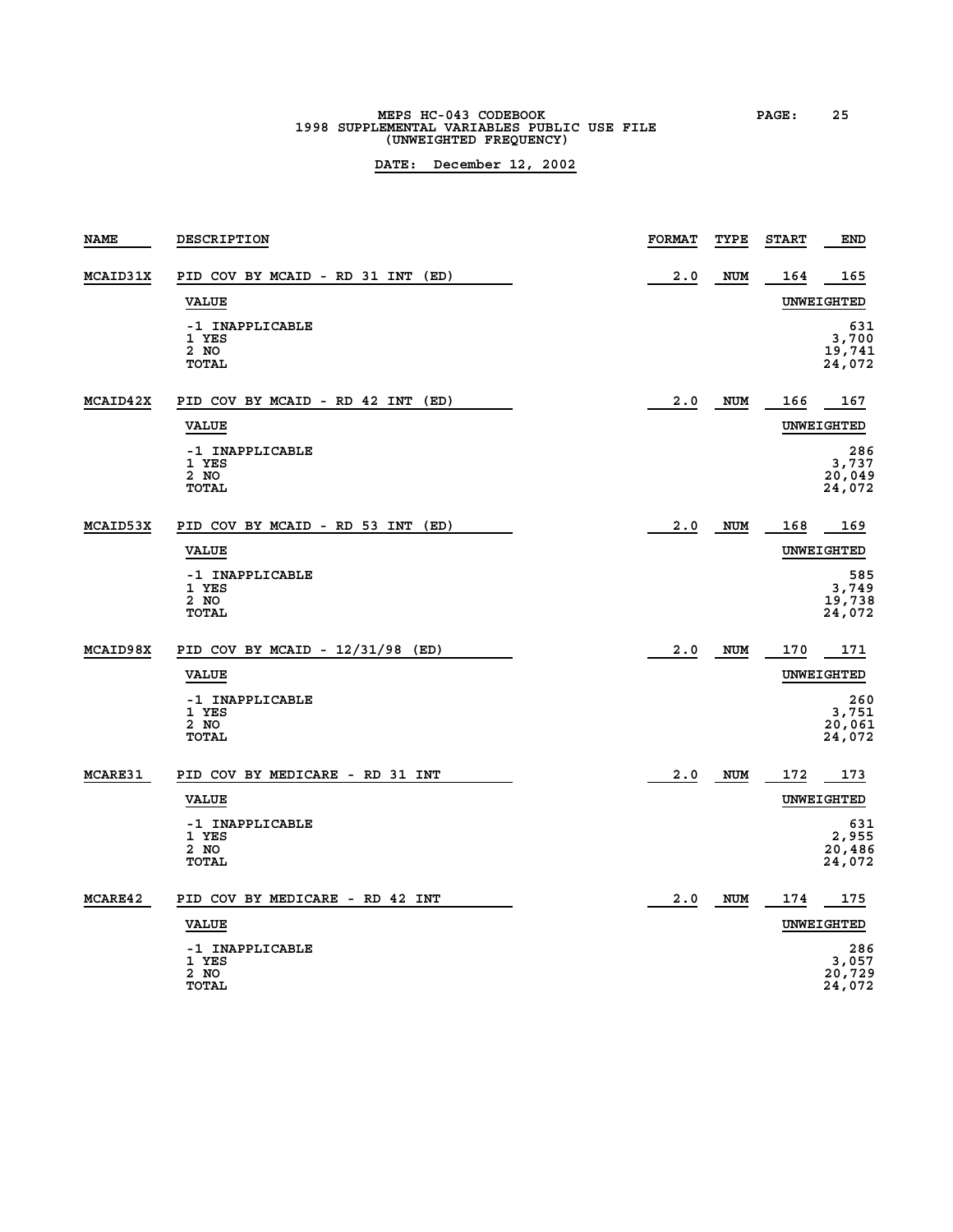# **MEPS HC-043 CODEBOOK PAGE: 25 1998 SUPPLEMENTAL VARIABLES PUBLIC USE FILE (UNWEIGHTED FREQUENCY)**

| <b>NAME</b>     | DESCRIPTION                                      | <b>FORMAT</b> | TYPE       | <b>START</b> | <b>END</b>                       |
|-----------------|--------------------------------------------------|---------------|------------|--------------|----------------------------------|
| <b>MCAID31X</b> | PID COV BY MCAID - RD 31 INT<br>(ED)             | 2.0           | <b>NUM</b> | 164          | 165                              |
|                 | <b>VALUE</b>                                     |               |            |              | UNWEIGHTED                       |
|                 | -1 INAPPLICABLE<br>1 YES<br>2 NO<br><b>TOTAL</b> |               |            |              | 631<br>3,700<br>19,741<br>24,072 |
| MCAID42X        | PID COV BY MCAID - RD 42 INT<br>(ED)             | 2.0           | <b>NUM</b> | 166          | 167                              |
|                 | <b>VALUE</b>                                     |               |            |              | UNWEIGHTED                       |
|                 | -1 INAPPLICABLE<br>1 YES<br>2 NO<br><b>TOTAL</b> |               |            |              | 286<br>3,737<br>20,049<br>24,072 |
| <b>MCAID53X</b> | PID COV BY MCAID - RD 53 INT<br>(ED)             | 2.0           | NUM        | 168          | 169                              |
|                 | <b>VALUE</b>                                     |               |            |              | UNWEIGHTED                       |
|                 | -1 INAPPLICABLE<br>1 YES<br>2 NO<br>TOTAL        |               |            |              | 585<br>3,749<br>19,738<br>24,072 |
| MCAID98X        | PID COV BY MCAID - 12/31/98 (ED)                 | 2.0           | <b>NUM</b> | 170          | 171                              |
|                 | <b>VALUE</b>                                     |               |            |              | UNWEIGHTED                       |
|                 | -1 INAPPLICABLE<br>1 YES<br>2 NO<br><b>TOTAL</b> |               |            |              | 260<br>3,751<br>20,061<br>24,072 |
| <b>MCARE31</b>  | PID COV BY MEDICARE - RD 31 INT                  | 2.0           | <b>NUM</b> | 172          | 173                              |
|                 | <b>VALUE</b>                                     |               |            |              | UNWEIGHTED                       |
|                 | -1 INAPPLICABLE<br>1 YES<br>2 NO<br><b>TOTAL</b> |               |            |              | 631<br>2,955<br>20,486<br>24,072 |
| MCARE42         | PID COV BY MEDICARE - RD 42 INT                  | 2.0           | NUM        | 174          | 175                              |
|                 | <b>VALUE</b>                                     |               |            |              | UNWEIGHTED                       |
|                 | -1 INAPPLICABLE<br>1 YES<br>2 NO<br>TOTAL        |               |            |              | 286<br>3,057<br>20,729<br>24,072 |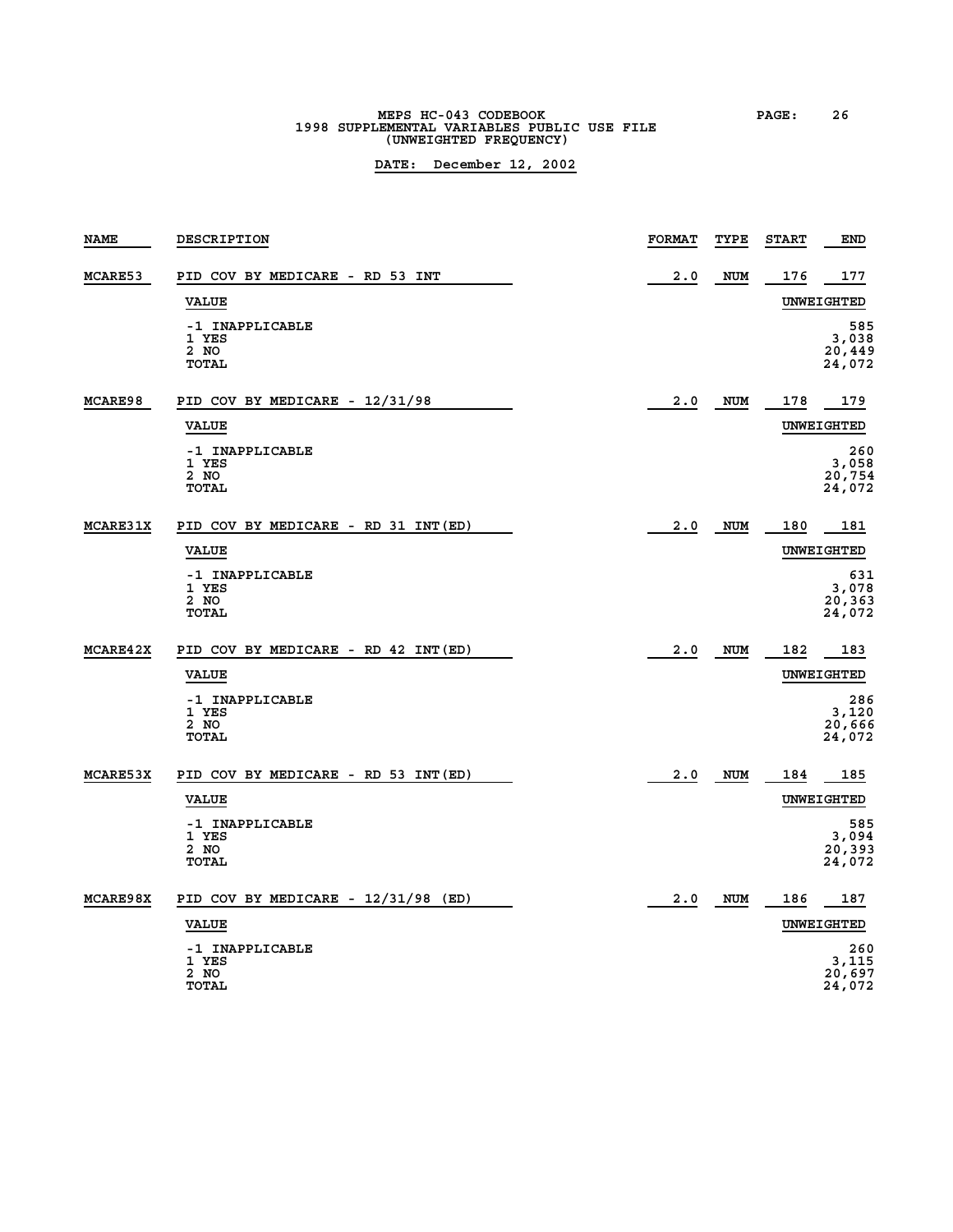# **MEPS HC-043 CODEBOOK PAGE: 26**<br> **1998 SUPPLEMENTAL VARIABLES PUBLIC USE FILE (UNWEIGHTED FREQUENCY)**

| <b>NAME</b>     | DESCRIPTION                                      | <b>FORMAT</b> | TYPE       | <b>START</b> | <b>END</b>                       |
|-----------------|--------------------------------------------------|---------------|------------|--------------|----------------------------------|
| MCARE53         | PID COV BY MEDICARE - RD 53 INT                  | 2.0           | <b>NUM</b> | 176          | 177                              |
|                 | <b>VALUE</b>                                     |               |            |              | UNWEIGHTED                       |
|                 | -1 INAPPLICABLE<br>1 YES<br>2 NO<br><b>TOTAL</b> |               |            |              | 585<br>3,038<br>20,449<br>24,072 |
| <b>MCARE98</b>  | PID COV BY MEDICARE - 12/31/98                   | 2.0           | <b>NUM</b> | 178          | 179                              |
|                 | <b>VALUE</b>                                     |               |            |              | UNWEIGHTED                       |
|                 | -1 INAPPLICABLE<br>1 YES<br>2 NO<br><b>TOTAL</b> |               |            |              | 260<br>3,058<br>20,754<br>24,072 |
| <b>MCARE31X</b> | PID COV BY MEDICARE - RD 31 INT (ED)             | 2.0           | <b>NUM</b> | 180          | 181                              |
|                 | <b>VALUE</b>                                     |               |            |              | UNWEIGHTED                       |
|                 | -1 INAPPLICABLE<br>1 YES<br>2 NO<br><b>TOTAL</b> |               |            |              | 631<br>3,078<br>20,363<br>24,072 |
| <b>MCARE42X</b> | PID COV BY MEDICARE - RD 42 INT (ED)             | 2.0           | <b>NUM</b> | 182          | 183                              |
|                 | <b>VALUE</b>                                     |               |            |              | <b>UNWEIGHTED</b>                |
|                 | -1 INAPPLICABLE<br>1 YES<br>2 NO<br><b>TOTAL</b> |               |            |              | 286<br>3,120<br>20,666<br>24,072 |
| <b>MCARE53X</b> | PID COV BY MEDICARE - RD 53 INT (ED)             | 2.0           | <b>NUM</b> | 184          | 185                              |
|                 | <b>VALUE</b>                                     |               |            |              | UNWEIGHTED                       |
|                 | -1 INAPPLICABLE<br>1 YES<br>2 NO<br><b>TOTAL</b> |               |            |              | 585<br>3,094<br>20,393<br>24,072 |
| MCARE98X        | PID COV BY MEDICARE - 12/31/98 (ED)              | 2.0           | <b>NUM</b> | 186          | 187                              |
|                 | <b>VALUE</b>                                     |               |            |              | UNWEIGHTED                       |
|                 | -1 INAPPLICABLE<br>1 YES<br>2 NO<br><b>TOTAL</b> |               |            |              | 260<br>3,115<br>20,697<br>24,072 |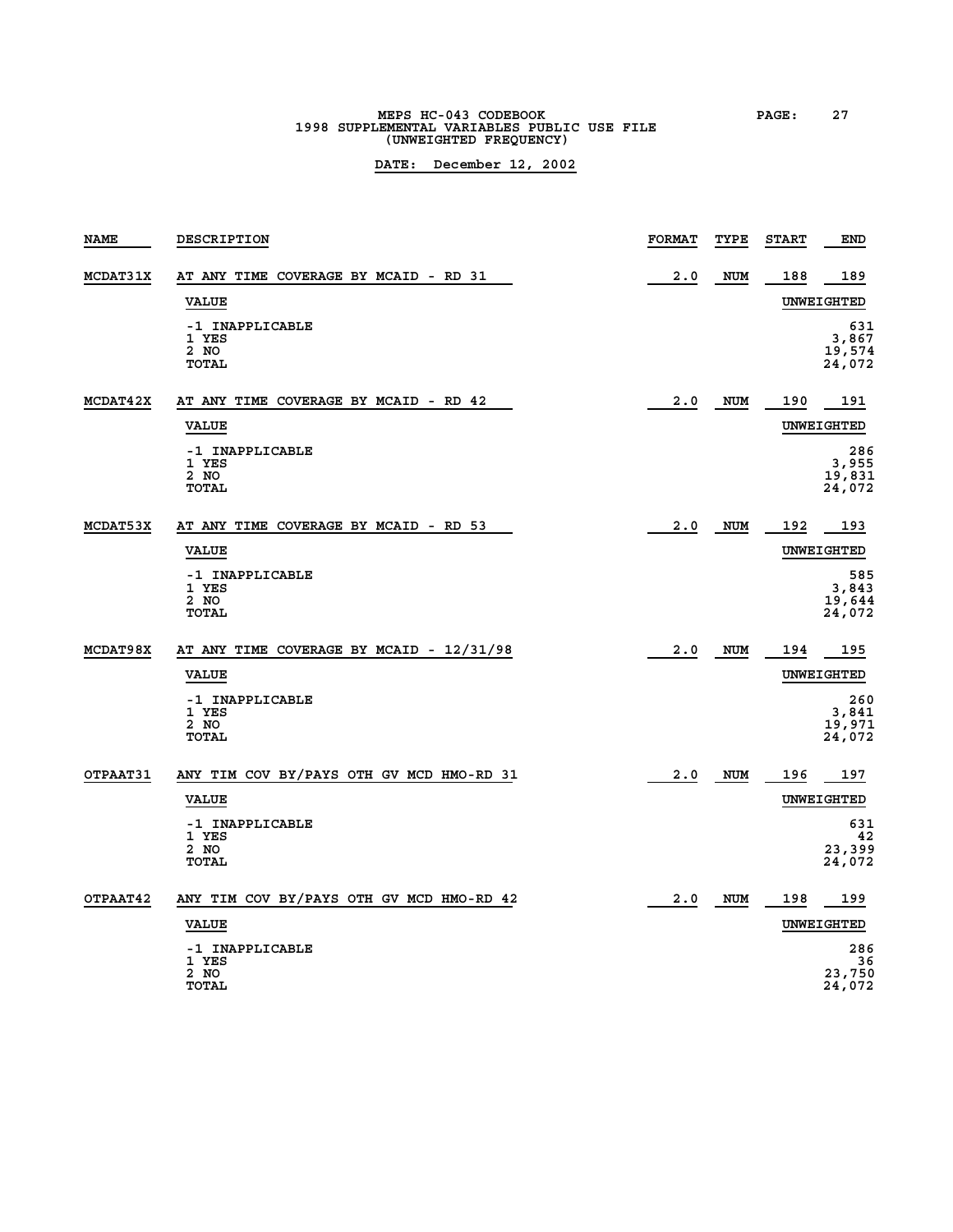# **MEPS HC-043 CODEBOOK PAGE: 27 1998 SUPPLEMENTAL VARIABLES PUBLIC USE FILE (UNWEIGHTED FREQUENCY)**

| <b>NAME</b>     | DESCRIPTION                                           | <b>FORMAT</b> | TYPE       | <b>START</b> | <b>END</b>                       |
|-----------------|-------------------------------------------------------|---------------|------------|--------------|----------------------------------|
| <b>MCDAT31X</b> | AT ANY TIME COVERAGE BY MCAID - RD 31                 | 2.0           | <b>NUM</b> | 188          | 189                              |
|                 | <b>VALUE</b>                                          |               |            |              | UNWEIGHTED                       |
|                 | -1 INAPPLICABLE<br>1 YES<br>2 NO<br><b>TOTAL</b>      |               |            |              | 631<br>3,867<br>19,574<br>24,072 |
| MCDAT42X        | AT ANY TIME COVERAGE BY MCAID - RD 42<br><b>VALUE</b> | 2.0           | <b>NUM</b> | 190          | 191<br><b>UNWEIGHTED</b>         |
|                 | -1 INAPPLICABLE<br>1 YES<br>2 NO<br><b>TOTAL</b>      |               |            |              | 286<br>3,955<br>19,831<br>24,072 |
| MCDAT53X        | AT ANY TIME COVERAGE BY MCAID - RD 53                 | 2.0           | <b>NUM</b> | 192          | 193                              |
|                 | <b>VALUE</b>                                          |               |            |              | UNWEIGHTED                       |
|                 | -1 INAPPLICABLE<br>1 YES<br>2 NO<br><b>TOTAL</b>      |               |            |              | 585<br>3,843<br>19,644<br>24,072 |
| <b>MCDAT98X</b> | AT ANY TIME COVERAGE BY MCAID - 12/31/98              | 2.0           | NUM        | 194          | 195                              |
|                 | <b>VALUE</b>                                          |               |            |              | UNWEIGHTED                       |
|                 | -1 INAPPLICABLE<br>1 YES<br>2 NO<br><b>TOTAL</b>      |               |            |              | 260<br>3,841<br>19,971<br>24,072 |
| OTPAAT31        | ANY TIM COV BY/PAYS OTH GV MCD HMO-RD 31              | 2.0           | NUM        | 196          | 197                              |
|                 | <b>VALUE</b>                                          |               |            |              | UNWEIGHTED                       |
|                 | -1 INAPPLICABLE<br>1 YES                              |               |            |              | 631<br>42                        |
|                 | 2 NO<br><b>TOTAL</b>                                  |               |            |              | 23,399<br>24,072                 |
| OTPAAT42        | ANY TIM COV BY/PAYS OTH GV MCD HMO-RD 42              | 2.0           | <b>NUM</b> | 198          | 199                              |
|                 | <b>VALUE</b>                                          |               |            |              | UNWEIGHTED                       |
|                 | -1 INAPPLICABLE<br>1 YES                              |               |            |              | 286<br>36                        |
|                 | 2 NO<br><b>TOTAL</b>                                  |               |            |              | 23,750<br>24,072                 |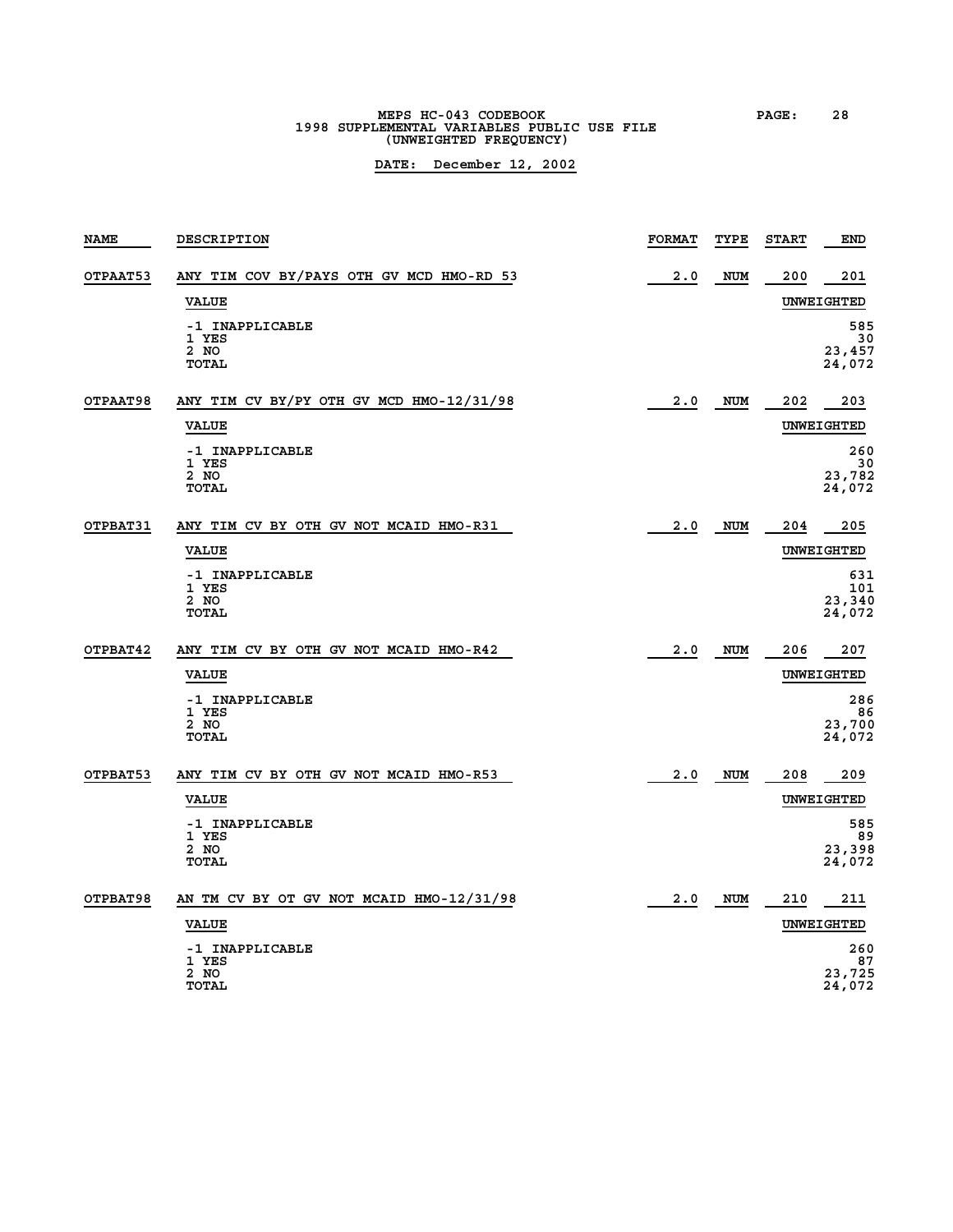# **MEPS HC-043 CODEBOOK PAGE: 28 1998 SUPPLEMENTAL VARIABLES PUBLIC USE FILE (UNWEIGHTED FREQUENCY)**

| <b>NAME</b>     | DESCRIPTION                                              | <b>FORMAT</b> | TYPE       | <b>START</b> | <b>END</b>                     |
|-----------------|----------------------------------------------------------|---------------|------------|--------------|--------------------------------|
| <b>OTPAAT53</b> | ANY TIM COV BY/PAYS OTH GV MCD HMO-RD 53                 | 2.0           | NUM        | 200          | 201                            |
|                 | <b>VALUE</b>                                             |               |            |              | UNWEIGHTED                     |
|                 | -1 INAPPLICABLE<br>1 YES<br>2 NO<br>TOTAL                |               |            |              | 585<br>30<br>23,457<br>24,072  |
| <b>OTPAAT98</b> | ANY TIM CV BY/PY OTH GV MCD HMO-12/31/98<br><b>VALUE</b> | 2.0           | <b>NUM</b> | 202          | 203<br><b>UNWEIGHTED</b>       |
|                 | -1 INAPPLICABLE<br>1 YES<br>2 NO<br>TOTAL                |               |            |              | 260<br>30<br>23,782<br>24,072  |
| <b>OTPBAT31</b> | ANY TIM CV BY OTH GV NOT MCAID HMO-R31<br><b>VALUE</b>   | 2.0           | NUM        | 204          | 205<br>UNWEIGHTED              |
|                 | -1 INAPPLICABLE<br>1 YES<br>2 NO<br>TOTAL                |               |            |              | 631<br>101<br>23,340<br>24,072 |
| OTPBAT42        | ANY TIM CV BY OTH GV NOT MCAID HMO-R42                   | 2.0           | <b>NUM</b> | 206          | 207                            |
|                 | <b>VALUE</b>                                             |               |            |              | UNWEIGHTED                     |
|                 | -1 INAPPLICABLE<br>1 YES<br>2 NO<br>TOTAL                |               |            |              | 286<br>86<br>23,700<br>24,072  |
| OTPBAT53        | ANY TIM CV BY OTH GV NOT MCAID HMO-R53                   | 2.0           | NUM        | 208          | 209                            |
|                 | <b>VALUE</b>                                             |               |            |              | UNWEIGHTED                     |
|                 | -1 INAPPLICABLE<br>1 YES<br>2 NO<br><b>TOTAL</b>         |               |            |              | 585<br>89<br>23,398<br>24,072  |
| OTPBAT98        | AN TM CV BY OT GV NOT MCAID HMO-12/31/98                 | 2.0           | NUM        | 210          | 211                            |
|                 | <b>VALUE</b>                                             |               |            |              | UNWEIGHTED                     |
|                 | -1 INAPPLICABLE<br>1 YES<br>2 NO<br>TOTAL                |               |            |              | 260<br>87<br>23,725<br>24,072  |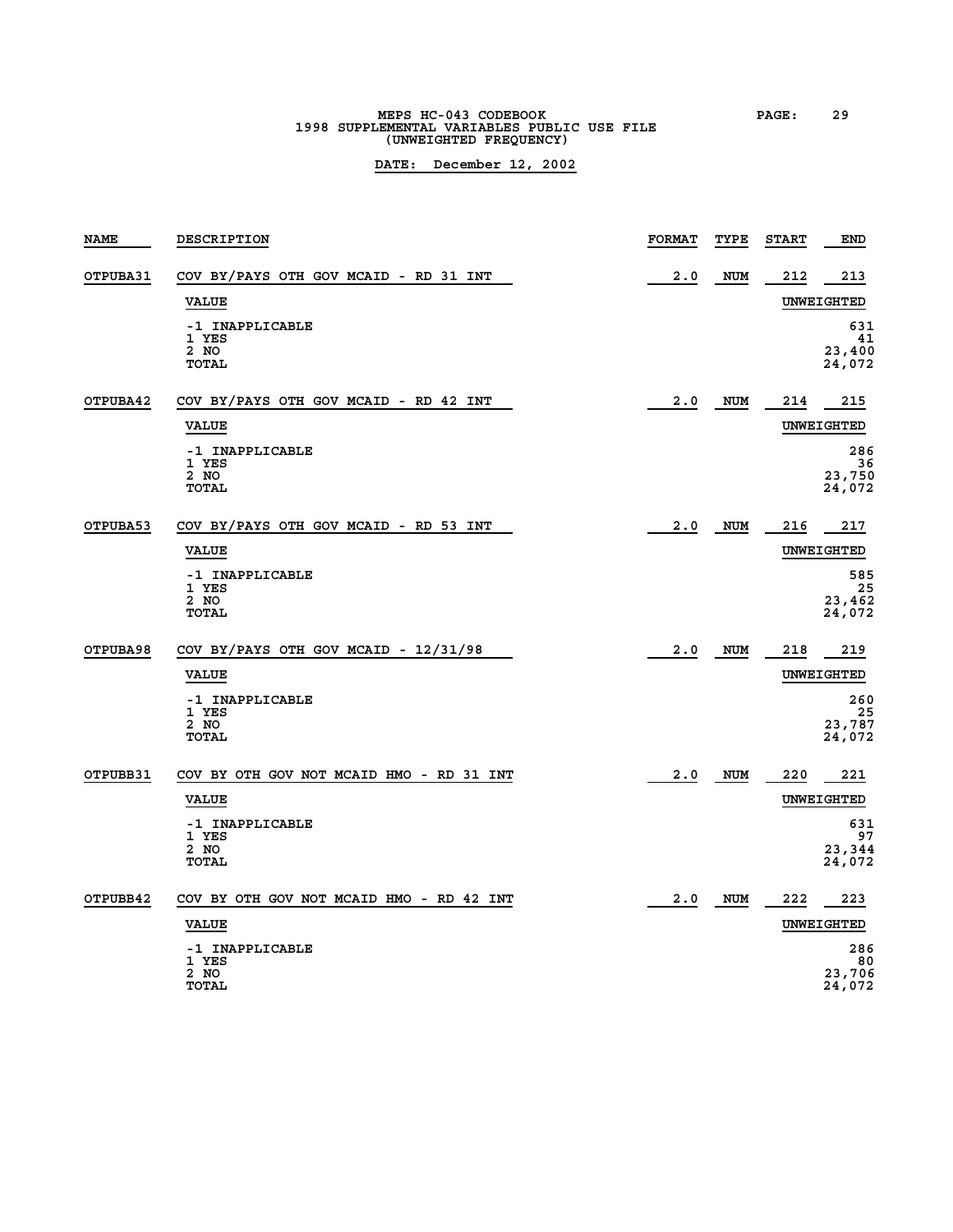# **MEPS HC-043 CODEBOOK PAGE: 29 1998 SUPPLEMENTAL VARIABLES PUBLIC USE FILE (UNWEIGHTED FREQUENCY)**

| <b>NAME</b> | DESCRIPTION                                                                               | <b>FORMAT</b> | TYPE       | <b>START</b> | <b>END</b>                                      |
|-------------|-------------------------------------------------------------------------------------------|---------------|------------|--------------|-------------------------------------------------|
| OTPUBA31    | COV BY/PAYS OTH GOV MCAID - RD 31 INT                                                     | 2.0           | <b>NUM</b> | 212          | 213                                             |
|             | <b>VALUE</b>                                                                              |               |            |              | UNWEIGHTED                                      |
|             | -1 INAPPLICABLE<br>1 YES<br>2 NO<br><b>TOTAL</b>                                          |               |            |              | 631<br>41<br>23,400<br>24,072                   |
| OTPUBA42    | COV BY/PAYS OTH GOV MCAID - RD 42 INT<br><b>VALUE</b><br>-1 INAPPLICABLE<br>1 YES<br>2 NO | 2.0           | <b>NUM</b> | 214          | 215<br><b>UNWEIGHTED</b><br>286<br>36<br>23,750 |
|             | <b>TOTAL</b>                                                                              |               |            |              | 24,072                                          |
| OTPUBA53    | COV BY/PAYS OTH GOV MCAID - RD 53 INT<br><b>VALUE</b>                                     | 2.0           | <b>NUM</b> | 216          | 217<br>UNWEIGHTED                               |
|             | -1 INAPPLICABLE<br>1 YES<br>2 NO<br><b>TOTAL</b>                                          |               |            |              | 585<br>25<br>23,462<br>24,072                   |
| OTPUBA98    | COV BY/PAYS OTH GOV MCAID - 12/31/98                                                      | 2.0           | <b>NUM</b> | 218          | 219                                             |
|             | <b>VALUE</b>                                                                              |               |            |              | UNWEIGHTED                                      |
|             | -1 INAPPLICABLE<br>1 YES<br>2 NO<br><b>TOTAL</b>                                          |               |            |              | 260<br>25<br>23,787<br>24,072                   |
| OTPUBB31    | COV BY OTH GOV NOT MCAID HMO - RD 31 INT                                                  | 2.0           | NUM        | 220          | 221                                             |
|             | <b>VALUE</b>                                                                              |               |            |              | UNWEIGHTED                                      |
|             | -1 INAPPLICABLE<br>1 YES<br>2 NO<br><b>TOTAL</b>                                          |               |            |              | 631<br>97<br>23,344<br>24,072                   |
| OTPUBB42    | COV BY OTH GOV NOT MCAID HMO - RD 42 INT<br><b>VALUE</b>                                  | 2.0           | <b>NUM</b> | 222          | 223<br>UNWEIGHTED                               |
|             | -1 INAPPLICABLE<br>1 YES<br>2 NO<br><b>TOTAL</b>                                          |               |            |              | 286<br>80<br>23,706<br>24,072                   |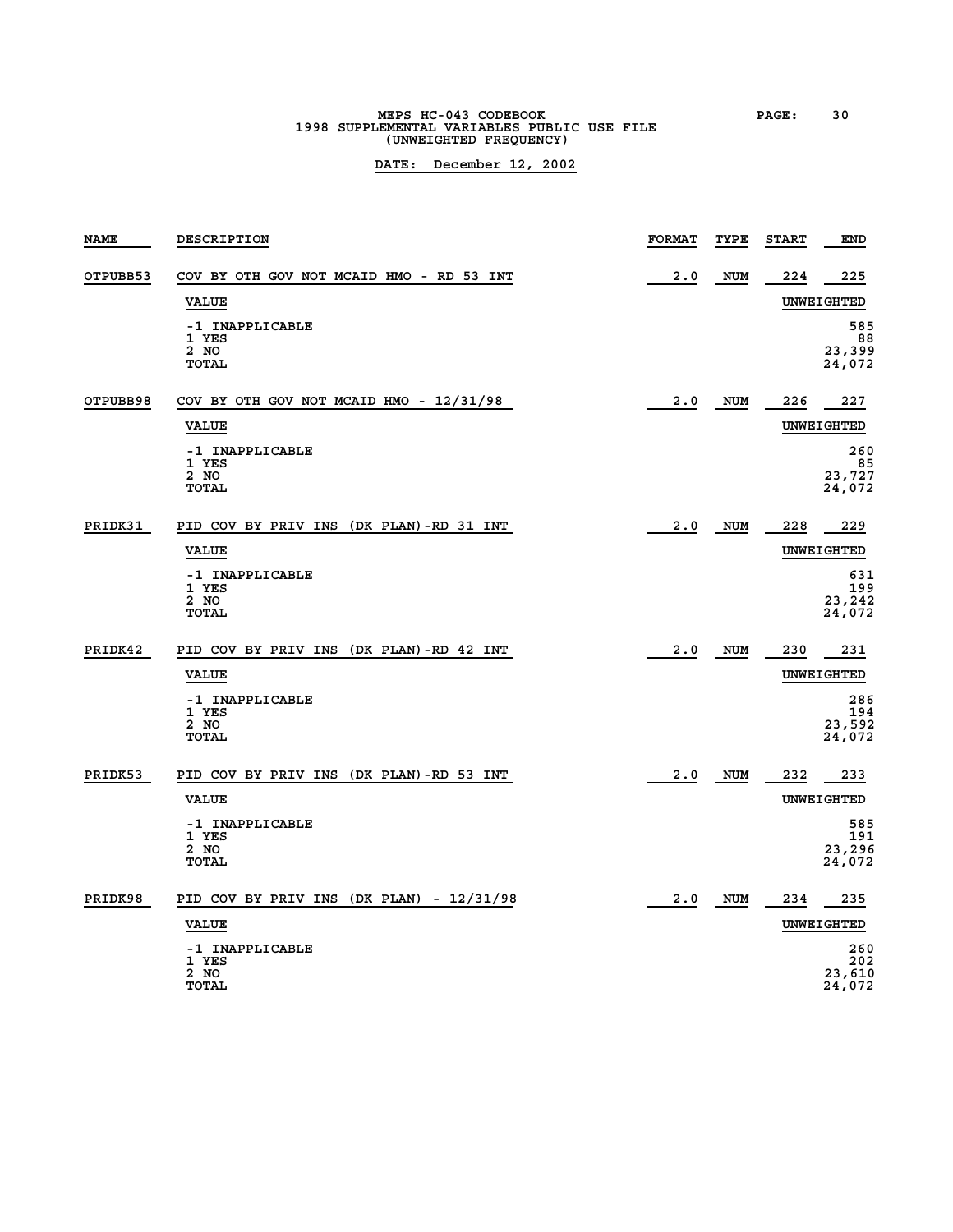**MEPS HC-043 CODEBOOK PAGE: 30 1998 SUPPLEMENTAL VARIABLES PUBLIC USE FILE (UNWEIGHTED FREQUENCY)**

| <b>NAME</b> | <b>DESCRIPTION</b>                               | <b>FORMAT</b> | TYPE       | <b>START</b> | <b>END</b>                     |
|-------------|--------------------------------------------------|---------------|------------|--------------|--------------------------------|
| OTPUBB53    | COV BY OTH GOV NOT MCAID HMO - RD 53 INT         | 2.0           | <b>NUM</b> | 224          | 225                            |
|             | <b>VALUE</b>                                     |               |            |              | UNWEIGHTED                     |
|             | -1 INAPPLICABLE<br>1 YES<br>2 NO<br>TOTAL        |               |            |              | 585<br>88<br>23,399<br>24,072  |
| OTPUBB98    | COV BY OTH GOV NOT MCAID HMO - 12/31/98          | 2.0           | <b>NUM</b> | 226          | 227                            |
|             | <b>VALUE</b>                                     |               |            |              | <b>UNWEIGHTED</b>              |
|             | -1 INAPPLICABLE<br>1 YES<br>2 NO<br>TOTAL        |               |            |              | 260<br>85<br>23,727<br>24,072  |
| PRIDK31     | PID COV BY PRIV INS (DK PLAN)-RD 31 INT          | 2.0           | NUM        | 228          | 229                            |
|             | <b>VALUE</b>                                     |               |            |              | UNWEIGHTED                     |
|             | -1 INAPPLICABLE<br>1 YES<br>2 NO<br>TOTAL        |               |            |              | 631<br>199<br>23,242<br>24,072 |
| PRIDK42     | PID COV BY PRIV INS (DK PLAN)-RD 42 INT          | 2.0           | <b>NUM</b> | 230          | 231                            |
|             | <b>VALUE</b>                                     |               |            |              | UNWEIGHTED                     |
|             | -1 INAPPLICABLE<br>1 YES<br>2 NO<br><b>TOTAL</b> |               |            |              | 286<br>194<br>23,592<br>24,072 |
| PRIDK53     | PID COV BY PRIV INS (DK PLAN)-RD 53 INT          | 2.0           | NUM        | 232          | 233                            |
|             | <b>VALUE</b>                                     |               |            |              | UNWEIGHTED                     |
|             | -1 INAPPLICABLE<br>1 YES<br>2 NO<br>TOTAL        |               |            |              | 585<br>191<br>23,296<br>24,072 |
| PRIDK98     | PID COV BY PRIV INS (DK PLAN) - 12/31/98         | 2.0           | NUM        | 234          | 235                            |
|             | <b>VALUE</b>                                     |               |            |              | UNWEIGHTED                     |
|             | -1 INAPPLICABLE<br>1 YES<br>2 NO<br>TOTAL        |               |            |              | 260<br>202<br>23,610<br>24,072 |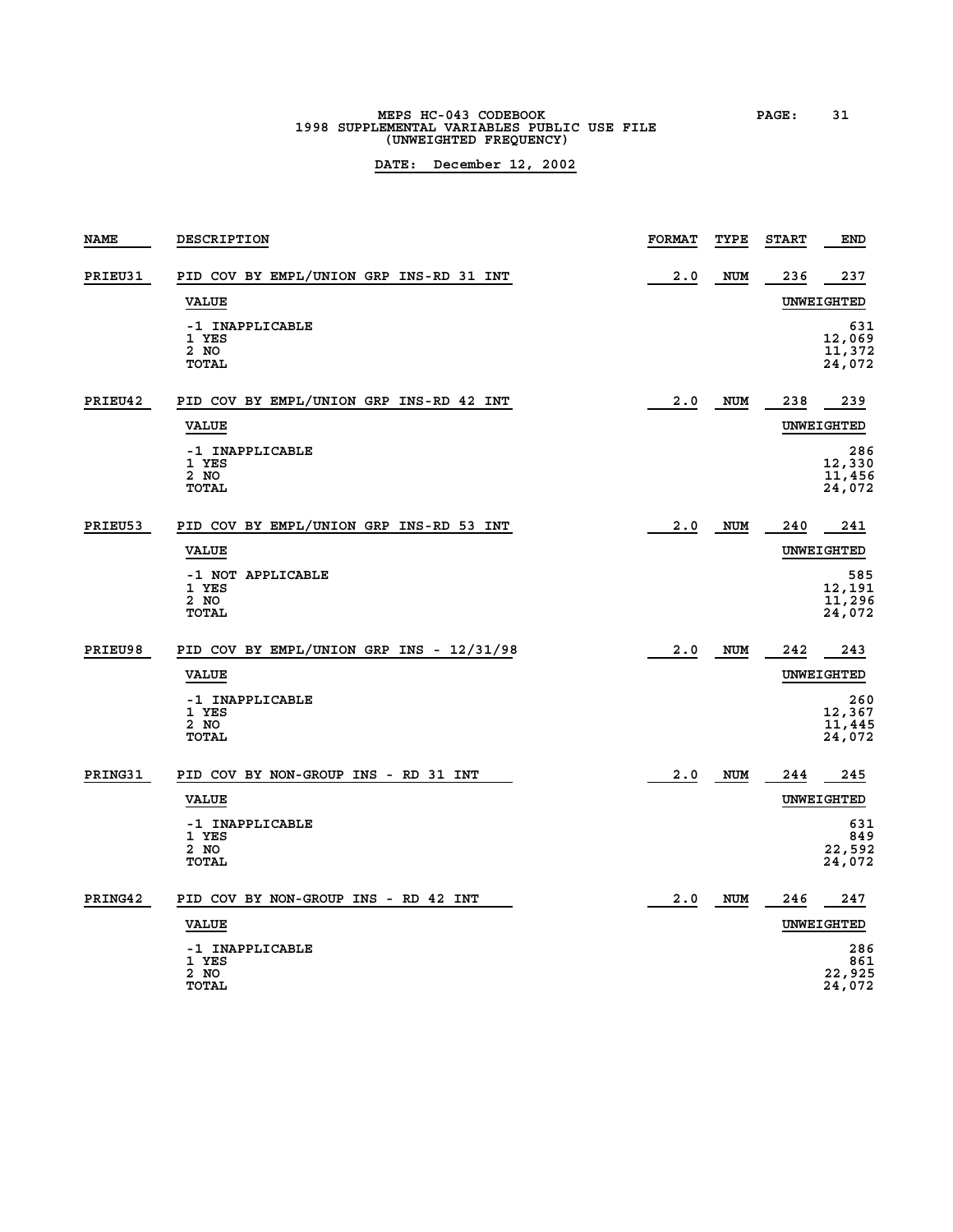# **MEPS HC-043 CODEBOOK PAGE: 31 1998 SUPPLEMENTAL VARIABLES PUBLIC USE FILE (UNWEIGHTED FREQUENCY)**

| <b>NAME</b> | <b>DESCRIPTION</b>                                 | <b>FORMAT</b> | TYPE       | <b>START</b> | END                               |
|-------------|----------------------------------------------------|---------------|------------|--------------|-----------------------------------|
| PRIEU31     | PID COV BY EMPL/UNION GRP INS-RD 31 INT            | 2.0           | <b>NUM</b> | 236          | 237                               |
|             | <b>VALUE</b>                                       |               |            |              | UNWEIGHTED                        |
|             | -1 INAPPLICABLE<br>1 YES<br>2 NO<br><b>TOTAL</b>   |               |            |              | 631<br>12,069<br>11,372<br>24,072 |
| PRIEU42     | PID COV BY EMPL/UNION GRP INS-RD 42 INT            | 2.0           | NUM        | 238          | 239                               |
|             | <b>VALUE</b>                                       |               |            |              | UNWEIGHTED                        |
|             | -1 INAPPLICABLE<br>1 YES<br>2 NO<br><b>TOTAL</b>   |               |            |              | 286<br>12,330<br>11,456<br>24,072 |
| PRIEU53     | PID COV BY EMPL/UNION GRP INS-RD 53 INT            | 2.0           | <b>NUM</b> | 240          | 241                               |
|             | <b>VALUE</b>                                       |               |            |              | <b>UNWEIGHTED</b>                 |
|             | -1 NOT APPLICABLE<br>1 YES<br>2 NO<br><b>TOTAL</b> |               |            |              | 585<br>12,191<br>11,296<br>24,072 |
| PRIEU98     | PID COV BY EMPL/UNION GRP INS - 12/31/98           | 2.0           | NUM        | 242          | 243                               |
|             | <b>VALUE</b>                                       |               |            |              | UNWEIGHTED                        |
|             | -1 INAPPLICABLE<br>1 YES<br>2 NO<br><b>TOTAL</b>   |               |            |              | 260<br>12,367<br>11,445<br>24,072 |
| PRING31     | PID COV BY NON-GROUP INS - RD 31 INT               | 2.0           | <b>NUM</b> | 244          | 245                               |
|             | <b>VALUE</b>                                       |               |            |              | <b>UNWEIGHTED</b>                 |
|             | -1 INAPPLICABLE<br>1 YES<br>2 NO<br><b>TOTAL</b>   |               |            |              | 631<br>849<br>22,592<br>24,072    |
| PRING42     | PID COV BY NON-GROUP INS - RD 42 INT               | 2.0           | NUM        | 246          | 247                               |
|             | <b>VALUE</b>                                       |               |            |              | UNWEIGHTED                        |
|             | -1 INAPPLICABLE<br>1 YES<br>2 NO<br><b>TOTAL</b>   |               |            |              | 286<br>861<br>22,925<br>24,072    |
|             |                                                    |               |            |              |                                   |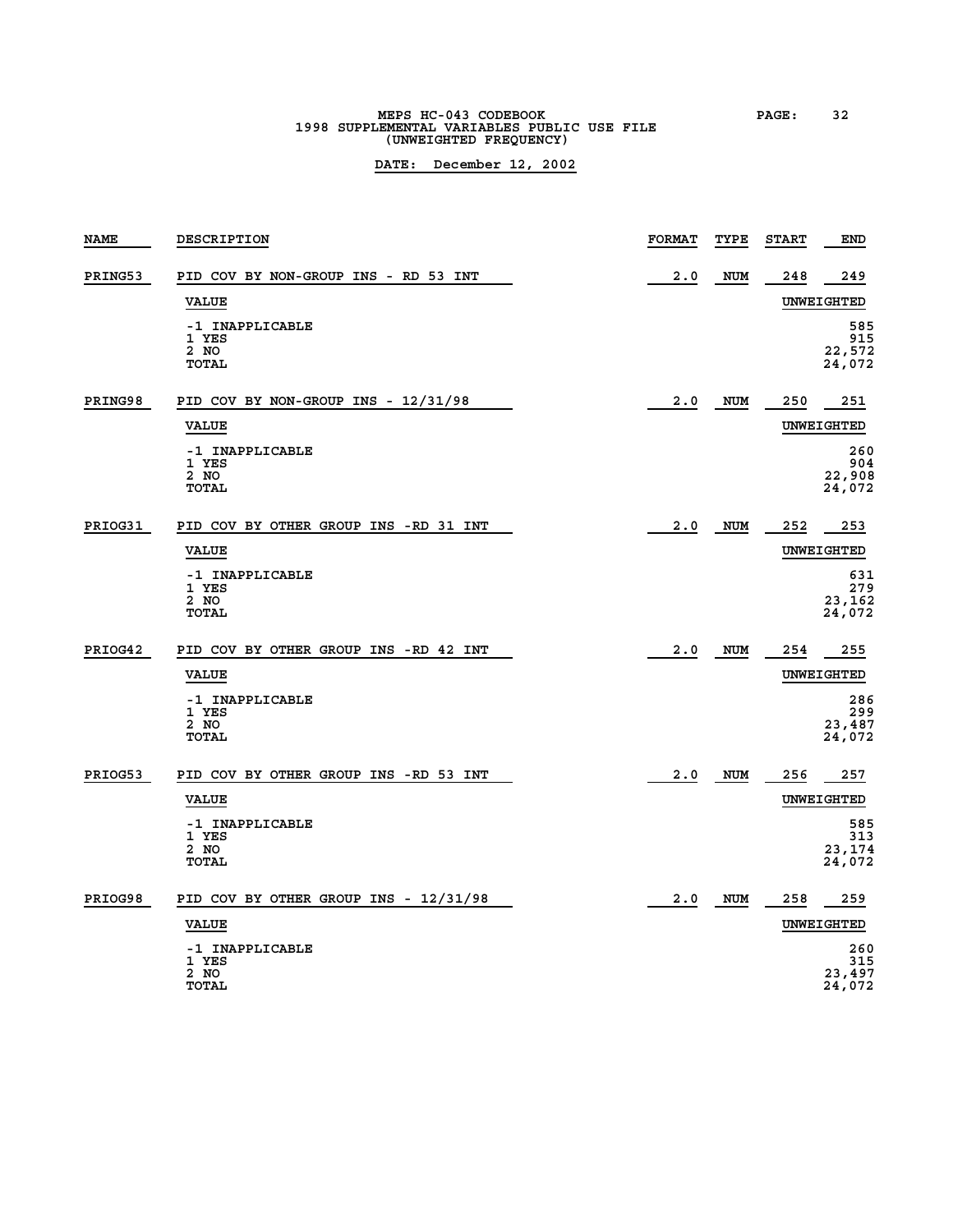# **MEPS HC-043 CODEBOOK PAGE: 32 1998 SUPPLEMENTAL VARIABLES PUBLIC USE FILE (UNWEIGHTED FREQUENCY)**

| <b>NAME</b> | <b>DESCRIPTION</b>                               | <b>FORMAT</b> | TYPE       | <b>START</b> | <b>END</b>                     |
|-------------|--------------------------------------------------|---------------|------------|--------------|--------------------------------|
| PRING53     | PID COV BY NON-GROUP INS - RD 53 INT             | 2.0           | <b>NUM</b> | 248          | 249                            |
|             | <b>VALUE</b>                                     |               |            |              | UNWEIGHTED                     |
|             | -1 INAPPLICABLE<br>1 YES<br>2 NO<br><b>TOTAL</b> |               |            |              | 585<br>915<br>22,572<br>24,072 |
| PRING98     | PID COV BY NON-GROUP INS - 12/31/98              | 2.0           | <b>NUM</b> | 250          | 251                            |
|             | <b>VALUE</b>                                     |               |            |              | UNWEIGHTED                     |
|             | -1 INAPPLICABLE<br>1 YES<br>2 NO<br><b>TOTAL</b> |               |            |              | 260<br>904<br>22,908<br>24,072 |
| PRIOG31     | PID COV BY OTHER GROUP INS -RD 31 INT            | 2.0           | <b>NUM</b> | 252          | 253                            |
|             | <b>VALUE</b>                                     |               |            |              | UNWEIGHTED                     |
|             | -1 INAPPLICABLE<br>1 YES<br>2 NO<br><b>TOTAL</b> |               |            |              | 631<br>279<br>23,162<br>24,072 |
| PRIOG42     | PID COV BY OTHER GROUP INS -RD 42 INT            | 2.0           | <b>NUM</b> | 254          | 255                            |
|             | <b>VALUE</b>                                     |               |            |              | UNWEIGHTED                     |
|             | -1 INAPPLICABLE<br>1 YES<br>2 NO<br><b>TOTAL</b> |               |            |              | 286<br>299<br>23,487<br>24,072 |
| PRIOG53     | PID COV BY OTHER GROUP INS -RD 53 INT            | 2.0           | NUM        | 256          | 257                            |
|             | <b>VALUE</b>                                     |               |            |              | UNWEIGHTED                     |
|             | -1 INAPPLICABLE<br>1 YES<br>2 NO<br><b>TOTAL</b> |               |            |              | 585<br>313<br>23,174<br>24,072 |
| PRIOG98     | PID COV BY OTHER GROUP INS - 12/31/98            | 2.0           | <b>NUM</b> | 258          | 259                            |
|             | <b>VALUE</b>                                     |               |            |              | <b>UNWEIGHTED</b>              |
|             | -1 INAPPLICABLE<br>1 YES<br>2 NO<br><b>TOTAL</b> |               |            |              | 260<br>315<br>23,497<br>24,072 |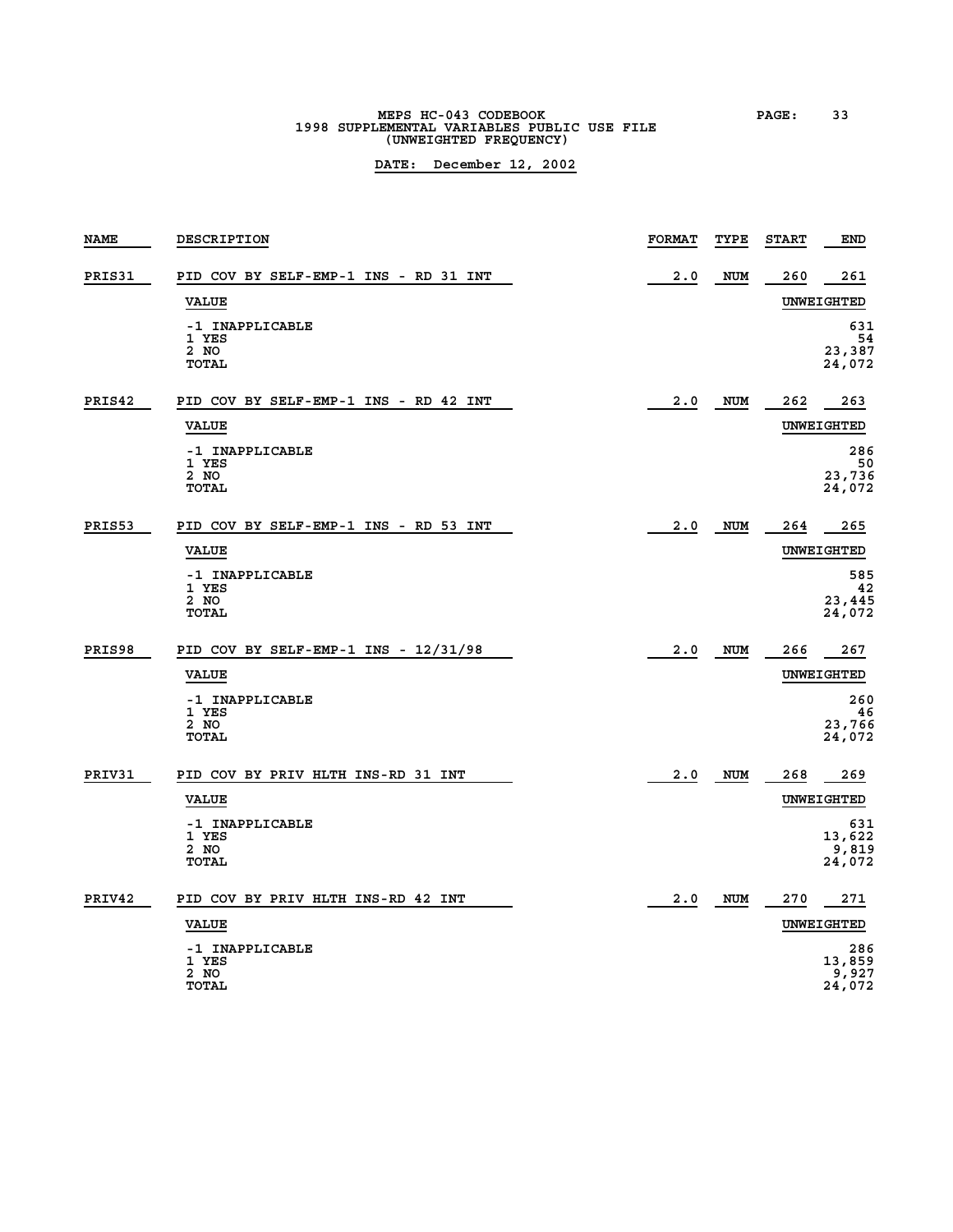**MEPS HC-043 CODEBOOK PAGE: 33 1998 SUPPLEMENTAL VARIABLES PUBLIC USE FILE (UNWEIGHTED FREQUENCY)**

| <b>NAME</b> | DESCRIPTION                                      | <b>FORMAT</b> | TYPE       | <b>START</b> | <b>END</b>                       |
|-------------|--------------------------------------------------|---------------|------------|--------------|----------------------------------|
| PRIS31      | PID COV BY SELF-EMP-1 INS - RD 31 INT            | 2.0           | <b>NUM</b> | 260          | 261                              |
|             | <b>VALUE</b>                                     |               |            |              | UNWEIGHTED                       |
|             | -1 INAPPLICABLE<br>1 YES<br>2 NO<br>TOTAL        |               |            |              | 631<br>54<br>23,387<br>24,072    |
| PRIS42      | PID COV BY SELF-EMP-1 INS - RD 42 INT            | 2.0           | <b>NUM</b> | 262          | 263                              |
|             | <b>VALUE</b>                                     |               |            |              | UNWEIGHTED                       |
|             | -1 INAPPLICABLE<br>1 YES<br>2 NO<br><b>TOTAL</b> |               |            |              | 286<br>50<br>23,736<br>24,072    |
| PRIS53      | PID COV BY SELF-EMP-1 INS - RD 53 INT            | 2.0           | <b>NUM</b> | 264          | 265                              |
|             | <b>VALUE</b>                                     |               |            |              | UNWEIGHTED                       |
|             | -1 INAPPLICABLE<br>1 YES<br>2 NO<br>TOTAL        |               |            |              | 585<br>42<br>23,445<br>24,072    |
| PRIS98      | PID COV BY SELF-EMP-1 INS - 12/31/98             | 2.0           | <b>NUM</b> | 266          | 267                              |
|             | <b>VALUE</b>                                     |               |            |              | <b>UNWEIGHTED</b>                |
|             | -1 INAPPLICABLE<br>1 YES<br>2 NO<br><b>TOTAL</b> |               |            |              | 260<br>46<br>23,766<br>24,072    |
| PRIV31      | PID COV BY PRIV HLTH INS-RD 31 INT               | 2.0           | <b>NUM</b> | 268          | 269                              |
|             | <b>VALUE</b>                                     |               |            |              | UNWEIGHTED                       |
|             | -1 INAPPLICABLE<br>1 YES<br>2 NO<br><b>TOTAL</b> |               |            |              | 631<br>13,622<br>9,819<br>24,072 |
| PRIV42      | PID COV BY PRIV HLTH INS-RD 42 INT               | 2.0           | NUM        | 270          | 271                              |
|             | <b>VALUE</b>                                     |               |            |              | UNWEIGHTED                       |
|             | -1 INAPPLICABLE<br>1 YES<br>2 NO<br>TOTAL        |               |            |              | 286<br>13,859<br>9,927<br>24,072 |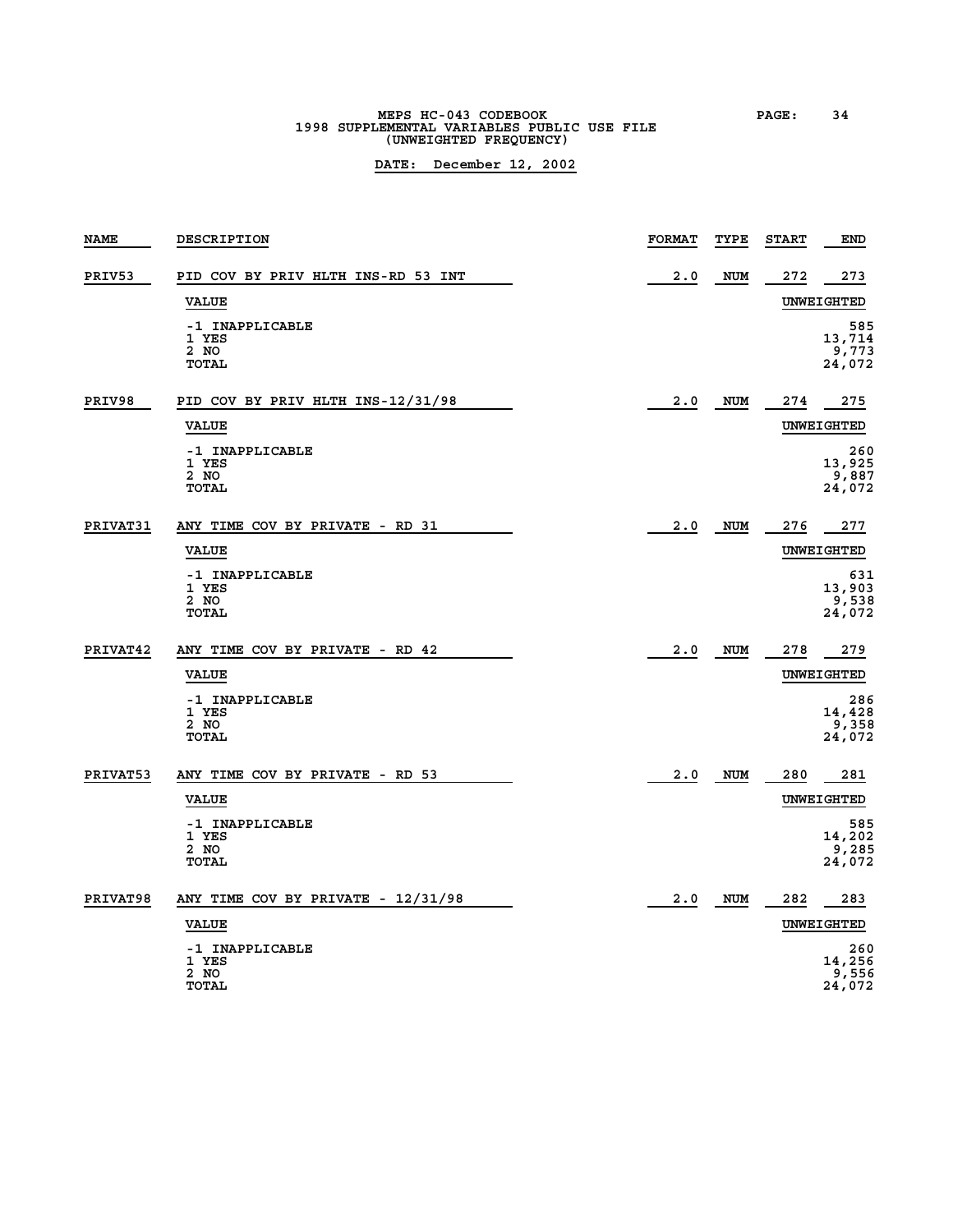# **MEPS HC-043 CODEBOOK PAGE: 34 1998 SUPPLEMENTAL VARIABLES PUBLIC USE FILE (UNWEIGHTED FREQUENCY)**

| <b>NAME</b> | DESCRIPTION                                      | <b>FORMAT</b> | TYPE       | <b>START</b> | <b>END</b>                       |
|-------------|--------------------------------------------------|---------------|------------|--------------|----------------------------------|
| PRIV53      | PID COV BY PRIV HLTH INS-RD 53 INT               | 2.0           | <b>NUM</b> | 272          | 273                              |
|             | <b>VALUE</b>                                     |               |            |              | UNWEIGHTED                       |
|             | -1 INAPPLICABLE<br>1 YES<br>2 NO<br><b>TOTAL</b> |               |            |              | 585<br>13,714<br>9,773<br>24,072 |
| PRIV98      | PID COV BY PRIV HLTH INS-12/31/98                | 2.0           | <b>NUM</b> | 274          | 275                              |
|             | <b>VALUE</b>                                     |               |            |              | <b>UNWEIGHTED</b>                |
|             | -1 INAPPLICABLE<br>1 YES<br>2 NO<br><b>TOTAL</b> |               |            |              | 260<br>13,925<br>9,887<br>24,072 |
| PRIVAT31    | ANY TIME COV BY PRIVATE - RD 31                  | 2.0           | <b>NUM</b> | 276          | 277                              |
|             | <b>VALUE</b>                                     |               |            |              | UNWEIGHTED                       |
|             | -1 INAPPLICABLE<br>1 YES<br>2 NO<br><b>TOTAL</b> |               |            |              | 631<br>13,903<br>9,538<br>24,072 |
| PRIVAT42    | ANY TIME COV BY PRIVATE - RD 42                  | 2.0           | <b>NUM</b> | 278          | 279                              |
|             | <b>VALUE</b>                                     |               |            |              | <b>UNWEIGHTED</b>                |
|             | -1 INAPPLICABLE<br>1 YES<br>2 NO<br><b>TOTAL</b> |               |            |              | 286<br>14,428<br>9,358<br>24,072 |
| PRIVAT53    | ANY TIME COV BY PRIVATE - RD 53                  | 2.0           | <b>NUM</b> | 280          | 281                              |
|             | <b>VALUE</b>                                     |               |            |              | UNWEIGHTED                       |
|             | -1 INAPPLICABLE<br>1 YES<br>2 NO<br><b>TOTAL</b> |               |            |              | 585<br>14,202<br>9,285<br>24,072 |
| PRIVAT98    | ANY TIME COV BY PRIVATE - 12/31/98               | 2.0           | <b>NUM</b> | 282          | 283                              |
|             | <b>VALUE</b>                                     |               |            |              | UNWEIGHTED                       |
|             | -1 INAPPLICABLE<br>1 YES<br>2 NO<br>TOTAL        |               |            |              | 260<br>14,256<br>9,556<br>24,072 |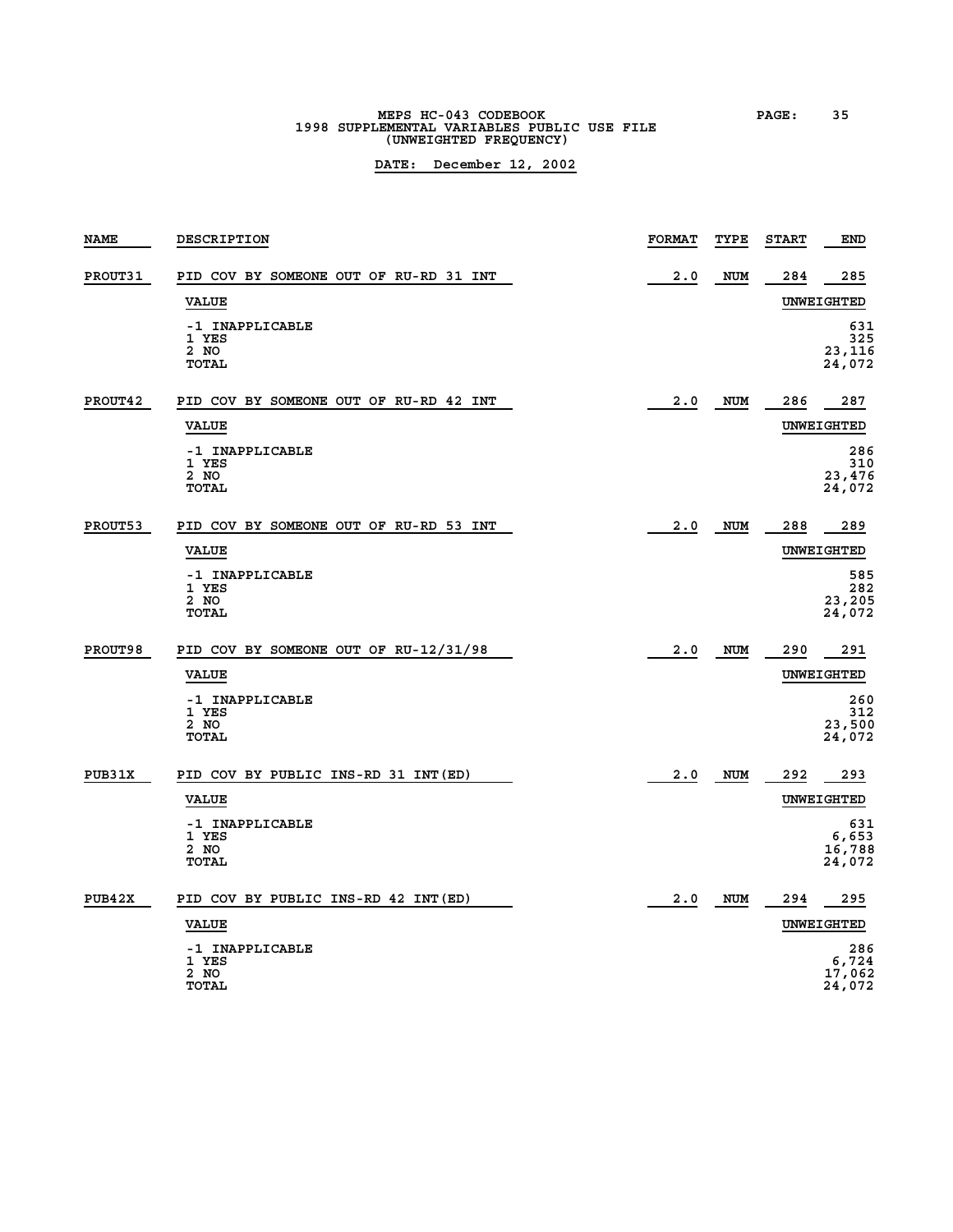# **MEPS HC-043 CODEBOOK PAGE: 35 1998 SUPPLEMENTAL VARIABLES PUBLIC USE FILE (UNWEIGHTED FREQUENCY)**

| <b>NAME</b> | DESCRIPTION                                      | <b>FORMAT</b> | TYPE       | <b>START</b> | <b>END</b>                       |
|-------------|--------------------------------------------------|---------------|------------|--------------|----------------------------------|
| PROUT31     | PID COV BY SOMEONE OUT OF RU-RD 31 INT           | 2.0           | <b>NUM</b> | 284          | 285                              |
|             | <b>VALUE</b>                                     |               |            |              | UNWEIGHTED                       |
|             | -1 INAPPLICABLE<br>1 YES<br>2 NO<br><b>TOTAL</b> |               |            |              | 631<br>325<br>23,116<br>24,072   |
| PROUT42     | PID COV BY SOMEONE OUT OF RU-RD 42 INT           | 2.0           | <b>NUM</b> | 286          | 287                              |
|             | <b>VALUE</b>                                     |               |            |              | UNWEIGHTED                       |
|             | -1 INAPPLICABLE<br>1 YES<br>2 NO<br><b>TOTAL</b> |               |            |              | 286<br>310<br>23,476<br>24,072   |
| PROUT53     | PID COV BY SOMEONE OUT OF RU-RD 53 INT           | 2.0           | <b>NUM</b> | 288          | 289                              |
|             | <b>VALUE</b>                                     |               |            |              | UNWEIGHTED                       |
|             | -1 INAPPLICABLE<br>1 YES<br>2 NO<br><b>TOTAL</b> |               |            |              | 585<br>282<br>23,205<br>24,072   |
| PROUT98     | PID COV BY SOMEONE OUT OF RU-12/31/98            | 2.0           | <b>NUM</b> | 290          | 291                              |
|             | <b>VALUE</b>                                     |               |            |              | UNWEIGHTED                       |
|             | -1 INAPPLICABLE<br>1 YES<br>2 NO<br><b>TOTAL</b> |               |            |              | 260<br>312<br>23,500<br>24,072   |
| PUB31X      | PID COV BY PUBLIC INS-RD 31 INT (ED)             | 2.0           | <b>NUM</b> | 292          | 293                              |
|             | <b>VALUE</b>                                     |               |            |              | UNWEIGHTED                       |
|             | -1 INAPPLICABLE<br>1 YES<br>2 NO<br><b>TOTAL</b> |               |            |              | 631<br>6,653<br>16,788<br>24,072 |
| PUB42X      | PID COV BY PUBLIC INS-RD 42 INT (ED)             | 2.0           | <b>NUM</b> | 294          | 295                              |
|             | <b>VALUE</b>                                     |               |            |              | UNWEIGHTED                       |
|             | -1 INAPPLICABLE<br>1 YES<br>2 NO<br><b>TOTAL</b> |               |            |              | 286<br>6,724<br>17,062<br>24,072 |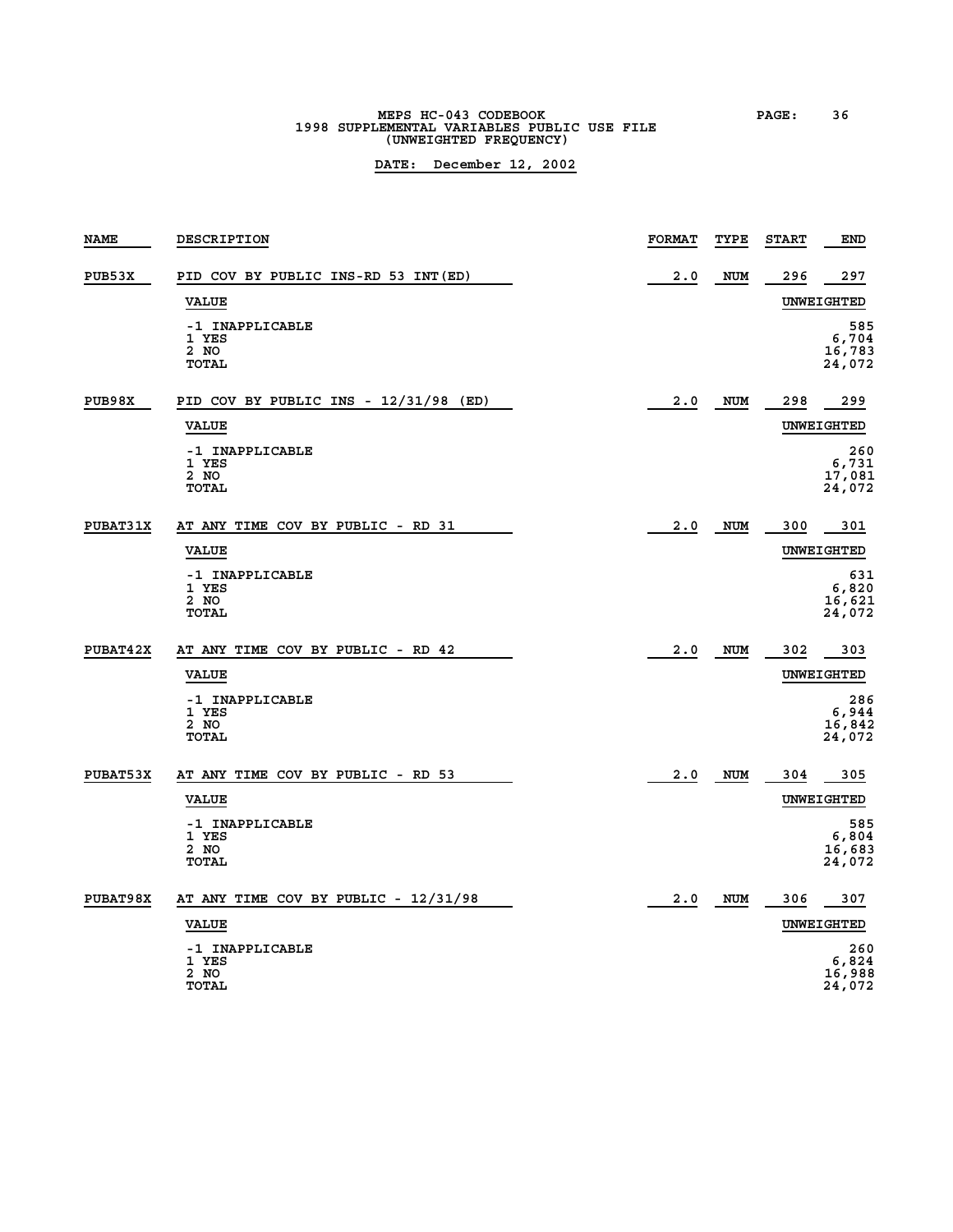# **MEPS HC-043 CODEBOOK PAGE: 36 1998 SUPPLEMENTAL VARIABLES PUBLIC USE FILE (UNWEIGHTED FREQUENCY)**

| <b>NAME</b>     | DESCRIPTION                                      | <b>FORMAT</b> | TYPE       | <b>START</b> | END                              |
|-----------------|--------------------------------------------------|---------------|------------|--------------|----------------------------------|
| PUB53X          | PID COV BY PUBLIC INS-RD 53 INT(ED)              | 2.0           | <b>NUM</b> | 296          | 297                              |
|                 | <b>VALUE</b>                                     |               |            |              | UNWEIGHTED                       |
|                 | -1 INAPPLICABLE<br>1 YES<br>2 NO<br><b>TOTAL</b> |               |            |              | 585<br>6,704<br>16,783<br>24,072 |
| PUB98X          | PID COV BY PUBLIC INS - 12/31/98 (ED)            | 2.0           | <b>NUM</b> | 298          | 299                              |
|                 | <b>VALUE</b>                                     |               |            |              | UNWEIGHTED                       |
|                 | -1 INAPPLICABLE<br>1 YES<br>2 NO<br>TOTAL        |               |            |              | 260<br>6,731<br>17,081<br>24,072 |
| <b>PUBAT31X</b> | AT ANY TIME COV BY PUBLIC - RD 31                | 2.0           | <b>NUM</b> | 300          | 301                              |
|                 | <b>VALUE</b>                                     |               |            |              | UNWEIGHTED                       |
|                 | -1 INAPPLICABLE<br>1 YES<br>2 NO<br><b>TOTAL</b> |               |            |              | 631<br>6,820<br>16,621<br>24,072 |
| <b>PUBAT42X</b> | AT ANY TIME COV BY PUBLIC - RD 42                | 2.0           | <b>NUM</b> | 302          | 303                              |
|                 | <b>VALUE</b>                                     |               |            |              | <b>UNWEIGHTED</b>                |
|                 | -1 INAPPLICABLE<br>1 YES<br>2 NO<br>TOTAL        |               |            |              | 286<br>6,944<br>16,842<br>24,072 |
| <b>PUBAT53X</b> | AT ANY TIME COV BY PUBLIC - RD 53                | 2.0           | <b>NUM</b> | 304          | 305                              |
|                 | <b>VALUE</b>                                     |               |            |              | UNWEIGHTED                       |
|                 | -1 INAPPLICABLE<br>1 YES<br>2 NO<br><b>TOTAL</b> |               |            |              | 585<br>6,804<br>16,683<br>24,072 |
| PUBAT98X        | AT ANY TIME COV BY PUBLIC - 12/31/98             | 2.0           | <b>NUM</b> | 306          | 307                              |
|                 | <b>VALUE</b>                                     |               |            |              | UNWEIGHTED                       |
|                 | -1 INAPPLICABLE<br>1 YES<br>2 NO<br><b>TOTAL</b> |               |            |              | 260<br>6,824<br>16,988<br>24,072 |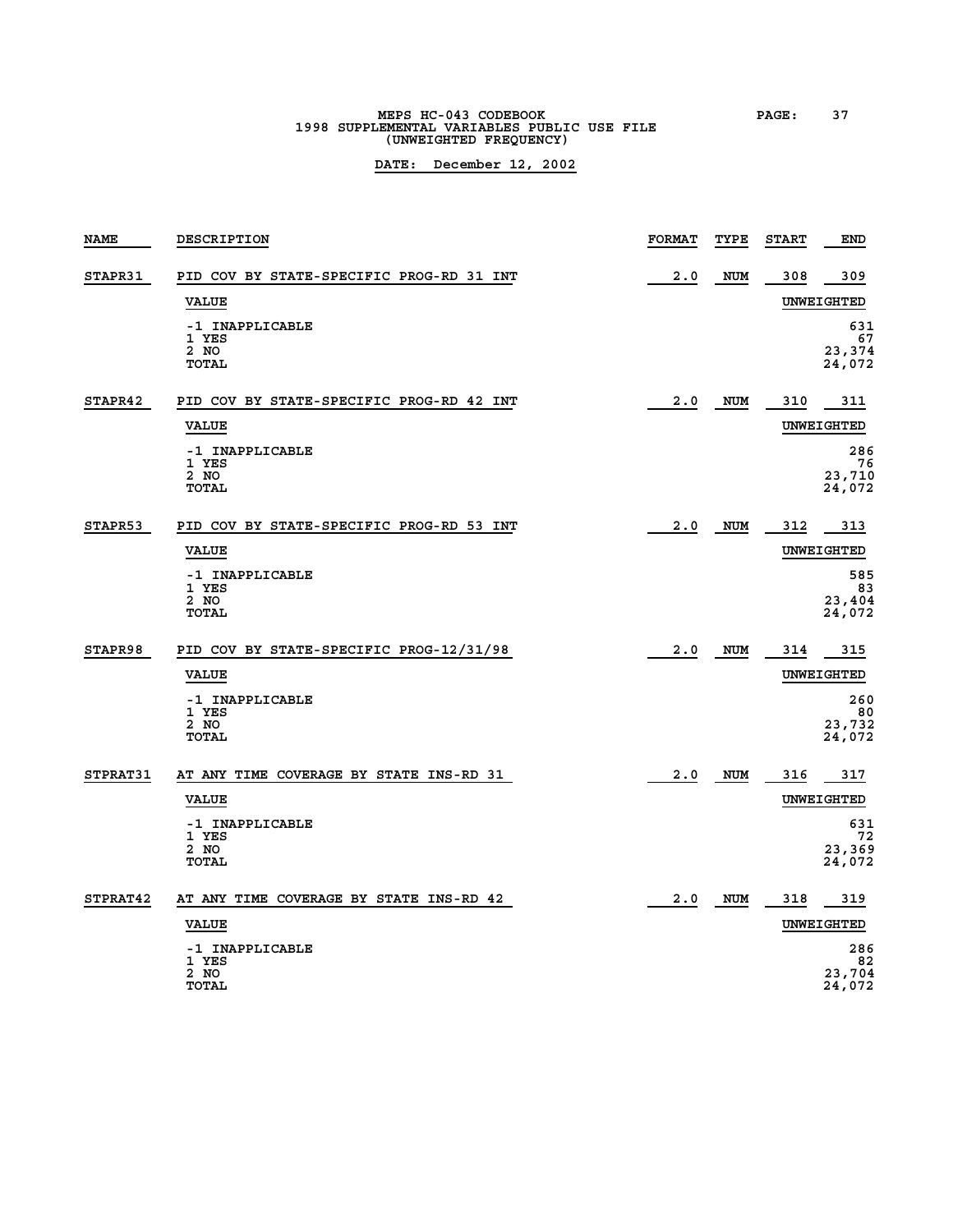**MEPS HC-043 CODEBOOK PAGE: 37 1998 SUPPLEMENTAL VARIABLES PUBLIC USE FILE (UNWEIGHTED FREQUENCY)**

| <b>NAME</b>     | DESCRIPTION                              | <b>FORMAT</b> | TYPE       | <b>START</b> | <b>END</b>   |
|-----------------|------------------------------------------|---------------|------------|--------------|--------------|
| STAPR31         | PID COV BY STATE-SPECIFIC PROG-RD 31 INT | 2.0           | <b>NUM</b> | 308          | 309          |
|                 | <b>VALUE</b>                             |               |            |              | UNWEIGHTED   |
|                 | -1 INAPPLICABLE                          |               |            |              | 631          |
|                 | 1 YES<br>2 NO                            |               |            |              | 67<br>23,374 |
|                 | <b>TOTAL</b>                             |               |            |              | 24,072       |
| STAPR42         | PID COV BY STATE-SPECIFIC PROG-RD 42 INT | 2.0           | NUM        | 310          | 311          |
|                 | <b>VALUE</b>                             |               |            |              | UNWEIGHTED   |
|                 | -1 INAPPLICABLE                          |               |            |              | 286          |
|                 | 1 YES<br>2 NO                            |               |            |              | 76<br>23,710 |
|                 | TOTAL                                    |               |            |              | 24,072       |
| STAPR53         | PID COV BY STATE-SPECIFIC PROG-RD 53 INT | 2.0           | <b>NUM</b> | 312          | 313          |
|                 | <b>VALUE</b>                             |               |            |              | UNWEIGHTED   |
|                 | -1 INAPPLICABLE                          |               |            |              | 585          |
|                 | 1 YES<br>2 NO                            |               |            |              | 83<br>23,404 |
|                 | <b>TOTAL</b>                             |               |            |              | 24,072       |
| STAPR98         | PID COV BY STATE-SPECIFIC PROG-12/31/98  | 2.0           | <b>NUM</b> | 314          | 315          |
|                 | <b>VALUE</b>                             |               |            |              | UNWEIGHTED   |
|                 | -1 INAPPLICABLE                          |               |            |              | 260          |
|                 | 1 YES<br>2 NO                            |               |            |              | 80<br>23,732 |
|                 | TOTAL                                    |               |            |              | 24,072       |
| <b>STPRAT31</b> | AT ANY TIME COVERAGE BY STATE INS-RD 31  | 2.0           | NUM        | 316          | 317          |
|                 | <b>VALUE</b>                             |               |            |              | UNWEIGHTED   |
|                 | -1 INAPPLICABLE<br>1 YES                 |               |            |              | 631<br>72    |
|                 | 2 NO                                     |               |            |              | 23,369       |
|                 | TOTAL                                    |               |            |              | 24,072       |
| STPRAT42        | AT ANY TIME COVERAGE BY STATE INS-RD 42  | 2.0           | NUM        | 318          | 319          |
|                 | <b>VALUE</b>                             |               |            |              | UNWEIGHTED   |
|                 | -1 INAPPLICABLE                          |               |            |              | 286          |
|                 | 1 YES<br>2 NO                            |               |            |              | 82<br>23,704 |
|                 | <b>TOTAL</b>                             |               |            |              | 24,072       |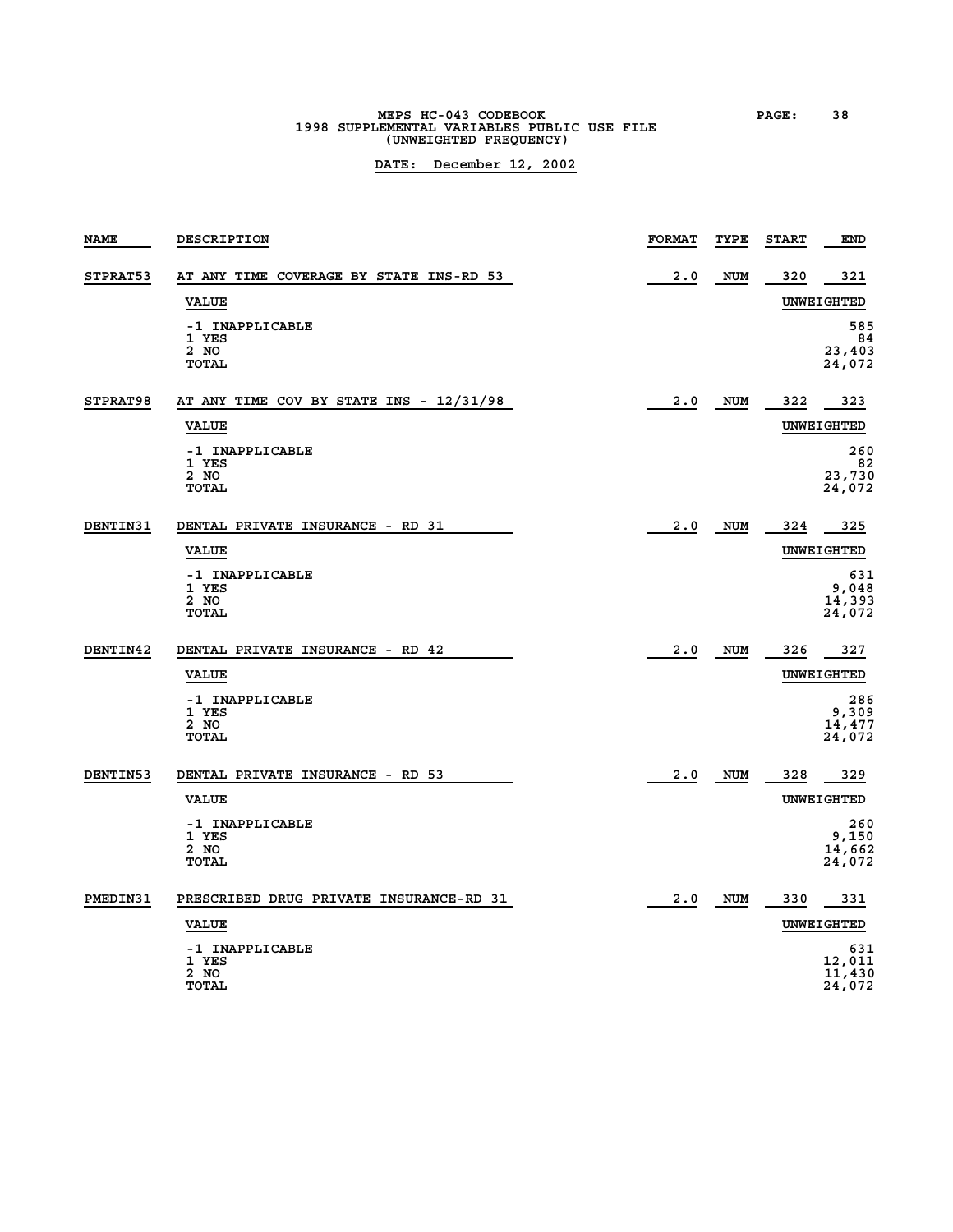# **MEPS HC-043 CODEBOOK PAGE: 38 1998 SUPPLEMENTAL VARIABLES PUBLIC USE FILE (UNWEIGHTED FREQUENCY)**

| <b>NAME</b>     | DESCRIPTION                                             | <b>FORMAT</b> | TYPE       | <b>START</b> | END                               |
|-----------------|---------------------------------------------------------|---------------|------------|--------------|-----------------------------------|
| STPRAT53        | AT ANY TIME COVERAGE BY STATE INS-RD 53                 | 2.0           | <b>NUM</b> | 320          | 321                               |
|                 | <b>VALUE</b>                                            |               |            |              | UNWEIGHTED                        |
|                 | -1 INAPPLICABLE<br>1 YES<br>2 NO<br><b>TOTAL</b>        |               |            |              | 585<br>84<br>23,403<br>24,072     |
| STPRAT98        | AT ANY TIME COV BY STATE INS - 12/31/98<br><b>VALUE</b> | 2.0           | <b>NUM</b> | 322          | 323<br>UNWEIGHTED                 |
|                 | -1 INAPPLICABLE<br>1 YES<br>2 NO<br><b>TOTAL</b>        |               |            |              | 260<br>82<br>23,730<br>24,072     |
| DENTIN31        | DENTAL PRIVATE INSURANCE - RD 31                        | 2.0           | <b>NUM</b> | 324          | 325                               |
|                 | <b>VALUE</b>                                            |               |            |              | <b>UNWEIGHTED</b>                 |
|                 | -1 INAPPLICABLE<br>1 YES<br>2 NO<br><b>TOTAL</b>        |               |            |              | 631<br>9,048<br>14,393<br>24,072  |
| <b>DENTIN42</b> | DENTAL PRIVATE INSURANCE - RD 42                        | 2.0           | <b>NUM</b> | 326          | 327                               |
|                 | <b>VALUE</b>                                            |               |            |              | UNWEIGHTED                        |
|                 | -1 INAPPLICABLE<br>1 YES<br>2 NO<br><b>TOTAL</b>        |               |            |              | 286<br>9,309<br>14,477<br>24,072  |
| DENTIN53        | DENTAL PRIVATE INSURANCE - RD 53                        | 2.0           | <b>NUM</b> | 328          | 329                               |
|                 | <b>VALUE</b>                                            |               |            |              | UNWEIGHTED                        |
|                 | -1 INAPPLICABLE<br>1 YES<br>2 NO<br><b>TOTAL</b>        |               |            |              | 260<br>9,150<br>14,662<br>24,072  |
| PMEDIN31        | PRESCRIBED DRUG PRIVATE INSURANCE-RD 31                 | 2.0           | NUM        | 330          | 331                               |
|                 | <b>VALUE</b>                                            |               |            |              | <b>UNWEIGHTED</b>                 |
|                 | -1 INAPPLICABLE<br>1 YES<br>2 NO<br><b>TOTAL</b>        |               |            |              | 631<br>12,011<br>11,430<br>24,072 |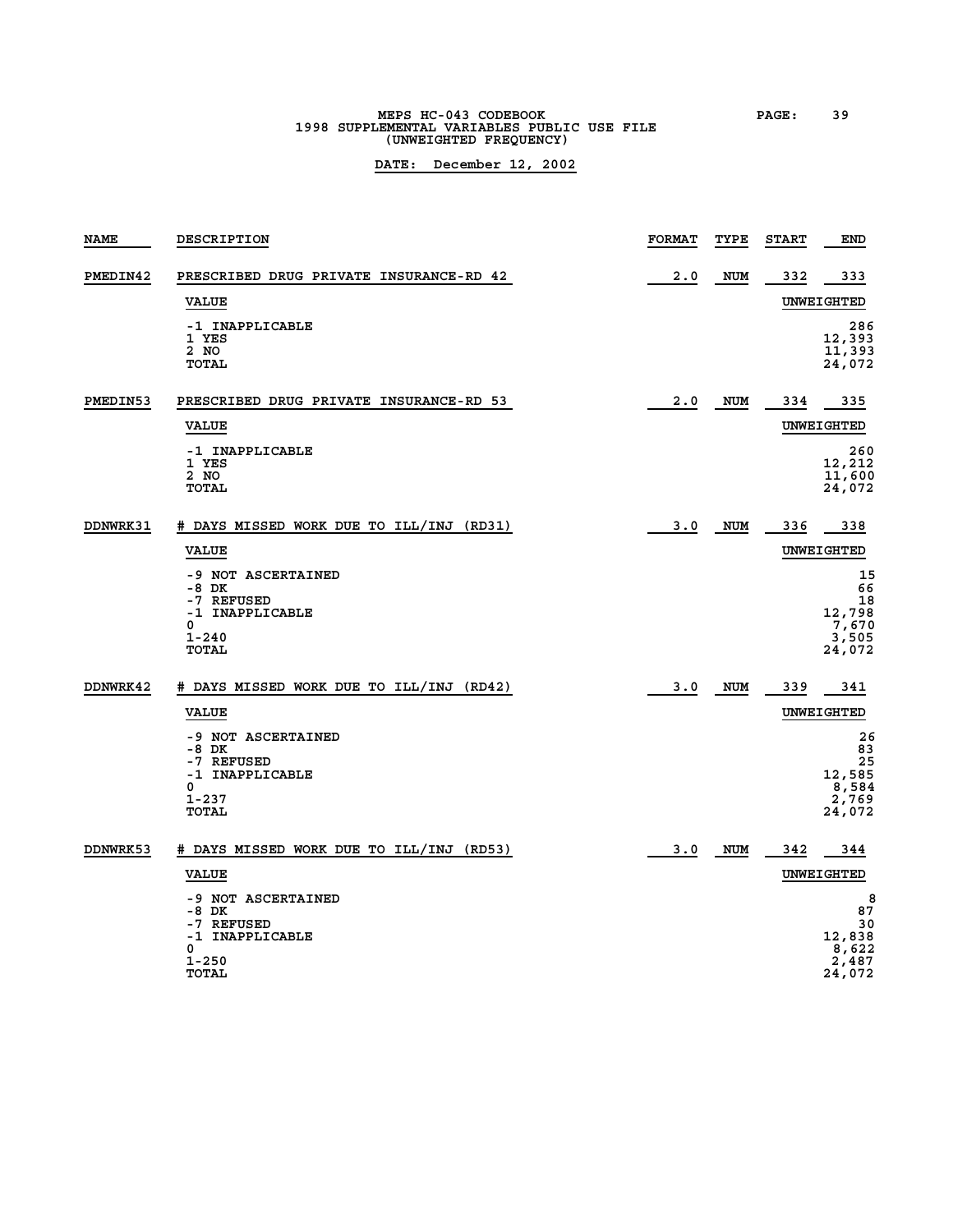# **MEPS HC-043 CODEBOOK PAGE: 39 1998 SUPPLEMENTAL VARIABLES PUBLIC USE FILE (UNWEIGHTED FREQUENCY)**

| <b>NAME</b>     | <b>DESCRIPTION</b>                                                                                 | <b>FORMAT</b> | TYPE       | <b>START</b> | END                                                  |
|-----------------|----------------------------------------------------------------------------------------------------|---------------|------------|--------------|------------------------------------------------------|
| PMEDIN42        | PRESCRIBED DRUG PRIVATE INSURANCE-RD 42                                                            | 2.0           | <b>NUM</b> | 332          | 333                                                  |
|                 | <b>VALUE</b>                                                                                       |               |            |              | UNWEIGHTED                                           |
|                 | -1 INAPPLICABLE<br>1 YES<br>2 NO<br><b>TOTAL</b>                                                   |               |            |              | 286<br>12,393<br>11,393<br>24,072                    |
| PMEDIN53        | PRESCRIBED DRUG PRIVATE INSURANCE-RD 53                                                            | 2.0           | <b>NUM</b> | 334          | 335                                                  |
|                 | <b>VALUE</b>                                                                                       |               |            |              | UNWEIGHTED                                           |
|                 | -1 INAPPLICABLE<br>1 YES<br>2 NO<br><b>TOTAL</b>                                                   |               |            |              | 260<br>12,212<br>11,600<br>24,072                    |
| <b>DDNWRK31</b> | # DAYS MISSED WORK DUE TO ILL/INJ (RD31)                                                           | 3.0           | <b>NUM</b> | 336          | 338                                                  |
|                 | <b>VALUE</b>                                                                                       |               |            |              | UNWEIGHTED                                           |
|                 | -9 NOT ASCERTAINED<br>$-8$ DK<br>-7 REFUSED<br>-1 INAPPLICABLE<br>0<br>$1 - 240$<br>TOTAL          |               |            |              | 15<br>66<br>18<br>12,798<br>7,670<br>3,505<br>24,072 |
| DDNWRK42        | # DAYS MISSED WORK DUE TO ILL/INJ (RD42)                                                           | 3.0           | <b>NUM</b> | 339          | 341                                                  |
|                 | <b>VALUE</b>                                                                                       |               |            |              | UNWEIGHTED                                           |
|                 | -9 NOT ASCERTAINED<br>-8 DK<br>-7 REFUSED<br>-1 INAPPLICABLE<br><sup>0</sup><br>$1 - 237$<br>TOTAL |               |            |              | 26<br>83<br>25<br>12,585<br>8,584<br>2,769<br>24,072 |
| <b>DDNWRK53</b> | # DAYS MISSED WORK DUE TO ILL/INJ (RD53)                                                           | 3.0           | NUM        | 342          | 344                                                  |
|                 | <b>VALUE</b>                                                                                       |               |            |              | UNWEIGHTED                                           |
|                 | -9 NOT ASCERTAINED<br>-8 DK<br>-7 REFUSED<br>-1 INAPPLICABLE<br>0<br>1-250<br><b>TOTAL</b>         |               |            |              | 8<br>87<br>30<br>12,838<br>8,622<br>2,487<br>24,072  |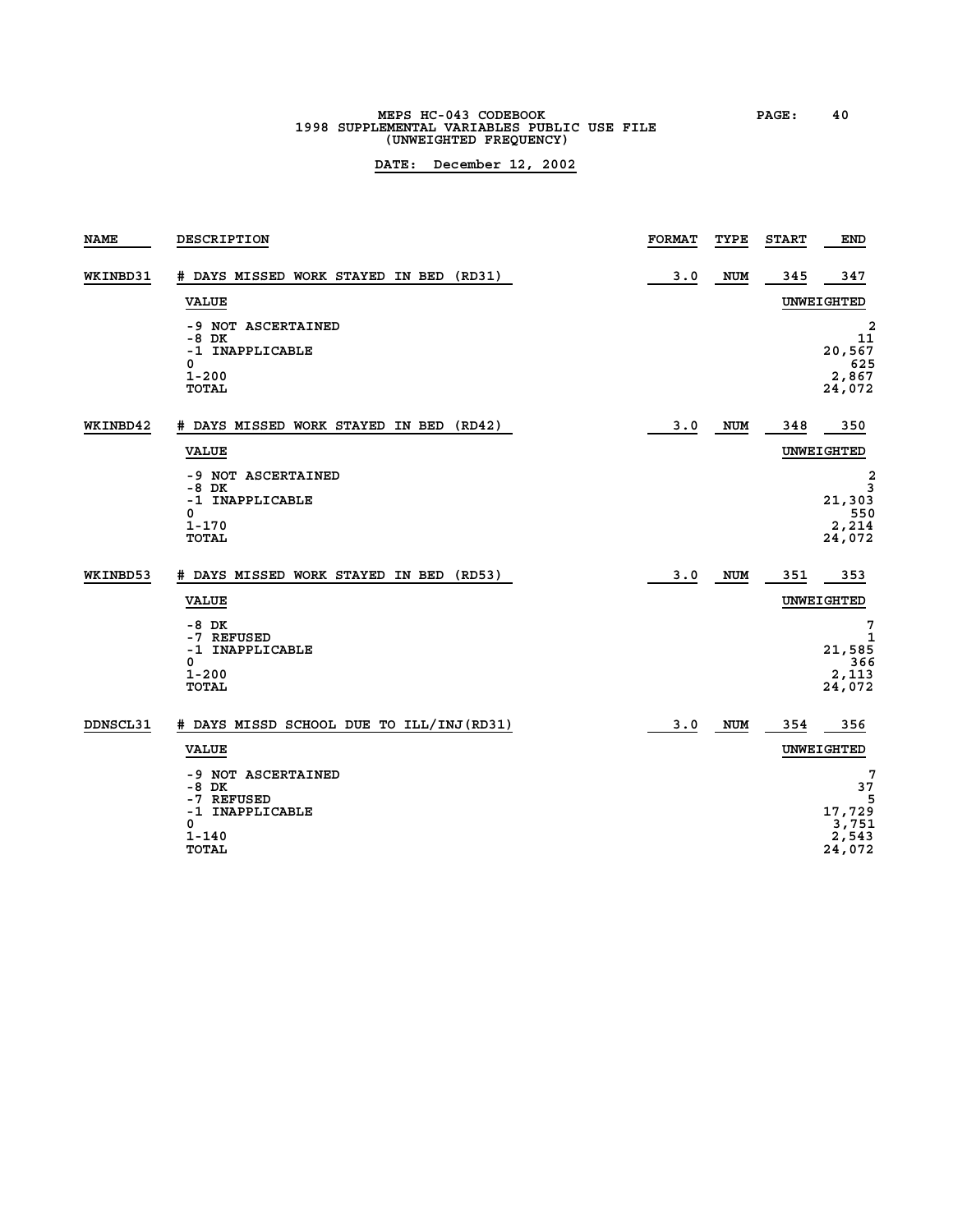# **MEPS HC-043 CODEBOOK PAGE: 40 1998 SUPPLEMENTAL VARIABLES PUBLIC USE FILE (UNWEIGHTED FREQUENCY)**

| DESCRIPTION                                                                                    | <b>FORMAT</b> | TYPE       | <b>START</b> | <b>END</b>                                                        |
|------------------------------------------------------------------------------------------------|---------------|------------|--------------|-------------------------------------------------------------------|
| # DAYS MISSED WORK STAYED IN BED (RD31)                                                        | 3.0           | <b>NUM</b> | 345          | 347                                                               |
| <b>VALUE</b>                                                                                   |               |            |              | UNWEIGHTED                                                        |
| -9 NOT ASCERTAINED<br>-8 DK<br>-1 INAPPLICABLE<br>0<br>$1 - 200$<br><b>TOTAL</b>               |               |            |              | $\overline{\mathbf{2}}$<br>11<br>20,567<br>625<br>2,867<br>24,072 |
| # DAYS MISSED WORK STAYED IN BED (RD42)                                                        | 3.0           | <b>NUM</b> | 348          | 350                                                               |
| <b>VALUE</b>                                                                                   |               |            |              | UNWEIGHTED                                                        |
| -9 NOT ASCERTAINED<br>-8 DK<br>-1 INAPPLICABLE<br>0<br>$1 - 170$<br><b>TOTAL</b>               |               |            |              | 2<br>3<br>21,303<br>550<br>2,214<br>24,072                        |
| # DAYS MISSED WORK STAYED IN BED (RD53)                                                        | 3.0           | <b>NUM</b> | 351          | 353                                                               |
| <b>VALUE</b>                                                                                   |               |            |              | UNWEIGHTED                                                        |
| $-8$ DK<br>-7 REFUSED<br>-1 INAPPLICABLE<br>0<br>$1 - 200$<br><b>TOTAL</b>                     |               |            |              | 7<br>1<br>21,585<br>366<br>2,113<br>24,072                        |
| # DAYS MISSD SCHOOL DUE TO ILL/INJ (RD31)                                                      | 3.0           | <b>NUM</b> | 354          | 356                                                               |
| <b>VALUE</b>                                                                                   |               |            |              | UNWEIGHTED                                                        |
| -9 NOT ASCERTAINED<br>-8 DK<br>-7 REFUSED<br>-1 INAPPLICABLE<br>0<br>$1 - 140$<br><b>TOTAL</b> |               |            |              | 7<br>37<br>5<br>17,729<br>3,751<br>2,543<br>24,072                |
|                                                                                                |               |            |              |                                                                   |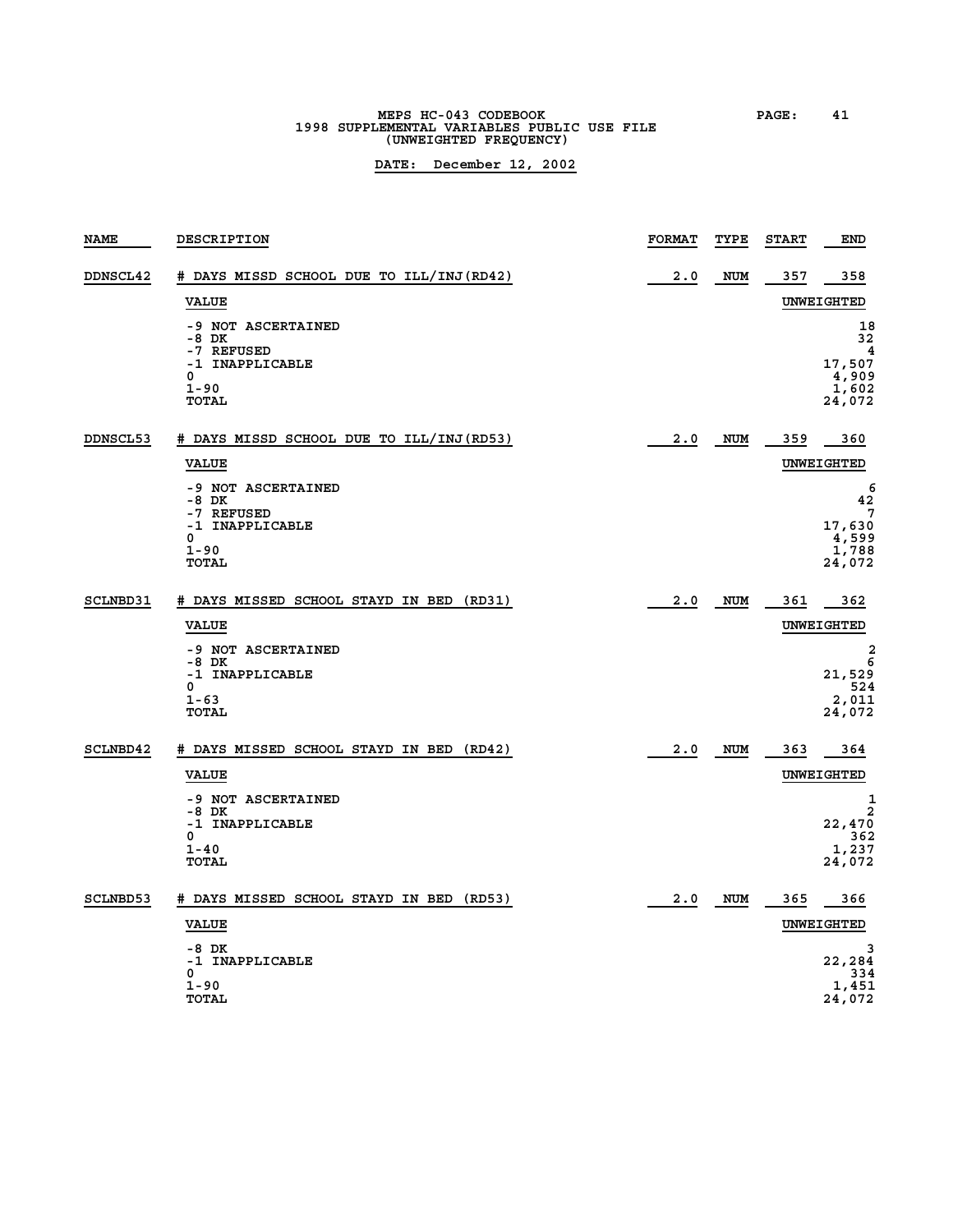**MEPS HC-043 CODEBOOK PAGE: 41 1998 SUPPLEMENTAL VARIABLES PUBLIC USE FILE (UNWEIGHTED FREQUENCY)**

| <b>NAME</b>     | <b>DESCRIPTION</b>                                                                            | <b>FORMAT</b> | TYPE       | <b>START</b> | END                                                              |
|-----------------|-----------------------------------------------------------------------------------------------|---------------|------------|--------------|------------------------------------------------------------------|
| <b>DDNSCL42</b> | # DAYS MISSD SCHOOL DUE TO ILL/INJ(RD42)                                                      | 2.0           | <b>NUM</b> | 357          | 358                                                              |
|                 | <b>VALUE</b>                                                                                  |               |            |              | UNWEIGHTED                                                       |
|                 | -9 NOT ASCERTAINED<br>-8 DK<br>-7 REFUSED<br>-1 INAPPLICABLE<br>0<br>$1 - 90$<br><b>TOTAL</b> |               |            |              | 18<br>32<br>4<br>17,507<br>4,909<br>1,602<br>24,072              |
| <b>DDNSCL53</b> | # DAYS MISSD SCHOOL DUE TO ILL/INJ(RD53)<br><b>VALUE</b>                                      | 2.0           | NUM        | 359          | 360<br>UNWEIGHTED                                                |
|                 | -9 NOT ASCERTAINED<br>-8 DK<br>-7 REFUSED<br>-1 INAPPLICABLE<br>0<br>$1 - 90$<br>TOTAL        |               |            |              | 6<br>42<br>7<br>17,630<br>4,599<br>1,788<br>24,072               |
| SCLNBD31        | # DAYS MISSED SCHOOL STAYD IN BED (RD31)<br><b>VALUE</b>                                      | 2.0           | <b>NUM</b> | 361          | 362<br>UNWEIGHTED                                                |
|                 | -9 NOT ASCERTAINED<br>-8 DK<br>-1 INAPPLICABLE<br>0<br>$1 - 63$<br>TOTAL                      |               |            |              | $\overline{2}$<br>6<br>21,529<br>524<br>2,011<br>24,072          |
| SCLNBD42        | # DAYS MISSED SCHOOL STAYD IN BED (RD42)<br><b>VALUE</b>                                      | 2.0           | NUM        | 363          | 364<br><b>UNWEIGHTED</b>                                         |
|                 | -9 NOT ASCERTAINED<br>-8 DK<br>-1 INAPPLICABLE<br>0<br>$1 - 40$<br>TOTAL                      |               |            |              | 1<br>$\overline{\mathbf{2}}$<br>22,470<br>362<br>1,237<br>24,072 |
| SCLNBD53        | # DAYS MISSED SCHOOL STAYD IN BED (RD53)                                                      | 2.0           | NUM        | 365          | 366                                                              |
|                 | <b>VALUE</b>                                                                                  |               |            |              | UNWEIGHTED                                                       |
|                 | $-8$ DK<br>-1 INAPPLICABLE<br>0<br>1-90<br>TOTAL                                              |               |            |              | 3<br>22,284<br>334<br>1,451<br>24,072                            |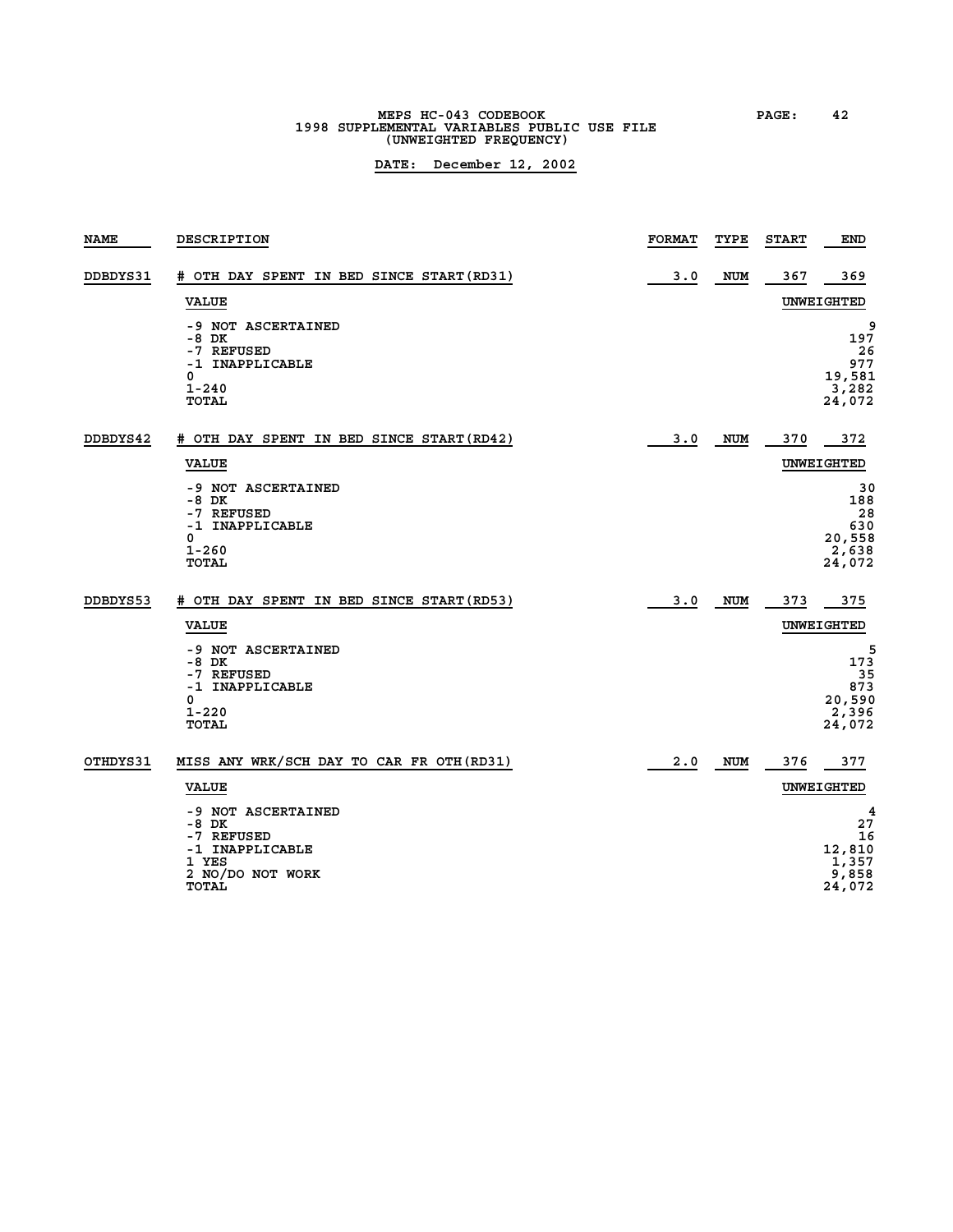# **MEPS HC-043 CODEBOOK PAGE: 42 1998 SUPPLEMENTAL VARIABLES PUBLIC USE FILE (UNWEIGHTED FREQUENCY)**

| <b>NAME</b> | DESCRIPTION                                                                                        | <b>FORMAT</b> | TYPE       | <b>START</b> | <b>END</b>                                          |
|-------------|----------------------------------------------------------------------------------------------------|---------------|------------|--------------|-----------------------------------------------------|
| DDBDYS31    | # OTH DAY SPENT IN BED SINCE START(RD31)<br><b>VALUE</b>                                           | 3.0           | NUM        | 367          | 369<br>UNWEIGHTED                                   |
|             | -9 NOT ASCERTAINED<br>$-8$ DK<br>-7 REFUSED<br>-1 INAPPLICABLE<br>0<br>$1 - 240$<br>TOTAL          |               |            |              | 9<br>197<br>26<br>977<br>19,581<br>3,282<br>24,072  |
| DDBDYS42    | # OTH DAY SPENT IN BED SINCE START (RD42)                                                          | 3.0           | NUM        | 370          | 372                                                 |
|             | <b>VALUE</b>                                                                                       |               |            |              | UNWEIGHTED                                          |
|             | -9 NOT ASCERTAINED<br>-8 DK<br>-7 REFUSED<br>-1 INAPPLICABLE<br>0<br>$1 - 260$<br><b>TOTAL</b>     |               |            |              | 30<br>188<br>28<br>630<br>20,558<br>2,638<br>24,072 |
| DDBDYS53    | # OTH DAY SPENT IN BED SINCE START (RD53)                                                          | 3.0           | NUM        | 373          | 375                                                 |
|             | <b>VALUE</b>                                                                                       |               |            |              | UNWEIGHTED                                          |
|             | -9 NOT ASCERTAINED<br>-8 DK<br>-7 REFUSED<br>-1 INAPPLICABLE<br>0<br>$1 - 220$<br>TOTAL            |               |            |              | 5<br>173<br>35<br>873<br>20,590<br>2,396<br>24,072  |
| OTHDYS31    | MISS ANY WRK/SCH DAY TO CAR FR OTH (RD31)                                                          | 2.0           | <b>NUM</b> | 376          | 377                                                 |
|             | <b>VALUE</b>                                                                                       |               |            |              | UNWEIGHTED                                          |
|             | -9 NOT ASCERTAINED<br>-8 DK<br>-7 REFUSED<br>-1 INAPPLICABLE<br>1 YES<br>2 NO/DO NOT WORK<br>TOTAL |               |            |              | 4<br>27<br>16<br>12,810<br>1,357<br>9,858<br>24,072 |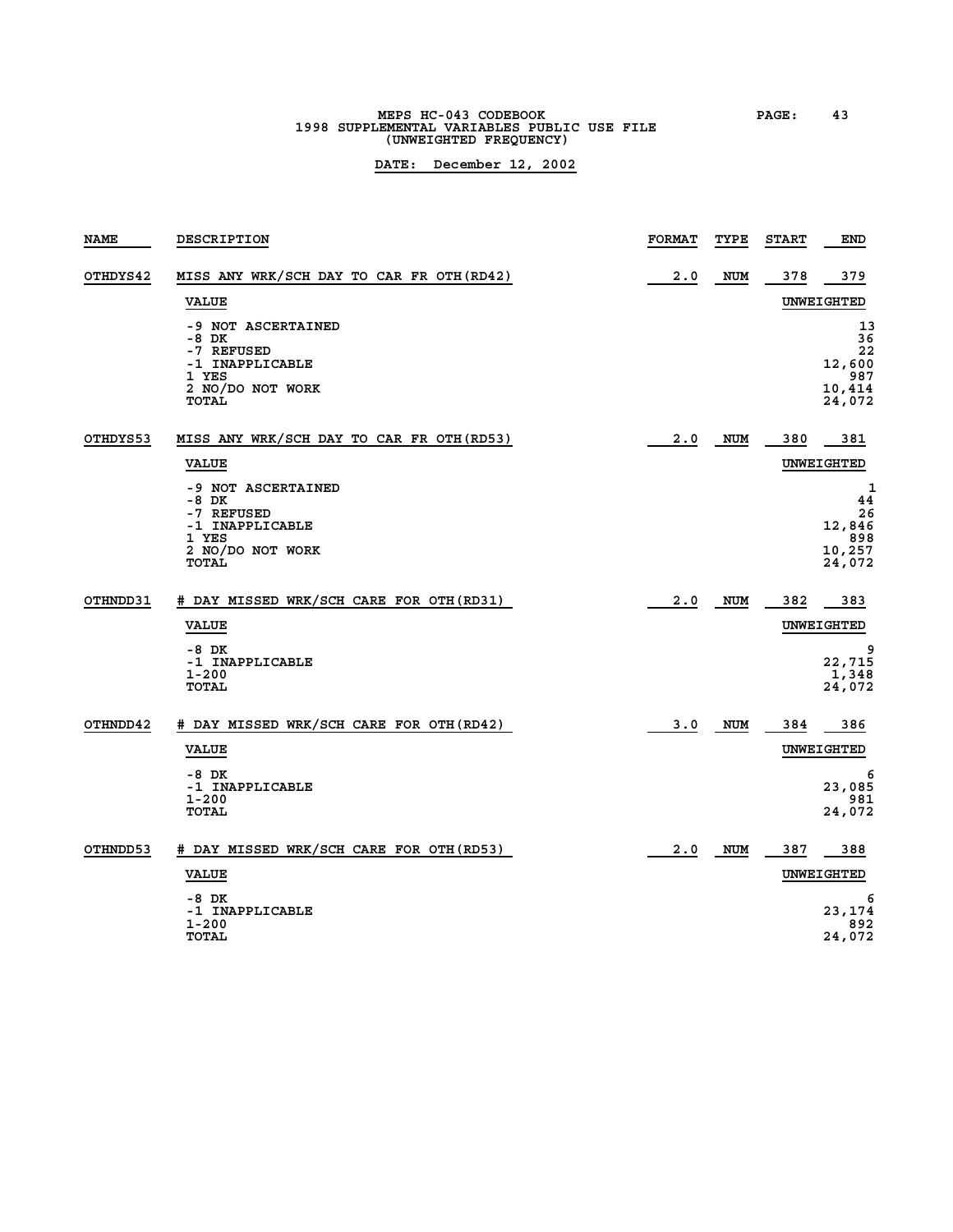# **MEPS HC-043 CODEBOOK PAGE: 43 1998 SUPPLEMENTAL VARIABLES PUBLIC USE FILE (UNWEIGHTED FREQUENCY)**

| <b>NAME</b> | <b>DESCRIPTION</b>                                                                                        | <b>FORMAT</b> | TYPE       | <b>START</b> | <b>END</b>                                          |
|-------------|-----------------------------------------------------------------------------------------------------------|---------------|------------|--------------|-----------------------------------------------------|
| OTHDYS42    | MISS ANY WRK/SCH DAY TO CAR FR OTH (RD42)                                                                 | 2.0           | <b>NUM</b> | 378          | 379                                                 |
|             | <b>VALUE</b>                                                                                              |               |            |              | UNWEIGHTED                                          |
|             | -9 NOT ASCERTAINED<br>-8 DK<br>-7 REFUSED<br>-1 INAPPLICABLE<br>1 YES<br>2 NO/DO NOT WORK<br>TOTAL        |               |            |              | 13<br>36<br>22<br>12,600<br>987<br>10,414<br>24,072 |
| OTHDYS53    | MISS ANY WRK/SCH DAY TO CAR FR OTH (RD53)                                                                 | 2.0           | <b>NUM</b> | 380          | 381                                                 |
|             | <b>VALUE</b>                                                                                              |               |            |              | UNWEIGHTED                                          |
|             | -9 NOT ASCERTAINED<br>-8 DK<br>-7 REFUSED<br>-1 INAPPLICABLE<br>1 YES<br>2 NO/DO NOT WORK<br><b>TOTAL</b> |               |            |              | 1<br>44<br>26<br>12,846<br>898<br>10,257<br>24,072  |
| OTHNDD31    | # DAY MISSED WRK/SCH CARE FOR OTH (RD31)                                                                  | 2.0           | <b>NUM</b> | 382          | 383                                                 |
|             | <b>VALUE</b>                                                                                              |               |            |              | <b>UNWEIGHTED</b>                                   |
|             | $-8$ DK<br>-1 INAPPLICABLE<br>$1 - 200$<br><b>TOTAL</b>                                                   |               |            |              | 9<br>22,715<br>1,348<br>24,072                      |
| OTHNDD42    | # DAY MISSED WRK/SCH CARE FOR OTH (RD42)                                                                  | 3.0           | <b>NUM</b> | 384          | 386                                                 |
|             | <b>VALUE</b>                                                                                              |               |            |              | UNWEIGHTED                                          |
|             | $-8$ DK<br>-1 INAPPLICABLE<br>1-200<br><b>TOTAL</b>                                                       |               |            |              | 6<br>23,085<br>981<br>24,072                        |
| OTHNDD53    | # DAY MISSED WRK/SCH CARE FOR OTH (RD53)                                                                  | 2.0           | <b>NUM</b> | 387          | 388                                                 |
|             | <b>VALUE</b>                                                                                              |               |            |              | UNWEIGHTED                                          |
|             | $-8$ DK<br>-1 INAPPLICABLE<br>$1 - 200$<br><b>TOTAL</b>                                                   |               |            |              | 6<br>23,174<br>892<br>24,072                        |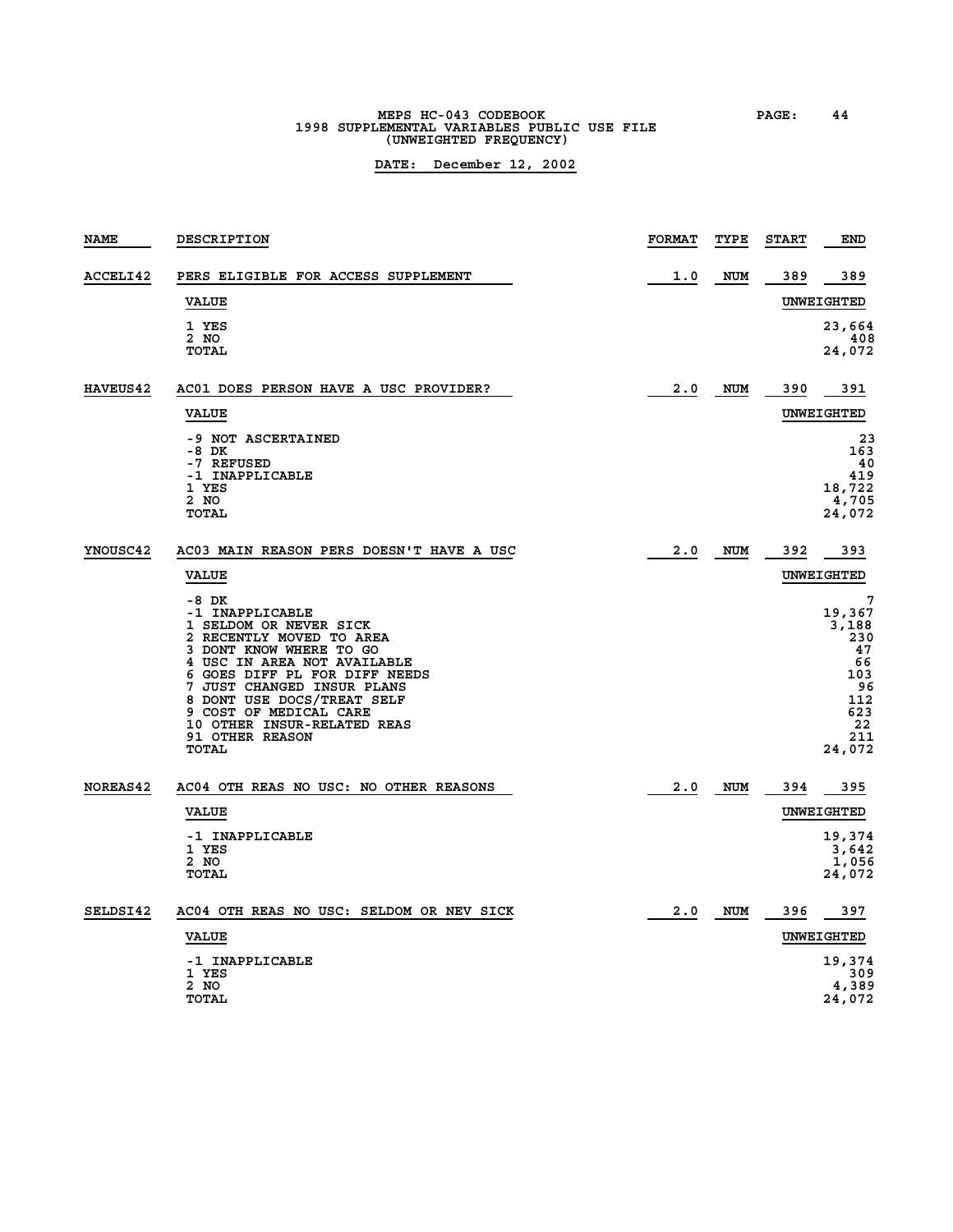# **MEPS HC-043 CODEBOOK PAGE: 44 1998 SUPPLEMENTAL VARIABLES PUBLIC USE FILE (UNWEIGHTED FREQUENCY)**

| <b>NAME</b>     | DESCRIPTION                                                                                                                                                                                                                                                                                                                       | <b>FORMAT</b> | TYPE       | <b>START</b> | <b>END</b>                                                                                |
|-----------------|-----------------------------------------------------------------------------------------------------------------------------------------------------------------------------------------------------------------------------------------------------------------------------------------------------------------------------------|---------------|------------|--------------|-------------------------------------------------------------------------------------------|
| ACCELI42        | PERS ELIGIBLE FOR ACCESS SUPPLEMENT                                                                                                                                                                                                                                                                                               | 1.0           | <b>NUM</b> | 389          | 389                                                                                       |
|                 | <b>VALUE</b>                                                                                                                                                                                                                                                                                                                      |               |            |              | UNWEIGHTED                                                                                |
|                 | 1 YES<br>2 NO<br><b>TOTAL</b>                                                                                                                                                                                                                                                                                                     |               |            |              | 23,664<br>408<br>24,072                                                                   |
| <b>HAVEUS42</b> | AC01 DOES PERSON HAVE A USC PROVIDER?                                                                                                                                                                                                                                                                                             | 2.0           | NUM        | 390          | 391                                                                                       |
|                 | <b>VALUE</b>                                                                                                                                                                                                                                                                                                                      |               |            |              | UNWEIGHTED                                                                                |
|                 | -9 NOT ASCERTAINED<br>-8 DK<br>-7 REFUSED<br>-1 INAPPLICABLE<br>1 YES<br>2 NO<br>TOTAL                                                                                                                                                                                                                                            |               |            |              | 23<br>163<br>40<br>419<br>18,722<br>4,705<br>24,072                                       |
| YNOUSC42        | AC03 MAIN REASON PERS DOESN'T HAVE A USC                                                                                                                                                                                                                                                                                          | 2.0           | <b>NUM</b> | 392          | 393                                                                                       |
|                 | <b>VALUE</b>                                                                                                                                                                                                                                                                                                                      |               |            |              | UNWEIGHTED                                                                                |
|                 | -8 DK<br>-1 INAPPLICABLE<br>1 SELDOM OR NEVER SICK<br>2 RECENTLY MOVED TO AREA<br>3 DONT KNOW WHERE TO GO<br>4 USC IN AREA NOT AVAILABLE<br>6 GOES DIFF PL FOR DIFF NEEDS<br>7 JUST CHANGED INSUR PLANS<br>8 DONT USE DOCS/TREAT SELF<br>9 COST OF MEDICAL CARE<br>10 OTHER INSUR-RELATED REAS<br><b>91 OTHER REASON</b><br>TOTAL |               |            |              | 7<br>19,367<br>3,188<br>230<br>47<br>66<br>103<br>96<br>112<br>623<br>22<br>211<br>24,072 |
| NOREAS42        | AC04 OTH REAS NO USC: NO OTHER REASONS                                                                                                                                                                                                                                                                                            | 2.0           | <b>NUM</b> | 394          | 395                                                                                       |
|                 | <b>VALUE</b>                                                                                                                                                                                                                                                                                                                      |               |            |              | UNWEIGHTED                                                                                |
|                 | -1 INAPPLICABLE<br>1 YES<br>$2$ NO<br><b>TOTAL</b>                                                                                                                                                                                                                                                                                |               |            |              | 19,374<br>3,642<br>1,056<br>24,072                                                        |
| SELDSI42        | AC04 OTH REAS NO USC: SELDOM OR NEV SICK                                                                                                                                                                                                                                                                                          | 2.0           | NUM        | 396          | 397                                                                                       |
|                 | <b>VALUE</b>                                                                                                                                                                                                                                                                                                                      |               |            |              | UNWEIGHTED                                                                                |
|                 | -1 INAPPLICABLE<br>1 YES<br>2 NO<br><b>TOTAL</b>                                                                                                                                                                                                                                                                                  |               |            |              | 19,374<br>309<br>4,389<br>24,072                                                          |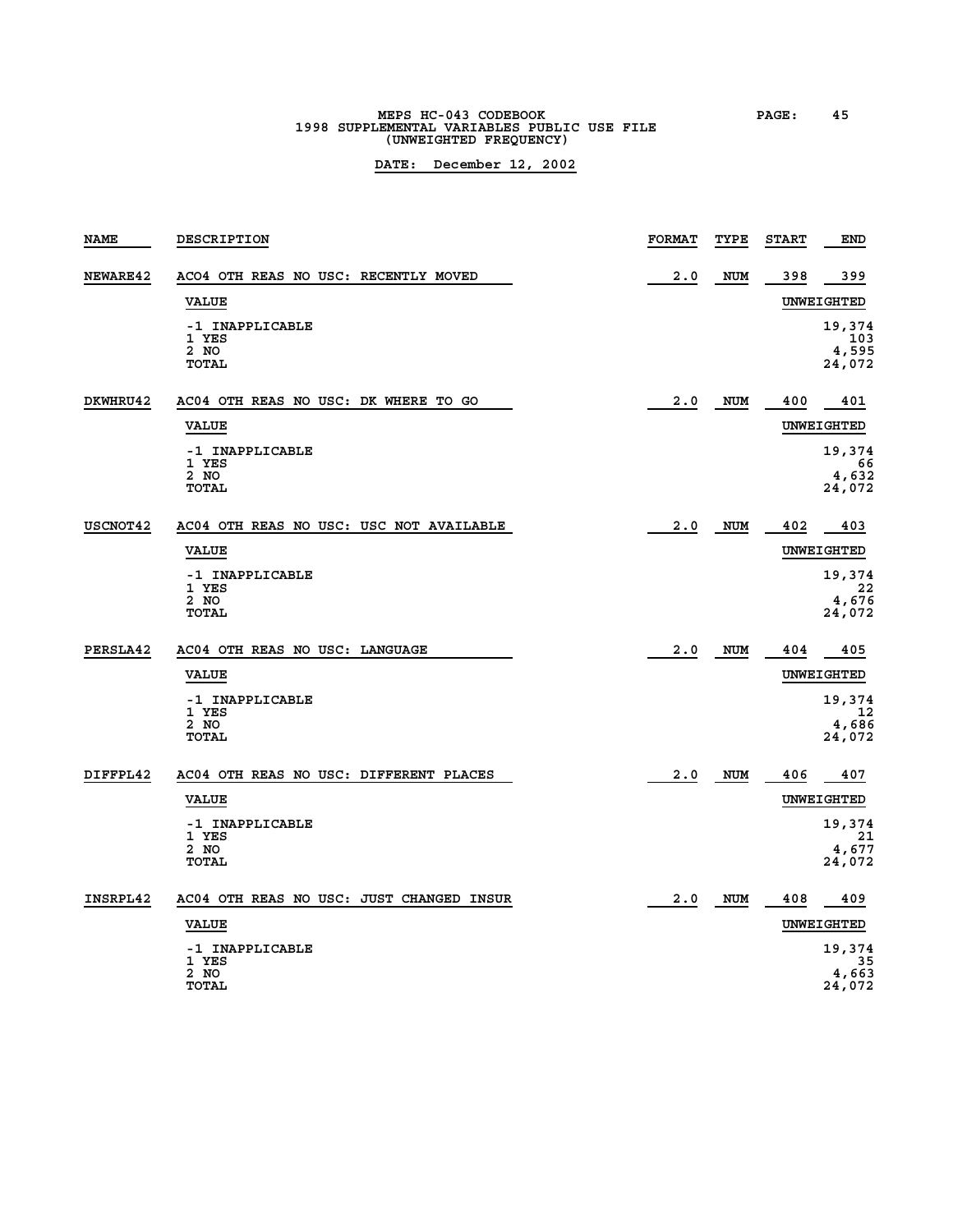# **MEPS HC-043 CODEBOOK PAGE: 45**<br> **1998 SUPPLEMENTAL VARIABLES PUBLIC USE FILE (UNWEIGHTED FREQUENCY)**

| <b>NAME</b> | <b>DESCRIPTION</b>                        | <b>FORMAT</b> | TYPE       | <b>START</b> | <b>END</b>                       |
|-------------|-------------------------------------------|---------------|------------|--------------|----------------------------------|
| NEWARE42    | ACO4 OTH REAS NO USC: RECENTLY MOVED      | 2.0           | <b>NUM</b> | 398          | 399                              |
|             | <b>VALUE</b>                              |               |            |              | UNWEIGHTED                       |
|             | -1 INAPPLICABLE<br>1 YES<br>2 NO<br>TOTAL |               |            |              | 19,374<br>103<br>4,595<br>24,072 |
| DKWHRU42    | AC04 OTH REAS NO USC: DK WHERE TO GO      | 2.0           | <b>NUM</b> | 400          | 401                              |
|             | <b>VALUE</b>                              |               |            |              | <b>UNWEIGHTED</b>                |
|             | -1 INAPPLICABLE<br>1 YES                  |               |            |              | 19,374<br>66                     |
|             | 2 NO<br><b>TOTAL</b>                      |               |            |              | 4,632<br>24,072                  |
| USCNOT42    | AC04 OTH REAS NO USC: USC NOT AVAILABLE   | 2.0           | <b>NUM</b> | 402          | 403                              |
|             | <b>VALUE</b>                              |               |            |              | UNWEIGHTED                       |
|             | -1 INAPPLICABLE<br>1 YES                  |               |            |              | 19,374<br>22                     |
|             | 2 NO<br>TOTAL                             |               |            |              | 4,676<br>24,072                  |
| PERSLA42    | AC04 OTH REAS NO USC: LANGUAGE            | 2.0           | NUM        | 404          | 405                              |
|             | <b>VALUE</b>                              |               |            |              | UNWEIGHTED                       |
|             | -1 INAPPLICABLE<br>1 YES                  |               |            |              | 19,374<br>-12                    |
|             | 2 NO<br><b>TOTAL</b>                      |               |            |              | 4,686<br>24,072                  |
|             |                                           |               |            |              |                                  |
| DIFFPL42    | AC04 OTH REAS NO USC: DIFFERENT PLACES    | 2.0           | NUM        | 406          | 407                              |
|             | <b>VALUE</b>                              |               |            |              | <b>UNWEIGHTED</b>                |
|             | -1 INAPPLICABLE<br>1 YES                  |               |            |              | 19,374<br>21                     |
|             | 2 NO<br>TOTAL                             |               |            |              | 4,677<br>24,072                  |
| INSRPL42    | AC04 OTH REAS NO USC: JUST CHANGED INSUR  | 2.0           | <b>NUM</b> | 408          | 409                              |
|             | <b>VALUE</b>                              |               |            |              | UNWEIGHTED                       |
|             | -1 INAPPLICABLE<br>1 YES                  |               |            |              | 19,374<br>35                     |
|             | 2 NO<br><b>TOTAL</b>                      |               |            |              | 4,663<br>24,072                  |
|             |                                           |               |            |              |                                  |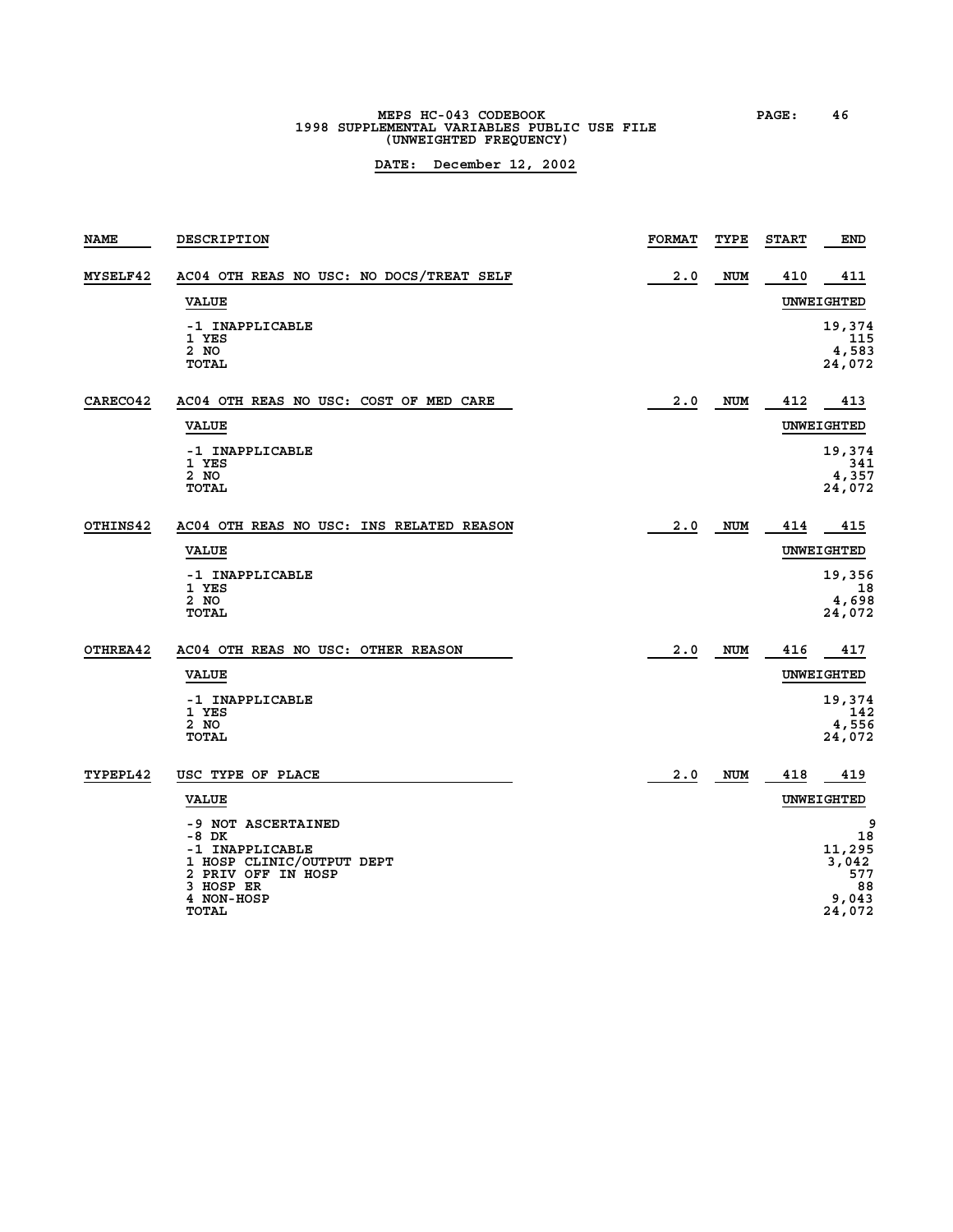# **MEPS HC-043 CODEBOOK**<br>1998 SUPPLEMENTAL VARIABLES PUBLIC USE FILE<br>POSE FILE **(UNWEIGHTED FREQUENCY)**

| <b>NAME</b> | <b>DESCRIPTION</b>                              | <b>FORMAT</b> | TYPE       | <b>START</b> | <b>END</b>      |
|-------------|-------------------------------------------------|---------------|------------|--------------|-----------------|
| MYSELF42    | AC04 OTH REAS NO USC: NO DOCS/TREAT SELF        | 2.0           | <b>NUM</b> | 410          | 411             |
|             | <b>VALUE</b>                                    |               |            |              | UNWEIGHTED      |
|             | -1 INAPPLICABLE<br>1 YES                        |               |            |              | 19,374<br>115   |
|             | 2 NO<br><b>TOTAL</b>                            |               |            |              | 4,583<br>24,072 |
| CARECO42    | AC04 OTH REAS NO USC: COST OF MED CARE          | 2.0           | <b>NUM</b> | 412          | 413             |
|             | <b>VALUE</b>                                    |               |            |              | UNWEIGHTED      |
|             | -1 INAPPLICABLE<br>1 YES                        |               |            |              | 19,374<br>341   |
|             | 2 NO<br><b>TOTAL</b>                            |               |            |              | 4,357<br>24,072 |
| OTHINS42    | AC04 OTH REAS NO USC: INS RELATED REASON        | 2.0           | <b>NUM</b> | 414          | 415             |
|             | <b>VALUE</b>                                    |               |            |              | UNWEIGHTED      |
|             | -1 INAPPLICABLE                                 |               |            |              | 19,356          |
|             | 1 YES<br>2 NO                                   |               |            |              | 18<br>4,698     |
|             | TOTAL                                           |               |            |              | 24,072          |
| OTHREA42    | AC04 OTH REAS NO USC: OTHER REASON              | 2.0           | <b>NUM</b> | 416          | 417             |
|             | <b>VALUE</b>                                    |               |            |              | UNWEIGHTED      |
|             | -1 INAPPLICABLE                                 |               |            |              | 19,374          |
|             | 1 YES<br>2 NO                                   |               |            |              | 142<br>4,556    |
|             | <b>TOTAL</b>                                    |               |            |              | 24,072          |
| TYPEPL42    | USC TYPE OF PLACE                               | 2.0           | <b>NUM</b> | 418          | 419             |
|             | <b>VALUE</b>                                    |               |            |              | UNWEIGHTED      |
|             | -9 NOT ASCERTAINED                              |               |            |              | 9               |
|             | -8 DK<br>-1 INAPPLICABLE                        |               |            |              | 18<br>11,295    |
|             | 1 HOSP CLINIC/OUTPUT DEPT<br>2 PRIV OFF IN HOSP |               |            |              | 3,042<br>577    |
|             | 3 HOSP ER<br>4 NON-HOSP                         |               |            |              | 88<br>9,043     |
|             | TOTAL                                           |               |            |              | 24,072          |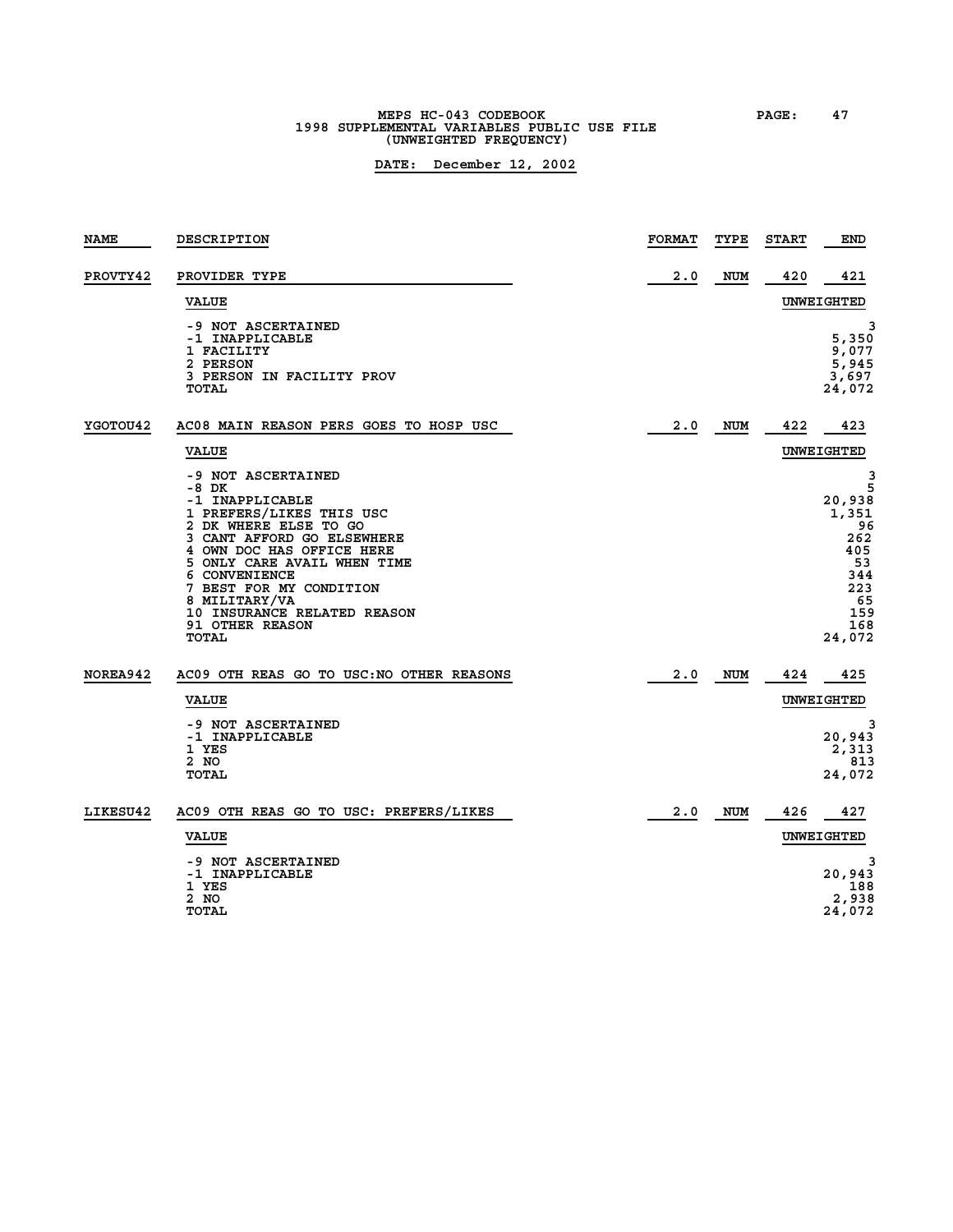**MEPS HC-043 CODEBOOK PAGE: 47 1998 SUPPLEMENTAL VARIABLES PUBLIC USE FILE (UNWEIGHTED FREQUENCY)**

| <b>NAME</b> | DESCRIPTION                                                                                                                                                                                                                                                                                                                  | <b>FORMAT</b> | TYPE       | <b>START</b> | <b>END</b>                                                                                      |
|-------------|------------------------------------------------------------------------------------------------------------------------------------------------------------------------------------------------------------------------------------------------------------------------------------------------------------------------------|---------------|------------|--------------|-------------------------------------------------------------------------------------------------|
| PROVTY42    | PROVIDER TYPE                                                                                                                                                                                                                                                                                                                | 2.0           | <b>NUM</b> | 420          | 421                                                                                             |
|             | <b>VALUE</b>                                                                                                                                                                                                                                                                                                                 |               |            |              | UNWEIGHTED                                                                                      |
|             | -9 NOT ASCERTAINED<br>-1 INAPPLICABLE<br>1 FACILITY<br>2 PERSON<br>3 PERSON IN FACILITY PROV<br><b>TOTAL</b>                                                                                                                                                                                                                 |               |            |              | з<br>5,350<br>9,077<br>5,945<br>3,697<br>24,072                                                 |
| YGOTOU42    | AC08 MAIN REASON PERS GOES TO HOSP USC                                                                                                                                                                                                                                                                                       | 2.0           | <b>NUM</b> | 422          | 423                                                                                             |
|             | <b>VALUE</b>                                                                                                                                                                                                                                                                                                                 |               |            |              | UNWEIGHTED                                                                                      |
|             | -9 NOT ASCERTAINED<br>-8 DK<br>-1 INAPPLICABLE<br>1 PREFERS/LIKES THIS USC<br>2 DK WHERE ELSE TO GO<br>3 CANT AFFORD GO ELSEWHERE<br>4 OWN DOC HAS OFFICE HERE<br>5 ONLY CARE AVAIL WHEN TIME<br>6 CONVENIENCE<br>7 BEST FOR MY CONDITION<br>8 MILITARY/VA<br>10 INSURANCE RELATED REASON<br><b>91 OTHER REASON</b><br>TOTAL |               |            |              | 3<br>5<br>20,938<br>1,351<br>96<br>262<br>405<br>53<br>344<br>223<br>65<br>159<br>168<br>24,072 |
| NOREA942    | AC09 OTH REAS GO TO USC: NO OTHER REASONS                                                                                                                                                                                                                                                                                    | 2.0           | <b>NUM</b> | 424          | 425                                                                                             |
|             | <b>VALUE</b>                                                                                                                                                                                                                                                                                                                 |               |            |              | UNWEIGHTED                                                                                      |
|             | -9 NOT ASCERTAINED<br>-1 INAPPLICABLE<br>1 YES<br>2 NO<br>TOTAL                                                                                                                                                                                                                                                              |               |            |              | 20,943<br>2,313<br>813<br>24,072                                                                |
| LIKESU42    | AC09 OTH REAS GO TO USC: PREFERS/LIKES                                                                                                                                                                                                                                                                                       | 2.0           | <b>NUM</b> | 426          | 427                                                                                             |
|             | <b>VALUE</b>                                                                                                                                                                                                                                                                                                                 |               |            |              | UNWEIGHTED                                                                                      |
|             | -9 NOT ASCERTAINED<br>-1 INAPPLICABLE                                                                                                                                                                                                                                                                                        |               |            |              | 20,943                                                                                          |
|             | 1 YES<br>2 NO<br><b>TOTAL</b>                                                                                                                                                                                                                                                                                                |               |            |              | 188<br>2,938<br>24,072                                                                          |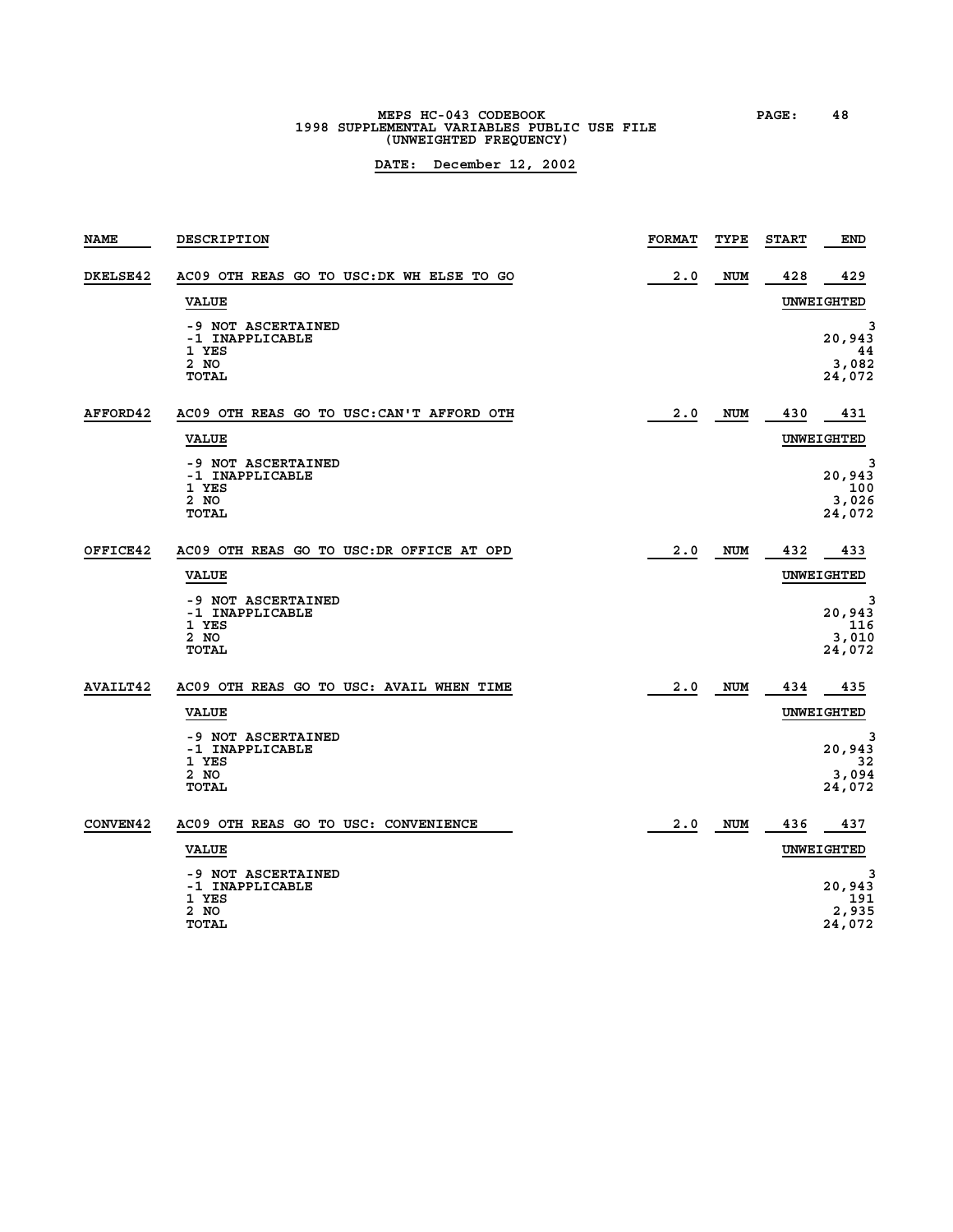**MEPS HC-043 CODEBOOK PAGE: 48 1998 SUPPLEMENTAL VARIABLES PUBLIC USE FILE (UNWEIGHTED FREQUENCY)**

| <b>NAME</b>     | DESCRIPTION                                                            | <b>FORMAT</b> | TYPE       | <b>START</b> | <b>END</b>                            |
|-----------------|------------------------------------------------------------------------|---------------|------------|--------------|---------------------------------------|
| DKELSE42        | AC09 OTH REAS GO TO USC: DK WH ELSE TO GO                              | 2.0           | <b>NUM</b> | 428          | 429                                   |
|                 | <b>VALUE</b>                                                           |               |            |              | UNWEIGHTED                            |
|                 | -9 NOT ASCERTAINED<br>-1 INAPPLICABLE<br>1 YES<br>2 NO<br><b>TOTAL</b> |               |            |              | 3<br>20,943<br>44<br>3,082<br>24,072  |
| AFFORD42        | AC09 OTH REAS GO TO USC: CAN'T AFFORD OTH                              | 2.0           | NUM        | 430          | 431                                   |
|                 | <b>VALUE</b>                                                           |               |            |              | UNWEIGHTED                            |
|                 | -9 NOT ASCERTAINED<br>-1 INAPPLICABLE<br>1 YES<br>2 NO<br><b>TOTAL</b> |               |            |              | 3<br>20,943<br>100<br>3,026<br>24,072 |
| OFFICE42        | AC09 OTH REAS GO TO USC: DR OFFICE AT OPD                              | 2.0           | <b>NUM</b> | 432          | 433                                   |
|                 | <b>VALUE</b>                                                           |               |            |              | UNWEIGHTED                            |
|                 | -9 NOT ASCERTAINED<br>-1 INAPPLICABLE<br>1 YES<br>2 NO<br><b>TOTAL</b> |               |            |              | 3<br>20,943<br>116<br>3,010<br>24,072 |
| <b>AVAILT42</b> | AC09 OTH REAS GO TO USC: AVAIL WHEN TIME                               | 2.0           | <b>NUM</b> | 434          | 435                                   |
|                 | <b>VALUE</b>                                                           |               |            |              | UNWEIGHTED                            |
|                 | -9 NOT ASCERTAINED<br>-1 INAPPLICABLE<br>1 YES                         |               |            |              | 3<br>20,943<br>32                     |
|                 | 2 NO<br><b>TOTAL</b>                                                   |               |            |              | 3,094<br>24,072                       |
| CONVEN42        | AC09 OTH REAS GO TO USC: CONVENIENCE                                   | 2.0           | <b>NUM</b> | 436          | 437                                   |
|                 | <b>VALUE</b>                                                           |               |            |              | UNWEIGHTED                            |
|                 | -9 NOT ASCERTAINED<br>-1 INAPPLICABLE<br>1 YES<br>2 NO<br>TOTAL        |               |            |              | з<br>20,943<br>191<br>2,935<br>24,072 |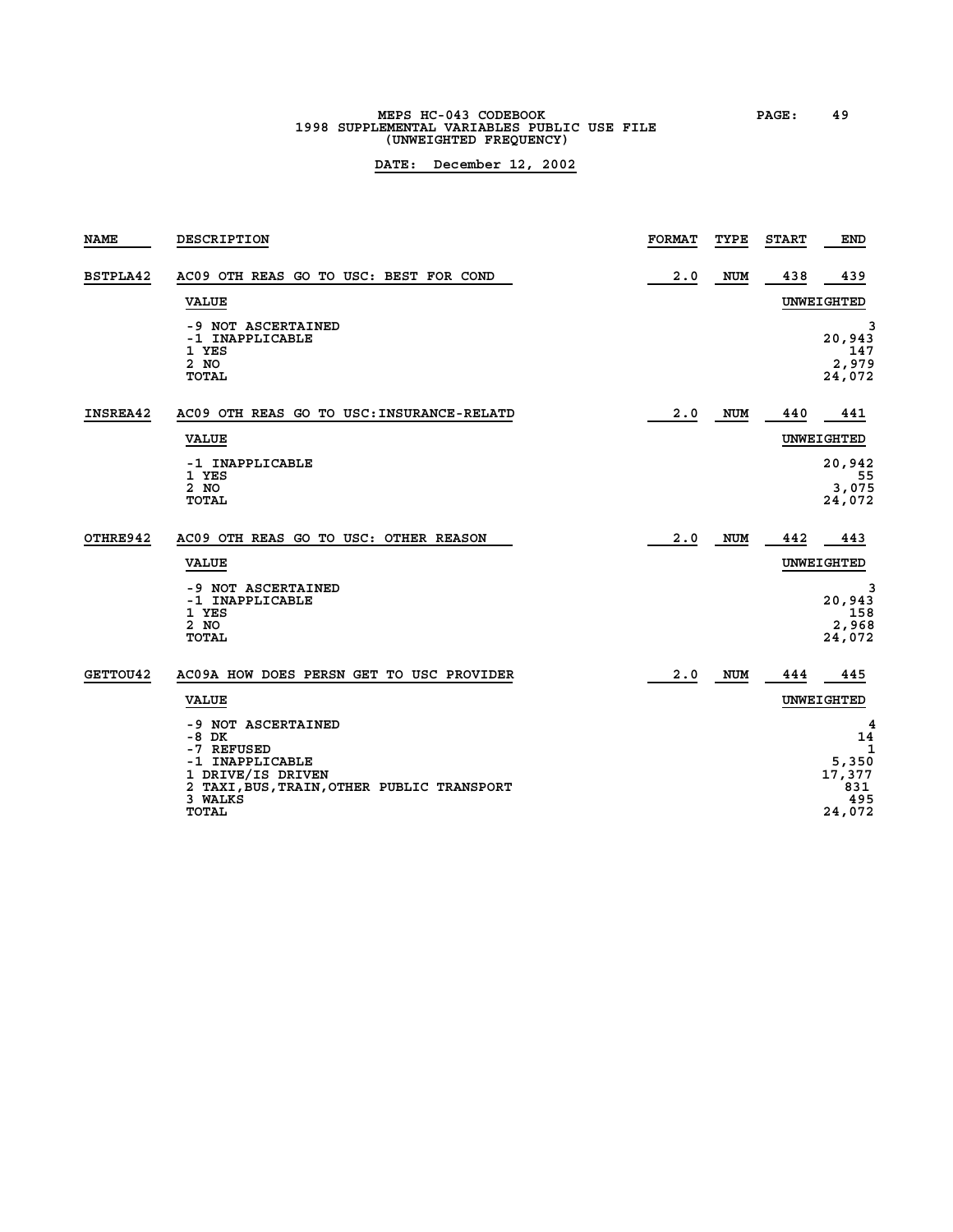## **MEPS HC-043 CODEBOOK PAGE: 49 1998 SUPPLEMENTAL VARIABLES PUBLIC USE FILE (UNWEIGHTED FREQUENCY)**

| <b>NAME</b> | <b>DESCRIPTION</b>                                                                                                                | <b>FORMAT</b> | TYPE       | <b>START</b> | END                                    |
|-------------|-----------------------------------------------------------------------------------------------------------------------------------|---------------|------------|--------------|----------------------------------------|
| BSTPLA42    | AC09 OTH REAS GO TO USC: BEST FOR COND                                                                                            | 2.0           | <b>NUM</b> | 438          | 439                                    |
|             | <b>VALUE</b>                                                                                                                      |               |            |              | UNWEIGHTED                             |
|             | -9 NOT ASCERTAINED<br>-1 INAPPLICABLE<br>1 YES<br>2 NO<br>TOTAL                                                                   |               |            |              | 3<br>20,943<br>147<br>2,979<br>24,072  |
| INSREA42    | AC09 OTH REAS GO TO USC: INSURANCE-RELATD                                                                                         | 2.0           | <b>NUM</b> | 440          | 441                                    |
|             | <b>VALUE</b>                                                                                                                      |               |            |              | UNWEIGHTED                             |
|             | -1 INAPPLICABLE                                                                                                                   |               |            |              | 20,942                                 |
|             | 1 YES<br>2 NO<br>TOTAL                                                                                                            |               |            |              | 55<br>3,075<br>24,072                  |
| OTHRE942    | AC09 OTH REAS GO TO USC: OTHER REASON                                                                                             | 2.0           | <b>NUM</b> | 442          | 443                                    |
|             | <b>VALUE</b>                                                                                                                      |               |            |              | <b>UNWEIGHTED</b>                      |
|             | -9 NOT ASCERTAINED<br>-1 INAPPLICABLE<br>1 YES<br>2 NO<br>TOTAL                                                                   |               |            |              | 3<br>20,943<br>158<br>2,968<br>24,072  |
| GETTOU42    | AC09A HOW DOES PERSN GET TO USC PROVIDER                                                                                          | 2.0           | <b>NUM</b> | 444          | 445                                    |
|             | <b>VALUE</b>                                                                                                                      |               |            |              | UNWEIGHTED                             |
|             | -9 NOT ASCERTAINED<br>$-8$ DK<br>-7 REFUSED<br>-1 INAPPLICABLE<br>1 DRIVE/IS DRIVEN<br>2 TAXI, BUS, TRAIN, OTHER PUBLIC TRANSPORT |               |            |              | 4<br>14<br>1<br>5,350<br>17,377<br>831 |
|             | 3 WALKS<br><b>TOTAL</b>                                                                                                           |               |            |              | 495<br>24,072                          |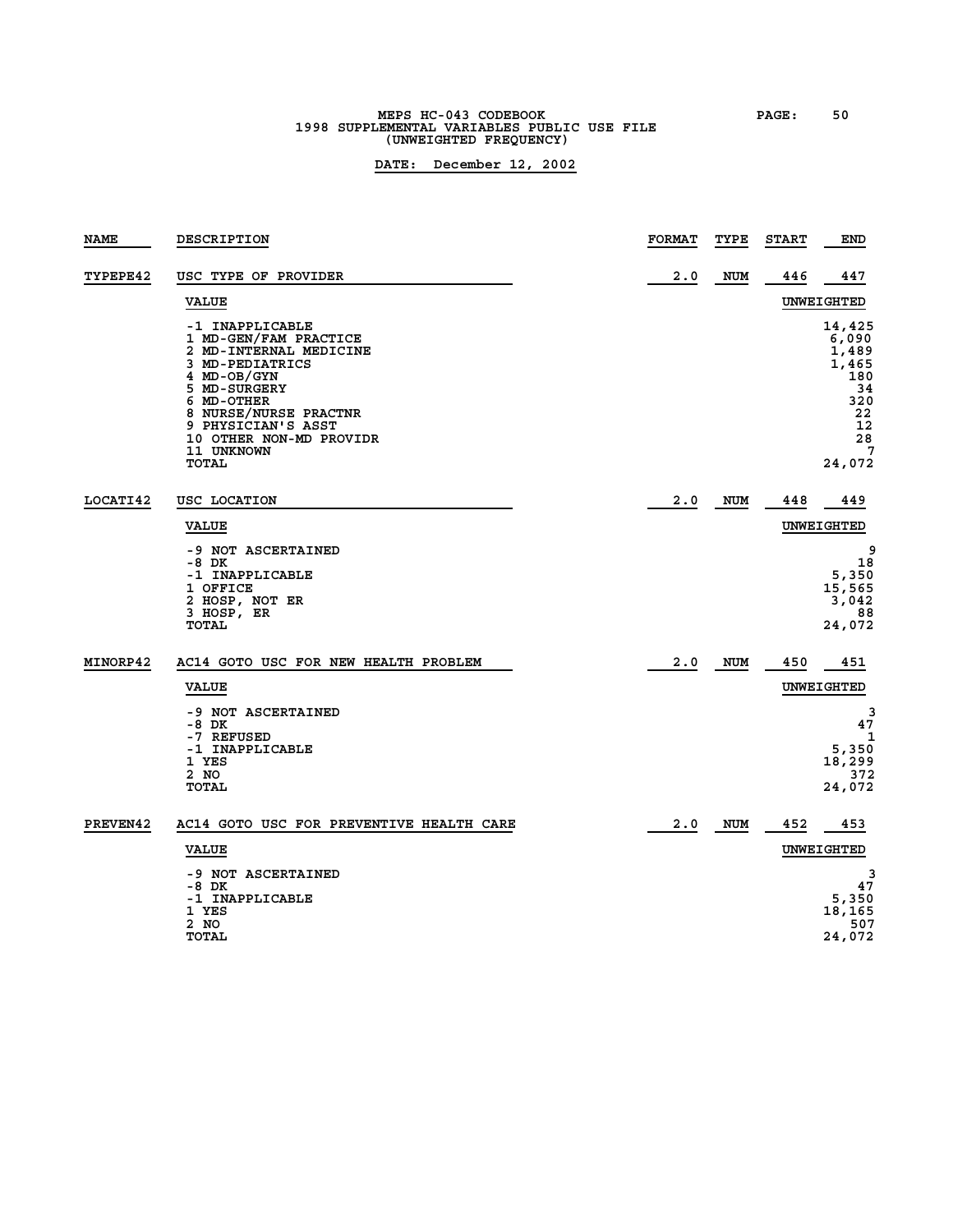### **MEPS HC-043 CODEBOOK PAGE: 50 1998 SUPPLEMENTAL VARIABLES PUBLIC USE FILE (UNWEIGHTED FREQUENCY)**

| <b>NAME</b>     | DESCRIPTION                                                                                                                                                                                                                         | <b>FORMAT</b> | TYPE       | <b>START</b> | END                                                                                    |
|-----------------|-------------------------------------------------------------------------------------------------------------------------------------------------------------------------------------------------------------------------------------|---------------|------------|--------------|----------------------------------------------------------------------------------------|
| <b>TYPEPE42</b> | USC TYPE OF PROVIDER                                                                                                                                                                                                                | 2.0           | <b>NUM</b> | 446          | 447                                                                                    |
|                 | <b>VALUE</b>                                                                                                                                                                                                                        |               |            |              | UNWEIGHTED                                                                             |
|                 | -1 INAPPLICABLE<br>1 MD-GEN/FAM PRACTICE<br>2 MD-INTERNAL MEDICINE<br>3 MD-PEDIATRICS<br>4 MD-OB/GYN<br>5 MD-SURGERY<br>6 MD-OTHER<br>8 NURSE/NURSE PRACTNR<br>9 PHYSICIAN'S ASST<br>10 OTHER NON-MD PROVIDR<br>11 UNKNOWN<br>TOTAL |               |            |              | 14,425<br>6,090<br>1,489<br>1,465<br>180<br>34<br>320<br>22<br>12<br>28<br>7<br>24,072 |
| LOCATI42        | USC LOCATION                                                                                                                                                                                                                        | 2.0           | <b>NUM</b> | 448          | 449                                                                                    |
|                 | <b>VALUE</b>                                                                                                                                                                                                                        |               |            |              | UNWEIGHTED                                                                             |
|                 | -9 NOT ASCERTAINED<br>-8 DK<br>-1 INAPPLICABLE<br>1 OFFICE<br>2 HOSP, NOT ER<br>3 HOSP, ER<br>TOTAL                                                                                                                                 |               |            |              | 9<br>18<br>5,350<br>15,565<br>3,042<br>88<br>24,072                                    |
| MINORP42        | AC14 GOTO USC FOR NEW HEALTH PROBLEM                                                                                                                                                                                                | 2.0           | NUM        | 450          | 451                                                                                    |
|                 | <b>VALUE</b>                                                                                                                                                                                                                        |               |            |              | UNWEIGHTED                                                                             |
|                 | -9 NOT ASCERTAINED<br>-8 DK<br>-7 REFUSED<br>-1 INAPPLICABLE<br>1 YES<br>2 NO<br>TOTAL                                                                                                                                              |               |            |              | 3<br>47<br>1<br>5,350<br>18,299<br>372<br>24,072                                       |
| PREVEN42        | AC14 GOTO USC FOR PREVENTIVE HEALTH CARE                                                                                                                                                                                            | 2.0           | NUM        | 452          | 453                                                                                    |
|                 | <b>VALUE</b>                                                                                                                                                                                                                        |               |            |              | UNWEIGHTED                                                                             |
|                 | -9 NOT ASCERTAINED<br>-8 DK<br>-1 INAPPLICABLE<br>1 YES<br>2 NO<br>TOTAL                                                                                                                                                            |               |            |              | 3<br>47<br>5,350<br>18,165<br>507<br>24,072                                            |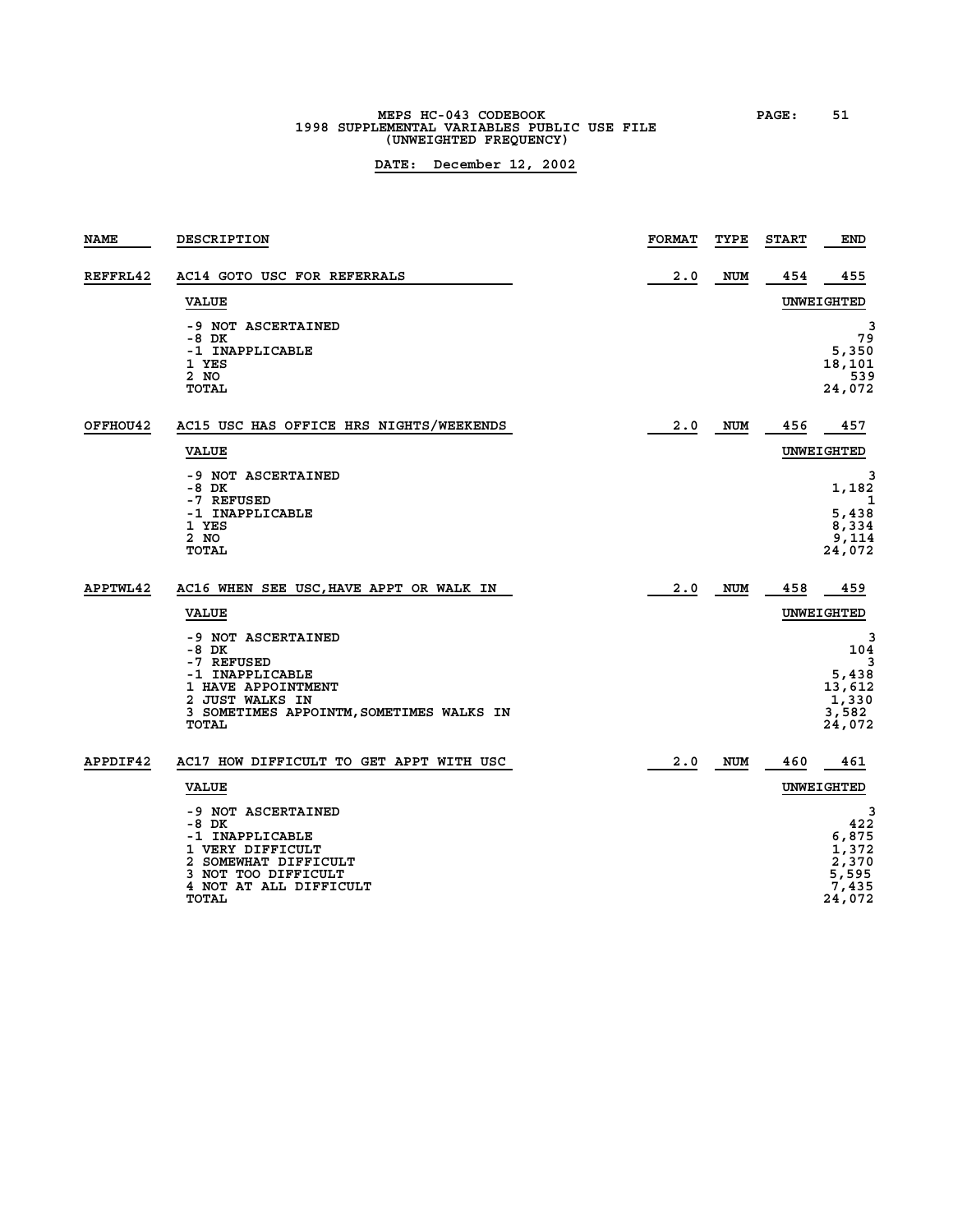# **MEPS HC-043 CODEBOOK PAGE: 51 1998 SUPPLEMENTAL VARIABLES PUBLIC USE FILE (UNWEIGHTED FREQUENCY)**

| <b>NAME</b> | DESCRIPTION                                                                                                                                                 | <b>FORMAT</b> | TYPE       | <b>START</b> | <b>END</b>                                                      |
|-------------|-------------------------------------------------------------------------------------------------------------------------------------------------------------|---------------|------------|--------------|-----------------------------------------------------------------|
| REFFRL42    | AC14 GOTO USC FOR REFERRALS                                                                                                                                 | 2.0           | NUM        | 454          | 455                                                             |
|             | <b>VALUE</b>                                                                                                                                                |               |            |              | UNWEIGHTED                                                      |
|             | -9 NOT ASCERTAINED<br>-8 DK<br>-1 INAPPLICABLE<br>1 YES<br>2 NO<br><b>TOTAL</b>                                                                             |               |            |              | 3<br>79<br>5,350<br>18,101<br>539<br>24,072                     |
| OFFHOU42    | AC15 USC HAS OFFICE HRS NIGHTS/WEEKENDS                                                                                                                     | 2.0           | NUM        | 456          | 457                                                             |
|             | <b>VALUE</b>                                                                                                                                                |               |            |              | UNWEIGHTED                                                      |
|             | -9 NOT ASCERTAINED<br>-8 DK<br>-7 REFUSED                                                                                                                   |               |            |              | З<br>1,182<br>1                                                 |
|             | -1 INAPPLICABLE<br>1 YES<br>2 NO<br><b>TOTAL</b>                                                                                                            |               |            |              | 5,438<br>8,334<br>9,114<br>24,072                               |
| APPTWL42    | AC16 WHEN SEE USC, HAVE APPT OR WALK IN                                                                                                                     | 2.0           | NUM        | 458          | 459                                                             |
|             | <b>VALUE</b>                                                                                                                                                |               |            |              | UNWEIGHTED                                                      |
|             | -9 NOT ASCERTAINED<br>-8 DK<br>-7 REFUSED                                                                                                                   |               |            |              | 3<br>104<br>3                                                   |
|             | -1 INAPPLICABLE<br>1 HAVE APPOINTMENT                                                                                                                       |               |            |              | 5,438<br>13,612                                                 |
|             | 2 JUST WALKS IN<br>3 SOMETIMES APPOINTM, SOMETIMES WALKS IN<br>TOTAL                                                                                        |               |            |              | 1,330<br>3,582<br>24,072                                        |
| APPDIF42    | AC17 HOW DIFFICULT TO GET APPT WITH USC                                                                                                                     | 2.0           | <b>NUM</b> | 460          | 461                                                             |
|             | <b>VALUE</b>                                                                                                                                                |               |            |              | UNWEIGHTED                                                      |
|             | -9 NOT ASCERTAINED<br>-8 DK<br>-1 INAPPLICABLE<br>1 VERY DIFFICULT<br>2 SOMEWHAT DIFFICULT<br>3 NOT TOO DIFFICULT<br>4 NOT AT ALL DIFFICULT<br><b>TOTAL</b> |               |            |              | 3<br>422<br>6,875<br>1,372<br>2,370<br>5,595<br>7,435<br>24,072 |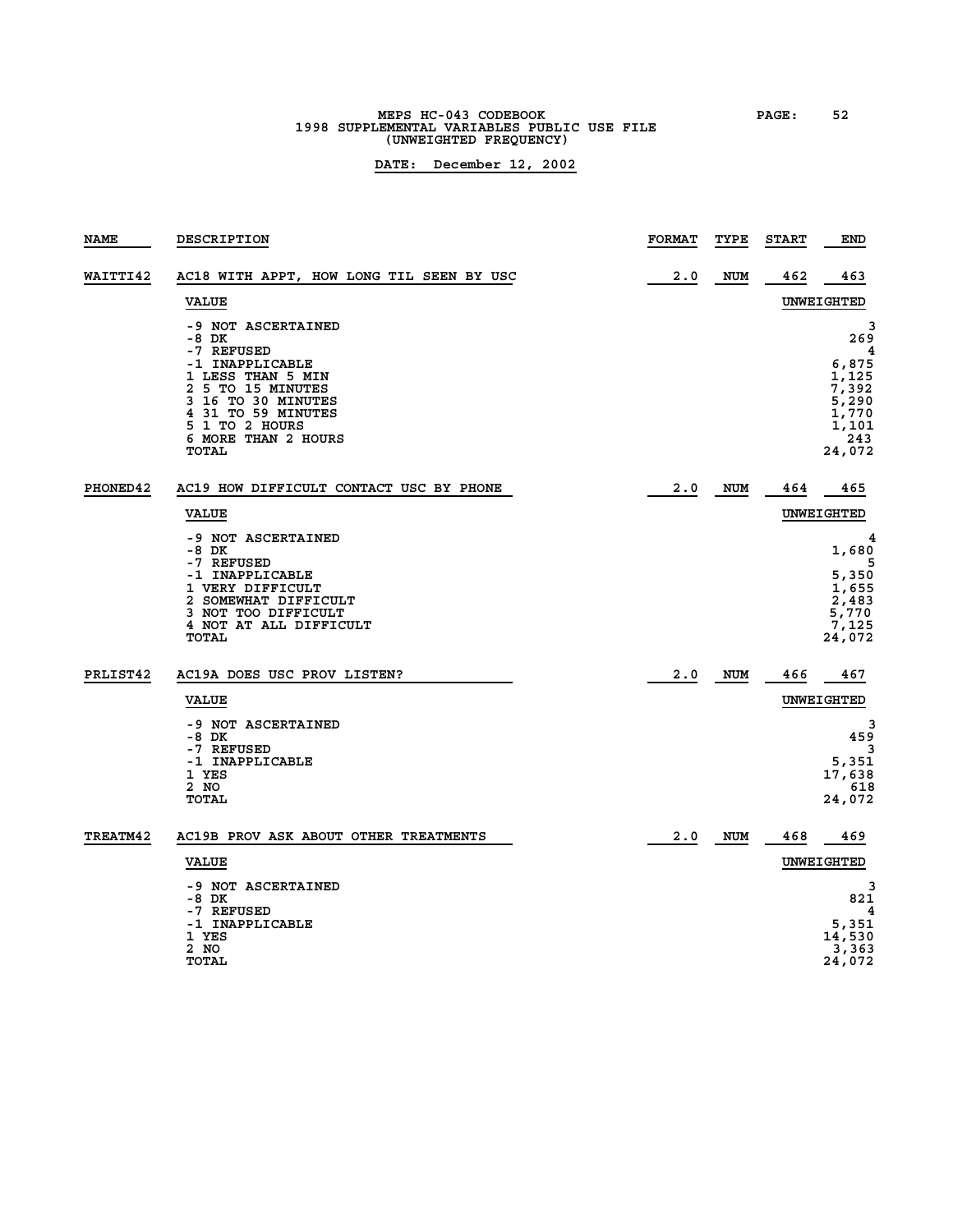### **MEPS HC-043 CODEBOOK PAGE: 52 1998 SUPPLEMENTAL VARIABLES PUBLIC USE FILE (UNWEIGHTED FREQUENCY)**

| <b>NAME</b>     | <b>DESCRIPTION</b>                                                                                                                                             | <b>FORMAT</b> | TYPE       | <b>START</b> | END                                                                 |
|-----------------|----------------------------------------------------------------------------------------------------------------------------------------------------------------|---------------|------------|--------------|---------------------------------------------------------------------|
| <b>WAITTI42</b> | AC18 WITH APPT, HOW LONG TIL SEEN BY USC                                                                                                                       | 2.0           | <b>NUM</b> | 462          | 463                                                                 |
|                 | <b>VALUE</b>                                                                                                                                                   |               |            |              | UNWEIGHTED                                                          |
|                 | -9 NOT ASCERTAINED<br>-8 DK<br>-7 REFUSED                                                                                                                      |               |            |              | 3<br>269<br>4                                                       |
|                 | -1 INAPPLICABLE<br>1 LESS THAN 5 MIN<br>2 5 TO 15 MINUTES<br>3 16 TO 30 MINUTES<br>4 31 TO 59 MINUTES<br>5 1 TO 2 HOURS<br>6 MORE THAN 2 HOURS<br><b>TOTAL</b> |               |            |              | 6,875<br>1,125<br>7,392<br>5,290<br>1,770<br>1,101<br>243<br>24,072 |
| <b>PHONED42</b> | AC19 HOW DIFFICULT CONTACT USC BY PHONE                                                                                                                        | 2.0           | <b>NUM</b> | 464          | 465                                                                 |
|                 | <b>VALUE</b>                                                                                                                                                   |               |            |              | UNWEIGHTED                                                          |
|                 | -9 NOT ASCERTAINED<br>$-8$ DK<br>-7 REFUSED                                                                                                                    |               |            |              | 4<br>1,680<br>5                                                     |
|                 | -1 INAPPLICABLE<br>1 VERY DIFFICULT<br>2 SOMEWHAT DIFFICULT<br>3 NOT TOO DIFFICULT<br>4 NOT AT ALL DIFFICULT<br>TOTAL                                          |               |            |              | 5,350<br>1,655<br>2,483<br>5,770<br>7,125<br>24,072                 |
| PRLIST42        | AC19A DOES USC PROV LISTEN?                                                                                                                                    | 2.0           | <b>NUM</b> | 466          | 467                                                                 |
|                 | <b>VALUE</b>                                                                                                                                                   |               |            |              | UNWEIGHTED                                                          |
|                 | -9 NOT ASCERTAINED<br>-8 DK<br>-7 REFUSED<br>-1 INAPPLICABLE<br>1 YES<br>2 NO<br><b>TOTAL</b>                                                                  |               |            |              | 3<br>459<br>3<br>5,351<br>17,638<br>618<br>24,072                   |
|                 |                                                                                                                                                                |               |            |              |                                                                     |
| <b>TREATM42</b> | AC19B PROV ASK ABOUT OTHER TREATMENTS                                                                                                                          | 2.0           | <b>NUM</b> | 468          | 469                                                                 |
|                 | <b>VALUE</b>                                                                                                                                                   |               |            |              | UNWEIGHTED                                                          |
|                 | -9 NOT ASCERTAINED<br>-8 DK<br>-7 REFUSED                                                                                                                      |               |            |              | 821<br>4<br>5,351                                                   |
|                 | -1 INAPPLICABLE<br>1 YES<br>2 NO<br><b>TOTAL</b>                                                                                                               |               |            |              | 14,530<br>3,363<br>24,072                                           |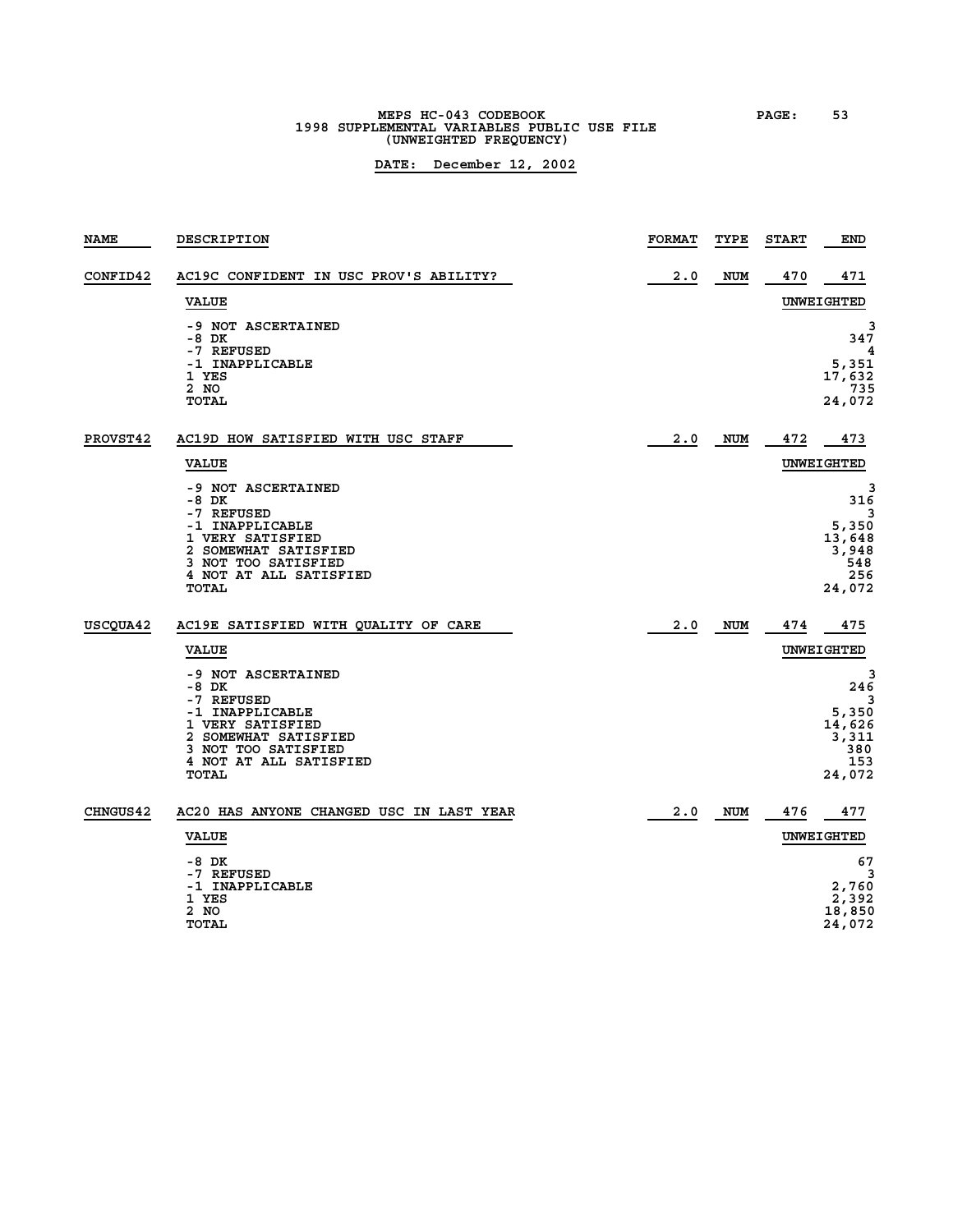## **MEPS HC-043 CODEBOOK PAGE: 53 1998 SUPPLEMENTAL VARIABLES PUBLIC USE FILE (UNWEIGHTED FREQUENCY)**

| <b>NAME</b>     | <b>DESCRIPTION</b>                                                                                                                                                          | <b>FORMAT</b> | TYPE       | <b>START</b> | END                                                               |
|-----------------|-----------------------------------------------------------------------------------------------------------------------------------------------------------------------------|---------------|------------|--------------|-------------------------------------------------------------------|
| <b>CONFID42</b> | AC19C CONFIDENT IN USC PROV'S ABILITY?                                                                                                                                      | 2.0           | <b>NUM</b> | 470          | 471                                                               |
|                 | <b>VALUE</b>                                                                                                                                                                |               |            |              | UNWEIGHTED                                                        |
|                 | -9 NOT ASCERTAINED<br>$-8$ DK<br>-7 REFUSED<br>-1 INAPPLICABLE<br>1 YES<br>2 NO<br><b>TOTAL</b>                                                                             |               |            |              | З<br>347<br>4<br>5,351<br>17,632<br>735<br>24,072                 |
| <b>PROVST42</b> | AC19D HOW SATISFIED WITH USC STAFF                                                                                                                                          | 2.0           | <b>NUM</b> | 472          | 473                                                               |
|                 | <b>VALUE</b>                                                                                                                                                                |               |            |              | UNWEIGHTED                                                        |
|                 | -9 NOT ASCERTAINED<br>$-8$ DK<br>-7 REFUSED<br>-1 INAPPLICABLE<br>1 VERY SATISFIED<br>2 SOMEWHAT SATISFIED<br>3 NOT TOO SATISFIED<br>4 NOT AT ALL SATISFIED<br><b>TOTAL</b> |               |            |              | 3<br>316<br>3<br>5,350<br>13,648<br>3,948<br>548<br>256<br>24,072 |
| USCQUA42        | AC19E SATISFIED WITH QUALITY OF CARE                                                                                                                                        | 2.0           | <b>NUM</b> | 474          | 475                                                               |
|                 | <b>VALUE</b>                                                                                                                                                                |               |            |              | UNWEIGHTED                                                        |
|                 | -9 NOT ASCERTAINED<br>-8 DK<br>-7 REFUSED<br>-1 INAPPLICABLE<br>1 VERY SATISFIED<br>2 SOMEWHAT SATISFIED<br>3 NOT TOO SATISFIED<br>4 NOT AT ALL SATISFIED<br><b>TOTAL</b>   |               |            |              | 3<br>246<br>3<br>5,350<br>14,626<br>3,311<br>380<br>153<br>24,072 |
| <b>CHNGUS42</b> | AC20 HAS ANYONE CHANGED USC IN LAST YEAR                                                                                                                                    | 2.0           | <b>NUM</b> | 476          | 477                                                               |
|                 | <b>VALUE</b>                                                                                                                                                                |               |            |              | UNWEIGHTED                                                        |
|                 | $-8$ DK<br>-7 REFUSED<br>-1 INAPPLICABLE<br>1 YES<br>2 NO<br><b>TOTAL</b>                                                                                                   |               |            |              | 67<br>3<br>2,760<br>2,392<br>18,850<br>24,072                     |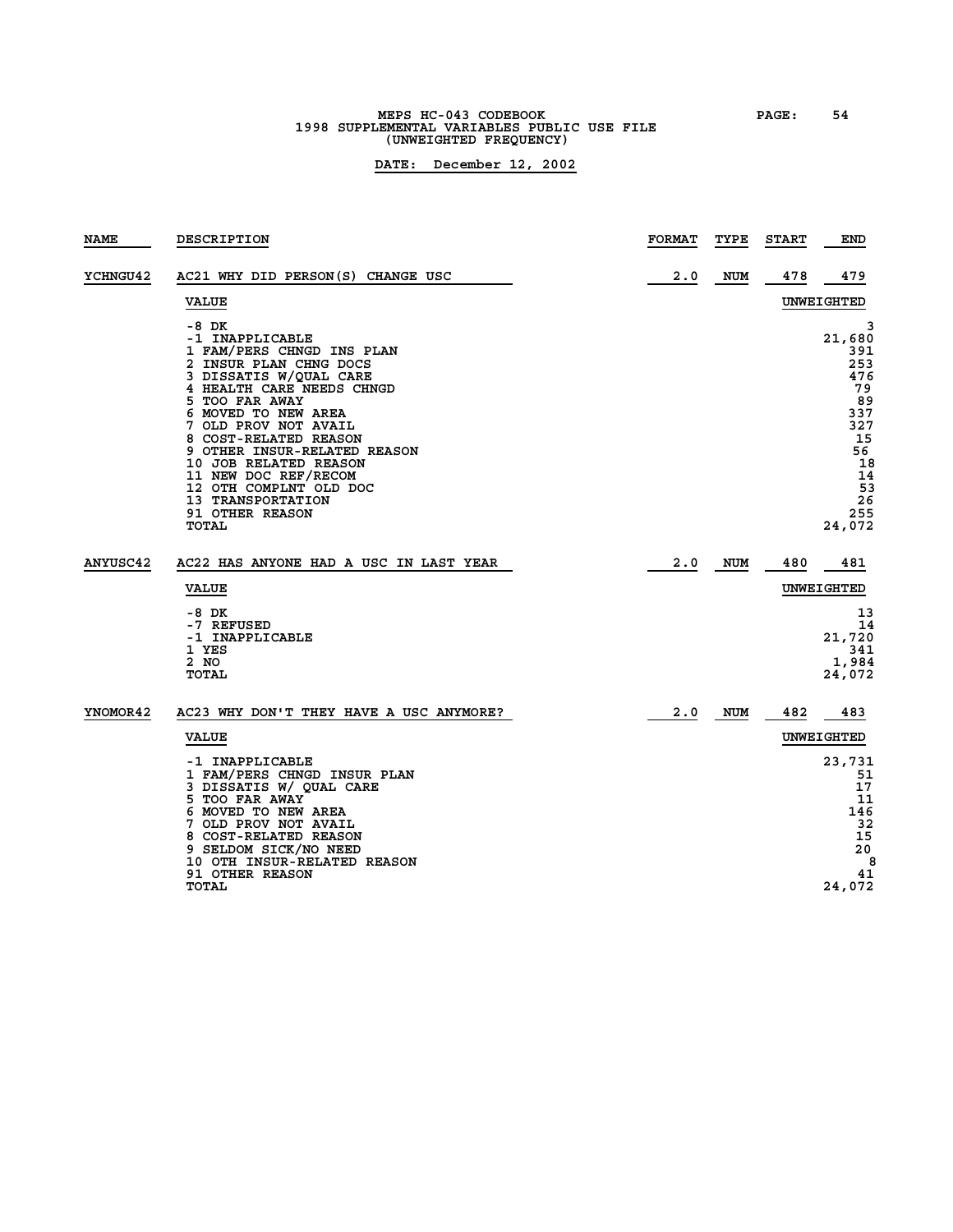### **MEPS HC-043 CODEBOOK PAGE: 54 1998 SUPPLEMENTAL VARIABLES PUBLIC USE FILE (UNWEIGHTED FREQUENCY)**

| <b>NAME</b>     | <b>DESCRIPTION</b>                                                                                                                                                                                                                                                                                                                                                                           | <b>FORMAT</b> | TYPE       | <b>START</b> | <b>END</b>                                                                                                      |
|-----------------|----------------------------------------------------------------------------------------------------------------------------------------------------------------------------------------------------------------------------------------------------------------------------------------------------------------------------------------------------------------------------------------------|---------------|------------|--------------|-----------------------------------------------------------------------------------------------------------------|
| <b>YCHNGU42</b> | AC21 WHY DID PERSON(S) CHANGE USC                                                                                                                                                                                                                                                                                                                                                            | 2.0           | <b>NUM</b> | 478          | 479                                                                                                             |
|                 | <b>VALUE</b>                                                                                                                                                                                                                                                                                                                                                                                 |               |            |              | UNWEIGHTED                                                                                                      |
|                 | -8 DK<br>-1 INAPPLICABLE<br>1 FAM/PERS CHNGD INS PLAN<br>2 INSUR PLAN CHNG DOCS<br>3 DISSATIS W/QUAL CARE<br>4 HEALTH CARE NEEDS CHNGD<br>5 TOO FAR AWAY<br>6 MOVED TO NEW AREA<br>7 OLD PROV NOT AVAIL<br>8 COST-RELATED REASON<br>9 OTHER INSUR-RELATED REASON<br>10 JOB RELATED REASON<br>11 NEW DOC REF/RECOM<br>12 OTH COMPLNT OLD DOC<br>13 TRANSPORTATION<br>91 OTHER REASON<br>TOTAL |               |            |              | 3<br>21,680<br>391<br>253<br>476<br>79<br>89<br>337<br>327<br>15<br>56<br>18<br>14<br>53<br>26<br>255<br>24,072 |
| <b>ANYUSC42</b> | AC22 HAS ANYONE HAD A USC IN LAST YEAR                                                                                                                                                                                                                                                                                                                                                       | 2.0           | <b>NUM</b> | 480          | 481                                                                                                             |
|                 | <b>VALUE</b>                                                                                                                                                                                                                                                                                                                                                                                 |               |            |              | UNWEIGHTED                                                                                                      |
|                 | -8 DK<br>-7 REFUSED<br>-1 INAPPLICABLE<br>1 YES<br>2 NO<br>TOTAL                                                                                                                                                                                                                                                                                                                             |               |            |              | 13<br>14<br>21,720<br>341<br>1,984<br>24,072                                                                    |
| YNOMOR42        | AC23 WHY DON'T THEY HAVE A USC ANYMORE?                                                                                                                                                                                                                                                                                                                                                      | 2.0           | <b>NUM</b> | 482          | 483                                                                                                             |
|                 | <b>VALUE</b>                                                                                                                                                                                                                                                                                                                                                                                 |               |            |              | UNWEIGHTED                                                                                                      |
|                 | -1 INAPPLICABLE<br>1 FAM/PERS CHNGD INSUR PLAN<br>3 DISSATIS W/ QUAL CARE<br>5 TOO FAR AWAY<br>6 MOVED TO NEW AREA<br>7 OLD PROV NOT AVAIL<br>8 COST-RELATED REASON<br>9 SELDOM SICK/NO NEED<br>10 OTH INSUR-RELATED REASON<br><b>91 OTHER REASON</b><br>TOTAL                                                                                                                               |               |            |              | 23,731<br>51<br>17<br>11<br>146<br>32<br>15<br>20<br>8<br>41<br>24,072                                          |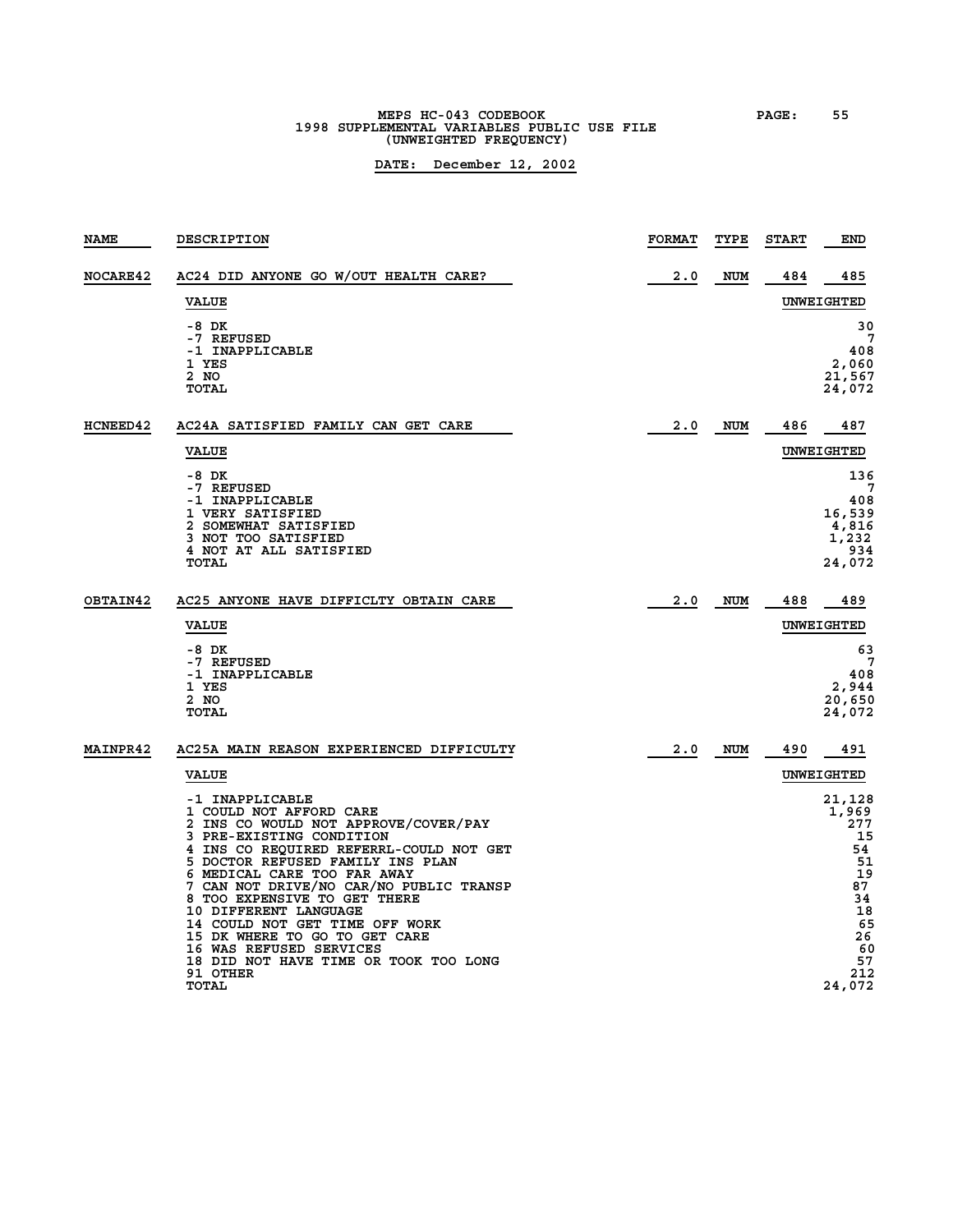## **MEPS HC-043 CODEBOOK PAGE: 55 1998 SUPPLEMENTAL VARIABLES PUBLIC USE FILE (UNWEIGHTED FREQUENCY)**

| <b>NAME</b>     | <b>DESCRIPTION</b>                                                                                                                                                                                                                                                                                                                                                                                                                                                                           | <b>FORMAT</b> | TYPE       | <b>START</b> | END                                                                                                       |
|-----------------|----------------------------------------------------------------------------------------------------------------------------------------------------------------------------------------------------------------------------------------------------------------------------------------------------------------------------------------------------------------------------------------------------------------------------------------------------------------------------------------------|---------------|------------|--------------|-----------------------------------------------------------------------------------------------------------|
| <b>NOCARE42</b> | AC24 DID ANYONE GO W/OUT HEALTH CARE?                                                                                                                                                                                                                                                                                                                                                                                                                                                        | 2.0           | <b>NUM</b> | 484          | 485                                                                                                       |
|                 | <b>VALUE</b>                                                                                                                                                                                                                                                                                                                                                                                                                                                                                 |               |            |              | UNWEIGHTED                                                                                                |
|                 | -8 DK<br>-7 REFUSED<br>-1 INAPPLICABLE<br>1 YES<br>2 NO<br><b>TOTAL</b>                                                                                                                                                                                                                                                                                                                                                                                                                      |               |            |              | 30<br>7<br>408<br>2,060<br>21,567<br>24,072                                                               |
| <b>HCNEED42</b> | AC24A SATISFIED FAMILY CAN GET CARE                                                                                                                                                                                                                                                                                                                                                                                                                                                          | 2.0           | <b>NUM</b> | 486          | 487                                                                                                       |
|                 | <b>VALUE</b>                                                                                                                                                                                                                                                                                                                                                                                                                                                                                 |               |            |              | UNWEIGHTED                                                                                                |
|                 | -8 DK<br>-7 REFUSED<br>-1 INAPPLICABLE<br>1 VERY SATISFIED<br>2 SOMEWHAT SATISFIED<br>3 NOT TOO SATISFIED<br>4 NOT AT ALL SATISFIED<br><b>TOTAL</b>                                                                                                                                                                                                                                                                                                                                          |               |            |              | 136<br>408<br>16,539<br>4,816<br>1,232<br>934<br>24,072                                                   |
| OBTAIN42        | AC25 ANYONE HAVE DIFFICLTY OBTAIN CARE                                                                                                                                                                                                                                                                                                                                                                                                                                                       | 2.0           | <b>NUM</b> | 488          | 489                                                                                                       |
|                 | <b>VALUE</b>                                                                                                                                                                                                                                                                                                                                                                                                                                                                                 |               |            |              | UNWEIGHTED                                                                                                |
|                 | -8 DK<br>-7 REFUSED<br>-1 INAPPLICABLE<br>1 YES<br>2 NO<br><b>TOTAL</b>                                                                                                                                                                                                                                                                                                                                                                                                                      |               |            |              | 63<br>7<br>408<br>2,944<br>20,650<br>24,072                                                               |
| <b>MAINPR42</b> | AC25A MAIN REASON EXPERIENCED DIFFICULTY                                                                                                                                                                                                                                                                                                                                                                                                                                                     | 2.0           | <b>NUM</b> | 490          | 491                                                                                                       |
|                 | <b>VALUE</b>                                                                                                                                                                                                                                                                                                                                                                                                                                                                                 |               |            |              | UNWEIGHTED                                                                                                |
|                 | -1 INAPPLICABLE<br>1 COULD NOT AFFORD CARE<br>2 INS CO WOULD NOT APPROVE/COVER/PAY<br>3 PRE-EXISTING CONDITION<br>4 INS CO REQUIRED REFERRL-COULD NOT GET<br>5 DOCTOR REFUSED FAMILY INS PLAN<br>6 MEDICAL CARE TOO FAR AWAY<br>7 CAN NOT DRIVE/NO CAR/NO PUBLIC TRANSP<br>8 TOO EXPENSIVE TO GET THERE<br>10 DIFFERENT LANGUAGE<br>14 COULD NOT GET TIME OFF WORK<br>15 DK WHERE TO GO TO GET CARE<br>16 WAS REFUSED SERVICES<br>18 DID NOT HAVE TIME OR TOOK TOO LONG<br>91 OTHER<br>TOTAL |               |            |              | 21,128<br>1,969<br>277<br>15<br>54<br>51<br>19<br>87<br>34<br>18<br>65<br>26<br>60<br>57<br>212<br>24,072 |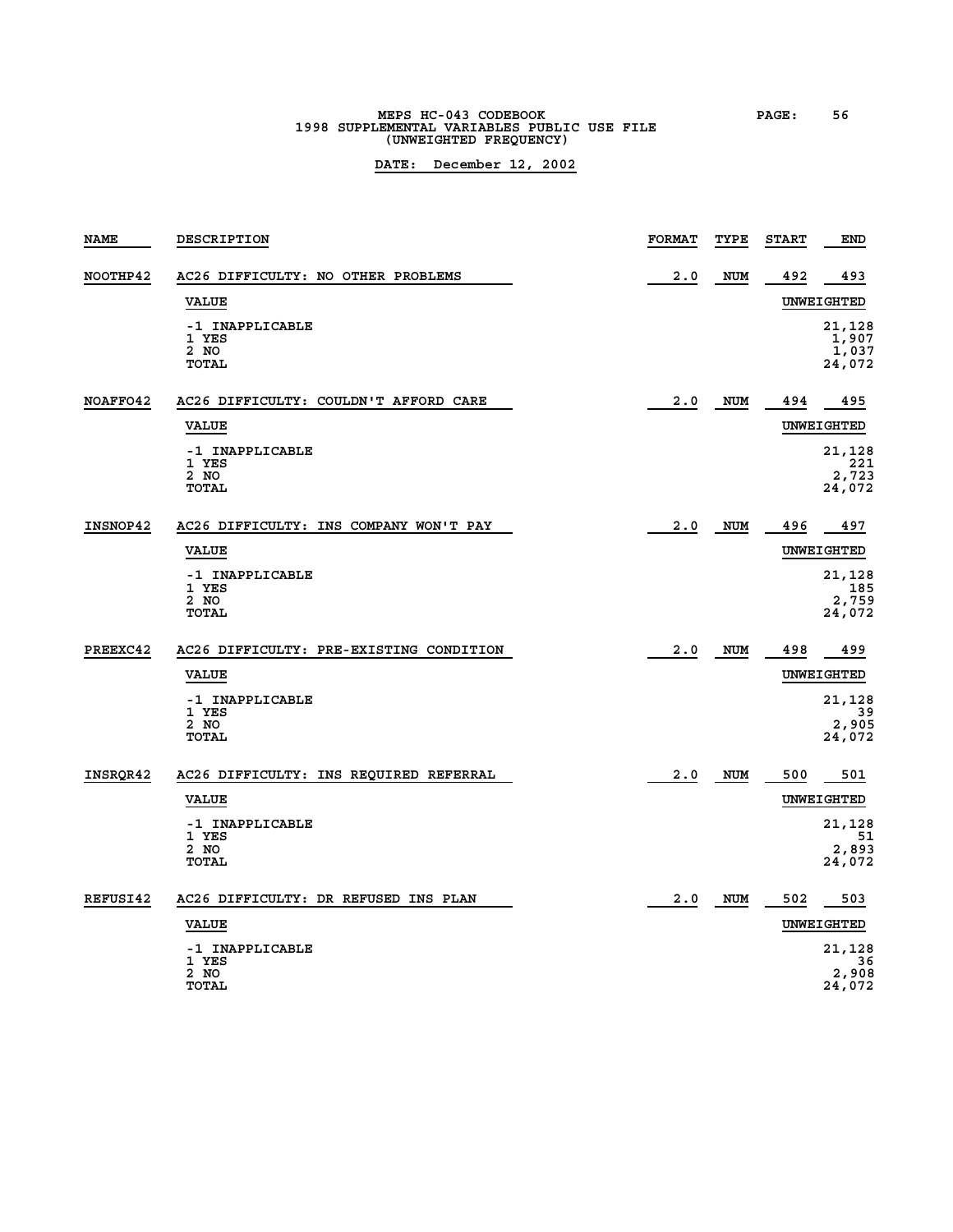# **MEPS HC-043 CODEBOOK PAGE: 56 1998 SUPPLEMENTAL VARIABLES PUBLIC USE FILE (UNWEIGHTED FREQUENCY)**

| <b>NAME</b> | <b>DESCRIPTION</b>                        | <b>FORMAT</b> | TYPE       | <b>START</b> | END                                |
|-------------|-------------------------------------------|---------------|------------|--------------|------------------------------------|
| NOOTHP42    | AC26 DIFFICULTY: NO OTHER PROBLEMS        | 2.0           | <b>NUM</b> | 492          | 493                                |
|             | <b>VALUE</b>                              |               |            |              | UNWEIGHTED                         |
|             | -1 INAPPLICABLE<br>1 YES<br>2 NO<br>TOTAL |               |            |              | 21,128<br>1,907<br>1,037<br>24,072 |
| NOAFFO42    | AC26 DIFFICULTY: COULDN'T AFFORD CARE     | 2.0           | NUM        | 494          | 495                                |
|             | <b>VALUE</b>                              |               |            |              | UNWEIGHTED                         |
|             | -1 INAPPLICABLE<br>1 YES<br>2 NO<br>TOTAL |               |            |              | 21,128<br>221<br>2,723<br>24,072   |
| INSNOP42    | AC26 DIFFICULTY: INS COMPANY WON'T PAY    | 2.0           | <b>NUM</b> | 496          | 497                                |
|             | <b>VALUE</b>                              |               |            |              | UNWEIGHTED                         |
|             | -1 INAPPLICABLE<br>1 YES<br>2 NO<br>TOTAL |               |            |              | 21,128<br>185<br>2,759<br>24,072   |
| PREEXC42    | AC26 DIFFICULTY: PRE-EXISTING CONDITION   | 2.0           | NUM        | 498          | 499                                |
|             | <b>VALUE</b>                              |               |            |              | UNWEIGHTED                         |
|             | -1 INAPPLICABLE                           |               |            |              | 21,128                             |
|             | 1 YES<br>2 NO<br>TOTAL                    |               |            |              | 39<br>2,905<br>24,072              |
| INSROR42    | AC26 DIFFICULTY: INS REQUIRED REFERRAL    | 2.0           | <b>NUM</b> | 500          | 501                                |
|             | <b>VALUE</b>                              |               |            |              | UNWEIGHTED                         |
|             | -1 INAPPLICABLE<br>1 YES                  |               |            |              | 21,128<br>51                       |
|             | 2 NO<br>TOTAL                             |               |            |              | 2,893<br>24,072                    |
| REFUSI42    | AC26 DIFFICULTY: DR REFUSED INS PLAN      | 2.0           | NUM        | 502          | 503                                |
|             | <b>VALUE</b>                              |               |            |              | <b>UNWEIGHTED</b>                  |
|             | -1 INAPPLICABLE<br>1 YES                  |               |            |              | 21,128<br>36                       |
|             | 2 NO<br>TOTAL                             |               |            |              | 2,908<br>24,072                    |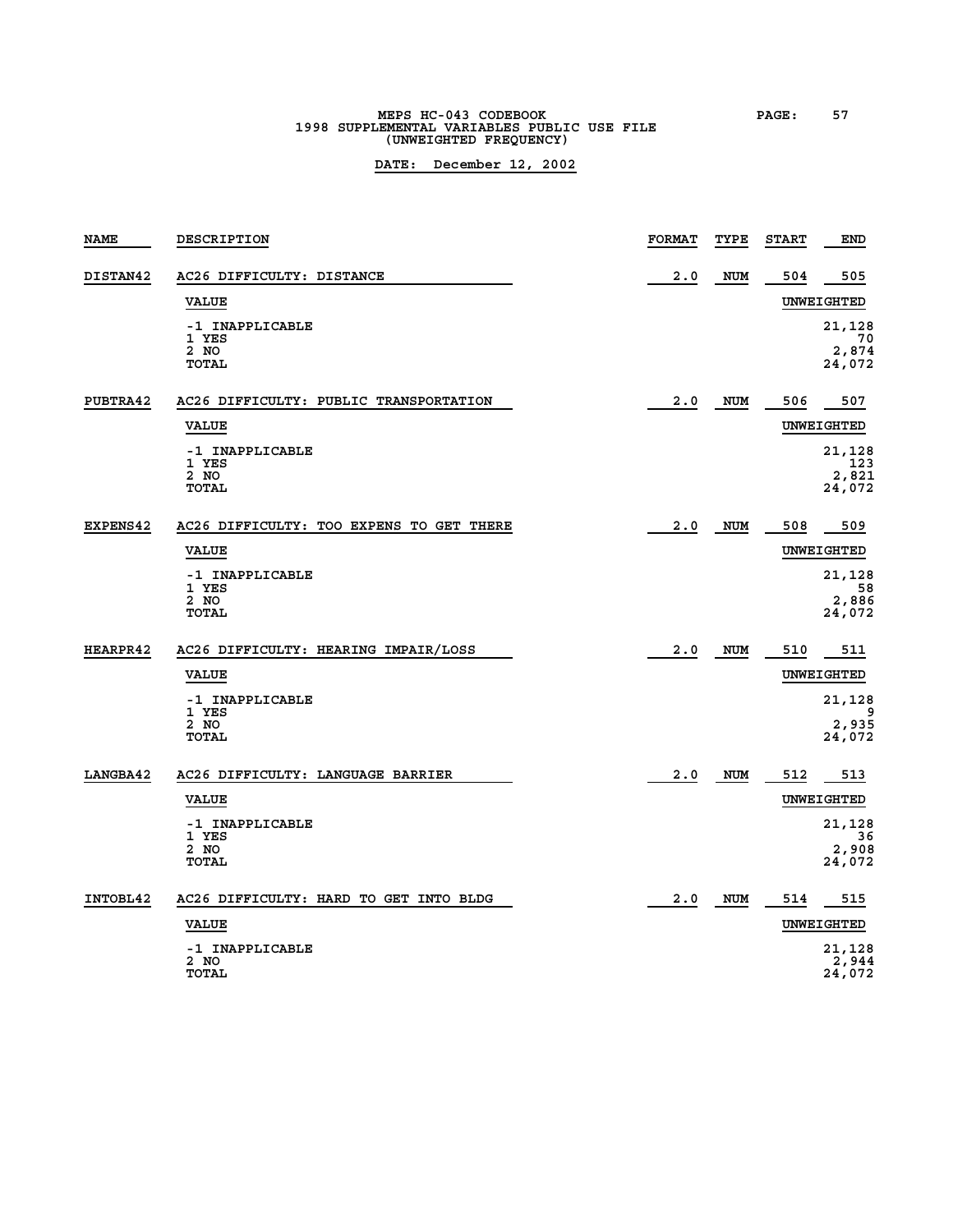# **MEPS HC-043 CODEBOOK PAGE: 57**<br>1998 SUPPLEMENTAL VARIABLES PUBLIC USE FILE **(UNWEIGHTED FREQUENCY)**

| <b>NAME</b>     | DESCRIPTION                              | <b>FORMAT</b> | TYPE       | <b>START</b> | <b>END</b>            |
|-----------------|------------------------------------------|---------------|------------|--------------|-----------------------|
| DISTAN42        | AC26 DIFFICULTY: DISTANCE                | 2.0           | NUM        | 504          | 505                   |
|                 | <b>VALUE</b>                             |               |            |              | UNWEIGHTED            |
|                 | -1 INAPPLICABLE<br>1 YES                 |               |            |              | 21,128                |
|                 | 2 NO<br><b>TOTAL</b>                     |               |            |              | 70<br>2,874<br>24,072 |
|                 |                                          |               |            |              |                       |
| PUBTRA42        | AC26 DIFFICULTY: PUBLIC TRANSPORTATION   | 2.0           | <b>NUM</b> | 506          | 507                   |
|                 | <b>VALUE</b>                             |               |            |              | UNWEIGHTED            |
|                 | -1 INAPPLICABLE<br>1 YES                 |               |            |              | 21,128<br>123         |
|                 | 2 NO<br><b>TOTAL</b>                     |               |            |              | 2,821                 |
|                 |                                          |               |            |              | 24,072                |
| <b>EXPENS42</b> | AC26 DIFFICULTY: TOO EXPENS TO GET THERE | 2.0           | <b>NUM</b> | 508          | 509                   |
|                 | <b>VALUE</b>                             |               |            |              | UNWEIGHTED            |
|                 | -1 INAPPLICABLE<br>1 YES                 |               |            |              | 21,128<br>58          |
|                 | 2 NO                                     |               |            |              | 2,886                 |
|                 | <b>TOTAL</b>                             |               |            |              | 24,072                |
| <b>HEARPR42</b> | AC26 DIFFICULTY: HEARING IMPAIR/LOSS     | 2.0           | NUM        | 510          | 511                   |
|                 | <b>VALUE</b>                             |               |            |              | UNWEIGHTED            |
|                 | -1 INAPPLICABLE                          |               |            |              | 21,128                |
|                 | 1 YES<br>2 NO                            |               |            |              | 9<br>2,935            |
|                 | <b>TOTAL</b>                             |               |            |              | 24,072                |
| LANGBA42        | AC26 DIFFICULTY: LANGUAGE BARRIER        | 2.0           | <b>NUM</b> | 512          | 513                   |
|                 | <b>VALUE</b>                             |               |            |              | UNWEIGHTED            |
|                 | -1 INAPPLICABLE<br>1 YES                 |               |            |              | 21,128<br>36          |
|                 | 2 NO                                     |               |            |              | 2,908                 |
|                 | <b>TOTAL</b>                             |               |            |              | 24,072                |
| INTOBL42        | AC26 DIFFICULTY: HARD TO GET INTO BLDG   | 2.0           | <b>NUM</b> | 514          | 515                   |
|                 | <b>VALUE</b>                             |               |            |              | UNWEIGHTED            |
|                 | -1 INAPPLICABLE<br>2 NO                  |               |            |              | 21,128                |
|                 | <b>TOTAL</b>                             |               |            |              | 2,944<br>24,072       |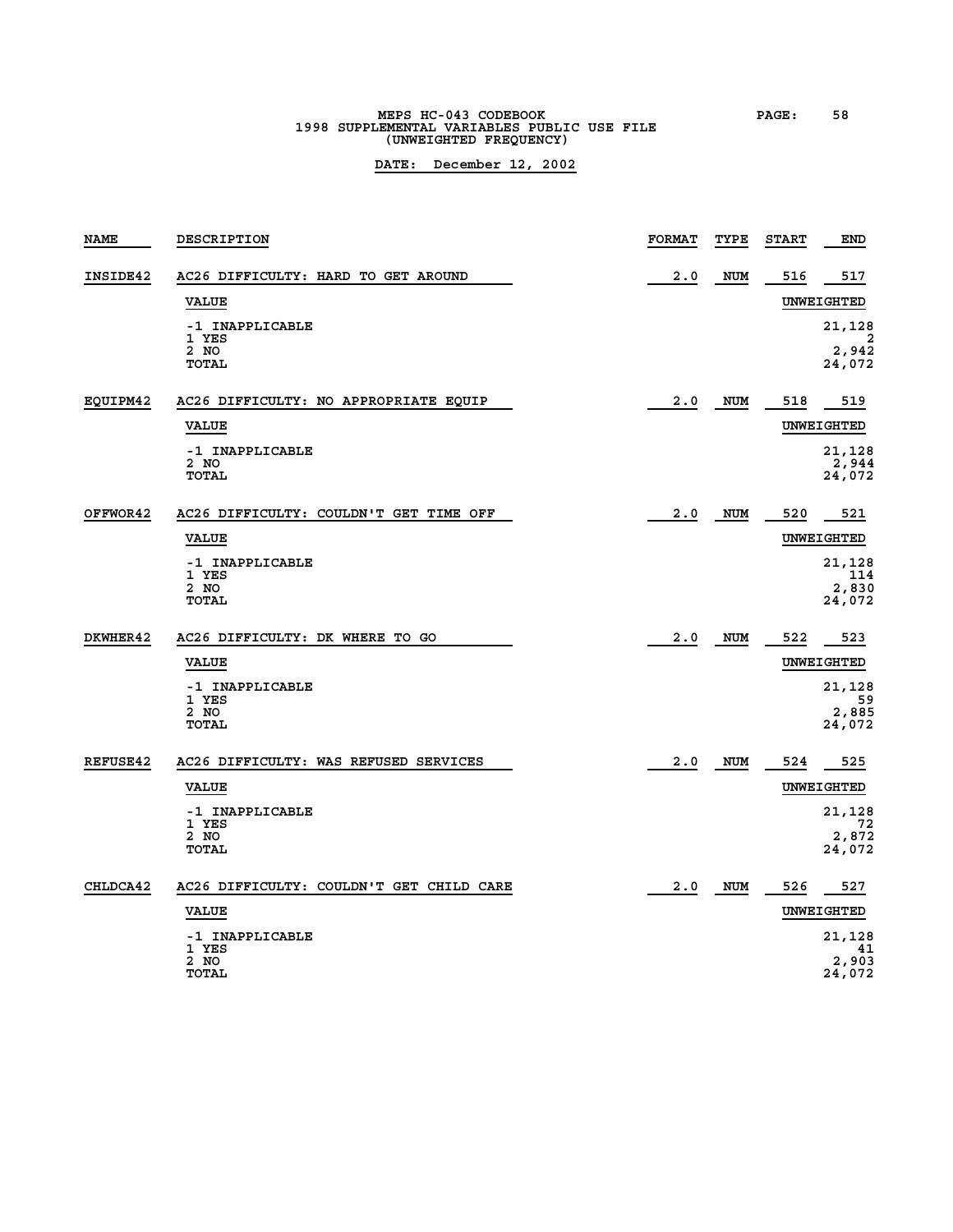# **MEPS HC-043 CODEBOOK PAGE: 58 1998 SUPPLEMENTAL VARIABLES PUBLIC USE FILE (UNWEIGHTED FREQUENCY)**

| <b>NAME</b>     | DESCRIPTION                              | <b>FORMAT</b> | TYPE       | <b>START</b> | <b>END</b>        |
|-----------------|------------------------------------------|---------------|------------|--------------|-------------------|
| INSIDE42        | AC26 DIFFICULTY: HARD TO GET AROUND      | 2.0           | <b>NUM</b> | 516          | 517               |
|                 | <b>VALUE</b>                             |               |            |              | UNWEIGHTED        |
|                 | -1 INAPPLICABLE                          |               |            |              | 21,128            |
|                 | 1 YES<br>2 NO                            |               |            |              | 2<br>2,942        |
|                 | <b>TOTAL</b>                             |               |            |              | 24,072            |
| EQUIPM42        | AC26 DIFFICULTY: NO APPROPRIATE EQUIP    | 2.0           | NUM        | 518          | 519               |
|                 | <b>VALUE</b>                             |               |            |              | UNWEIGHTED        |
|                 | -1 INAPPLICABLE                          |               |            |              | 21,128            |
|                 | 2 NO<br><b>TOTAL</b>                     |               |            |              | 2,944<br>24,072   |
|                 |                                          |               |            |              |                   |
| OFFWOR42        | AC26 DIFFICULTY: COULDN'T GET TIME OFF   | 2.0           | <b>NUM</b> | 520          | 521               |
|                 | <b>VALUE</b>                             |               |            |              | UNWEIGHTED        |
|                 | -1 INAPPLICABLE<br>1 YES                 |               |            |              | 21,128<br>114     |
|                 | 2 NO<br><b>TOTAL</b>                     |               |            |              | 2,830<br>24,072   |
|                 |                                          |               |            |              |                   |
| DKWHER42        | AC26 DIFFICULTY: DK WHERE TO GO          | 2.0           | <b>NUM</b> | 522          | 523               |
|                 | <b>VALUE</b>                             |               |            |              | <b>UNWEIGHTED</b> |
|                 | -1 INAPPLICABLE<br>1 YES                 |               |            |              | 21,128<br>59      |
|                 | 2 NO<br><b>TOTAL</b>                     |               |            |              | 2,885<br>24,072   |
|                 |                                          |               |            |              |                   |
| <b>REFUSE42</b> | AC26 DIFFICULTY: WAS REFUSED SERVICES    | 2.0           | <b>NUM</b> | 524          | 525               |
|                 | <b>VALUE</b>                             |               |            |              | UNWEIGHTED        |
|                 | -1 INAPPLICABLE<br>1 YES                 |               |            |              | 21,128<br>72      |
|                 | 2 NO<br><b>TOTAL</b>                     |               |            |              | 2,872<br>24,072   |
|                 |                                          |               |            |              |                   |
| CHLDCA42        | AC26 DIFFICULTY: COULDN'T GET CHILD CARE | 2.0           | <b>NUM</b> | 526          | 527               |
|                 | <b>VALUE</b>                             |               |            |              | UNWEIGHTED        |
|                 | -1 INAPPLICABLE                          |               |            |              | 21,128            |
|                 | 1 YES<br>2 NO                            |               |            |              | 41<br>2,903       |
|                 | <b>TOTAL</b>                             |               |            |              | 24,072            |